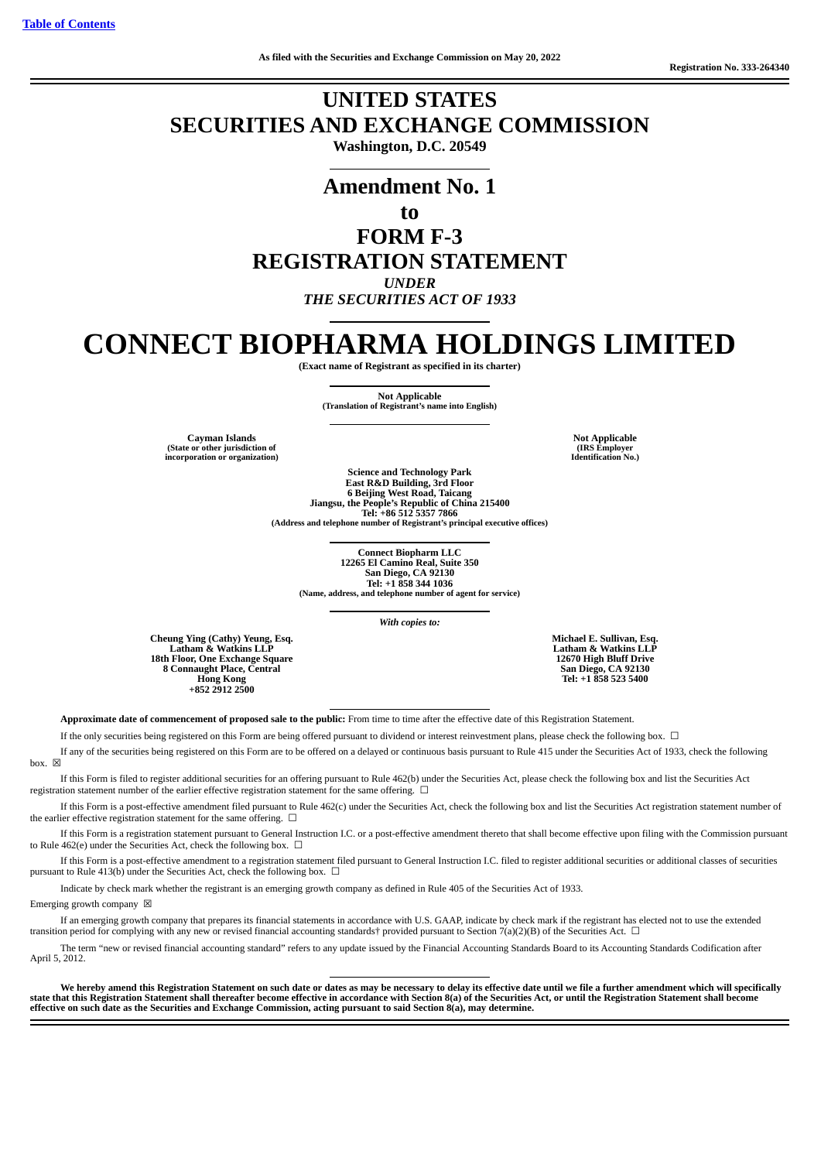# **UNITED STATES SECURITIES AND EXCHANGE COMMISSION Washington, D.C. 20549**

# **Amendment No. 1 to FORM F-3 REGISTRATION STATEMENT** *UNDER THE SECURITIES ACT OF 1933*

# **CONNECT BIOPHARMA HOLDINGS LIMITED**

**(Exact name of Registrant as specified in its charter)**

**Not Applicable**

**(Translation of Registrant's name into English)**

**Cayman Islands Not Applicable (State or other jurisdiction of incorporation or organization)**

**(IRS Employer Identification No.)**

**Science and Technology Park East R&D Building, 3rd Floor 6 Beijing West Road, Taicang Jiangsu, the People's Republic of China 215400 Tel: +86 512 5357 7866 (Address and telephone number of Registrant's principal executive offices)**

**Connect Biopharm LLC 12265 El Camino Real, Suite 350 San Diego, CA 92130 Tel: +1 858 344 1036 (Name, address, and telephone number of agent for service)**

*With copies to:*

**Cheung Ying (Cathy) Yeung, Esq. Latham & Watkins LLP 18th Floor, One Exchange Square 8 Connaught Place, Central Hong Kong +852 2912 2500**

**Michael E. Sullivan, Esq. Latham & Watkins LLP 12670 High Bluff Drive San Diego, CA 92130 Tel: +1 858 523 5400**

**Approximate date of commencement of proposed sale to the public:** From time to time after the effective date of this Registration Statement.

If the only securities being registered on this Form are being offered pursuant to dividend or interest reinvestment plans, please check the following box. ☐

If any of the securities being registered on this Form are to be offered on a delayed or continuous basis pursuant to Rule 415 under the Securities Act of 1933, check the following box.  $\overline{\mathsf{x}}$ 

If this Form is filed to register additional securities for an offering pursuant to Rule 462(b) under the Securities Act, please check the following box and list the Securities Act registration statement number of the earlier effective registration statement for the same offering.  $\Box$ 

If this Form is a post-effective amendment filed pursuant to Rule 462(c) under the Securities Act, check the following box and list the Securities Act registration statement number of the earlier effective registration statement for the same offering.  $\Box$ 

If this Form is a registration statement pursuant to General Instruction I.C. or a post-effective amendment thereto that shall become effective upon filing with the Commission pursuant to Rule 462(e) under the Securities Act, check the following box.  $\Box$ 

If this Form is a post-effective amendment to a registration statement filed pursuant to General Instruction I.C. filed to register additional securities or additional classes of securities pursuant to Rule 413(b) under the Securities Act, check the following box.  $\Box$ 

Indicate by check mark whether the registrant is an emerging growth company as defined in Rule 405 of the Securities Act of 1933.

Emerging growth company  $\boxtimes$ 

If an emerging growth company that prepares its financial statements in accordance with U.S. GAAP, indicate by check mark if the registrant has elected not to use the extended transition period for complying with any new or revised financial accounting standards† provided pursuant to Section 7(a)(2)(B) of the Securities Act.  $\Box$ 

The term "new or revised financial accounting standard" refers to any update issued by the Financial Accounting Standards Board to its Accounting Standards Codification after April 5, 2012.

We hereby amend this Registration Statement on such date or dates as may be necessary to delay its effective date until we file a further amendment which will specifically state that this Registration Statement shall thereafter become effective in accordance with Section 8(a) of the Securities Act, or until the Registration Statement shall become effective on such date as the Securities and Exchange Commission, acting pursuant to said Section 8(a), may determine.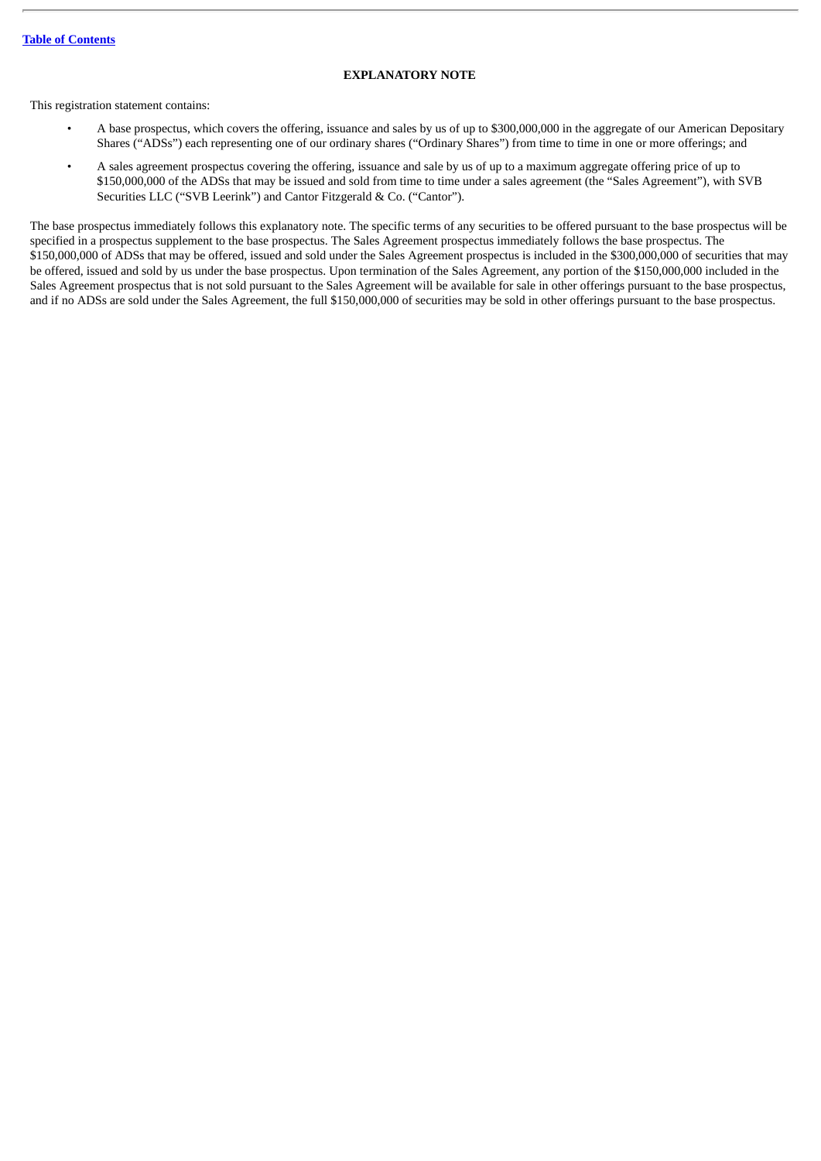# **EXPLANATORY NOTE**

This registration statement contains:

- A base prospectus, which covers the offering, issuance and sales by us of up to \$300,000,000 in the aggregate of our American Depositary Shares ("ADSs") each representing one of our ordinary shares ("Ordinary Shares") from time to time in one or more offerings; and
- A sales agreement prospectus covering the offering, issuance and sale by us of up to a maximum aggregate offering price of up to \$150,000,000 of the ADSs that may be issued and sold from time to time under a sales agreement (the "Sales Agreement"), with SVB Securities LLC ("SVB Leerink") and Cantor Fitzgerald & Co. ("Cantor").

The base prospectus immediately follows this explanatory note. The specific terms of any securities to be offered pursuant to the base prospectus will be specified in a prospectus supplement to the base prospectus. The Sales Agreement prospectus immediately follows the base prospectus. The \$150,000,000 of ADSs that may be offered, issued and sold under the Sales Agreement prospectus is included in the \$300,000,000 of securities that may be offered, issued and sold by us under the base prospectus. Upon termination of the Sales Agreement, any portion of the \$150,000,000 included in the Sales Agreement prospectus that is not sold pursuant to the Sales Agreement will be available for sale in other offerings pursuant to the base prospectus, and if no ADSs are sold under the Sales Agreement, the full \$150,000,000 of securities may be sold in other offerings pursuant to the base prospectus.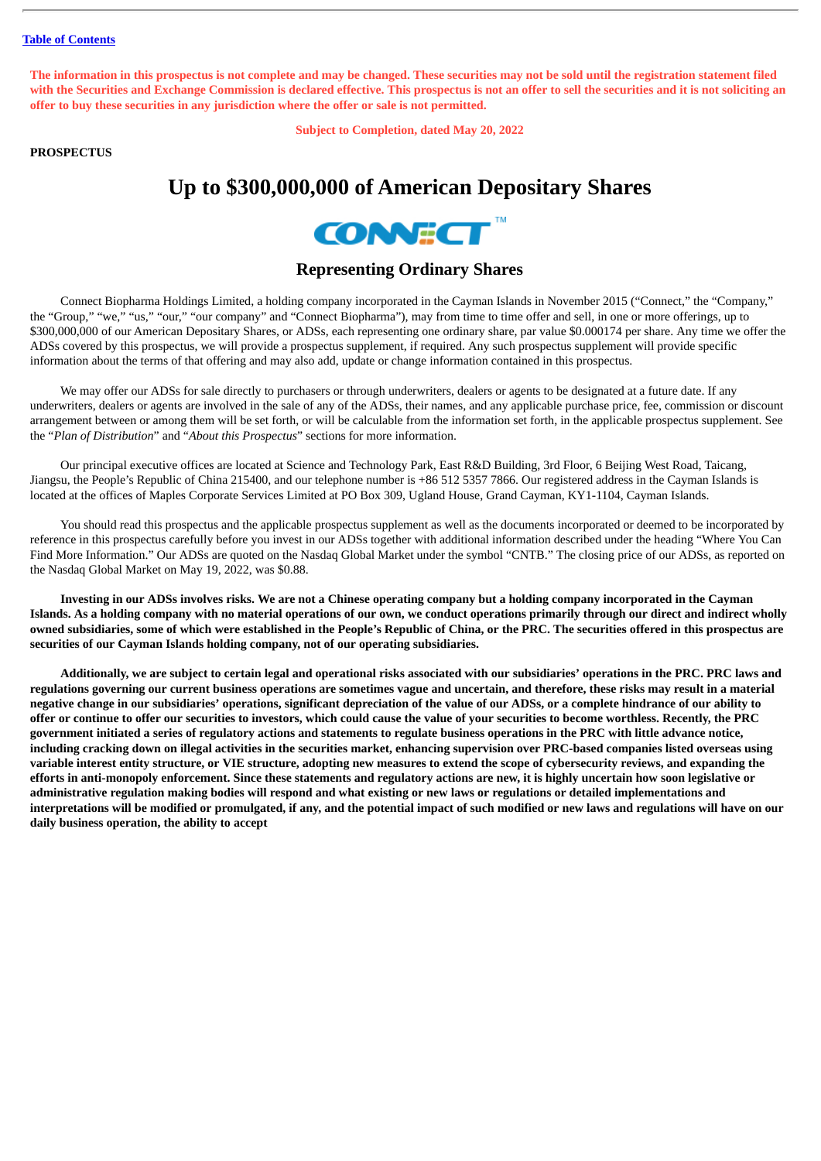The information in this prospectus is not complete and may be changed. These securities may not be sold until the registration statement filed with the Securities and Exchange Commission is declared effective. This prospectus is not an offer to sell the securities and it is not soliciting an **offer to buy these securities in any jurisdiction where the offer or sale is not permitted.**

**Subject to Completion, dated May 20, 2022**

# **PROSPECTUS**

# **Up to \$300,000,000 of American Depositary Shares**



# **Representing Ordinary Shares**

Connect Biopharma Holdings Limited, a holding company incorporated in the Cayman Islands in November 2015 ("Connect," the "Company," the "Group," "we," "us," "our," "our company" and "Connect Biopharma"), may from time to time offer and sell, in one or more offerings, up to \$300,000,000 of our American Depositary Shares, or ADSs, each representing one ordinary share, par value \$0.000174 per share. Any time we offer the ADSs covered by this prospectus, we will provide a prospectus supplement, if required. Any such prospectus supplement will provide specific information about the terms of that offering and may also add, update or change information contained in this prospectus.

We may offer our ADSs for sale directly to purchasers or through underwriters, dealers or agents to be designated at a future date. If any underwriters, dealers or agents are involved in the sale of any of the ADSs, their names, and any applicable purchase price, fee, commission or discount arrangement between or among them will be set forth, or will be calculable from the information set forth, in the applicable prospectus supplement. See the "*Plan of Distribution*" and "*About this Prospectus*" sections for more information.

Our principal executive offices are located at Science and Technology Park, East R&D Building, 3rd Floor, 6 Beijing West Road, Taicang, Jiangsu, the People's Republic of China 215400, and our telephone number is +86 512 5357 7866. Our registered address in the Cayman Islands is located at the offices of Maples Corporate Services Limited at PO Box 309, Ugland House, Grand Cayman, KY1-1104, Cayman Islands.

You should read this prospectus and the applicable prospectus supplement as well as the documents incorporated or deemed to be incorporated by reference in this prospectus carefully before you invest in our ADSs together with additional information described under the heading "Where You Can Find More Information." Our ADSs are quoted on the Nasdaq Global Market under the symbol "CNTB." The closing price of our ADSs, as reported on the Nasdaq Global Market on May 19, 2022, was \$0.88.

Investing in our ADSs involves risks. We are not a Chinese operating company but a holding company incorporated in the Cayman Islands. As a holding company with no material operations of our own, we conduct operations primarily through our direct and indirect wholly owned subsidiaries, some of which were established in the People's Republic of China, or the PRC. The securities offered in this prospectus are **securities of our Cayman Islands holding company, not of our operating subsidiaries.**

Additionally, we are subject to certain legal and operational risks associated with our subsidiaries' operations in the PRC. PRC laws and regulations governing our current business operations are sometimes vague and uncertain, and therefore, these risks may result in a material negative change in our subsidiaries' operations, significant depreciation of the value of our ADSs, or a complete hindrance of our ability to offer or continue to offer our securities to investors, which could cause the value of your securities to become worthless. Recently, the PRC government initiated a series of regulatory actions and statements to regulate business operations in the PRC with little advance notice, including cracking down on illegal activities in the securities market, enhancing supervision over PRC-based companies listed overseas using variable interest entity structure, or VIE structure, adopting new measures to extend the scope of cybersecurity reviews, and expanding the efforts in anti-monopoly enforcement. Since these statements and regulatory actions are new, it is highly uncertain how soon legislative or administrative regulation making bodies will respond and what existing or new laws or regulations or detailed implementations and interpretations will be modified or promulgated, if any, and the potential impact of such modified or new laws and regulations will have on our **daily business operation, the ability to accept**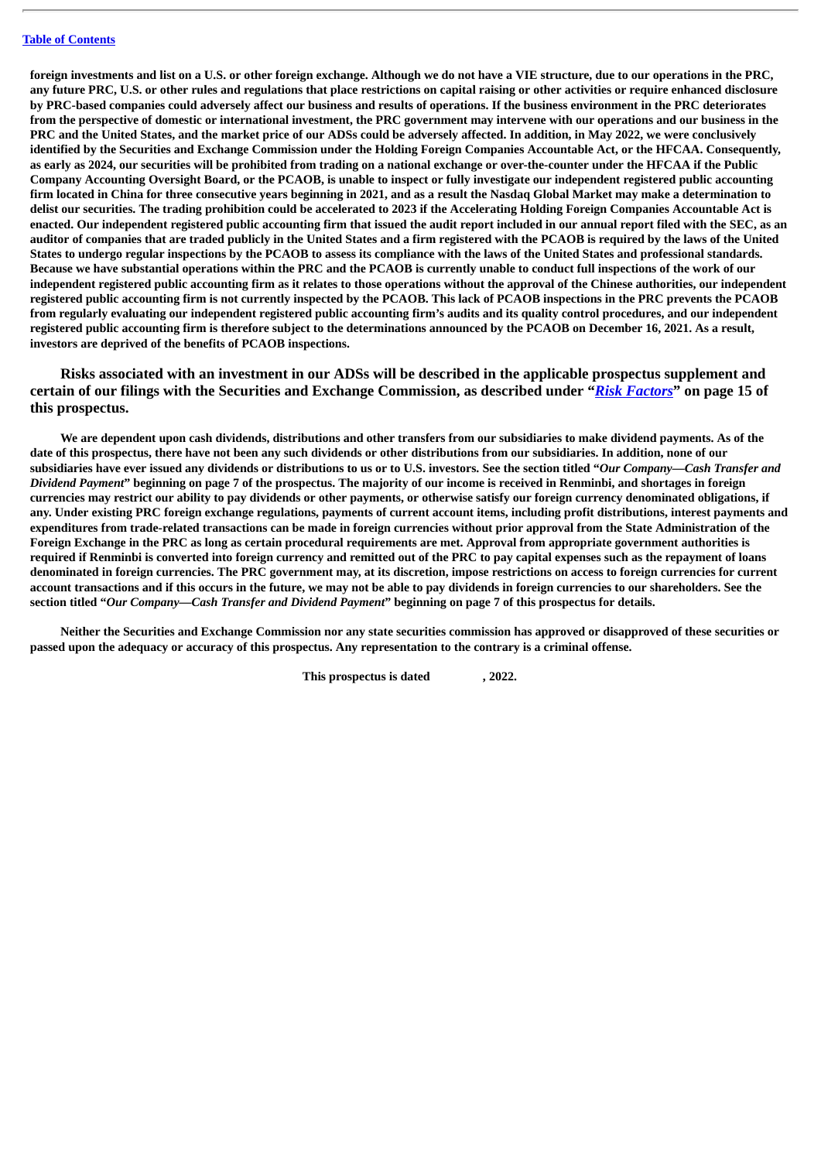foreign investments and list on a U.S. or other foreign exchange. Although we do not have a VIE structure, due to our operations in the PRC, any future PRC, U.S. or other rules and regulations that place restrictions on capital raising or other activities or require enhanced disclosure by PRC-based companies could adversely affect our business and results of operations. If the business environment in the PRC deteriorates from the perspective of domestic or international investment, the PRC government may intervene with our operations and our business in the PRC and the United States, and the market price of our ADSs could be adversely affected. In addition, in May 2022, we were conclusively identified by the Securities and Exchange Commission under the Holding Foreign Companies Accountable Act, or the HFCAA. Consequently, as early as 2024, our securities will be prohibited from trading on a national exchange or over-the-counter under the HFCAA if the Public Company Accounting Oversight Board, or the PCAOB, is unable to inspect or fully investigate our independent registered public accounting firm located in China for three consecutive years beginning in 2021, and as a result the Nasdaq Global Market may make a determination to delist our securities. The trading prohibition could be accelerated to 2023 if the Accelerating Holding Foreign Companies Accountable Act is enacted. Our independent registered public accounting firm that issued the audit report included in our annual report filed with the SEC, as an auditor of companies that are traded publicly in the United States and a firm registered with the PCAOB is required by the laws of the United States to undergo regular inspections by the PCAOB to assess its compliance with the laws of the United States and professional standards. Because we have substantial operations within the PRC and the PCAOB is currently unable to conduct full inspections of the work of our independent registered public accounting firm as it relates to those operations without the approval of the Chinese authorities, our independent registered public accounting firm is not currently inspected by the PCAOB. This lack of PCAOB inspections in the PRC prevents the PCAOB from regularly evaluating our independent registered public accounting firm's audits and its quality control procedures, and our independent registered public accounting firm is therefore subject to the determinations announced by the PCAOB on December 16, 2021. As a result, **investors are deprived of the benefits of PCAOB inspections.**

**Risks associated with an investment in our ADSs will be described in the applicable prospectus supplement and certain of our filings with the Securities and Exchange Commission, as described under "***[Risk Factors](#page-19-0)***" on page 15 of this prospectus.**

We are dependent upon cash dividends, distributions and other transfers from our subsidiaries to make dividend payments. As of the date of this prospectus, there have not been any such dividends or other distributions from our subsidiaries. In addition, none of our subsidiaries have ever issued any dividends or distributions to us or to U.S. investors. See the section titled "Our Company-Cash Transfer and Dividend Payment" beginning on page 7 of the prospectus. The majority of our income is received in Renminbi, and shortages in foreign currencies may restrict our ability to pay dividends or other payments, or otherwise satisfy our foreign currency denominated obligations, if any. Under existing PRC foreign exchange regulations, payments of current account items, including profit distributions, interest payments and expenditures from trade-related transactions can be made in foreign currencies without prior approval from the State Administration of the Foreign Exchange in the PRC as long as certain procedural requirements are met. Approval from appropriate government authorities is required if Renminbi is converted into foreign currency and remitted out of the PRC to pay capital expenses such as the repayment of loans denominated in foreign currencies. The PRC government may, at its discretion, impose restrictions on access to foreign currencies for current account transactions and if this occurs in the future, we may not be able to pay dividends in foreign currencies to our shareholders. See the section titled "Our Company-Cash Transfer and Dividend Payment" beginning on page 7 of this prospectus for details.

Neither the Securities and Exchange Commission nor any state securities commission has approved or disapproved of these securities or passed upon the adequacy or accuracy of this prospectus. Any representation to the contrary is a criminal offense.

**This prospectus is dated , 2022.**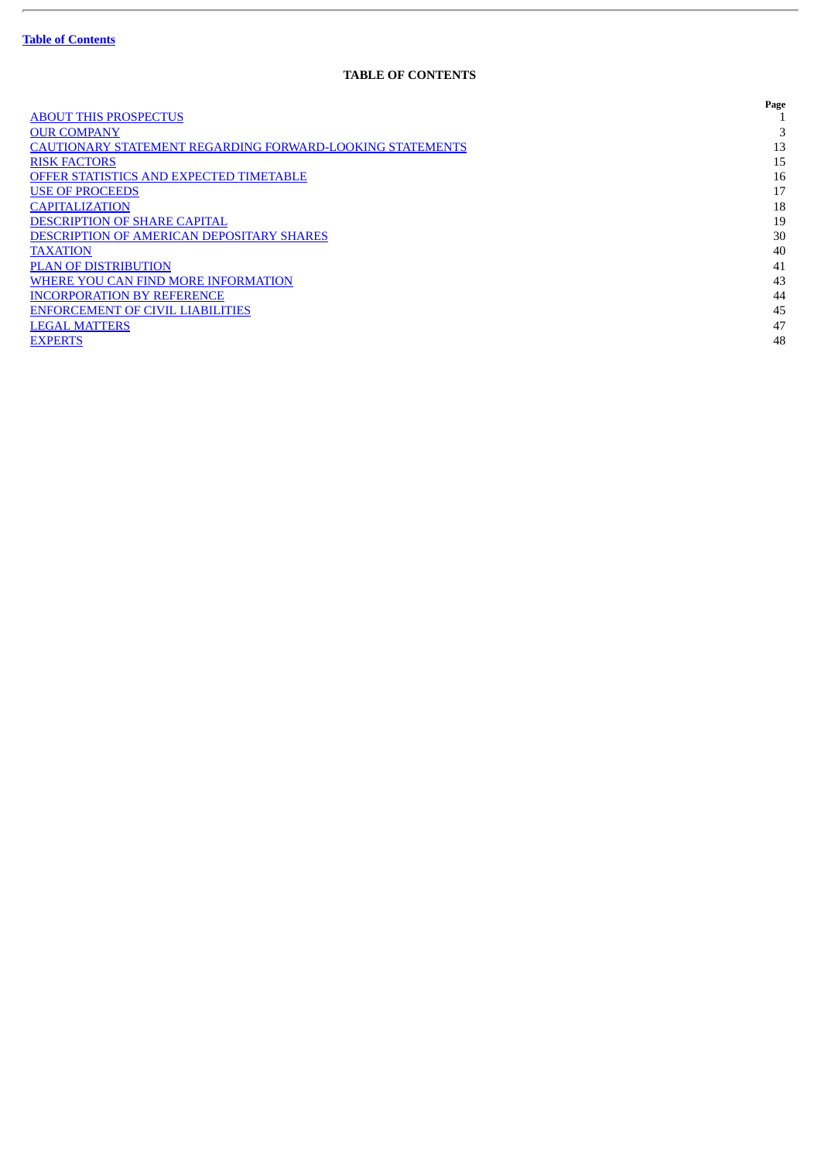ł.

# **TABLE OF CONTENTS**

<span id="page-4-0"></span>

|                                                                  | Page |
|------------------------------------------------------------------|------|
| <b>ABOUT THIS PROSPECTUS</b>                                     |      |
| <b>OUR COMPANY</b>                                               |      |
| <b>CAUTIONARY STATEMENT REGARDING FORWARD-LOOKING STATEMENTS</b> | 13   |
| <b>RISK FACTORS</b>                                              | 15   |
| <b>OFFER STATISTICS AND EXPECTED TIMETABLE</b>                   | 16   |
| <b>USE OF PROCEEDS</b>                                           | 17   |
| <b>CAPITALIZATION</b>                                            | 18   |
| <b>DESCRIPTION OF SHARE CAPITAL</b>                              | 19   |
| <b>DESCRIPTION OF AMERICAN DEPOSITARY SHARES</b>                 | 30   |
| <b>TAXATION</b>                                                  | 40   |
| <b>PLAN OF DISTRIBUTION</b>                                      | 41   |
| WHERE YOU CAN FIND MORE INFORMATION                              | 43   |
| <b>INCORPORATION BY REFERENCE</b>                                | 44   |
| <b>ENFORCEMENT OF CIVIL LIABILITIES</b>                          | 45   |
| <b>LEGAL MATTERS</b>                                             | 47   |
| <b>EXPERTS</b>                                                   | 48   |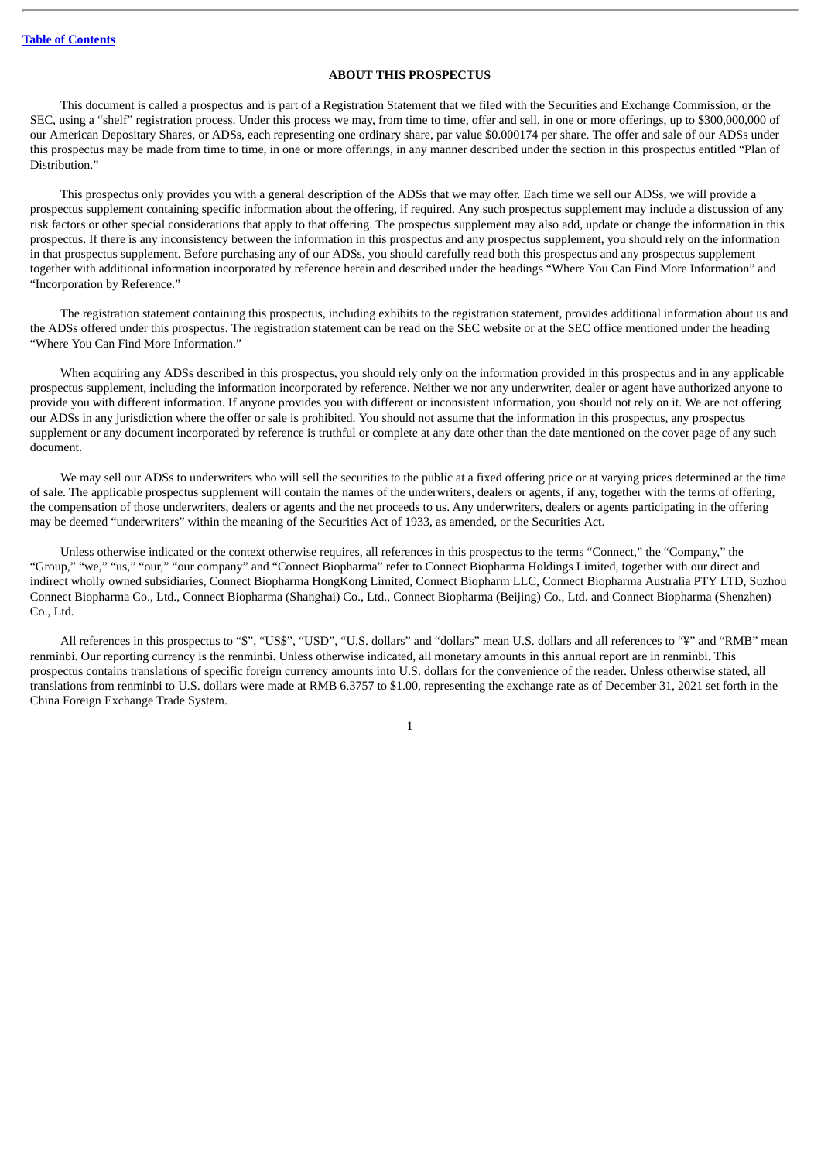# **ABOUT THIS PROSPECTUS**

<span id="page-5-0"></span>This document is called a prospectus and is part of a Registration Statement that we filed with the Securities and Exchange Commission, or the SEC, using a "shelf" registration process. Under this process we may, from time to time, offer and sell, in one or more offerings, up to \$300,000,000 of our American Depositary Shares, or ADSs, each representing one ordinary share, par value \$0.000174 per share. The offer and sale of our ADSs under this prospectus may be made from time to time, in one or more offerings, in any manner described under the section in this prospectus entitled "Plan of Distribution."

This prospectus only provides you with a general description of the ADSs that we may offer. Each time we sell our ADSs, we will provide a prospectus supplement containing specific information about the offering, if required. Any such prospectus supplement may include a discussion of any risk factors or other special considerations that apply to that offering. The prospectus supplement may also add, update or change the information in this prospectus. If there is any inconsistency between the information in this prospectus and any prospectus supplement, you should rely on the information in that prospectus supplement. Before purchasing any of our ADSs, you should carefully read both this prospectus and any prospectus supplement together with additional information incorporated by reference herein and described under the headings "Where You Can Find More Information" and "Incorporation by Reference."

The registration statement containing this prospectus, including exhibits to the registration statement, provides additional information about us and the ADSs offered under this prospectus. The registration statement can be read on the SEC website or at the SEC office mentioned under the heading "Where You Can Find More Information."

When acquiring any ADSs described in this prospectus, you should rely only on the information provided in this prospectus and in any applicable prospectus supplement, including the information incorporated by reference. Neither we nor any underwriter, dealer or agent have authorized anyone to provide you with different information. If anyone provides you with different or inconsistent information, you should not rely on it. We are not offering our ADSs in any jurisdiction where the offer or sale is prohibited. You should not assume that the information in this prospectus, any prospectus supplement or any document incorporated by reference is truthful or complete at any date other than the date mentioned on the cover page of any such document.

We may sell our ADSs to underwriters who will sell the securities to the public at a fixed offering price or at varying prices determined at the time of sale. The applicable prospectus supplement will contain the names of the underwriters, dealers or agents, if any, together with the terms of offering, the compensation of those underwriters, dealers or agents and the net proceeds to us. Any underwriters, dealers or agents participating in the offering may be deemed "underwriters" within the meaning of the Securities Act of 1933, as amended, or the Securities Act.

Unless otherwise indicated or the context otherwise requires, all references in this prospectus to the terms "Connect," the "Company," the "Group," "we," "us," "our," "our company" and "Connect Biopharma" refer to Connect Biopharma Holdings Limited, together with our direct and indirect wholly owned subsidiaries, Connect Biopharma HongKong Limited, Connect Biopharm LLC, Connect Biopharma Australia PTY LTD, Suzhou Connect Biopharma Co., Ltd., Connect Biopharma (Shanghai) Co., Ltd., Connect Biopharma (Beijing) Co., Ltd. and Connect Biopharma (Shenzhen) Co., Ltd.

All references in this prospectus to "\$", "US\$", "USD", "U.S. dollars" and "dollars" mean U.S. dollars and all references to "¥" and "RMB" mean renminbi. Our reporting currency is the renminbi. Unless otherwise indicated, all monetary amounts in this annual report are in renminbi. This prospectus contains translations of specific foreign currency amounts into U.S. dollars for the convenience of the reader. Unless otherwise stated, all translations from renminbi to U.S. dollars were made at RMB 6.3757 to \$1.00, representing the exchange rate as of December 31, 2021 set forth in the China Foreign Exchange Trade System.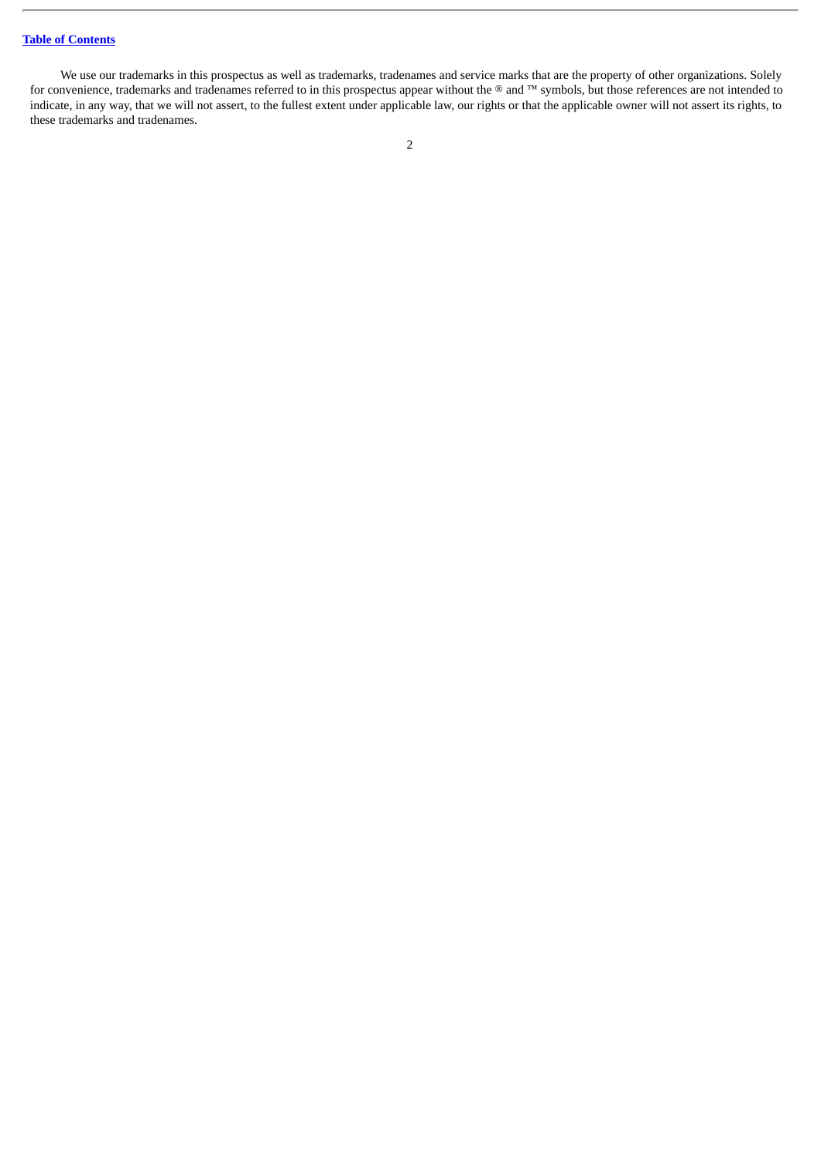We use our trademarks in this prospectus as well as trademarks, tradenames and service marks that are the property of other organizations. Solely for convenience, trademarks and tradenames referred to in this prospectus appear without the ® and ™ symbols, but those references are not intended to indicate, in any way, that we will not assert, to the fullest extent under applicable law, our rights or that the applicable owner will not assert its rights, to these trademarks and tradenames.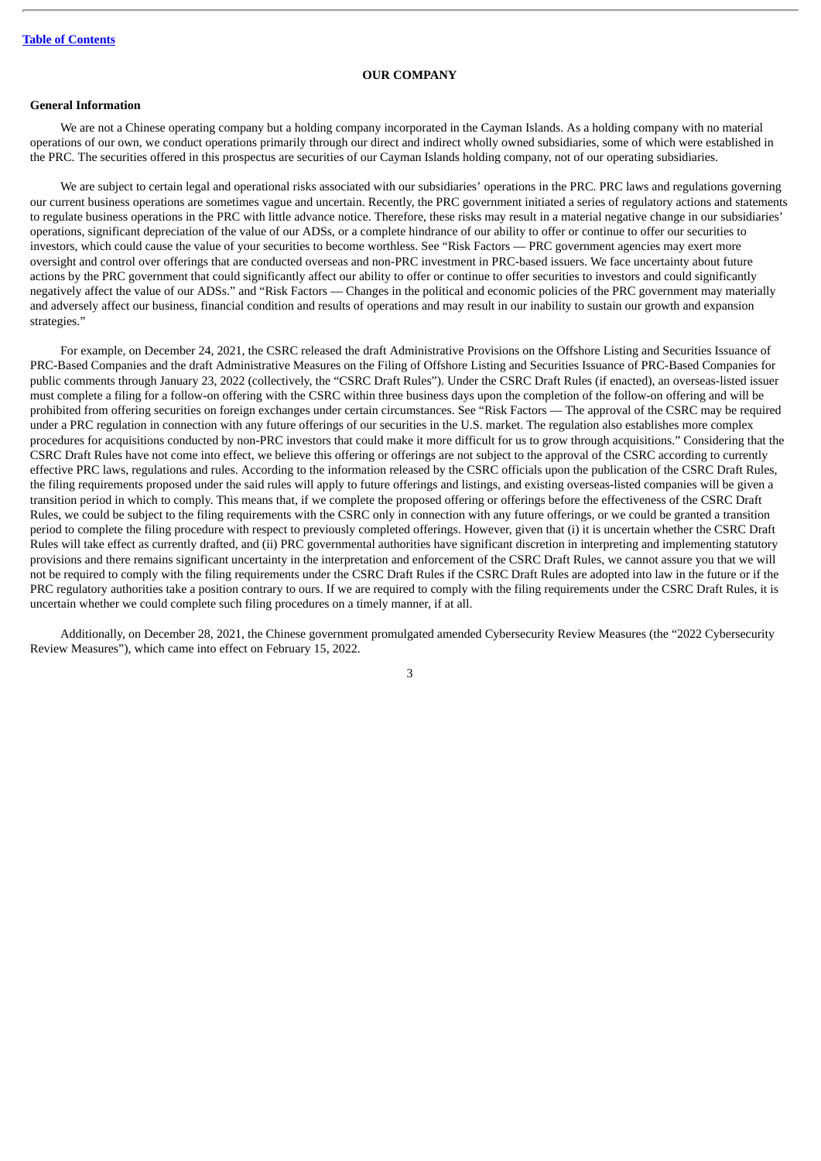#### **OUR COMPANY**

# <span id="page-7-0"></span>**General Information**

We are not a Chinese operating company but a holding company incorporated in the Cayman Islands. As a holding company with no material operations of our own, we conduct operations primarily through our direct and indirect wholly owned subsidiaries, some of which were established in the PRC. The securities offered in this prospectus are securities of our Cayman Islands holding company, not of our operating subsidiaries.

We are subject to certain legal and operational risks associated with our subsidiaries' operations in the PRC. PRC laws and regulations governing our current business operations are sometimes vague and uncertain. Recently, the PRC government initiated a series of regulatory actions and statements to regulate business operations in the PRC with little advance notice. Therefore, these risks may result in a material negative change in our subsidiaries' operations, significant depreciation of the value of our ADSs, or a complete hindrance of our ability to offer or continue to offer our securities to investors, which could cause the value of your securities to become worthless. See "Risk Factors — PRC government agencies may exert more oversight and control over offerings that are conducted overseas and non-PRC investment in PRC-based issuers. We face uncertainty about future actions by the PRC government that could significantly affect our ability to offer or continue to offer securities to investors and could significantly negatively affect the value of our ADSs." and "Risk Factors — Changes in the political and economic policies of the PRC government may materially and adversely affect our business, financial condition and results of operations and may result in our inability to sustain our growth and expansion strategies."

For example, on December 24, 2021, the CSRC released the draft Administrative Provisions on the Offshore Listing and Securities Issuance of PRC-Based Companies and the draft Administrative Measures on the Filing of Offshore Listing and Securities Issuance of PRC-Based Companies for public comments through January 23, 2022 (collectively, the "CSRC Draft Rules"). Under the CSRC Draft Rules (if enacted), an overseas-listed issuer must complete a filing for a follow-on offering with the CSRC within three business days upon the completion of the follow-on offering and will be prohibited from offering securities on foreign exchanges under certain circumstances. See "Risk Factors — The approval of the CSRC may be required under a PRC regulation in connection with any future offerings of our securities in the U.S. market. The regulation also establishes more complex procedures for acquisitions conducted by non-PRC investors that could make it more difficult for us to grow through acquisitions." Considering that the CSRC Draft Rules have not come into effect, we believe this offering or offerings are not subject to the approval of the CSRC according to currently effective PRC laws, regulations and rules. According to the information released by the CSRC officials upon the publication of the CSRC Draft Rules, the filing requirements proposed under the said rules will apply to future offerings and listings, and existing overseas-listed companies will be given a transition period in which to comply. This means that, if we complete the proposed offering or offerings before the effectiveness of the CSRC Draft Rules, we could be subject to the filing requirements with the CSRC only in connection with any future offerings, or we could be granted a transition period to complete the filing procedure with respect to previously completed offerings. However, given that (i) it is uncertain whether the CSRC Draft Rules will take effect as currently drafted, and (ii) PRC governmental authorities have significant discretion in interpreting and implementing statutory provisions and there remains significant uncertainty in the interpretation and enforcement of the CSRC Draft Rules, we cannot assure you that we will not be required to comply with the filing requirements under the CSRC Draft Rules if the CSRC Draft Rules are adopted into law in the future or if the PRC regulatory authorities take a position contrary to ours. If we are required to comply with the filing requirements under the CSRC Draft Rules, it is uncertain whether we could complete such filing procedures on a timely manner, if at all.

Additionally, on December 28, 2021, the Chinese government promulgated amended Cybersecurity Review Measures (the "2022 Cybersecurity Review Measures"), which came into effect on February 15, 2022.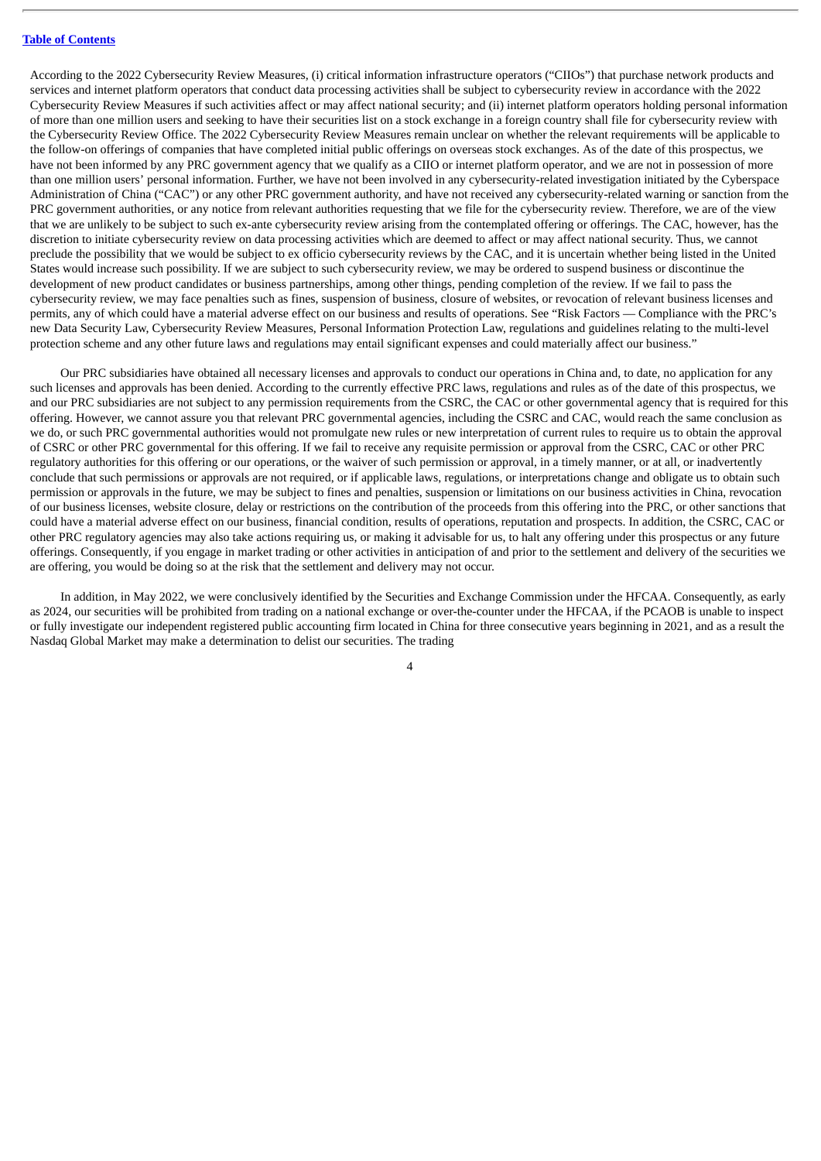According to the 2022 Cybersecurity Review Measures, (i) critical information infrastructure operators ("CIIOs") that purchase network products and services and internet platform operators that conduct data processing activities shall be subject to cybersecurity review in accordance with the 2022 Cybersecurity Review Measures if such activities affect or may affect national security; and (ii) internet platform operators holding personal information of more than one million users and seeking to have their securities list on a stock exchange in a foreign country shall file for cybersecurity review with the Cybersecurity Review Office. The 2022 Cybersecurity Review Measures remain unclear on whether the relevant requirements will be applicable to the follow-on offerings of companies that have completed initial public offerings on overseas stock exchanges. As of the date of this prospectus, we have not been informed by any PRC government agency that we qualify as a CIIO or internet platform operator, and we are not in possession of more than one million users' personal information. Further, we have not been involved in any cybersecurity-related investigation initiated by the Cyberspace Administration of China ("CAC") or any other PRC government authority, and have not received any cybersecurity-related warning or sanction from the PRC government authorities, or any notice from relevant authorities requesting that we file for the cybersecurity review. Therefore, we are of the view that we are unlikely to be subject to such ex-ante cybersecurity review arising from the contemplated offering or offerings. The CAC, however, has the discretion to initiate cybersecurity review on data processing activities which are deemed to affect or may affect national security. Thus, we cannot preclude the possibility that we would be subject to ex officio cybersecurity reviews by the CAC, and it is uncertain whether being listed in the United States would increase such possibility. If we are subject to such cybersecurity review, we may be ordered to suspend business or discontinue the development of new product candidates or business partnerships, among other things, pending completion of the review. If we fail to pass the cybersecurity review, we may face penalties such as fines, suspension of business, closure of websites, or revocation of relevant business licenses and permits, any of which could have a material adverse effect on our business and results of operations. See "Risk Factors — Compliance with the PRC's new Data Security Law, Cybersecurity Review Measures, Personal Information Protection Law, regulations and guidelines relating to the multi-level protection scheme and any other future laws and regulations may entail significant expenses and could materially affect our business."

Our PRC subsidiaries have obtained all necessary licenses and approvals to conduct our operations in China and, to date, no application for any such licenses and approvals has been denied. According to the currently effective PRC laws, regulations and rules as of the date of this prospectus, we and our PRC subsidiaries are not subject to any permission requirements from the CSRC, the CAC or other governmental agency that is required for this offering. However, we cannot assure you that relevant PRC governmental agencies, including the CSRC and CAC, would reach the same conclusion as we do, or such PRC governmental authorities would not promulgate new rules or new interpretation of current rules to require us to obtain the approval of CSRC or other PRC governmental for this offering. If we fail to receive any requisite permission or approval from the CSRC, CAC or other PRC regulatory authorities for this offering or our operations, or the waiver of such permission or approval, in a timely manner, or at all, or inadvertently conclude that such permissions or approvals are not required, or if applicable laws, regulations, or interpretations change and obligate us to obtain such permission or approvals in the future, we may be subject to fines and penalties, suspension or limitations on our business activities in China, revocation of our business licenses, website closure, delay or restrictions on the contribution of the proceeds from this offering into the PRC, or other sanctions that could have a material adverse effect on our business, financial condition, results of operations, reputation and prospects. In addition, the CSRC, CAC or other PRC regulatory agencies may also take actions requiring us, or making it advisable for us, to halt any offering under this prospectus or any future offerings. Consequently, if you engage in market trading or other activities in anticipation of and prior to the settlement and delivery of the securities we are offering, you would be doing so at the risk that the settlement and delivery may not occur.

In addition, in May 2022, we were conclusively identified by the Securities and Exchange Commission under the HFCAA. Consequently, as early as 2024, our securities will be prohibited from trading on a national exchange or over-the-counter under the HFCAA, if the PCAOB is unable to inspect or fully investigate our independent registered public accounting firm located in China for three consecutive years beginning in 2021, and as a result the Nasdaq Global Market may make a determination to delist our securities. The trading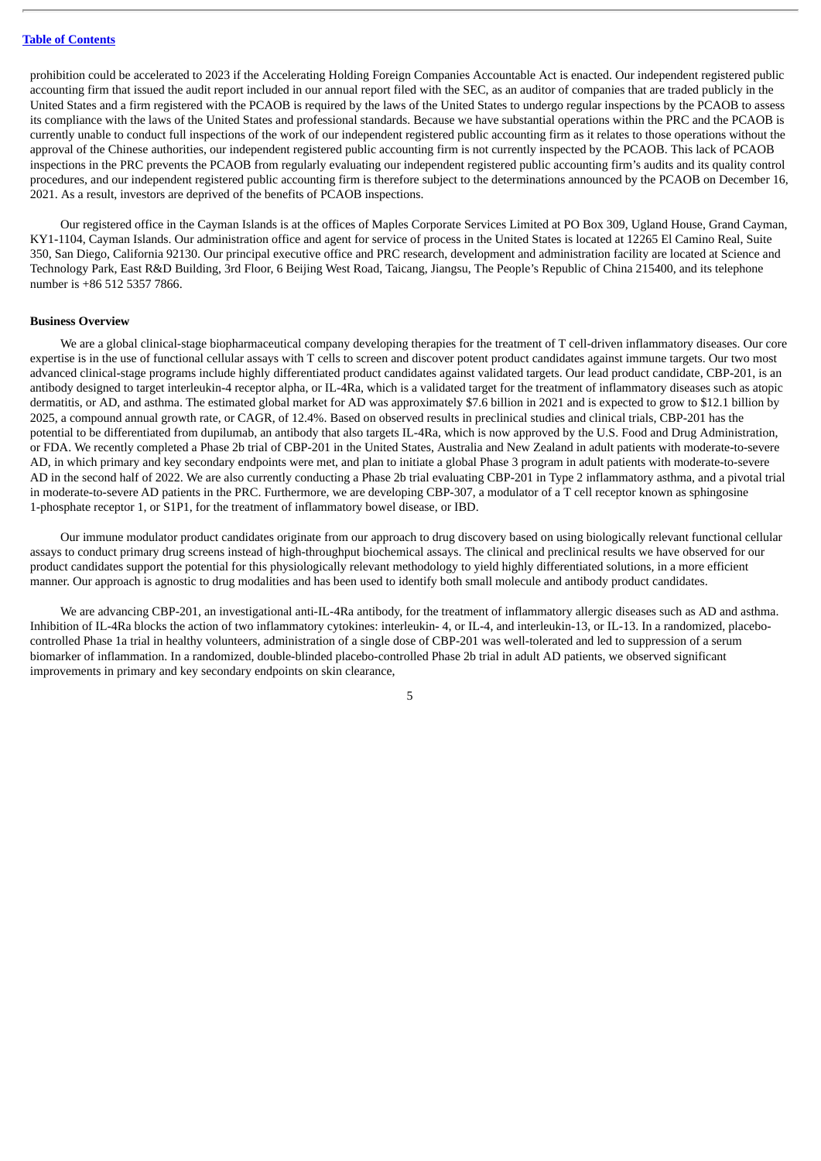prohibition could be accelerated to 2023 if the Accelerating Holding Foreign Companies Accountable Act is enacted. Our independent registered public accounting firm that issued the audit report included in our annual report filed with the SEC, as an auditor of companies that are traded publicly in the United States and a firm registered with the PCAOB is required by the laws of the United States to undergo regular inspections by the PCAOB to assess its compliance with the laws of the United States and professional standards. Because we have substantial operations within the PRC and the PCAOB is currently unable to conduct full inspections of the work of our independent registered public accounting firm as it relates to those operations without the approval of the Chinese authorities, our independent registered public accounting firm is not currently inspected by the PCAOB. This lack of PCAOB inspections in the PRC prevents the PCAOB from regularly evaluating our independent registered public accounting firm's audits and its quality control procedures, and our independent registered public accounting firm is therefore subject to the determinations announced by the PCAOB on December 16, 2021. As a result, investors are deprived of the benefits of PCAOB inspections.

Our registered office in the Cayman Islands is at the offices of Maples Corporate Services Limited at PO Box 309, Ugland House, Grand Cayman, KY1-1104, Cayman Islands. Our administration office and agent for service of process in the United States is located at 12265 El Camino Real, Suite 350, San Diego, California 92130. Our principal executive office and PRC research, development and administration facility are located at Science and Technology Park, East R&D Building, 3rd Floor, 6 Beijing West Road, Taicang, Jiangsu, The People's Republic of China 215400, and its telephone number is +86 512 5357 7866.

#### **Business Overview**

We are a global clinical-stage biopharmaceutical company developing therapies for the treatment of T cell-driven inflammatory diseases. Our core expertise is in the use of functional cellular assays with T cells to screen and discover potent product candidates against immune targets. Our two most advanced clinical-stage programs include highly differentiated product candidates against validated targets. Our lead product candidate, CBP-201, is an antibody designed to target interleukin-4 receptor alpha, or IL-4Ra, which is a validated target for the treatment of inflammatory diseases such as atopic dermatitis, or AD, and asthma. The estimated global market for AD was approximately \$7.6 billion in 2021 and is expected to grow to \$12.1 billion by 2025, a compound annual growth rate, or CAGR, of 12.4%. Based on observed results in preclinical studies and clinical trials, CBP-201 has the potential to be differentiated from dupilumab, an antibody that also targets IL-4Ra, which is now approved by the U.S. Food and Drug Administration, or FDA. We recently completed a Phase 2b trial of CBP-201 in the United States, Australia and New Zealand in adult patients with moderate-to-severe AD, in which primary and key secondary endpoints were met, and plan to initiate a global Phase 3 program in adult patients with moderate-to-severe AD in the second half of 2022. We are also currently conducting a Phase 2b trial evaluating CBP-201 in Type 2 inflammatory asthma, and a pivotal trial in moderate-to-severe AD patients in the PRC. Furthermore, we are developing CBP-307, a modulator of a T cell receptor known as sphingosine 1-phosphate receptor 1, or S1P1, for the treatment of inflammatory bowel disease, or IBD.

Our immune modulator product candidates originate from our approach to drug discovery based on using biologically relevant functional cellular assays to conduct primary drug screens instead of high-throughput biochemical assays. The clinical and preclinical results we have observed for our product candidates support the potential for this physiologically relevant methodology to yield highly differentiated solutions, in a more efficient manner. Our approach is agnostic to drug modalities and has been used to identify both small molecule and antibody product candidates.

We are advancing CBP-201, an investigational anti-IL-4Ra antibody, for the treatment of inflammatory allergic diseases such as AD and asthma. Inhibition of IL-4Ra blocks the action of two inflammatory cytokines: interleukin- 4, or IL-4, and interleukin-13, or IL-13. In a randomized, placebocontrolled Phase 1a trial in healthy volunteers, administration of a single dose of CBP-201 was well-tolerated and led to suppression of a serum biomarker of inflammation. In a randomized, double-blinded placebo-controlled Phase 2b trial in adult AD patients, we observed significant improvements in primary and key secondary endpoints on skin clearance,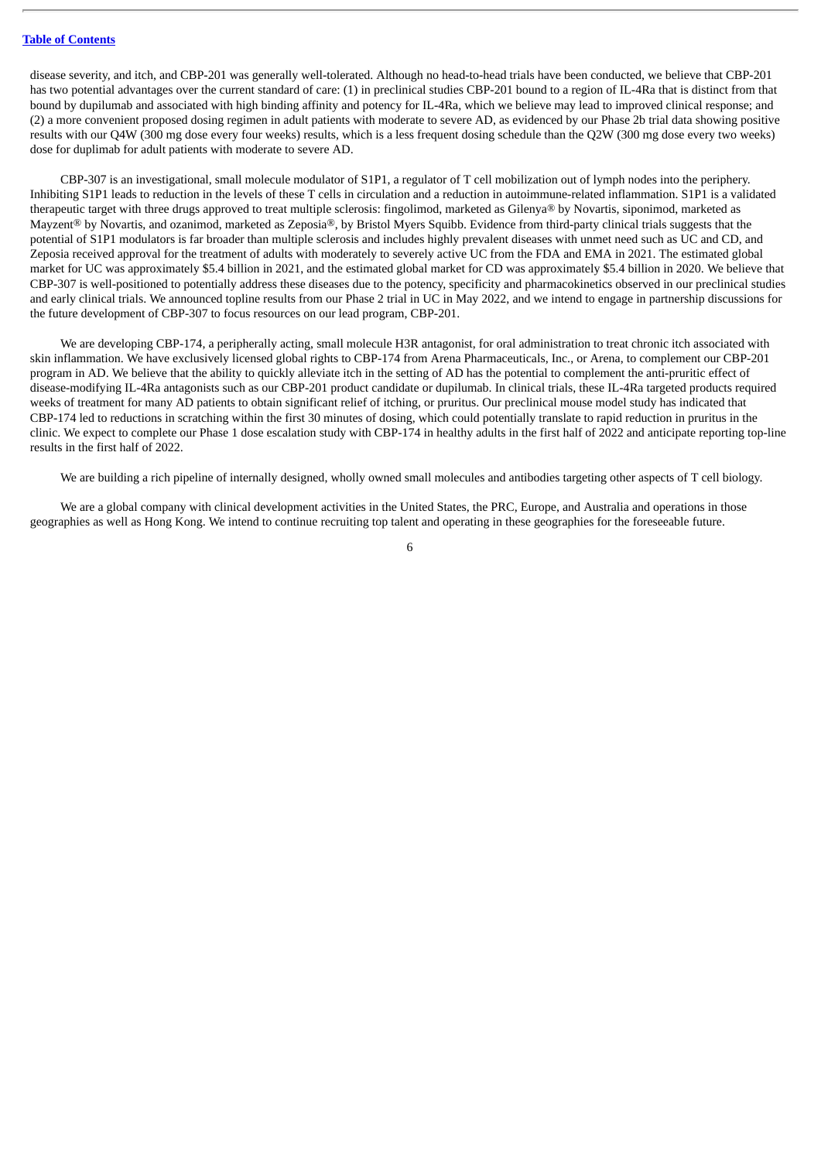disease severity, and itch, and CBP-201 was generally well-tolerated. Although no head-to-head trials have been conducted, we believe that CBP-201 has two potential advantages over the current standard of care: (1) in preclinical studies CBP-201 bound to a region of IL-4Ra that is distinct from that bound by dupilumab and associated with high binding affinity and potency for IL-4Ra, which we believe may lead to improved clinical response; and (2) a more convenient proposed dosing regimen in adult patients with moderate to severe AD, as evidenced by our Phase 2b trial data showing positive results with our Q4W (300 mg dose every four weeks) results, which is a less frequent dosing schedule than the Q2W (300 mg dose every two weeks) dose for duplimab for adult patients with moderate to severe AD.

CBP-307 is an investigational, small molecule modulator of S1P1, a regulator of T cell mobilization out of lymph nodes into the periphery. Inhibiting S1P1 leads to reduction in the levels of these T cells in circulation and a reduction in autoimmune-related inflammation. S1P1 is a validated therapeutic target with three drugs approved to treat multiple sclerosis: fingolimod, marketed as Gilenya® by Novartis, siponimod, marketed as Mayzent® by Novartis, and ozanimod, marketed as Zeposia®, by Bristol Myers Squibb. Evidence from third-party clinical trials suggests that the potential of S1P1 modulators is far broader than multiple sclerosis and includes highly prevalent diseases with unmet need such as UC and CD, and Zeposia received approval for the treatment of adults with moderately to severely active UC from the FDA and EMA in 2021. The estimated global market for UC was approximately \$5.4 billion in 2021, and the estimated global market for CD was approximately \$5.4 billion in 2020. We believe that CBP-307 is well-positioned to potentially address these diseases due to the potency, specificity and pharmacokinetics observed in our preclinical studies and early clinical trials. We announced topline results from our Phase 2 trial in UC in May 2022, and we intend to engage in partnership discussions for the future development of CBP-307 to focus resources on our lead program, CBP-201.

We are developing CBP-174, a peripherally acting, small molecule H3R antagonist, for oral administration to treat chronic itch associated with skin inflammation. We have exclusively licensed global rights to CBP-174 from Arena Pharmaceuticals, Inc., or Arena, to complement our CBP-201 program in AD. We believe that the ability to quickly alleviate itch in the setting of AD has the potential to complement the anti-pruritic effect of disease-modifying IL-4Ra antagonists such as our CBP-201 product candidate or dupilumab. In clinical trials, these IL-4Ra targeted products required weeks of treatment for many AD patients to obtain significant relief of itching, or pruritus. Our preclinical mouse model study has indicated that CBP-174 led to reductions in scratching within the first 30 minutes of dosing, which could potentially translate to rapid reduction in pruritus in the clinic. We expect to complete our Phase 1 dose escalation study with CBP-174 in healthy adults in the first half of 2022 and anticipate reporting top-line results in the first half of 2022.

We are building a rich pipeline of internally designed, wholly owned small molecules and antibodies targeting other aspects of T cell biology.

We are a global company with clinical development activities in the United States, the PRC, Europe, and Australia and operations in those geographies as well as Hong Kong. We intend to continue recruiting top talent and operating in these geographies for the foreseeable future.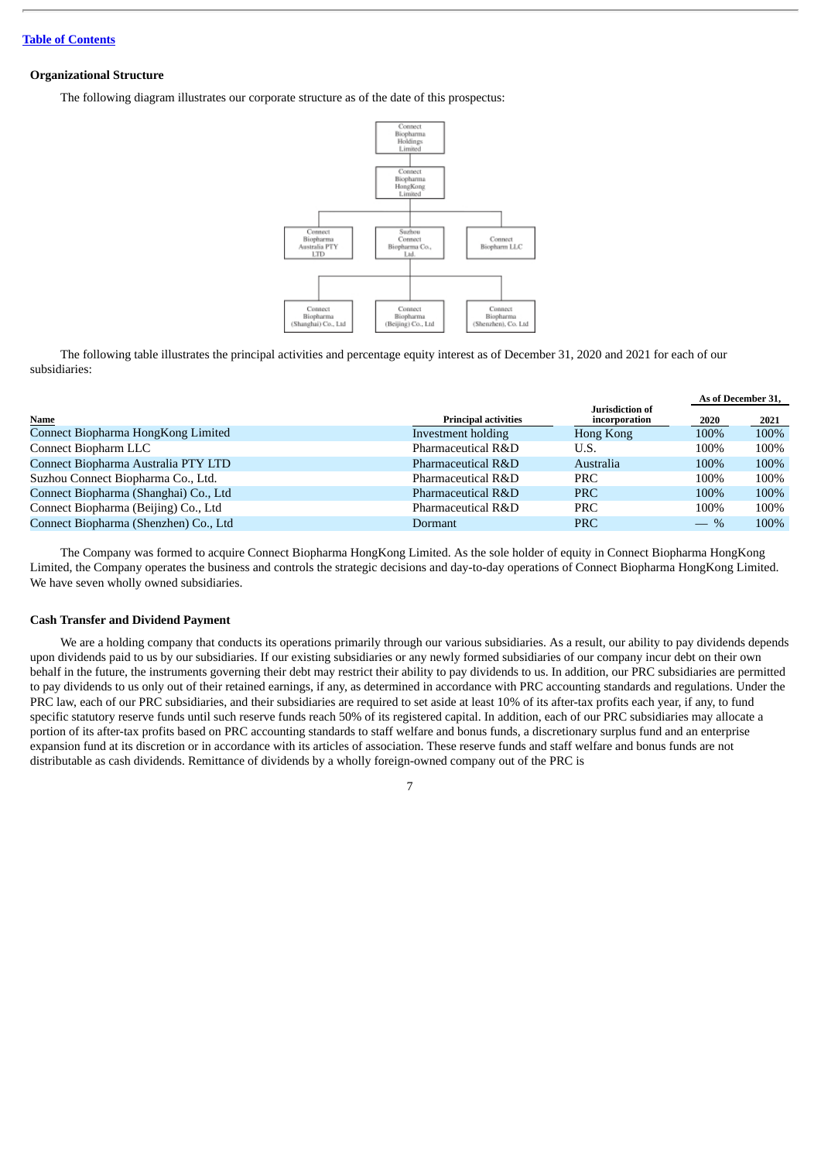# **Organizational Structure**

The following diagram illustrates our corporate structure as of the date of this prospectus:



The following table illustrates the principal activities and percentage equity interest as of December 31, 2020 and 2021 for each of our subsidiaries:

|                                       |                             |                                  | As of December 31. |      |
|---------------------------------------|-----------------------------|----------------------------------|--------------------|------|
| Name                                  | <b>Principal activities</b> | Jurisdiction of<br>incorporation | 2020               | 2021 |
| Connect Biopharma HongKong Limited    | Investment holding          | Hong Kong                        | 100%               | 100% |
| Connect Biopharm LLC                  | Pharmaceutical R&D          | U.S.                             | 100%               | 100% |
| Connect Biopharma Australia PTY LTD   | Pharmaceutical R&D          | Australia                        | 100%               | 100% |
| Suzhou Connect Biopharma Co., Ltd.    | Pharmaceutical R&D          | <b>PRC</b>                       | 100%               | 100% |
| Connect Biopharma (Shanghai) Co., Ltd | Pharmaceutical R&D          | <b>PRC</b>                       | 100%               | 100% |
| Connect Biopharma (Beijing) Co., Ltd  | Pharmaceutical R&D          | <b>PRC</b>                       | 100%               | 100% |
| Connect Biopharma (Shenzhen) Co., Ltd | Dormant                     | <b>PRC</b>                       | $-$ %              | 100% |

The Company was formed to acquire Connect Biopharma HongKong Limited. As the sole holder of equity in Connect Biopharma HongKong Limited, the Company operates the business and controls the strategic decisions and day-to-day operations of Connect Biopharma HongKong Limited. We have seven wholly owned subsidiaries.

# **Cash Transfer and Dividend Payment**

We are a holding company that conducts its operations primarily through our various subsidiaries. As a result, our ability to pay dividends depends upon dividends paid to us by our subsidiaries. If our existing subsidiaries or any newly formed subsidiaries of our company incur debt on their own behalf in the future, the instruments governing their debt may restrict their ability to pay dividends to us. In addition, our PRC subsidiaries are permitted to pay dividends to us only out of their retained earnings, if any, as determined in accordance with PRC accounting standards and regulations. Under the PRC law, each of our PRC subsidiaries, and their subsidiaries are required to set aside at least 10% of its after-tax profits each year, if any, to fund specific statutory reserve funds until such reserve funds reach 50% of its registered capital. In addition, each of our PRC subsidiaries may allocate a portion of its after-tax profits based on PRC accounting standards to staff welfare and bonus funds, a discretionary surplus fund and an enterprise expansion fund at its discretion or in accordance with its articles of association. These reserve funds and staff welfare and bonus funds are not distributable as cash dividends. Remittance of dividends by a wholly foreign-owned company out of the PRC is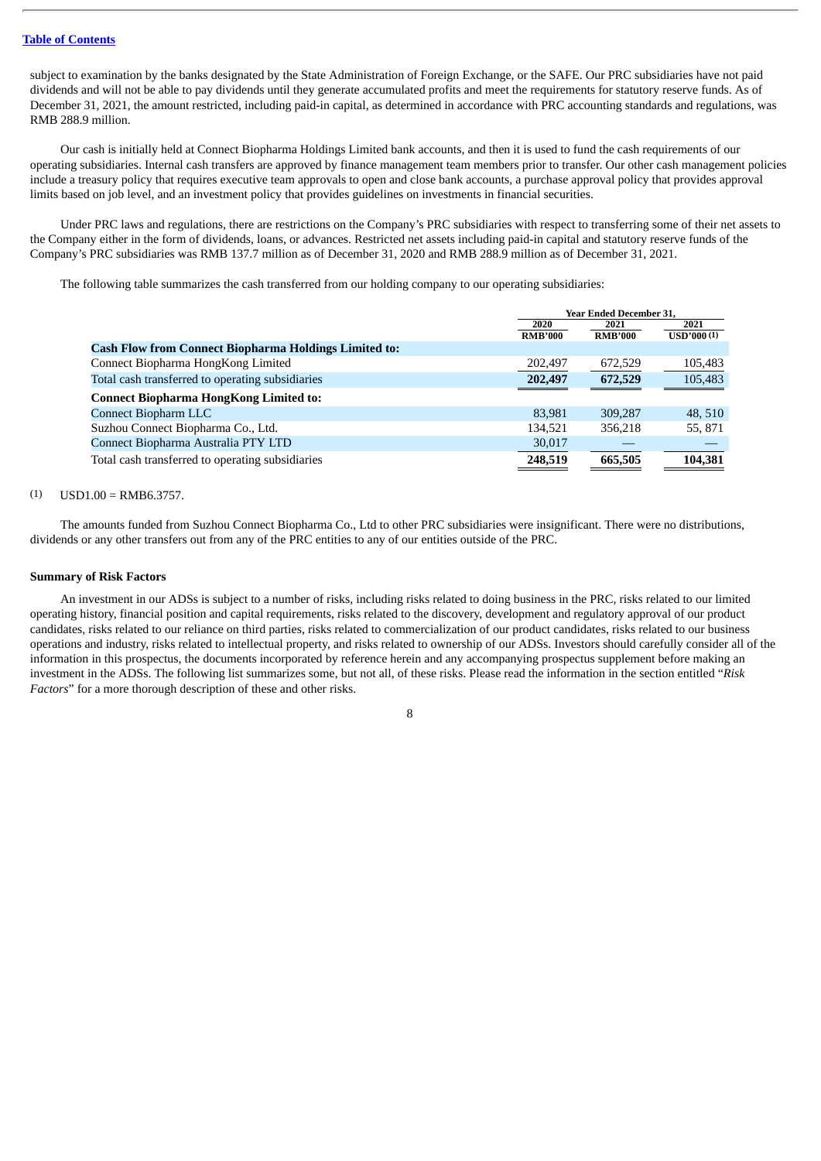subject to examination by the banks designated by the State Administration of Foreign Exchange, or the SAFE. Our PRC subsidiaries have not paid dividends and will not be able to pay dividends until they generate accumulated profits and meet the requirements for statutory reserve funds. As of December 31, 2021, the amount restricted, including paid-in capital, as determined in accordance with PRC accounting standards and regulations, was RMB 288.9 million.

Our cash is initially held at Connect Biopharma Holdings Limited bank accounts, and then it is used to fund the cash requirements of our operating subsidiaries. Internal cash transfers are approved by finance management team members prior to transfer. Our other cash management policies include a treasury policy that requires executive team approvals to open and close bank accounts, a purchase approval policy that provides approval limits based on job level, and an investment policy that provides guidelines on investments in financial securities.

Under PRC laws and regulations, there are restrictions on the Company's PRC subsidiaries with respect to transferring some of their net assets to the Company either in the form of dividends, loans, or advances. Restricted net assets including paid-in capital and statutory reserve funds of the Company's PRC subsidiaries was RMB 137.7 million as of December 31, 2020 and RMB 288.9 million as of December 31, 2021.

The following table summarizes the cash transferred from our holding company to our operating subsidiaries:

|                                                              | <b>Year Ended December 31.</b> |                |            |
|--------------------------------------------------------------|--------------------------------|----------------|------------|
|                                                              | 2020                           | 2021           | 2021       |
|                                                              | <b>RMB'000</b>                 | <b>RMB'000</b> | USD'000(1) |
| <b>Cash Flow from Connect Biopharma Holdings Limited to:</b> |                                |                |            |
| Connect Biopharma HongKong Limited                           | 202,497                        | 672,529        | 105,483    |
| Total cash transferred to operating subsidiaries             | 202,497                        | 672,529        | 105,483    |
| <b>Connect Biopharma HongKong Limited to:</b>                |                                |                |            |
| <b>Connect Biopharm LLC</b>                                  | 83.981                         | 309,287        | 48.510     |
| Suzhou Connect Biopharma Co., Ltd.                           | 134,521                        | 356.218        | 55, 871    |
| Connect Biopharma Australia PTY LTD                          | 30,017                         |                |            |
| Total cash transferred to operating subsidiaries             | 248,519                        | 665,505        | 104,381    |

#### $(1)$  USD1.00 = RMB6.3757.

The amounts funded from Suzhou Connect Biopharma Co., Ltd to other PRC subsidiaries were insignificant. There were no distributions, dividends or any other transfers out from any of the PRC entities to any of our entities outside of the PRC.

## **Summary of Risk Factors**

An investment in our ADSs is subject to a number of risks, including risks related to doing business in the PRC, risks related to our limited operating history, financial position and capital requirements, risks related to the discovery, development and regulatory approval of our product candidates, risks related to our reliance on third parties, risks related to commercialization of our product candidates, risks related to our business operations and industry, risks related to intellectual property, and risks related to ownership of our ADSs. Investors should carefully consider all of the information in this prospectus, the documents incorporated by reference herein and any accompanying prospectus supplement before making an investment in the ADSs. The following list summarizes some, but not all, of these risks. Please read the information in the section entitled "*Risk Factors*" for a more thorough description of these and other risks.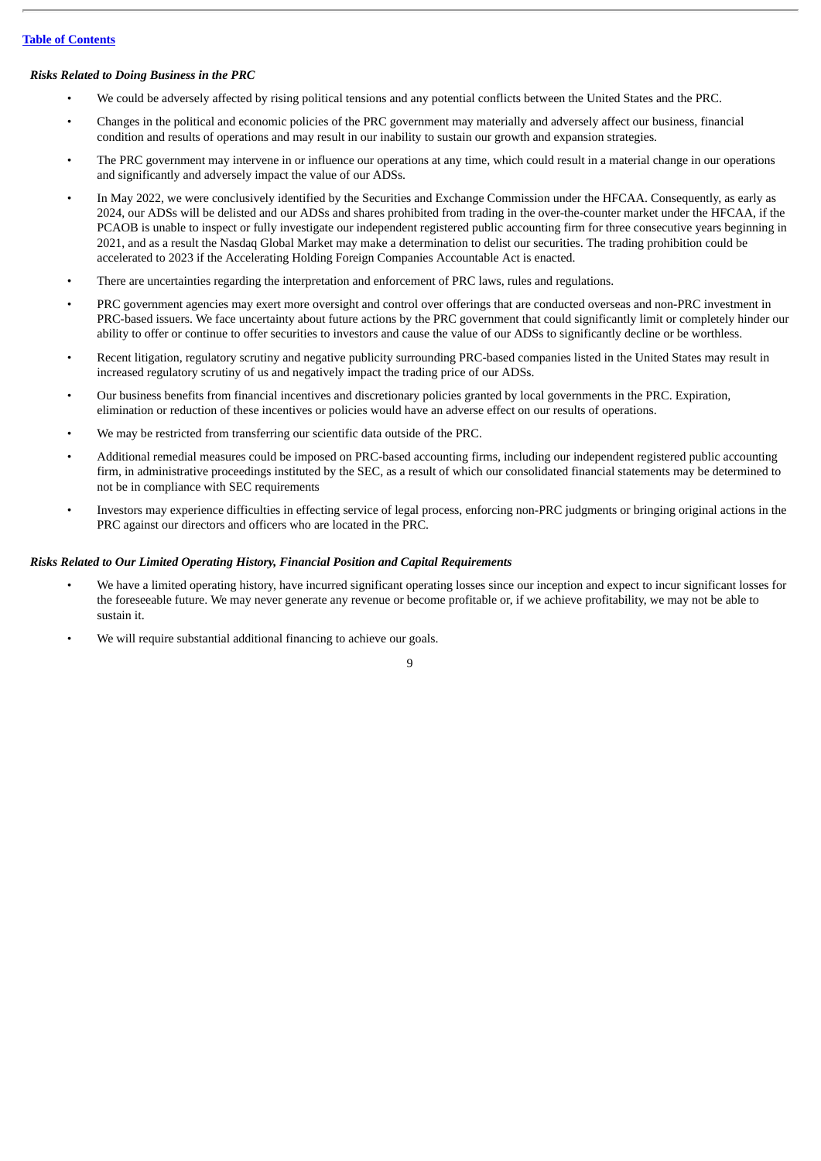# *Risks Related to Doing Business in the PRC*

- We could be adversely affected by rising political tensions and any potential conflicts between the United States and the PRC.
- Changes in the political and economic policies of the PRC government may materially and adversely affect our business, financial condition and results of operations and may result in our inability to sustain our growth and expansion strategies.
- The PRC government may intervene in or influence our operations at any time, which could result in a material change in our operations and significantly and adversely impact the value of our ADSs.
- In May 2022, we were conclusively identified by the Securities and Exchange Commission under the HFCAA. Consequently, as early as 2024, our ADSs will be delisted and our ADSs and shares prohibited from trading in the over-the-counter market under the HFCAA, if the PCAOB is unable to inspect or fully investigate our independent registered public accounting firm for three consecutive years beginning in 2021, and as a result the Nasdaq Global Market may make a determination to delist our securities. The trading prohibition could be accelerated to 2023 if the Accelerating Holding Foreign Companies Accountable Act is enacted.
- There are uncertainties regarding the interpretation and enforcement of PRC laws, rules and regulations.
- PRC government agencies may exert more oversight and control over offerings that are conducted overseas and non-PRC investment in PRC-based issuers. We face uncertainty about future actions by the PRC government that could significantly limit or completely hinder our ability to offer or continue to offer securities to investors and cause the value of our ADSs to significantly decline or be worthless.
- Recent litigation, regulatory scrutiny and negative publicity surrounding PRC-based companies listed in the United States may result in increased regulatory scrutiny of us and negatively impact the trading price of our ADSs.
- Our business benefits from financial incentives and discretionary policies granted by local governments in the PRC. Expiration, elimination or reduction of these incentives or policies would have an adverse effect on our results of operations.
- We may be restricted from transferring our scientific data outside of the PRC.
- Additional remedial measures could be imposed on PRC-based accounting firms, including our independent registered public accounting firm, in administrative proceedings instituted by the SEC, as a result of which our consolidated financial statements may be determined to not be in compliance with SEC requirements
- Investors may experience difficulties in effecting service of legal process, enforcing non-PRC judgments or bringing original actions in the PRC against our directors and officers who are located in the PRC.

# *Risks Related to Our Limited Operating History, Financial Position and Capital Requirements*

• We have a limited operating history, have incurred significant operating losses since our inception and expect to incur significant losses for the foreseeable future. We may never generate any revenue or become profitable or, if we achieve profitability, we may not be able to sustain it.

9

We will require substantial additional financing to achieve our goals.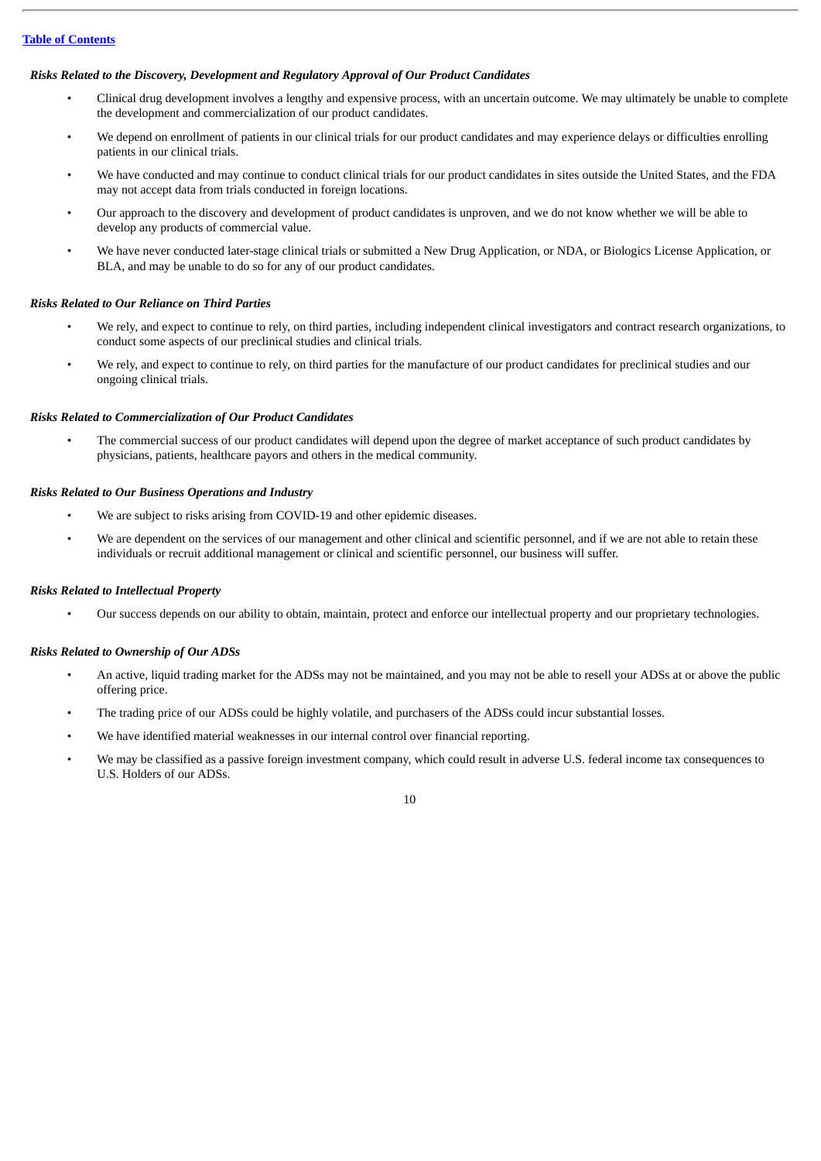# *Risks Related to the Discovery, Development and Regulatory Approval of Our Product Candidates*

- Clinical drug development involves a lengthy and expensive process, with an uncertain outcome. We may ultimately be unable to complete the development and commercialization of our product candidates.
- We depend on enrollment of patients in our clinical trials for our product candidates and may experience delays or difficulties enrolling patients in our clinical trials.
- We have conducted and may continue to conduct clinical trials for our product candidates in sites outside the United States, and the FDA may not accept data from trials conducted in foreign locations.
- Our approach to the discovery and development of product candidates is unproven, and we do not know whether we will be able to develop any products of commercial value.
- We have never conducted later-stage clinical trials or submitted a New Drug Application, or NDA, or Biologics License Application, or BLA, and may be unable to do so for any of our product candidates.

### *Risks Related to Our Reliance on Third Parties*

- We rely, and expect to continue to rely, on third parties, including independent clinical investigators and contract research organizations, to conduct some aspects of our preclinical studies and clinical trials.
- We rely, and expect to continue to rely, on third parties for the manufacture of our product candidates for preclinical studies and our ongoing clinical trials.

### *Risks Related to Commercialization of Our Product Candidates*

• The commercial success of our product candidates will depend upon the degree of market acceptance of such product candidates by physicians, patients, healthcare payors and others in the medical community.

# *Risks Related to Our Business Operations and Industry*

- We are subject to risks arising from COVID-19 and other epidemic diseases.
- We are dependent on the services of our management and other clinical and scientific personnel, and if we are not able to retain these individuals or recruit additional management or clinical and scientific personnel, our business will suffer.

### *Risks Related to Intellectual Property*

• Our success depends on our ability to obtain, maintain, protect and enforce our intellectual property and our proprietary technologies.

# *Risks Related to Ownership of Our ADSs*

- An active, liquid trading market for the ADSs may not be maintained, and you may not be able to resell your ADSs at or above the public offering price.
- The trading price of our ADSs could be highly volatile, and purchasers of the ADSs could incur substantial losses.
- We have identified material weaknesses in our internal control over financial reporting.
- We may be classified as a passive foreign investment company, which could result in adverse U.S. federal income tax consequences to U.S. Holders of our ADSs.

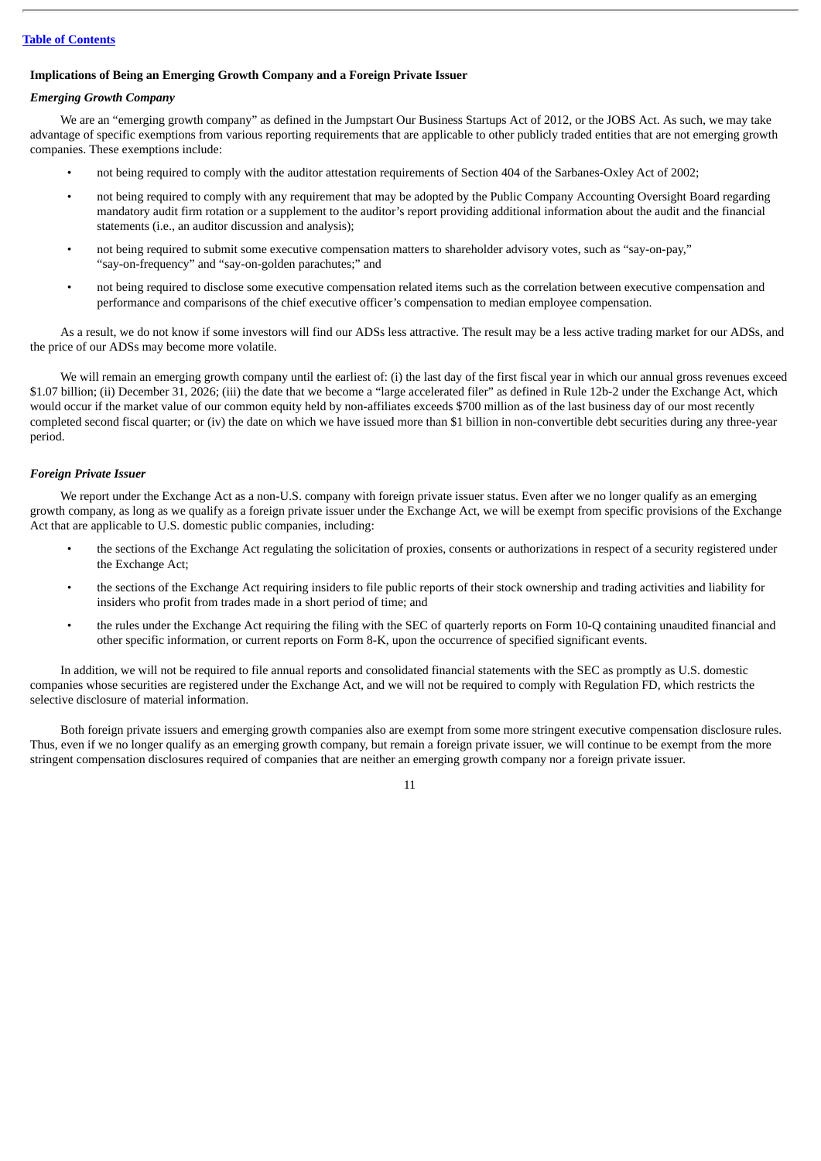# **Implications of Being an Emerging Growth Company and a Foreign Private Issuer**

# *Emerging Growth Company*

We are an "emerging growth company" as defined in the Jumpstart Our Business Startups Act of 2012, or the JOBS Act. As such, we may take advantage of specific exemptions from various reporting requirements that are applicable to other publicly traded entities that are not emerging growth companies. These exemptions include:

- not being required to comply with the auditor attestation requirements of Section 404 of the Sarbanes-Oxley Act of 2002;
- not being required to comply with any requirement that may be adopted by the Public Company Accounting Oversight Board regarding mandatory audit firm rotation or a supplement to the auditor's report providing additional information about the audit and the financial statements (i.e., an auditor discussion and analysis);
- not being required to submit some executive compensation matters to shareholder advisory votes, such as "say-on-pay," "say-on-frequency" and "say-on-golden parachutes;" and
- not being required to disclose some executive compensation related items such as the correlation between executive compensation and performance and comparisons of the chief executive officer's compensation to median employee compensation.

As a result, we do not know if some investors will find our ADSs less attractive. The result may be a less active trading market for our ADSs, and the price of our ADSs may become more volatile.

We will remain an emerging growth company until the earliest of: (i) the last day of the first fiscal year in which our annual gross revenues exceed \$1.07 billion; (ii) December 31, 2026; (iii) the date that we become a "large accelerated filer" as defined in Rule 12b-2 under the Exchange Act, which would occur if the market value of our common equity held by non-affiliates exceeds \$700 million as of the last business day of our most recently completed second fiscal quarter; or (iv) the date on which we have issued more than \$1 billion in non-convertible debt securities during any three-year period.

# *Foreign Private Issuer*

We report under the Exchange Act as a non-U.S. company with foreign private issuer status. Even after we no longer qualify as an emerging growth company, as long as we qualify as a foreign private issuer under the Exchange Act, we will be exempt from specific provisions of the Exchange Act that are applicable to U.S. domestic public companies, including:

- the sections of the Exchange Act regulating the solicitation of proxies, consents or authorizations in respect of a security registered under the Exchange Act;
- the sections of the Exchange Act requiring insiders to file public reports of their stock ownership and trading activities and liability for insiders who profit from trades made in a short period of time; and
- the rules under the Exchange Act requiring the filing with the SEC of quarterly reports on Form 10-Q containing unaudited financial and other specific information, or current reports on Form 8-K, upon the occurrence of specified significant events.

In addition, we will not be required to file annual reports and consolidated financial statements with the SEC as promptly as U.S. domestic companies whose securities are registered under the Exchange Act, and we will not be required to comply with Regulation FD, which restricts the selective disclosure of material information.

Both foreign private issuers and emerging growth companies also are exempt from some more stringent executive compensation disclosure rules. Thus, even if we no longer qualify as an emerging growth company, but remain a foreign private issuer, we will continue to be exempt from the more stringent compensation disclosures required of companies that are neither an emerging growth company nor a foreign private issuer.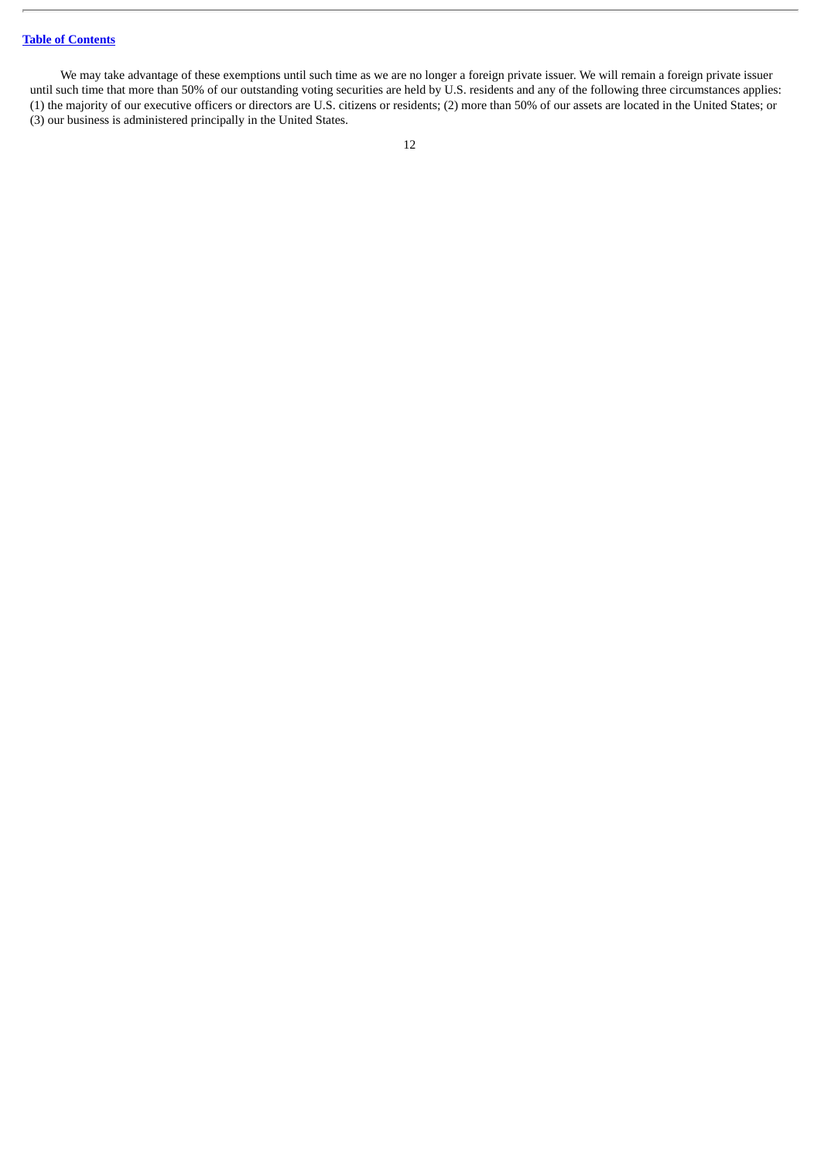We may take advantage of these exemptions until such time as we are no longer a foreign private issuer. We will remain a foreign private issuer until such time that more than 50% of our outstanding voting securities are held by U.S. residents and any of the following three circumstances applies: (1) the majority of our executive officers or directors are U.S. citizens or residents; (2) more than 50% of our assets are located in the United States; or (3) our business is administered principally in the United States.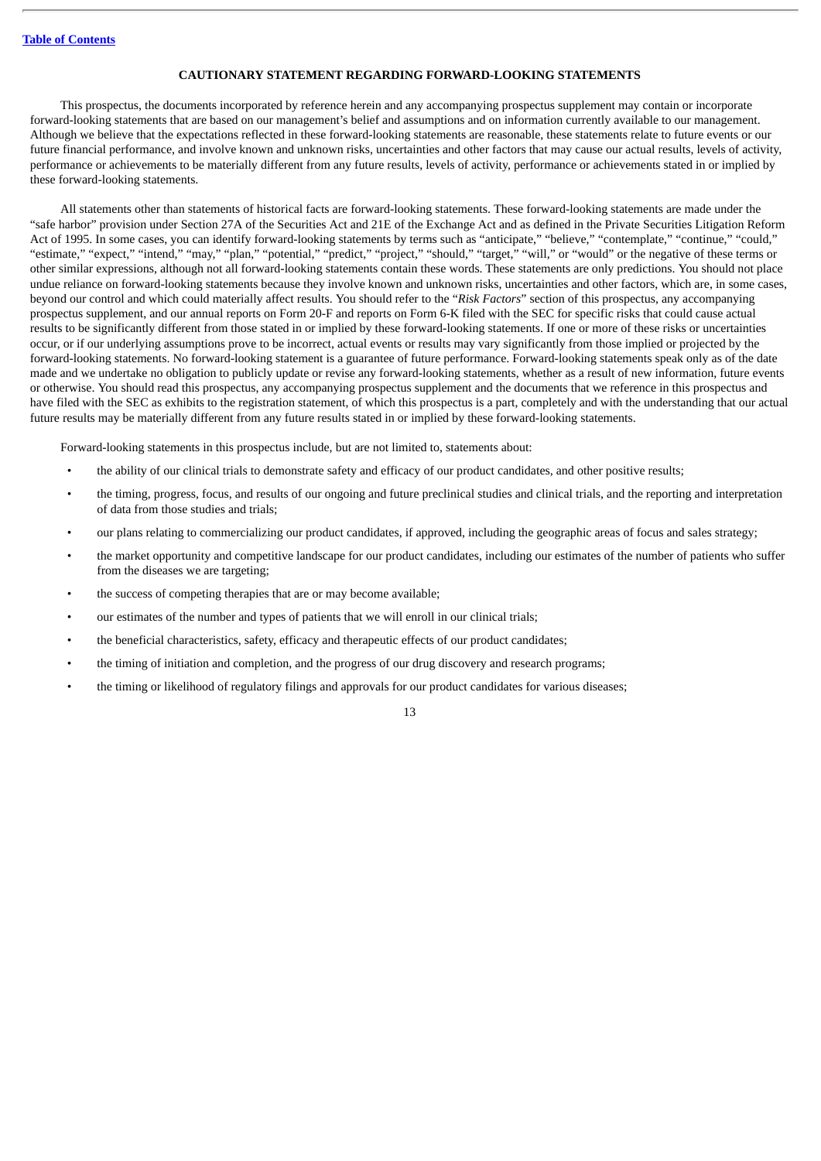# **CAUTIONARY STATEMENT REGARDING FORWARD-LOOKING STATEMENTS**

<span id="page-17-0"></span>This prospectus, the documents incorporated by reference herein and any accompanying prospectus supplement may contain or incorporate forward-looking statements that are based on our management's belief and assumptions and on information currently available to our management. Although we believe that the expectations reflected in these forward-looking statements are reasonable, these statements relate to future events or our future financial performance, and involve known and unknown risks, uncertainties and other factors that may cause our actual results, levels of activity, performance or achievements to be materially different from any future results, levels of activity, performance or achievements stated in or implied by these forward-looking statements.

All statements other than statements of historical facts are forward-looking statements. These forward-looking statements are made under the "safe harbor" provision under Section 27A of the Securities Act and 21E of the Exchange Act and as defined in the Private Securities Litigation Reform Act of 1995. In some cases, you can identify forward-looking statements by terms such as "anticipate," "believe," "contemplate," "continue," "could," "estimate," "expect," "intend," "may," "plan," "potential," "predict," "project," "should," "target," "will," or "would" or the negative of these terms or other similar expressions, although not all forward-looking statements contain these words. These statements are only predictions. You should not place undue reliance on forward-looking statements because they involve known and unknown risks, uncertainties and other factors, which are, in some cases, beyond our control and which could materially affect results. You should refer to the "*Risk Factors*" section of this prospectus, any accompanying prospectus supplement, and our annual reports on Form 20-F and reports on Form 6-K filed with the SEC for specific risks that could cause actual results to be significantly different from those stated in or implied by these forward-looking statements. If one or more of these risks or uncertainties occur, or if our underlying assumptions prove to be incorrect, actual events or results may vary significantly from those implied or projected by the forward-looking statements. No forward-looking statement is a guarantee of future performance. Forward-looking statements speak only as of the date made and we undertake no obligation to publicly update or revise any forward-looking statements, whether as a result of new information, future events or otherwise. You should read this prospectus, any accompanying prospectus supplement and the documents that we reference in this prospectus and have filed with the SEC as exhibits to the registration statement, of which this prospectus is a part, completely and with the understanding that our actual future results may be materially different from any future results stated in or implied by these forward-looking statements.

Forward-looking statements in this prospectus include, but are not limited to, statements about:

- the ability of our clinical trials to demonstrate safety and efficacy of our product candidates, and other positive results;
- the timing, progress, focus, and results of our ongoing and future preclinical studies and clinical trials, and the reporting and interpretation of data from those studies and trials;
- our plans relating to commercializing our product candidates, if approved, including the geographic areas of focus and sales strategy;
- the market opportunity and competitive landscape for our product candidates, including our estimates of the number of patients who suffer from the diseases we are targeting;
- the success of competing therapies that are or may become available;
- our estimates of the number and types of patients that we will enroll in our clinical trials;
- the beneficial characteristics, safety, efficacy and therapeutic effects of our product candidates;
- the timing of initiation and completion, and the progress of our drug discovery and research programs;
- the timing or likelihood of regulatory filings and approvals for our product candidates for various diseases;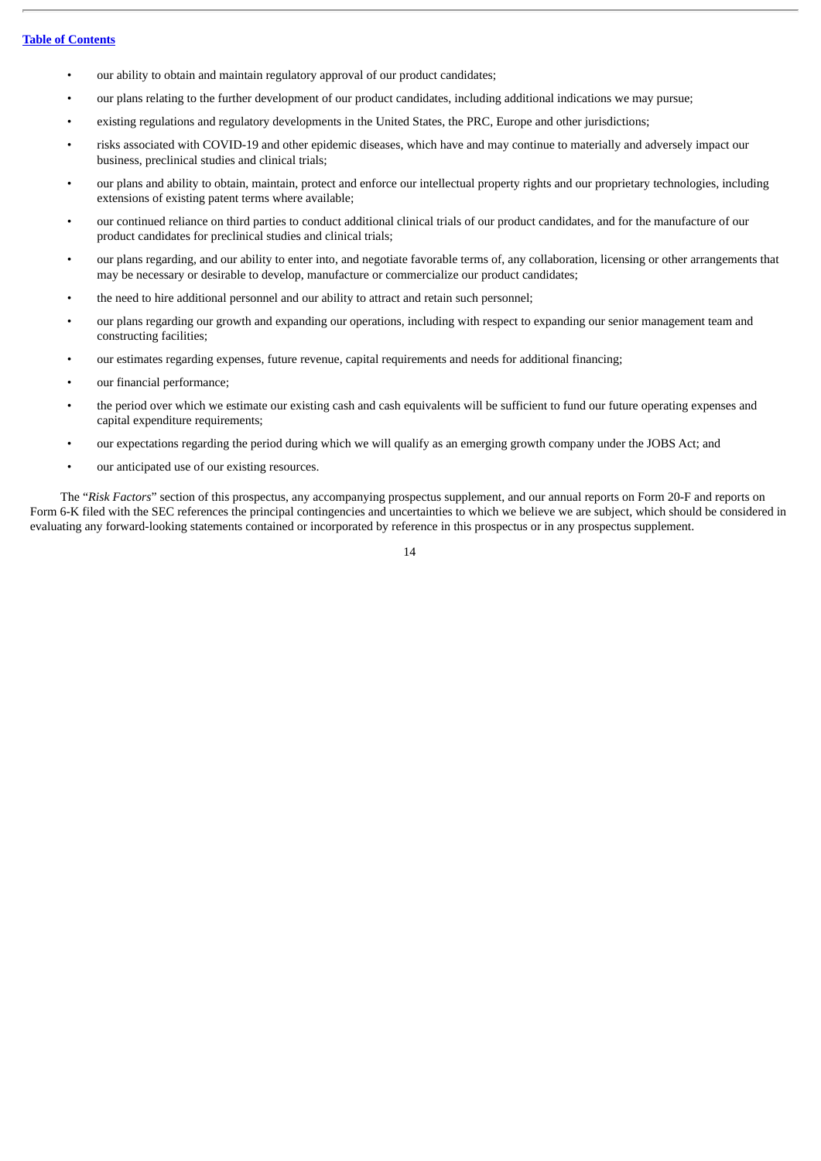- our ability to obtain and maintain regulatory approval of our product candidates;
- our plans relating to the further development of our product candidates, including additional indications we may pursue;
- existing regulations and regulatory developments in the United States, the PRC, Europe and other jurisdictions;
- risks associated with COVID-19 and other epidemic diseases, which have and may continue to materially and adversely impact our business, preclinical studies and clinical trials;
- our plans and ability to obtain, maintain, protect and enforce our intellectual property rights and our proprietary technologies, including extensions of existing patent terms where available;
- our continued reliance on third parties to conduct additional clinical trials of our product candidates, and for the manufacture of our product candidates for preclinical studies and clinical trials;
- our plans regarding, and our ability to enter into, and negotiate favorable terms of, any collaboration, licensing or other arrangements that may be necessary or desirable to develop, manufacture or commercialize our product candidates;
- the need to hire additional personnel and our ability to attract and retain such personnel;
- our plans regarding our growth and expanding our operations, including with respect to expanding our senior management team and constructing facilities;
- our estimates regarding expenses, future revenue, capital requirements and needs for additional financing;
- our financial performance;
- the period over which we estimate our existing cash and cash equivalents will be sufficient to fund our future operating expenses and capital expenditure requirements;
- our expectations regarding the period during which we will qualify as an emerging growth company under the JOBS Act; and
- our anticipated use of our existing resources.

The "*Risk Factors*" section of this prospectus, any accompanying prospectus supplement, and our annual reports on Form 20-F and reports on Form 6-K filed with the SEC references the principal contingencies and uncertainties to which we believe we are subject, which should be considered in evaluating any forward-looking statements contained or incorporated by reference in this prospectus or in any prospectus supplement.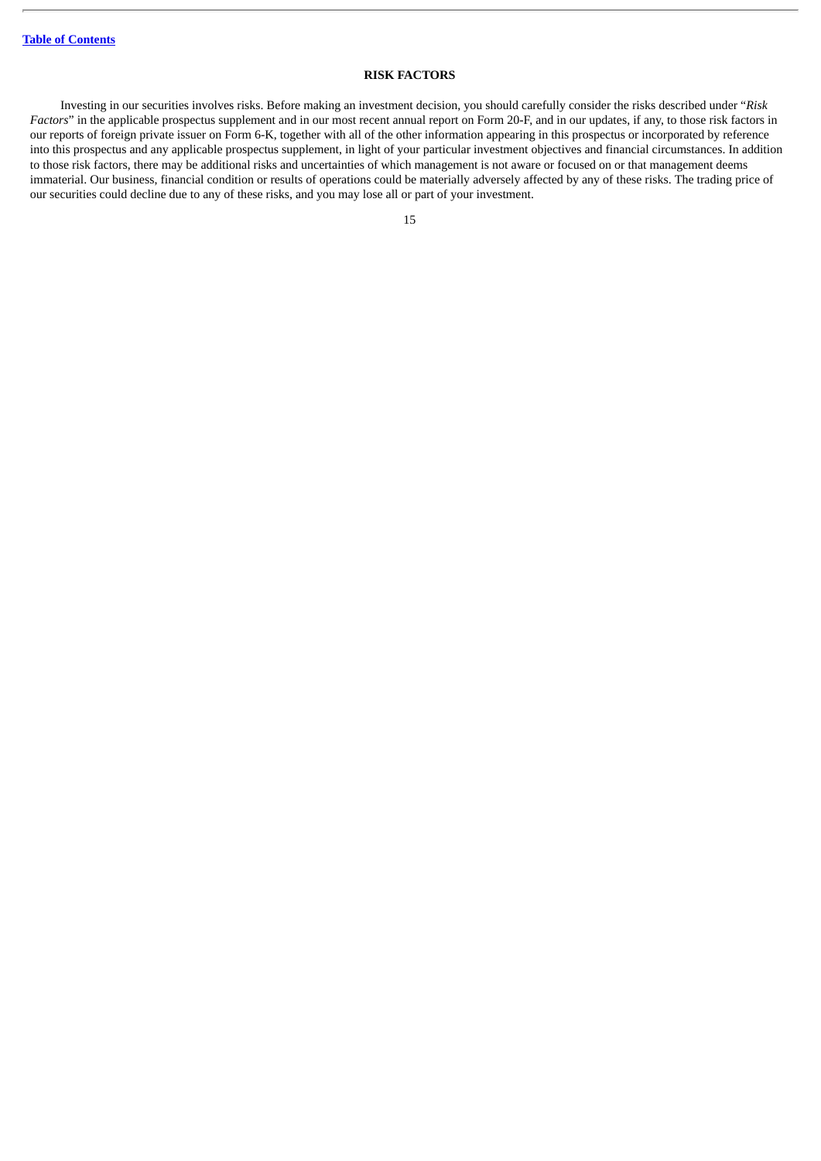# **RISK FACTORS**

<span id="page-19-0"></span>Investing in our securities involves risks. Before making an investment decision, you should carefully consider the risks described under "*Risk Factors*" in the applicable prospectus supplement and in our most recent annual report on Form 20-F, and in our updates, if any, to those risk factors in our reports of foreign private issuer on Form 6-K, together with all of the other information appearing in this prospectus or incorporated by reference into this prospectus and any applicable prospectus supplement, in light of your particular investment objectives and financial circumstances. In addition to those risk factors, there may be additional risks and uncertainties of which management is not aware or focused on or that management deems immaterial. Our business, financial condition or results of operations could be materially adversely affected by any of these risks. The trading price of our securities could decline due to any of these risks, and you may lose all or part of your investment.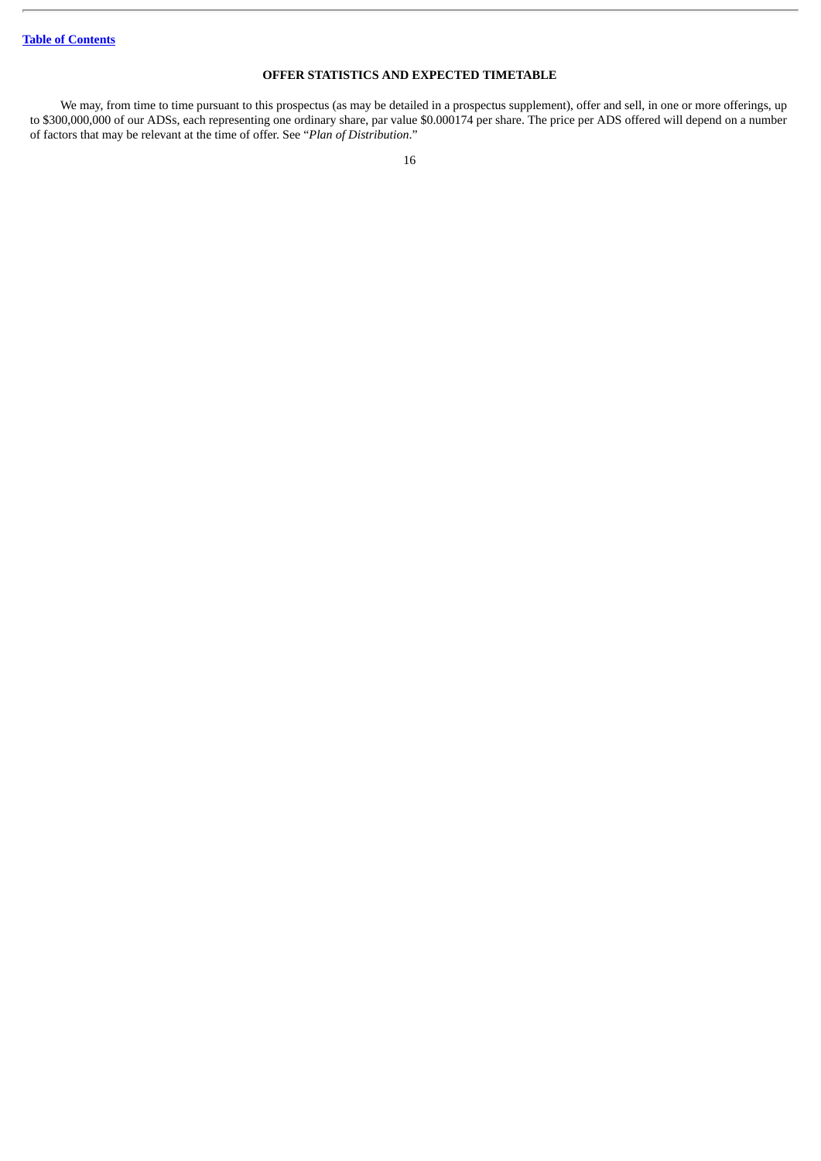# **OFFER STATISTICS AND EXPECTED TIMETABLE**

<span id="page-20-0"></span>We may, from time to time pursuant to this prospectus (as may be detailed in a prospectus supplement), offer and sell, in one or more offerings, up to \$300,000,000 of our ADSs, each representing one ordinary share, par value \$0.000174 per share. The price per ADS offered will depend on a number of factors that may be relevant at the time of offer. See "*Plan of Distribution*."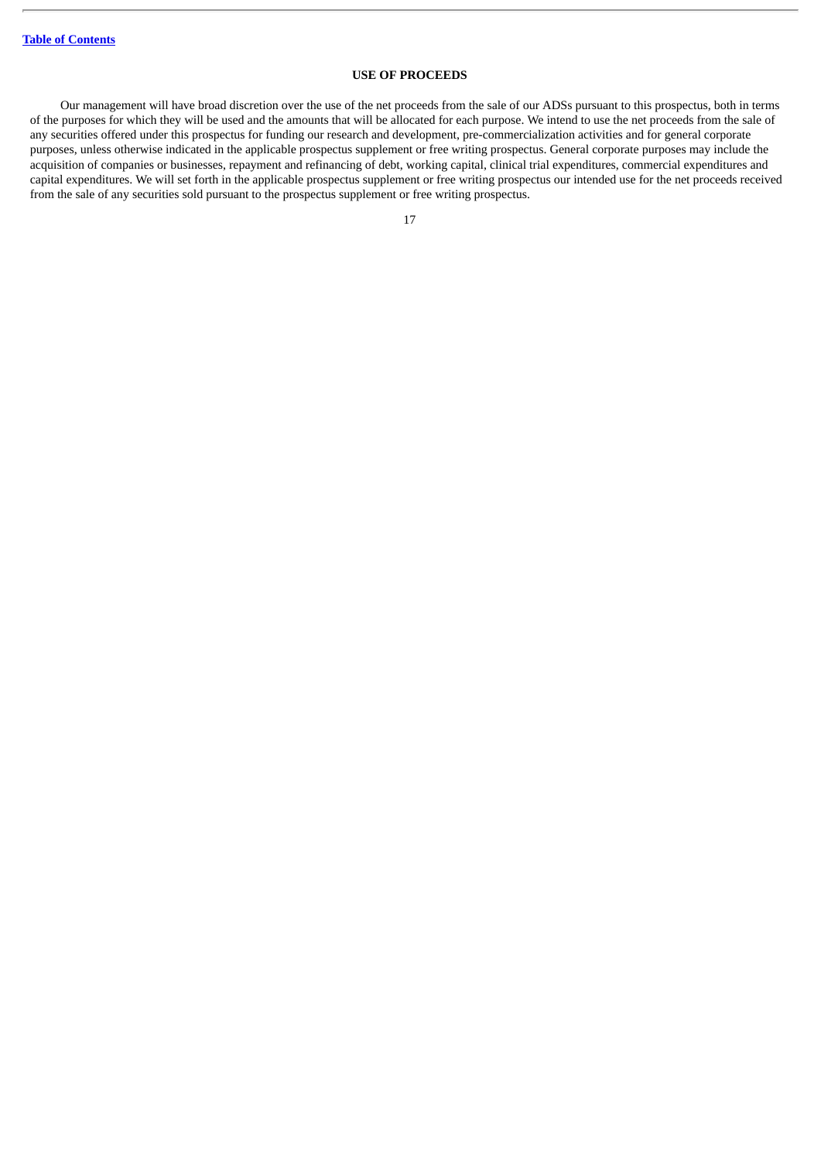# **USE OF PROCEEDS**

<span id="page-21-0"></span>Our management will have broad discretion over the use of the net proceeds from the sale of our ADSs pursuant to this prospectus, both in terms of the purposes for which they will be used and the amounts that will be allocated for each purpose. We intend to use the net proceeds from the sale of any securities offered under this prospectus for funding our research and development, pre-commercialization activities and for general corporate purposes, unless otherwise indicated in the applicable prospectus supplement or free writing prospectus. General corporate purposes may include the acquisition of companies or businesses, repayment and refinancing of debt, working capital, clinical trial expenditures, commercial expenditures and capital expenditures. We will set forth in the applicable prospectus supplement or free writing prospectus our intended use for the net proceeds received from the sale of any securities sold pursuant to the prospectus supplement or free writing prospectus.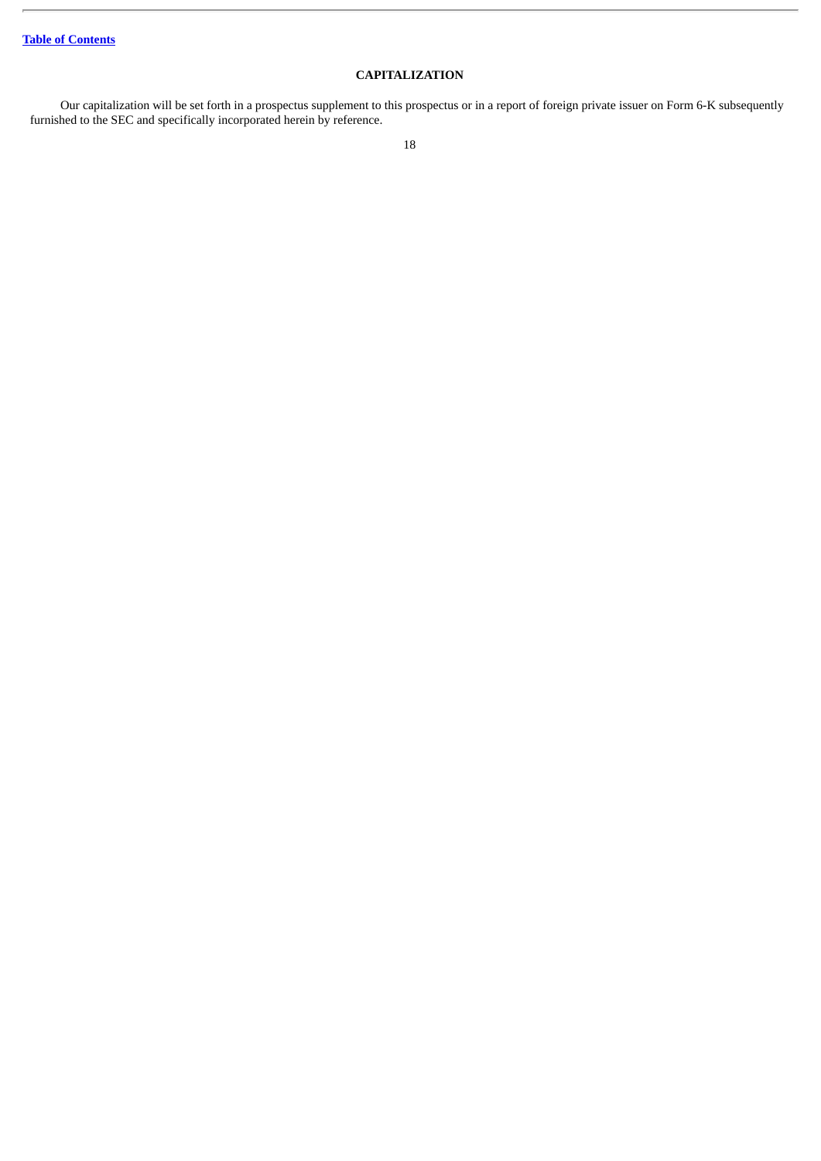# **CAPITALIZATION**

<span id="page-22-0"></span>Our capitalization will be set forth in a prospectus supplement to this prospectus or in a report of foreign private issuer on Form 6-K subsequently furnished to the SEC and specifically incorporated herein by reference.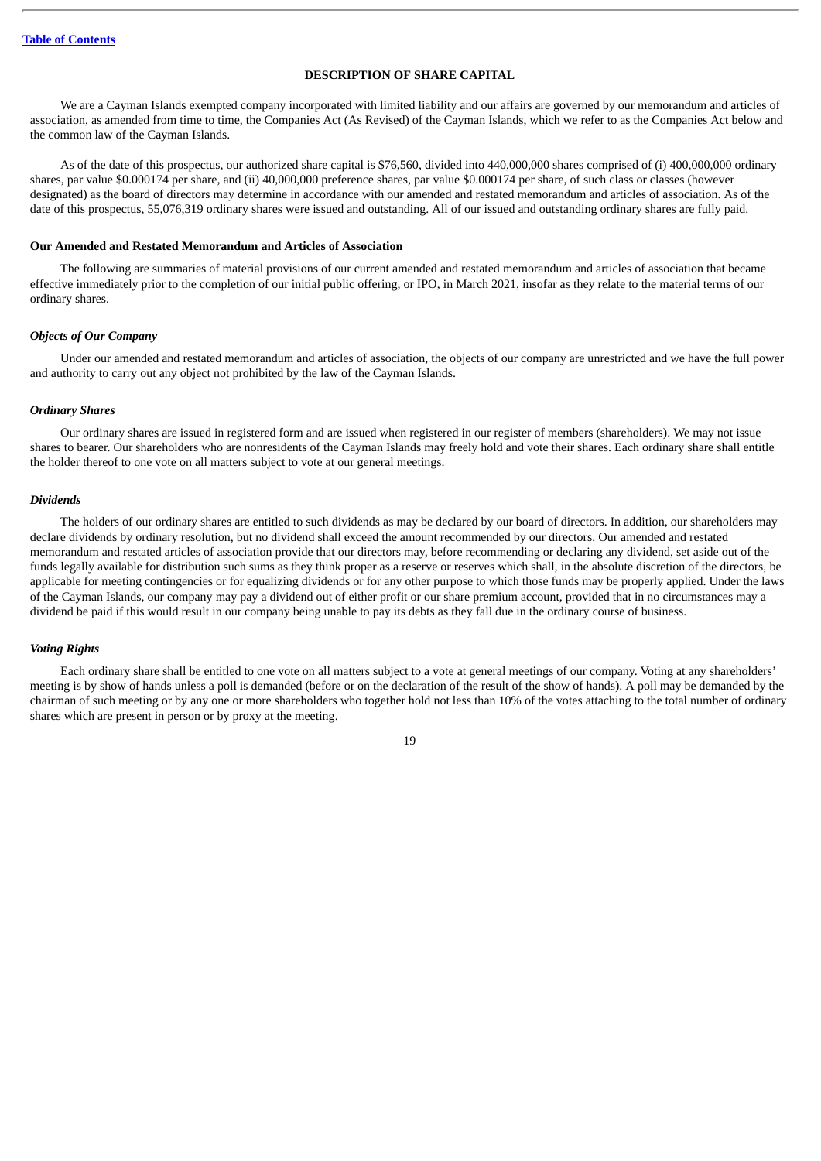# **DESCRIPTION OF SHARE CAPITAL**

<span id="page-23-0"></span>We are a Cayman Islands exempted company incorporated with limited liability and our affairs are governed by our memorandum and articles of association, as amended from time to time, the Companies Act (As Revised) of the Cayman Islands, which we refer to as the Companies Act below and the common law of the Cayman Islands.

As of the date of this prospectus, our authorized share capital is \$76,560, divided into 440,000,000 shares comprised of (i) 400,000,000 ordinary shares, par value \$0.000174 per share, and (ii) 40,000,000 preference shares, par value \$0.000174 per share, of such class or classes (however designated) as the board of directors may determine in accordance with our amended and restated memorandum and articles of association. As of the date of this prospectus, 55,076,319 ordinary shares were issued and outstanding. All of our issued and outstanding ordinary shares are fully paid.

# **Our Amended and Restated Memorandum and Articles of Association**

The following are summaries of material provisions of our current amended and restated memorandum and articles of association that became effective immediately prior to the completion of our initial public offering, or IPO, in March 2021, insofar as they relate to the material terms of our ordinary shares.

#### *Objects of Our Company*

Under our amended and restated memorandum and articles of association, the objects of our company are unrestricted and we have the full power and authority to carry out any object not prohibited by the law of the Cayman Islands.

#### *Ordinary Shares*

Our ordinary shares are issued in registered form and are issued when registered in our register of members (shareholders). We may not issue shares to bearer. Our shareholders who are nonresidents of the Cayman Islands may freely hold and vote their shares. Each ordinary share shall entitle the holder thereof to one vote on all matters subject to vote at our general meetings.

#### *Dividends*

The holders of our ordinary shares are entitled to such dividends as may be declared by our board of directors. In addition, our shareholders may declare dividends by ordinary resolution, but no dividend shall exceed the amount recommended by our directors. Our amended and restated memorandum and restated articles of association provide that our directors may, before recommending or declaring any dividend, set aside out of the funds legally available for distribution such sums as they think proper as a reserve or reserves which shall, in the absolute discretion of the directors, be applicable for meeting contingencies or for equalizing dividends or for any other purpose to which those funds may be properly applied. Under the laws of the Cayman Islands, our company may pay a dividend out of either profit or our share premium account, provided that in no circumstances may a dividend be paid if this would result in our company being unable to pay its debts as they fall due in the ordinary course of business.

#### *Voting Rights*

Each ordinary share shall be entitled to one vote on all matters subject to a vote at general meetings of our company. Voting at any shareholders' meeting is by show of hands unless a poll is demanded (before or on the declaration of the result of the show of hands). A poll may be demanded by the chairman of such meeting or by any one or more shareholders who together hold not less than 10% of the votes attaching to the total number of ordinary shares which are present in person or by proxy at the meeting.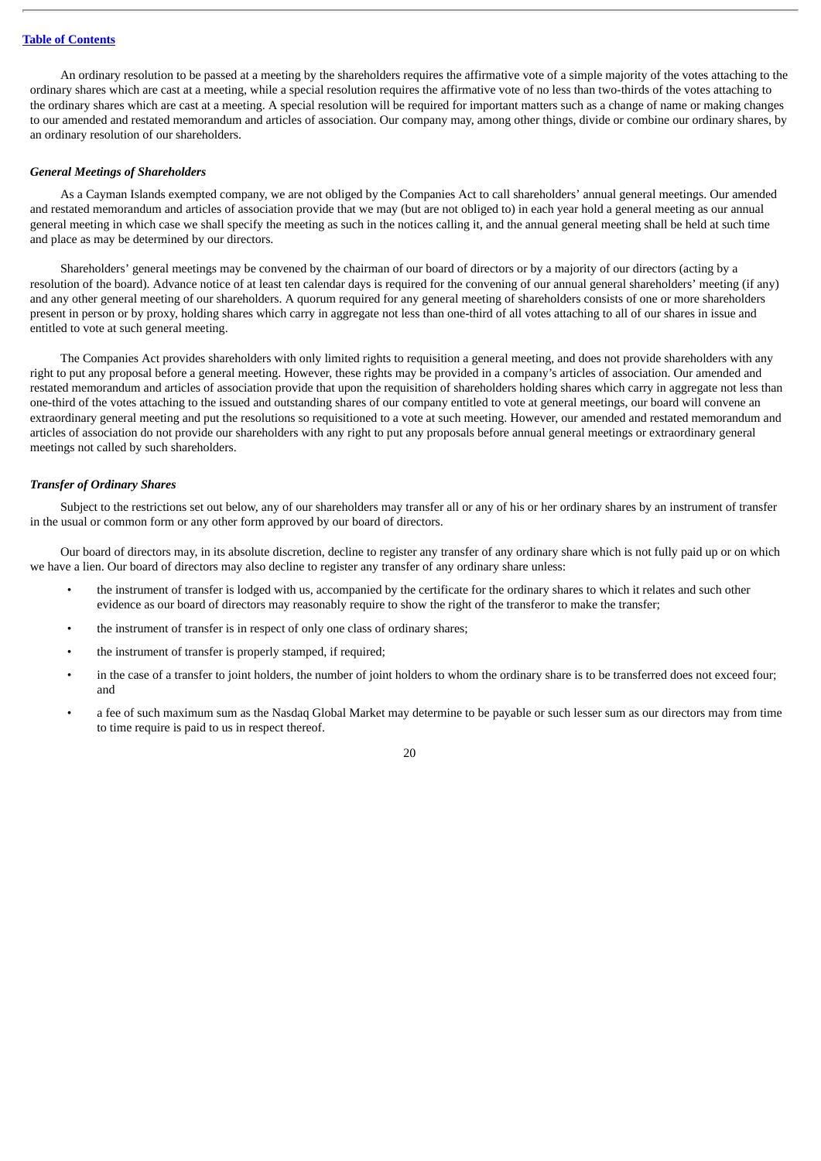An ordinary resolution to be passed at a meeting by the shareholders requires the affirmative vote of a simple majority of the votes attaching to the ordinary shares which are cast at a meeting, while a special resolution requires the affirmative vote of no less than two-thirds of the votes attaching to the ordinary shares which are cast at a meeting. A special resolution will be required for important matters such as a change of name or making changes to our amended and restated memorandum and articles of association. Our company may, among other things, divide or combine our ordinary shares, by an ordinary resolution of our shareholders.

# *General Meetings of Shareholders*

As a Cayman Islands exempted company, we are not obliged by the Companies Act to call shareholders' annual general meetings. Our amended and restated memorandum and articles of association provide that we may (but are not obliged to) in each year hold a general meeting as our annual general meeting in which case we shall specify the meeting as such in the notices calling it, and the annual general meeting shall be held at such time and place as may be determined by our directors.

Shareholders' general meetings may be convened by the chairman of our board of directors or by a majority of our directors (acting by a resolution of the board). Advance notice of at least ten calendar days is required for the convening of our annual general shareholders' meeting (if any) and any other general meeting of our shareholders. A quorum required for any general meeting of shareholders consists of one or more shareholders present in person or by proxy, holding shares which carry in aggregate not less than one-third of all votes attaching to all of our shares in issue and entitled to vote at such general meeting.

The Companies Act provides shareholders with only limited rights to requisition a general meeting, and does not provide shareholders with any right to put any proposal before a general meeting. However, these rights may be provided in a company's articles of association. Our amended and restated memorandum and articles of association provide that upon the requisition of shareholders holding shares which carry in aggregate not less than one-third of the votes attaching to the issued and outstanding shares of our company entitled to vote at general meetings, our board will convene an extraordinary general meeting and put the resolutions so requisitioned to a vote at such meeting. However, our amended and restated memorandum and articles of association do not provide our shareholders with any right to put any proposals before annual general meetings or extraordinary general meetings not called by such shareholders.

# *Transfer of Ordinary Shares*

Subject to the restrictions set out below, any of our shareholders may transfer all or any of his or her ordinary shares by an instrument of transfer in the usual or common form or any other form approved by our board of directors.

Our board of directors may, in its absolute discretion, decline to register any transfer of any ordinary share which is not fully paid up or on which we have a lien. Our board of directors may also decline to register any transfer of any ordinary share unless:

- the instrument of transfer is lodged with us, accompanied by the certificate for the ordinary shares to which it relates and such other evidence as our board of directors may reasonably require to show the right of the transferor to make the transfer;
- the instrument of transfer is in respect of only one class of ordinary shares;
- the instrument of transfer is properly stamped, if required;
- in the case of a transfer to joint holders, the number of joint holders to whom the ordinary share is to be transferred does not exceed four; and
- a fee of such maximum sum as the Nasdaq Global Market may determine to be payable or such lesser sum as our directors may from time to time require is paid to us in respect thereof.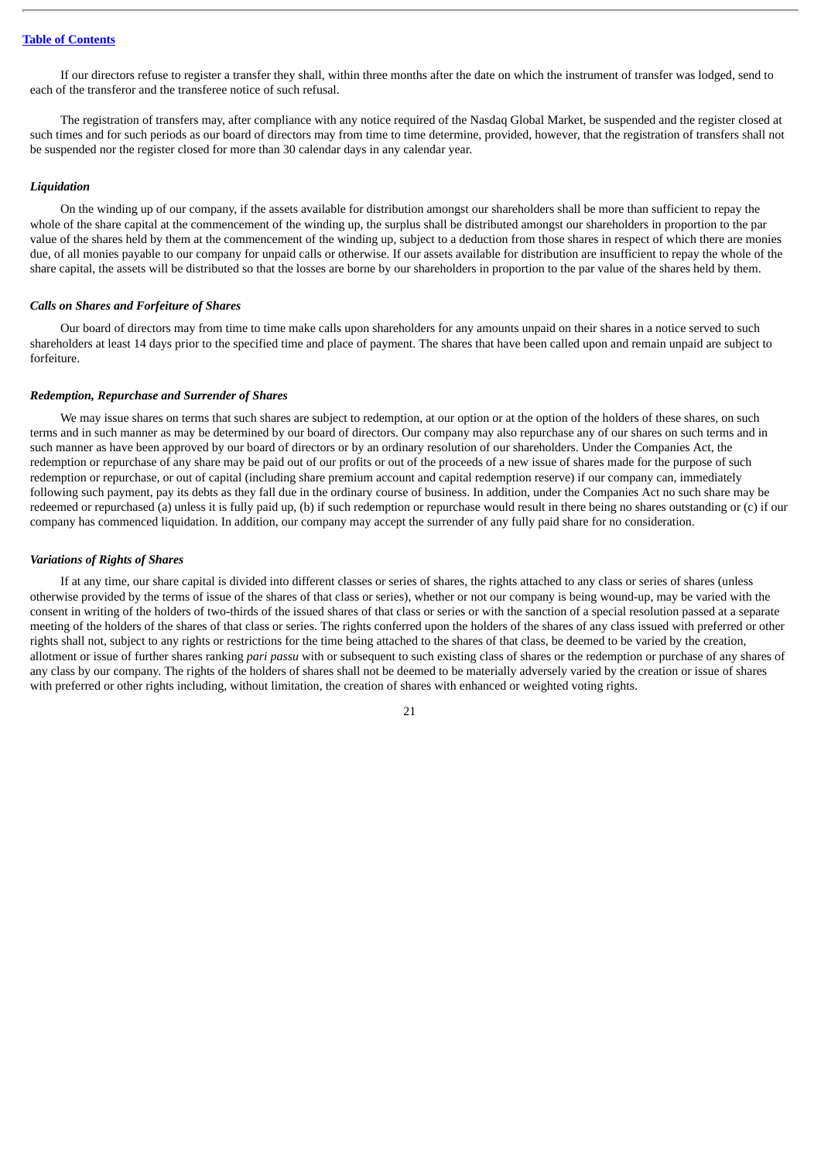If our directors refuse to register a transfer they shall, within three months after the date on which the instrument of transfer was lodged, send to each of the transferor and the transferee notice of such refusal.

The registration of transfers may, after compliance with any notice required of the Nasdaq Global Market, be suspended and the register closed at such times and for such periods as our board of directors may from time to time determine, provided, however, that the registration of transfers shall not be suspended nor the register closed for more than 30 calendar days in any calendar year.

#### *Liquidation*

On the winding up of our company, if the assets available for distribution amongst our shareholders shall be more than sufficient to repay the whole of the share capital at the commencement of the winding up, the surplus shall be distributed amongst our shareholders in proportion to the par value of the shares held by them at the commencement of the winding up, subject to a deduction from those shares in respect of which there are monies due, of all monies payable to our company for unpaid calls or otherwise. If our assets available for distribution are insufficient to repay the whole of the share capital, the assets will be distributed so that the losses are borne by our shareholders in proportion to the par value of the shares held by them.

#### *Calls on Shares and Forfeiture of Shares*

Our board of directors may from time to time make calls upon shareholders for any amounts unpaid on their shares in a notice served to such shareholders at least 14 days prior to the specified time and place of payment. The shares that have been called upon and remain unpaid are subject to forfeiture.

#### *Redemption, Repurchase and Surrender of Shares*

We may issue shares on terms that such shares are subject to redemption, at our option or at the option of the holders of these shares, on such terms and in such manner as may be determined by our board of directors. Our company may also repurchase any of our shares on such terms and in such manner as have been approved by our board of directors or by an ordinary resolution of our shareholders. Under the Companies Act, the redemption or repurchase of any share may be paid out of our profits or out of the proceeds of a new issue of shares made for the purpose of such redemption or repurchase, or out of capital (including share premium account and capital redemption reserve) if our company can, immediately following such payment, pay its debts as they fall due in the ordinary course of business. In addition, under the Companies Act no such share may be redeemed or repurchased (a) unless it is fully paid up, (b) if such redemption or repurchase would result in there being no shares outstanding or (c) if our company has commenced liquidation. In addition, our company may accept the surrender of any fully paid share for no consideration.

#### *Variations of Rights of Shares*

If at any time, our share capital is divided into different classes or series of shares, the rights attached to any class or series of shares (unless otherwise provided by the terms of issue of the shares of that class or series), whether or not our company is being wound-up, may be varied with the consent in writing of the holders of two-thirds of the issued shares of that class or series or with the sanction of a special resolution passed at a separate meeting of the holders of the shares of that class or series. The rights conferred upon the holders of the shares of any class issued with preferred or other rights shall not, subject to any rights or restrictions for the time being attached to the shares of that class, be deemed to be varied by the creation, allotment or issue of further shares ranking *pari passu* with or subsequent to such existing class of shares or the redemption or purchase of any shares of any class by our company. The rights of the holders of shares shall not be deemed to be materially adversely varied by the creation or issue of shares with preferred or other rights including, without limitation, the creation of shares with enhanced or weighted voting rights.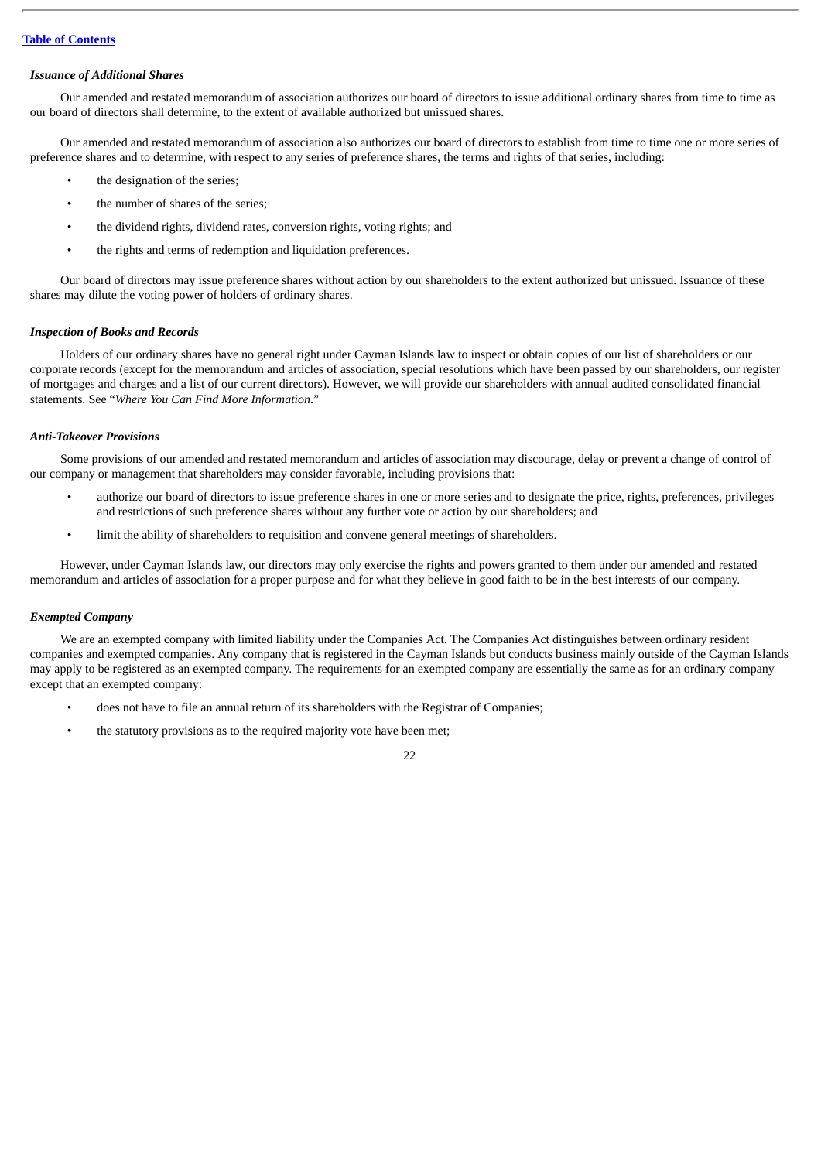# *Issuance of Additional Shares*

Our amended and restated memorandum of association authorizes our board of directors to issue additional ordinary shares from time to time as our board of directors shall determine, to the extent of available authorized but unissued shares.

Our amended and restated memorandum of association also authorizes our board of directors to establish from time to time one or more series of preference shares and to determine, with respect to any series of preference shares, the terms and rights of that series, including:

- the designation of the series;
- the number of shares of the series;
- the dividend rights, dividend rates, conversion rights, voting rights; and
- the rights and terms of redemption and liquidation preferences.

Our board of directors may issue preference shares without action by our shareholders to the extent authorized but unissued. Issuance of these shares may dilute the voting power of holders of ordinary shares.

### *Inspection of Books and Records*

Holders of our ordinary shares have no general right under Cayman Islands law to inspect or obtain copies of our list of shareholders or our corporate records (except for the memorandum and articles of association, special resolutions which have been passed by our shareholders, our register of mortgages and charges and a list of our current directors). However, we will provide our shareholders with annual audited consolidated financial statements. See "*Where You Can Find More Information*."

### *Anti-Takeover Provisions*

Some provisions of our amended and restated memorandum and articles of association may discourage, delay or prevent a change of control of our company or management that shareholders may consider favorable, including provisions that:

- authorize our board of directors to issue preference shares in one or more series and to designate the price, rights, preferences, privileges and restrictions of such preference shares without any further vote or action by our shareholders; and
- limit the ability of shareholders to requisition and convene general meetings of shareholders.

However, under Cayman Islands law, our directors may only exercise the rights and powers granted to them under our amended and restated memorandum and articles of association for a proper purpose and for what they believe in good faith to be in the best interests of our company.

### *Exempted Company*

We are an exempted company with limited liability under the Companies Act. The Companies Act distinguishes between ordinary resident companies and exempted companies. Any company that is registered in the Cayman Islands but conducts business mainly outside of the Cayman Islands may apply to be registered as an exempted company. The requirements for an exempted company are essentially the same as for an ordinary company except that an exempted company:

- does not have to file an annual return of its shareholders with the Registrar of Companies;
- the statutory provisions as to the required majority vote have been met;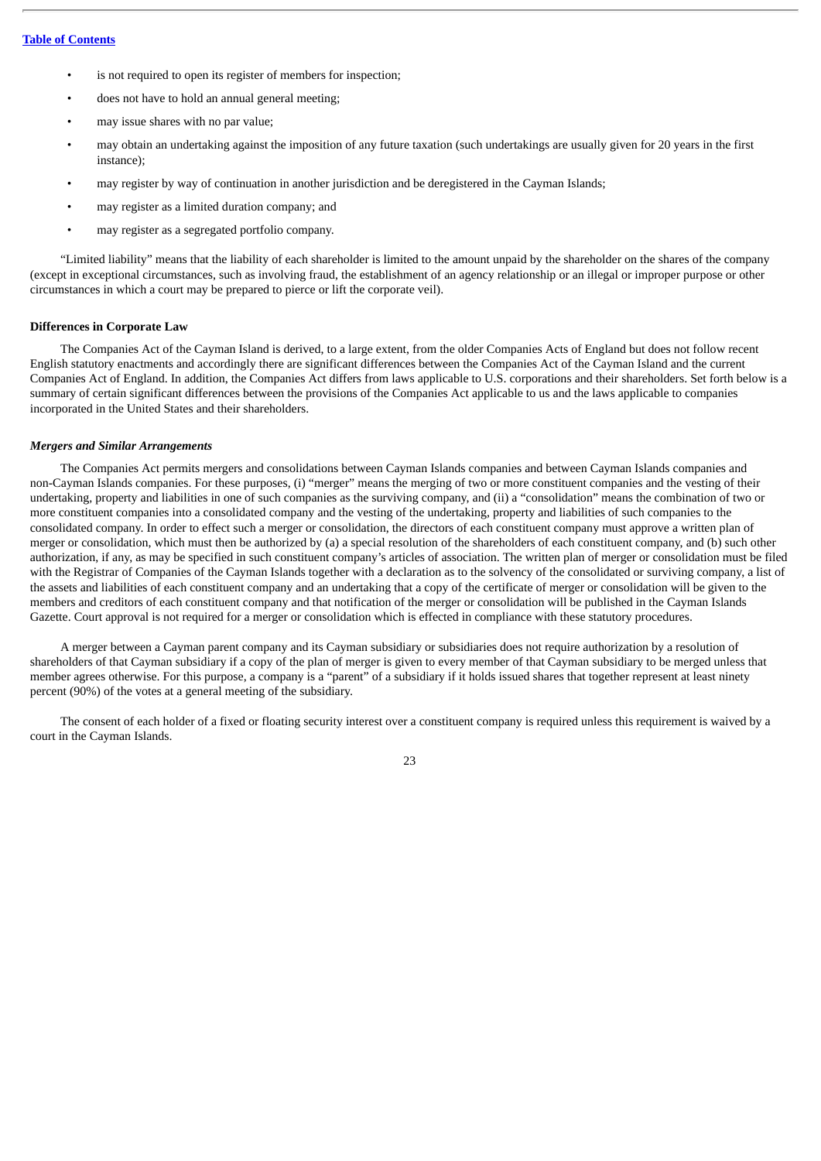- is not required to open its register of members for inspection;
- does not have to hold an annual general meeting;
- may issue shares with no par value;
- may obtain an undertaking against the imposition of any future taxation (such undertakings are usually given for 20 years in the first instance);
- may register by way of continuation in another jurisdiction and be deregistered in the Cayman Islands;
- may register as a limited duration company; and
- may register as a segregated portfolio company.

"Limited liability" means that the liability of each shareholder is limited to the amount unpaid by the shareholder on the shares of the company (except in exceptional circumstances, such as involving fraud, the establishment of an agency relationship or an illegal or improper purpose or other circumstances in which a court may be prepared to pierce or lift the corporate veil).

# **Differences in Corporate Law**

The Companies Act of the Cayman Island is derived, to a large extent, from the older Companies Acts of England but does not follow recent English statutory enactments and accordingly there are significant differences between the Companies Act of the Cayman Island and the current Companies Act of England. In addition, the Companies Act differs from laws applicable to U.S. corporations and their shareholders. Set forth below is a summary of certain significant differences between the provisions of the Companies Act applicable to us and the laws applicable to companies incorporated in the United States and their shareholders.

# *Mergers and Similar Arrangements*

The Companies Act permits mergers and consolidations between Cayman Islands companies and between Cayman Islands companies and non-Cayman Islands companies. For these purposes, (i) "merger" means the merging of two or more constituent companies and the vesting of their undertaking, property and liabilities in one of such companies as the surviving company, and (ii) a "consolidation" means the combination of two or more constituent companies into a consolidated company and the vesting of the undertaking, property and liabilities of such companies to the consolidated company. In order to effect such a merger or consolidation, the directors of each constituent company must approve a written plan of merger or consolidation, which must then be authorized by (a) a special resolution of the shareholders of each constituent company, and (b) such other authorization, if any, as may be specified in such constituent company's articles of association. The written plan of merger or consolidation must be filed with the Registrar of Companies of the Cayman Islands together with a declaration as to the solvency of the consolidated or surviving company, a list of the assets and liabilities of each constituent company and an undertaking that a copy of the certificate of merger or consolidation will be given to the members and creditors of each constituent company and that notification of the merger or consolidation will be published in the Cayman Islands Gazette. Court approval is not required for a merger or consolidation which is effected in compliance with these statutory procedures.

A merger between a Cayman parent company and its Cayman subsidiary or subsidiaries does not require authorization by a resolution of shareholders of that Cayman subsidiary if a copy of the plan of merger is given to every member of that Cayman subsidiary to be merged unless that member agrees otherwise. For this purpose, a company is a "parent" of a subsidiary if it holds issued shares that together represent at least ninety percent (90%) of the votes at a general meeting of the subsidiary.

The consent of each holder of a fixed or floating security interest over a constituent company is required unless this requirement is waived by a court in the Cayman Islands.

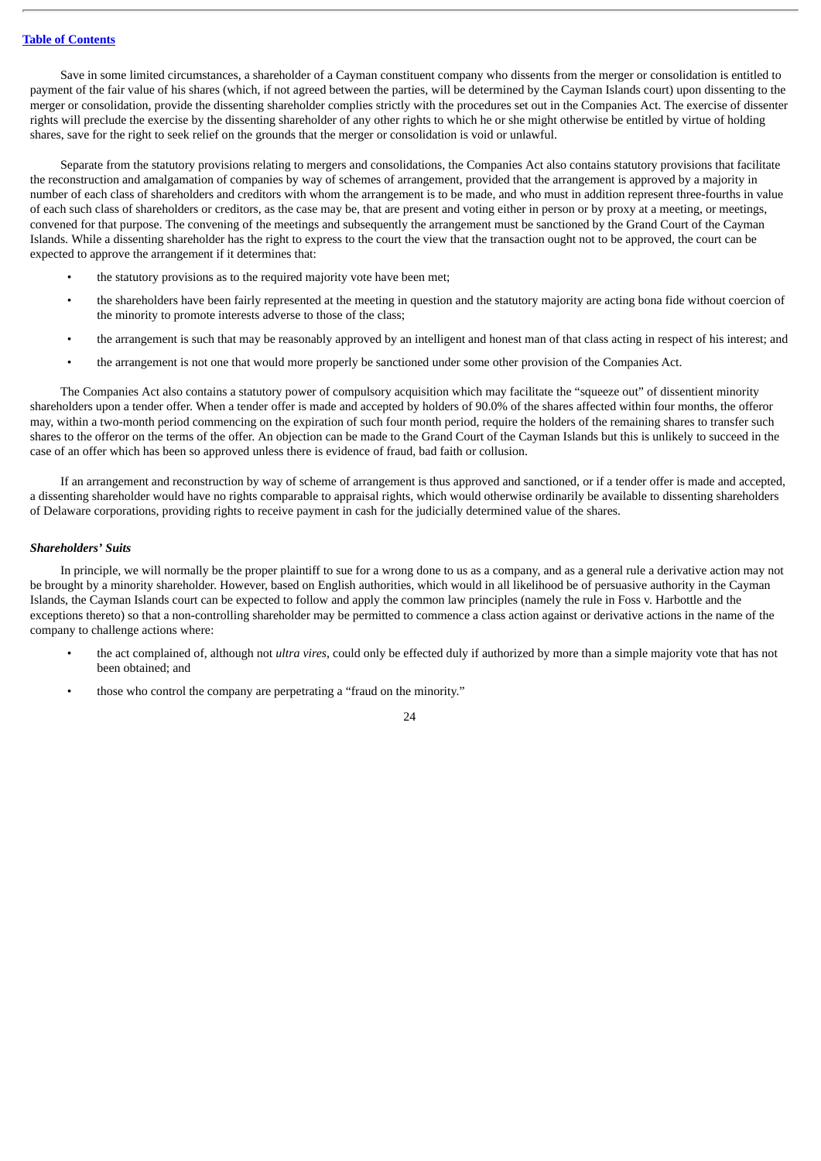Save in some limited circumstances, a shareholder of a Cayman constituent company who dissents from the merger or consolidation is entitled to payment of the fair value of his shares (which, if not agreed between the parties, will be determined by the Cayman Islands court) upon dissenting to the merger or consolidation, provide the dissenting shareholder complies strictly with the procedures set out in the Companies Act. The exercise of dissenter rights will preclude the exercise by the dissenting shareholder of any other rights to which he or she might otherwise be entitled by virtue of holding shares, save for the right to seek relief on the grounds that the merger or consolidation is void or unlawful.

Separate from the statutory provisions relating to mergers and consolidations, the Companies Act also contains statutory provisions that facilitate the reconstruction and amalgamation of companies by way of schemes of arrangement, provided that the arrangement is approved by a majority in number of each class of shareholders and creditors with whom the arrangement is to be made, and who must in addition represent three-fourths in value of each such class of shareholders or creditors, as the case may be, that are present and voting either in person or by proxy at a meeting, or meetings, convened for that purpose. The convening of the meetings and subsequently the arrangement must be sanctioned by the Grand Court of the Cayman Islands. While a dissenting shareholder has the right to express to the court the view that the transaction ought not to be approved, the court can be expected to approve the arrangement if it determines that:

- the statutory provisions as to the required majority vote have been met;
- the shareholders have been fairly represented at the meeting in question and the statutory majority are acting bona fide without coercion of the minority to promote interests adverse to those of the class;
- the arrangement is such that may be reasonably approved by an intelligent and honest man of that class acting in respect of his interest; and
- the arrangement is not one that would more properly be sanctioned under some other provision of the Companies Act.

The Companies Act also contains a statutory power of compulsory acquisition which may facilitate the "squeeze out" of dissentient minority shareholders upon a tender offer. When a tender offer is made and accepted by holders of 90.0% of the shares affected within four months, the offeror may, within a two-month period commencing on the expiration of such four month period, require the holders of the remaining shares to transfer such shares to the offeror on the terms of the offer. An objection can be made to the Grand Court of the Cayman Islands but this is unlikely to succeed in the case of an offer which has been so approved unless there is evidence of fraud, bad faith or collusion.

If an arrangement and reconstruction by way of scheme of arrangement is thus approved and sanctioned, or if a tender offer is made and accepted, a dissenting shareholder would have no rights comparable to appraisal rights, which would otherwise ordinarily be available to dissenting shareholders of Delaware corporations, providing rights to receive payment in cash for the judicially determined value of the shares.

# *Shareholders' Suits*

In principle, we will normally be the proper plaintiff to sue for a wrong done to us as a company, and as a general rule a derivative action may not be brought by a minority shareholder. However, based on English authorities, which would in all likelihood be of persuasive authority in the Cayman Islands, the Cayman Islands court can be expected to follow and apply the common law principles (namely the rule in Foss v. Harbottle and the exceptions thereto) so that a non-controlling shareholder may be permitted to commence a class action against or derivative actions in the name of the company to challenge actions where:

- the act complained of, although not *ultra vires*, could only be effected duly if authorized by more than a simple majority vote that has not been obtained; and
- those who control the company are perpetrating a "fraud on the minority."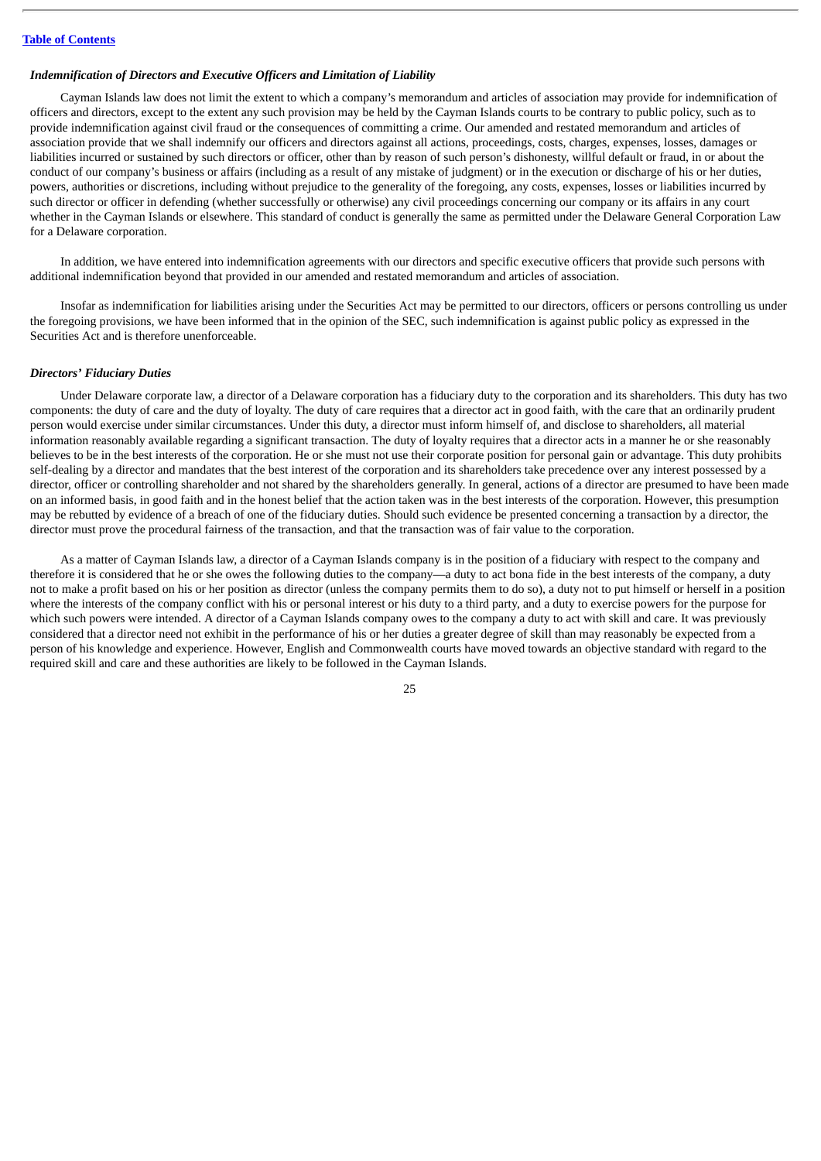### *Indemnification of Directors and Executive Officers and Limitation of Liability*

Cayman Islands law does not limit the extent to which a company's memorandum and articles of association may provide for indemnification of officers and directors, except to the extent any such provision may be held by the Cayman Islands courts to be contrary to public policy, such as to provide indemnification against civil fraud or the consequences of committing a crime. Our amended and restated memorandum and articles of association provide that we shall indemnify our officers and directors against all actions, proceedings, costs, charges, expenses, losses, damages or liabilities incurred or sustained by such directors or officer, other than by reason of such person's dishonesty, willful default or fraud, in or about the conduct of our company's business or affairs (including as a result of any mistake of judgment) or in the execution or discharge of his or her duties, powers, authorities or discretions, including without prejudice to the generality of the foregoing, any costs, expenses, losses or liabilities incurred by such director or officer in defending (whether successfully or otherwise) any civil proceedings concerning our company or its affairs in any court whether in the Cayman Islands or elsewhere. This standard of conduct is generally the same as permitted under the Delaware General Corporation Law for a Delaware corporation.

In addition, we have entered into indemnification agreements with our directors and specific executive officers that provide such persons with additional indemnification beyond that provided in our amended and restated memorandum and articles of association.

Insofar as indemnification for liabilities arising under the Securities Act may be permitted to our directors, officers or persons controlling us under the foregoing provisions, we have been informed that in the opinion of the SEC, such indemnification is against public policy as expressed in the Securities Act and is therefore unenforceable.

# *Directors' Fiduciary Duties*

Under Delaware corporate law, a director of a Delaware corporation has a fiduciary duty to the corporation and its shareholders. This duty has two components: the duty of care and the duty of loyalty. The duty of care requires that a director act in good faith, with the care that an ordinarily prudent person would exercise under similar circumstances. Under this duty, a director must inform himself of, and disclose to shareholders, all material information reasonably available regarding a significant transaction. The duty of loyalty requires that a director acts in a manner he or she reasonably believes to be in the best interests of the corporation. He or she must not use their corporate position for personal gain or advantage. This duty prohibits self-dealing by a director and mandates that the best interest of the corporation and its shareholders take precedence over any interest possessed by a director, officer or controlling shareholder and not shared by the shareholders generally. In general, actions of a director are presumed to have been made on an informed basis, in good faith and in the honest belief that the action taken was in the best interests of the corporation. However, this presumption may be rebutted by evidence of a breach of one of the fiduciary duties. Should such evidence be presented concerning a transaction by a director, the director must prove the procedural fairness of the transaction, and that the transaction was of fair value to the corporation.

As a matter of Cayman Islands law, a director of a Cayman Islands company is in the position of a fiduciary with respect to the company and therefore it is considered that he or she owes the following duties to the company—a duty to act bona fide in the best interests of the company, a duty not to make a profit based on his or her position as director (unless the company permits them to do so), a duty not to put himself or herself in a position where the interests of the company conflict with his or personal interest or his duty to a third party, and a duty to exercise powers for the purpose for which such powers were intended. A director of a Cayman Islands company owes to the company a duty to act with skill and care. It was previously considered that a director need not exhibit in the performance of his or her duties a greater degree of skill than may reasonably be expected from a person of his knowledge and experience. However, English and Commonwealth courts have moved towards an objective standard with regard to the required skill and care and these authorities are likely to be followed in the Cayman Islands.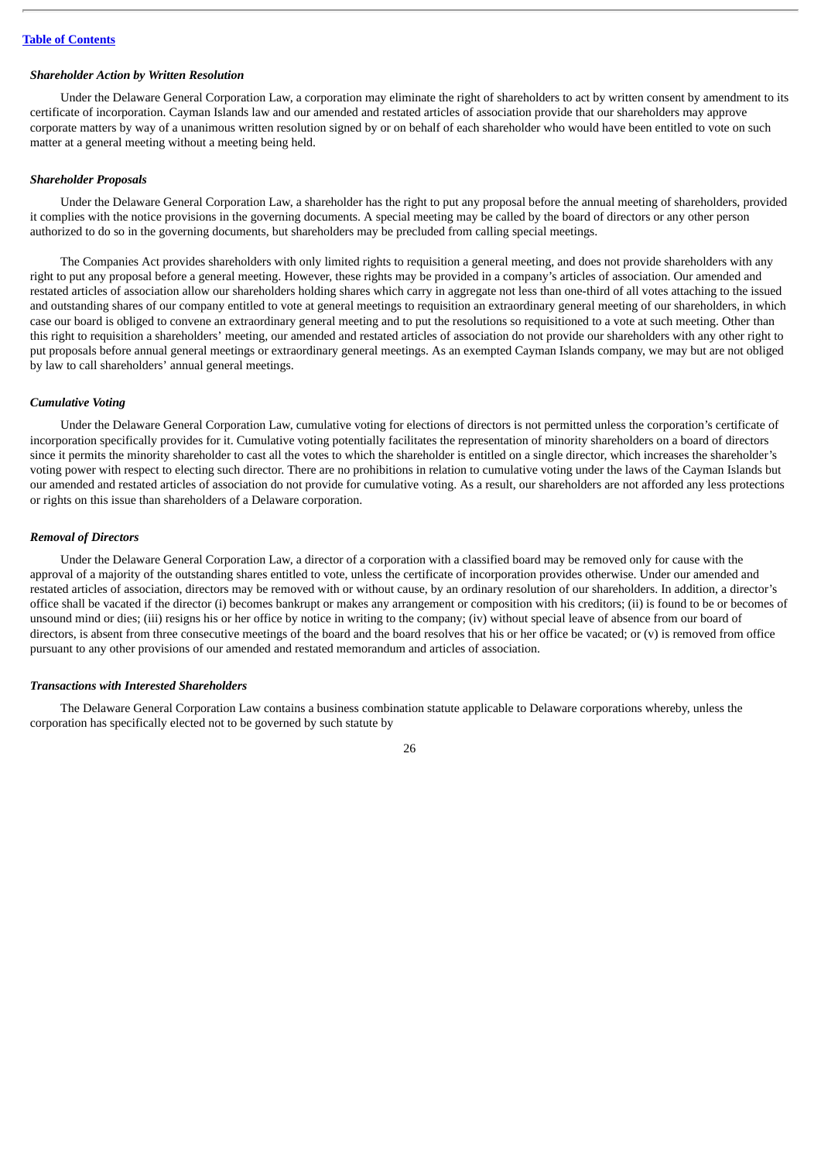#### *Shareholder Action by Written Resolution*

Under the Delaware General Corporation Law, a corporation may eliminate the right of shareholders to act by written consent by amendment to its certificate of incorporation. Cayman Islands law and our amended and restated articles of association provide that our shareholders may approve corporate matters by way of a unanimous written resolution signed by or on behalf of each shareholder who would have been entitled to vote on such matter at a general meeting without a meeting being held.

#### *Shareholder Proposals*

Under the Delaware General Corporation Law, a shareholder has the right to put any proposal before the annual meeting of shareholders, provided it complies with the notice provisions in the governing documents. A special meeting may be called by the board of directors or any other person authorized to do so in the governing documents, but shareholders may be precluded from calling special meetings.

The Companies Act provides shareholders with only limited rights to requisition a general meeting, and does not provide shareholders with any right to put any proposal before a general meeting. However, these rights may be provided in a company's articles of association. Our amended and restated articles of association allow our shareholders holding shares which carry in aggregate not less than one-third of all votes attaching to the issued and outstanding shares of our company entitled to vote at general meetings to requisition an extraordinary general meeting of our shareholders, in which case our board is obliged to convene an extraordinary general meeting and to put the resolutions so requisitioned to a vote at such meeting. Other than this right to requisition a shareholders' meeting, our amended and restated articles of association do not provide our shareholders with any other right to put proposals before annual general meetings or extraordinary general meetings. As an exempted Cayman Islands company, we may but are not obliged by law to call shareholders' annual general meetings.

# *Cumulative Voting*

Under the Delaware General Corporation Law, cumulative voting for elections of directors is not permitted unless the corporation's certificate of incorporation specifically provides for it. Cumulative voting potentially facilitates the representation of minority shareholders on a board of directors since it permits the minority shareholder to cast all the votes to which the shareholder is entitled on a single director, which increases the shareholder's voting power with respect to electing such director. There are no prohibitions in relation to cumulative voting under the laws of the Cayman Islands but our amended and restated articles of association do not provide for cumulative voting. As a result, our shareholders are not afforded any less protections or rights on this issue than shareholders of a Delaware corporation.

#### *Removal of Directors*

Under the Delaware General Corporation Law, a director of a corporation with a classified board may be removed only for cause with the approval of a majority of the outstanding shares entitled to vote, unless the certificate of incorporation provides otherwise. Under our amended and restated articles of association, directors may be removed with or without cause, by an ordinary resolution of our shareholders. In addition, a director's office shall be vacated if the director (i) becomes bankrupt or makes any arrangement or composition with his creditors; (ii) is found to be or becomes of unsound mind or dies; (iii) resigns his or her office by notice in writing to the company; (iv) without special leave of absence from our board of directors, is absent from three consecutive meetings of the board and the board resolves that his or her office be vacated; or (v) is removed from office pursuant to any other provisions of our amended and restated memorandum and articles of association.

# *Transactions with Interested Shareholders*

The Delaware General Corporation Law contains a business combination statute applicable to Delaware corporations whereby, unless the corporation has specifically elected not to be governed by such statute by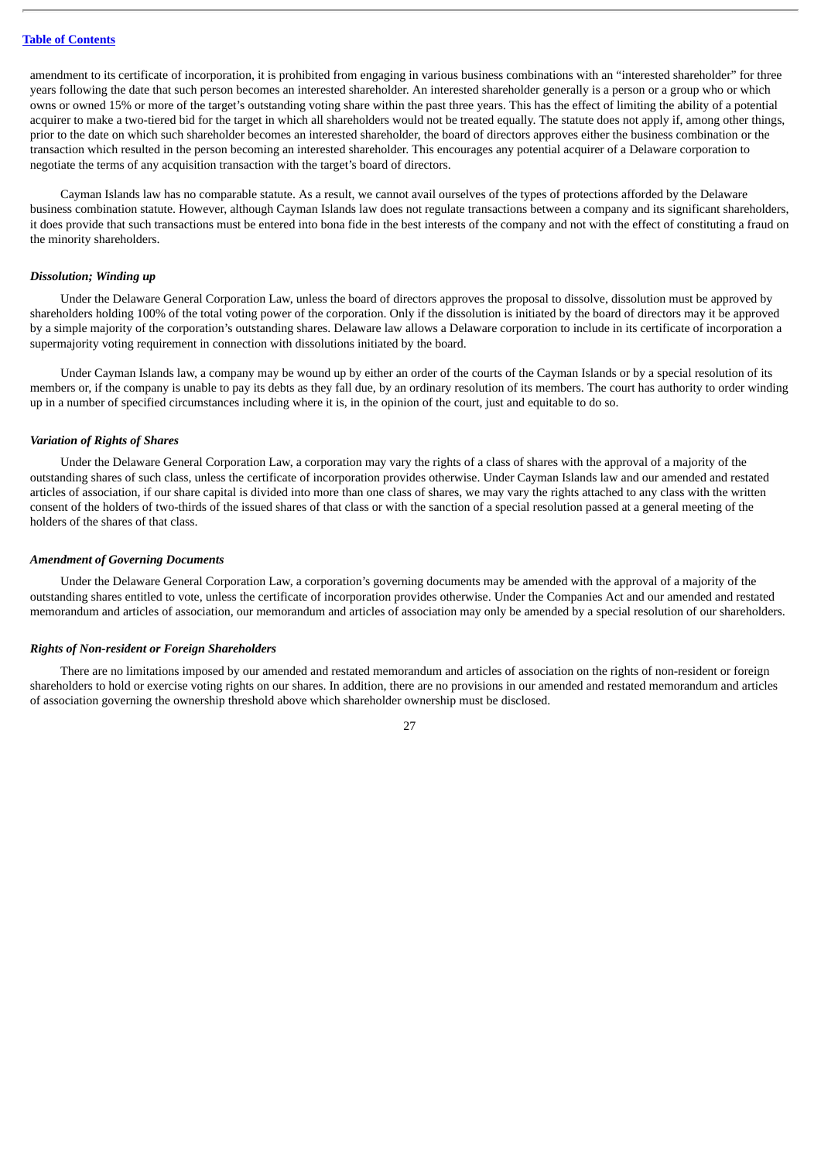amendment to its certificate of incorporation, it is prohibited from engaging in various business combinations with an "interested shareholder" for three years following the date that such person becomes an interested shareholder. An interested shareholder generally is a person or a group who or which owns or owned 15% or more of the target's outstanding voting share within the past three years. This has the effect of limiting the ability of a potential acquirer to make a two-tiered bid for the target in which all shareholders would not be treated equally. The statute does not apply if, among other things, prior to the date on which such shareholder becomes an interested shareholder, the board of directors approves either the business combination or the transaction which resulted in the person becoming an interested shareholder. This encourages any potential acquirer of a Delaware corporation to negotiate the terms of any acquisition transaction with the target's board of directors.

Cayman Islands law has no comparable statute. As a result, we cannot avail ourselves of the types of protections afforded by the Delaware business combination statute. However, although Cayman Islands law does not regulate transactions between a company and its significant shareholders, it does provide that such transactions must be entered into bona fide in the best interests of the company and not with the effect of constituting a fraud on the minority shareholders.

#### *Dissolution; Winding up*

Under the Delaware General Corporation Law, unless the board of directors approves the proposal to dissolve, dissolution must be approved by shareholders holding 100% of the total voting power of the corporation. Only if the dissolution is initiated by the board of directors may it be approved by a simple majority of the corporation's outstanding shares. Delaware law allows a Delaware corporation to include in its certificate of incorporation a supermajority voting requirement in connection with dissolutions initiated by the board.

Under Cayman Islands law, a company may be wound up by either an order of the courts of the Cayman Islands or by a special resolution of its members or, if the company is unable to pay its debts as they fall due, by an ordinary resolution of its members. The court has authority to order winding up in a number of specified circumstances including where it is, in the opinion of the court, just and equitable to do so.

#### *Variation of Rights of Shares*

Under the Delaware General Corporation Law, a corporation may vary the rights of a class of shares with the approval of a majority of the outstanding shares of such class, unless the certificate of incorporation provides otherwise. Under Cayman Islands law and our amended and restated articles of association, if our share capital is divided into more than one class of shares, we may vary the rights attached to any class with the written consent of the holders of two-thirds of the issued shares of that class or with the sanction of a special resolution passed at a general meeting of the holders of the shares of that class.

## *Amendment of Governing Documents*

Under the Delaware General Corporation Law, a corporation's governing documents may be amended with the approval of a majority of the outstanding shares entitled to vote, unless the certificate of incorporation provides otherwise. Under the Companies Act and our amended and restated memorandum and articles of association, our memorandum and articles of association may only be amended by a special resolution of our shareholders.

# *Rights of Non-resident or Foreign Shareholders*

There are no limitations imposed by our amended and restated memorandum and articles of association on the rights of non-resident or foreign shareholders to hold or exercise voting rights on our shares. In addition, there are no provisions in our amended and restated memorandum and articles of association governing the ownership threshold above which shareholder ownership must be disclosed.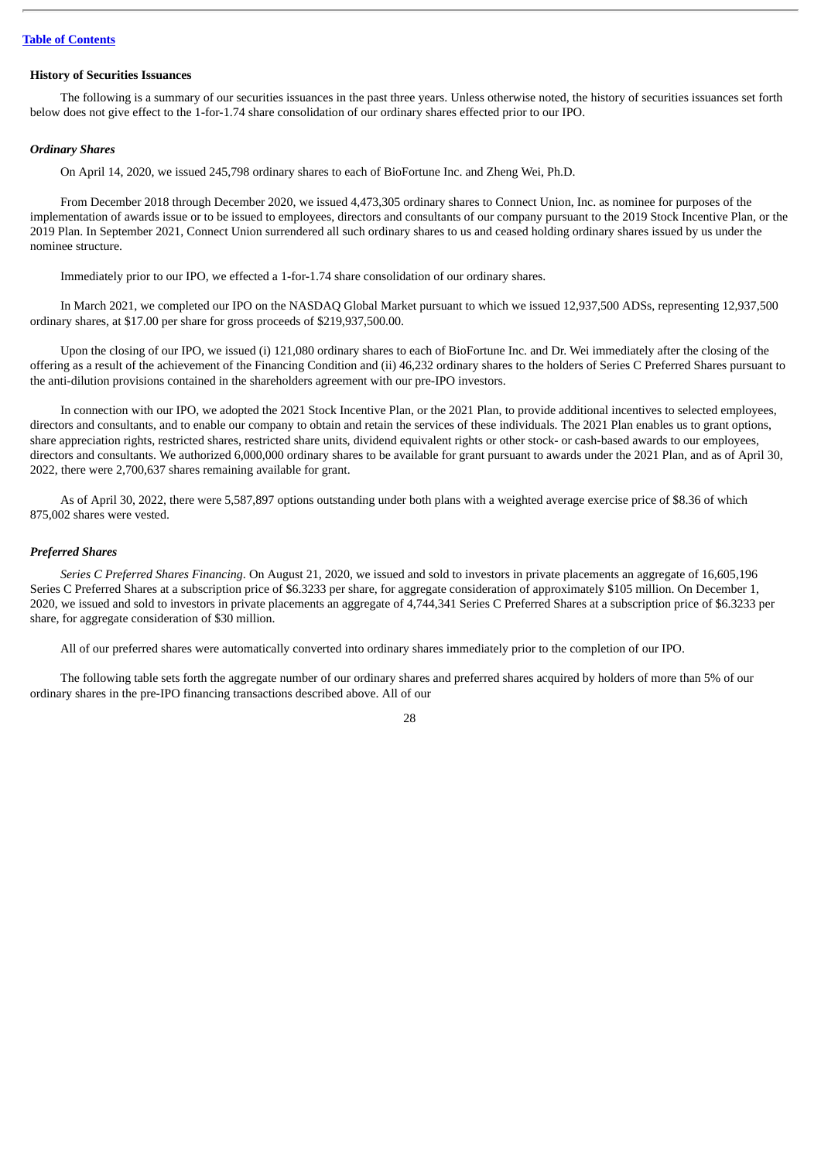# **History of Securities Issuances**

The following is a summary of our securities issuances in the past three years. Unless otherwise noted, the history of securities issuances set forth below does not give effect to the 1-for-1.74 share consolidation of our ordinary shares effected prior to our IPO.

#### *Ordinary Shares*

On April 14, 2020, we issued 245,798 ordinary shares to each of BioFortune Inc. and Zheng Wei, Ph.D.

From December 2018 through December 2020, we issued 4,473,305 ordinary shares to Connect Union, Inc. as nominee for purposes of the implementation of awards issue or to be issued to employees, directors and consultants of our company pursuant to the 2019 Stock Incentive Plan, or the 2019 Plan. In September 2021, Connect Union surrendered all such ordinary shares to us and ceased holding ordinary shares issued by us under the nominee structure.

Immediately prior to our IPO, we effected a 1-for-1.74 share consolidation of our ordinary shares.

In March 2021, we completed our IPO on the NASDAQ Global Market pursuant to which we issued 12,937,500 ADSs, representing 12,937,500 ordinary shares, at \$17.00 per share for gross proceeds of \$219,937,500.00.

Upon the closing of our IPO, we issued (i) 121,080 ordinary shares to each of BioFortune Inc. and Dr. Wei immediately after the closing of the offering as a result of the achievement of the Financing Condition and (ii) 46,232 ordinary shares to the holders of Series C Preferred Shares pursuant to the anti-dilution provisions contained in the shareholders agreement with our pre-IPO investors.

In connection with our IPO, we adopted the 2021 Stock Incentive Plan, or the 2021 Plan, to provide additional incentives to selected employees, directors and consultants, and to enable our company to obtain and retain the services of these individuals. The 2021 Plan enables us to grant options, share appreciation rights, restricted shares, restricted share units, dividend equivalent rights or other stock- or cash-based awards to our employees, directors and consultants. We authorized 6,000,000 ordinary shares to be available for grant pursuant to awards under the 2021 Plan, and as of April 30, 2022, there were 2,700,637 shares remaining available for grant.

As of April 30, 2022, there were 5,587,897 options outstanding under both plans with a weighted average exercise price of \$8.36 of which 875,002 shares were vested.

# *Preferred Shares*

*Series C Preferred Shares Financing*. On August 21, 2020, we issued and sold to investors in private placements an aggregate of 16,605,196 Series C Preferred Shares at a subscription price of \$6.3233 per share, for aggregate consideration of approximately \$105 million. On December 1, 2020, we issued and sold to investors in private placements an aggregate of 4,744,341 Series C Preferred Shares at a subscription price of \$6.3233 per share, for aggregate consideration of \$30 million.

All of our preferred shares were automatically converted into ordinary shares immediately prior to the completion of our IPO.

The following table sets forth the aggregate number of our ordinary shares and preferred shares acquired by holders of more than 5% of our ordinary shares in the pre-IPO financing transactions described above. All of our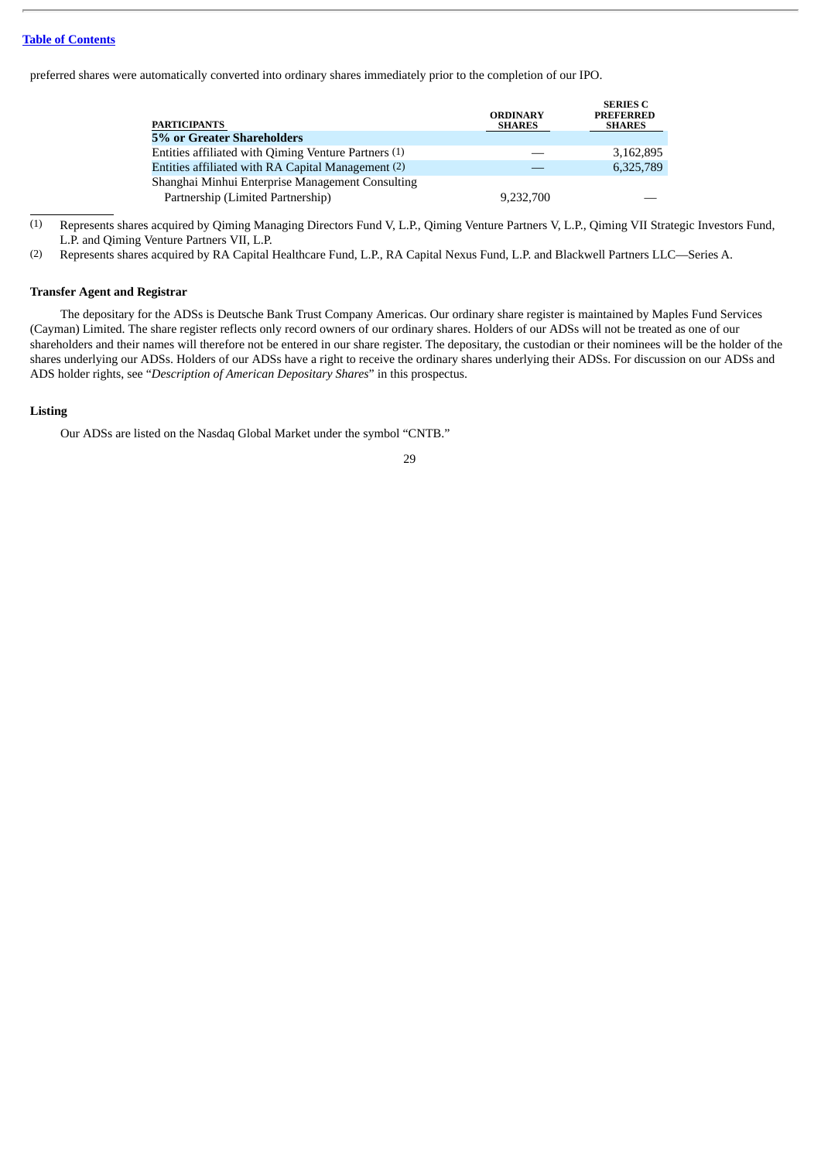preferred shares were automatically converted into ordinary shares immediately prior to the completion of our IPO.

| <b>PARTICIPANTS</b>                                  | <b>ORDINARY</b><br><b>SHARES</b> | <b>SERIES C</b><br><b>PREFERRED</b><br><b>SHARES</b> |
|------------------------------------------------------|----------------------------------|------------------------------------------------------|
| 5% or Greater Shareholders                           |                                  |                                                      |
| Entities affiliated with Qiming Venture Partners (1) |                                  | 3,162,895                                            |
| Entities affiliated with RA Capital Management (2)   |                                  | 6,325,789                                            |
| Shanghai Minhui Enterprise Management Consulting     |                                  |                                                      |
| Partnership (Limited Partnership)                    | 9,232,700                        |                                                      |

(1) Represents shares acquired by Qiming Managing Directors Fund V, L.P., Qiming Venture Partners V, L.P., Qiming VII Strategic Investors Fund, L.P. and Qiming Venture Partners VII, L.P.

(2) Represents shares acquired by RA Capital Healthcare Fund, L.P., RA Capital Nexus Fund, L.P. and Blackwell Partners LLC—Series A.

# **Transfer Agent and Registrar**

The depositary for the ADSs is Deutsche Bank Trust Company Americas. Our ordinary share register is maintained by Maples Fund Services (Cayman) Limited. The share register reflects only record owners of our ordinary shares. Holders of our ADSs will not be treated as one of our shareholders and their names will therefore not be entered in our share register. The depositary, the custodian or their nominees will be the holder of the shares underlying our ADSs. Holders of our ADSs have a right to receive the ordinary shares underlying their ADSs. For discussion on our ADSs and ADS holder rights, see "*Description of American Depositary Shares*" in this prospectus.

### **Listing**

Our ADSs are listed on the Nasdaq Global Market under the symbol "CNTB."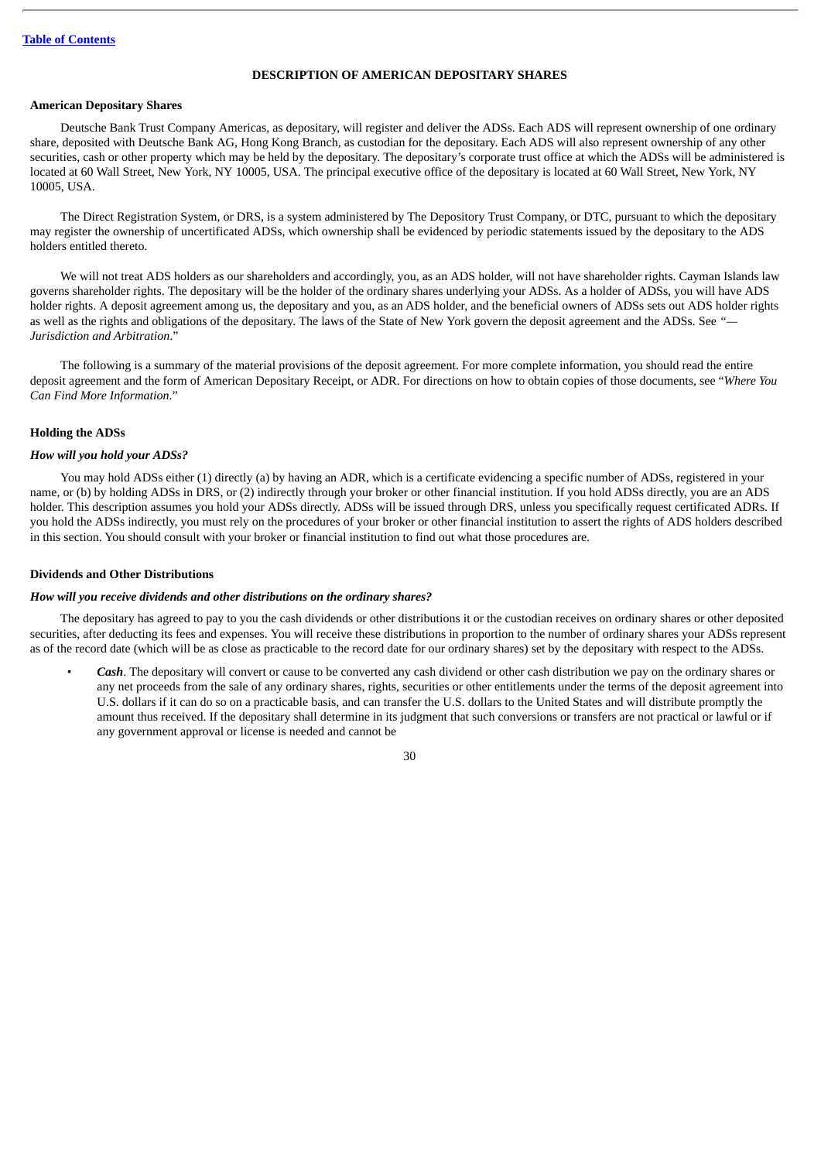# **DESCRIPTION OF AMERICAN DEPOSITARY SHARES**

# <span id="page-34-0"></span>**American Depositary Shares**

Deutsche Bank Trust Company Americas, as depositary, will register and deliver the ADSs. Each ADS will represent ownership of one ordinary share, deposited with Deutsche Bank AG, Hong Kong Branch, as custodian for the depositary. Each ADS will also represent ownership of any other securities, cash or other property which may be held by the depositary. The depositary's corporate trust office at which the ADSs will be administered is located at 60 Wall Street, New York, NY 10005, USA. The principal executive office of the depositary is located at 60 Wall Street, New York, NY 10005, USA.

The Direct Registration System, or DRS, is a system administered by The Depository Trust Company, or DTC, pursuant to which the depositary may register the ownership of uncertificated ADSs, which ownership shall be evidenced by periodic statements issued by the depositary to the ADS holders entitled thereto.

We will not treat ADS holders as our shareholders and accordingly, you, as an ADS holder, will not have shareholder rights. Cayman Islands law governs shareholder rights. The depositary will be the holder of the ordinary shares underlying your ADSs. As a holder of ADSs, you will have ADS holder rights. A deposit agreement among us, the depositary and you, as an ADS holder, and the beneficial owners of ADSs sets out ADS holder rights as well as the rights and obligations of the depositary. The laws of the State of New York govern the deposit agreement and the ADSs. See *"— Jurisdiction and Arbitration*."

The following is a summary of the material provisions of the deposit agreement. For more complete information, you should read the entire deposit agreement and the form of American Depositary Receipt, or ADR. For directions on how to obtain copies of those documents, see "*Where You Can Find More Information*."

# **Holding the ADSs**

#### *How will you hold your ADSs?*

You may hold ADSs either (1) directly (a) by having an ADR, which is a certificate evidencing a specific number of ADSs, registered in your name, or (b) by holding ADSs in DRS, or (2) indirectly through your broker or other financial institution. If you hold ADSs directly, you are an ADS holder. This description assumes you hold your ADSs directly. ADSs will be issued through DRS, unless you specifically request certificated ADRs. If you hold the ADSs indirectly, you must rely on the procedures of your broker or other financial institution to assert the rights of ADS holders described in this section. You should consult with your broker or financial institution to find out what those procedures are.

#### **Dividends and Other Distributions**

#### *How will you receive dividends and other distributions on the ordinary shares?*

The depositary has agreed to pay to you the cash dividends or other distributions it or the custodian receives on ordinary shares or other deposited securities, after deducting its fees and expenses. You will receive these distributions in proportion to the number of ordinary shares your ADSs represent as of the record date (which will be as close as practicable to the record date for our ordinary shares) set by the depositary with respect to the ADSs.

• *Cash*. The depositary will convert or cause to be converted any cash dividend or other cash distribution we pay on the ordinary shares or any net proceeds from the sale of any ordinary shares, rights, securities or other entitlements under the terms of the deposit agreement into U.S. dollars if it can do so on a practicable basis, and can transfer the U.S. dollars to the United States and will distribute promptly the amount thus received. If the depositary shall determine in its judgment that such conversions or transfers are not practical or lawful or if any government approval or license is needed and cannot be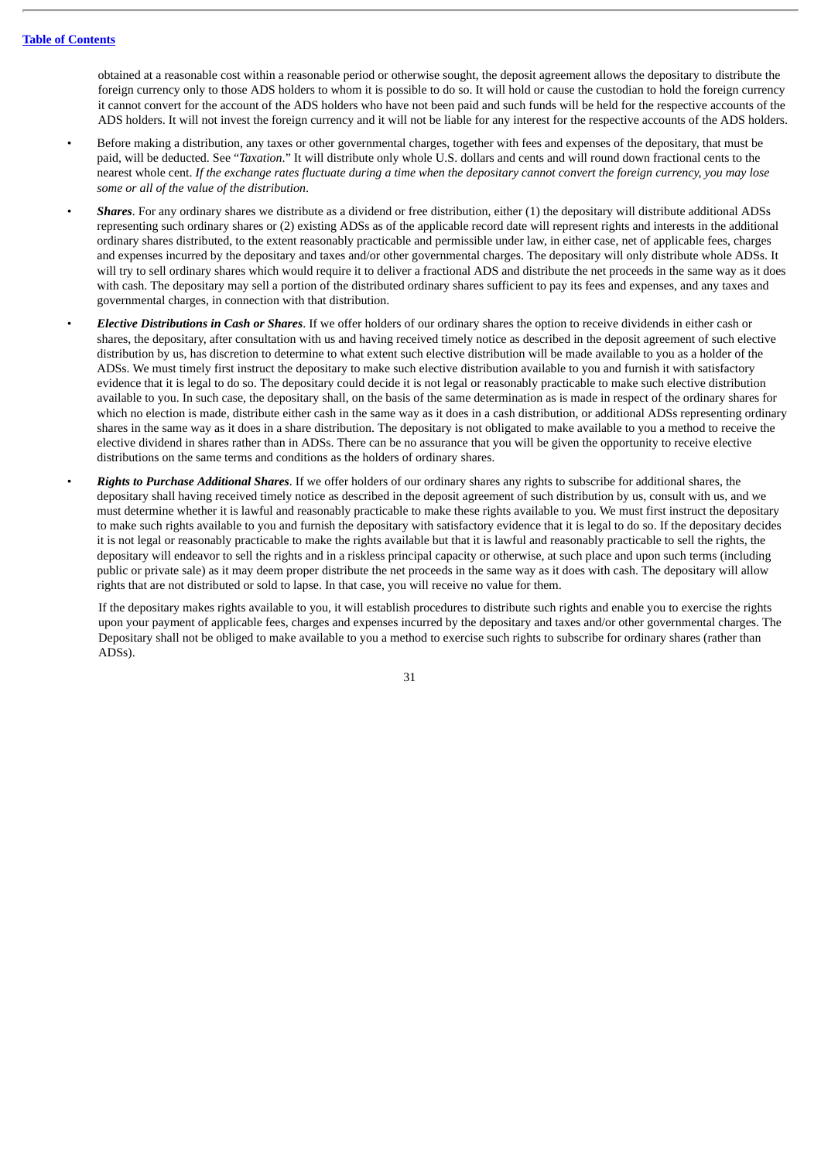obtained at a reasonable cost within a reasonable period or otherwise sought, the deposit agreement allows the depositary to distribute the foreign currency only to those ADS holders to whom it is possible to do so. It will hold or cause the custodian to hold the foreign currency it cannot convert for the account of the ADS holders who have not been paid and such funds will be held for the respective accounts of the ADS holders. It will not invest the foreign currency and it will not be liable for any interest for the respective accounts of the ADS holders.

- Before making a distribution, any taxes or other governmental charges, together with fees and expenses of the depositary, that must be paid, will be deducted. See "*Taxation*." It will distribute only whole U.S. dollars and cents and will round down fractional cents to the nearest whole cent. If the exchange rates fluctuate during a time when the depositary cannot convert the foreign currency, you may lose *some or all of the value of the distribution*.
- *Shares*. For any ordinary shares we distribute as a dividend or free distribution, either (1) the depositary will distribute additional ADSs representing such ordinary shares or (2) existing ADSs as of the applicable record date will represent rights and interests in the additional ordinary shares distributed, to the extent reasonably practicable and permissible under law, in either case, net of applicable fees, charges and expenses incurred by the depositary and taxes and/or other governmental charges. The depositary will only distribute whole ADSs. It will try to sell ordinary shares which would require it to deliver a fractional ADS and distribute the net proceeds in the same way as it does with cash. The depositary may sell a portion of the distributed ordinary shares sufficient to pay its fees and expenses, and any taxes and governmental charges, in connection with that distribution.
- *Elective Distributions in Cash or Shares*. If we offer holders of our ordinary shares the option to receive dividends in either cash or shares, the depositary, after consultation with us and having received timely notice as described in the deposit agreement of such elective distribution by us, has discretion to determine to what extent such elective distribution will be made available to you as a holder of the ADSs. We must timely first instruct the depositary to make such elective distribution available to you and furnish it with satisfactory evidence that it is legal to do so. The depositary could decide it is not legal or reasonably practicable to make such elective distribution available to you. In such case, the depositary shall, on the basis of the same determination as is made in respect of the ordinary shares for which no election is made, distribute either cash in the same way as it does in a cash distribution, or additional ADSs representing ordinary shares in the same way as it does in a share distribution. The depositary is not obligated to make available to you a method to receive the elective dividend in shares rather than in ADSs. There can be no assurance that you will be given the opportunity to receive elective distributions on the same terms and conditions as the holders of ordinary shares.
- *Rights to Purchase Additional Shares*. If we offer holders of our ordinary shares any rights to subscribe for additional shares, the depositary shall having received timely notice as described in the deposit agreement of such distribution by us, consult with us, and we must determine whether it is lawful and reasonably practicable to make these rights available to you. We must first instruct the depositary to make such rights available to you and furnish the depositary with satisfactory evidence that it is legal to do so. If the depositary decides it is not legal or reasonably practicable to make the rights available but that it is lawful and reasonably practicable to sell the rights, the depositary will endeavor to sell the rights and in a riskless principal capacity or otherwise, at such place and upon such terms (including public or private sale) as it may deem proper distribute the net proceeds in the same way as it does with cash. The depositary will allow rights that are not distributed or sold to lapse. In that case, you will receive no value for them.

If the depositary makes rights available to you, it will establish procedures to distribute such rights and enable you to exercise the rights upon your payment of applicable fees, charges and expenses incurred by the depositary and taxes and/or other governmental charges. The Depositary shall not be obliged to make available to you a method to exercise such rights to subscribe for ordinary shares (rather than ADSs).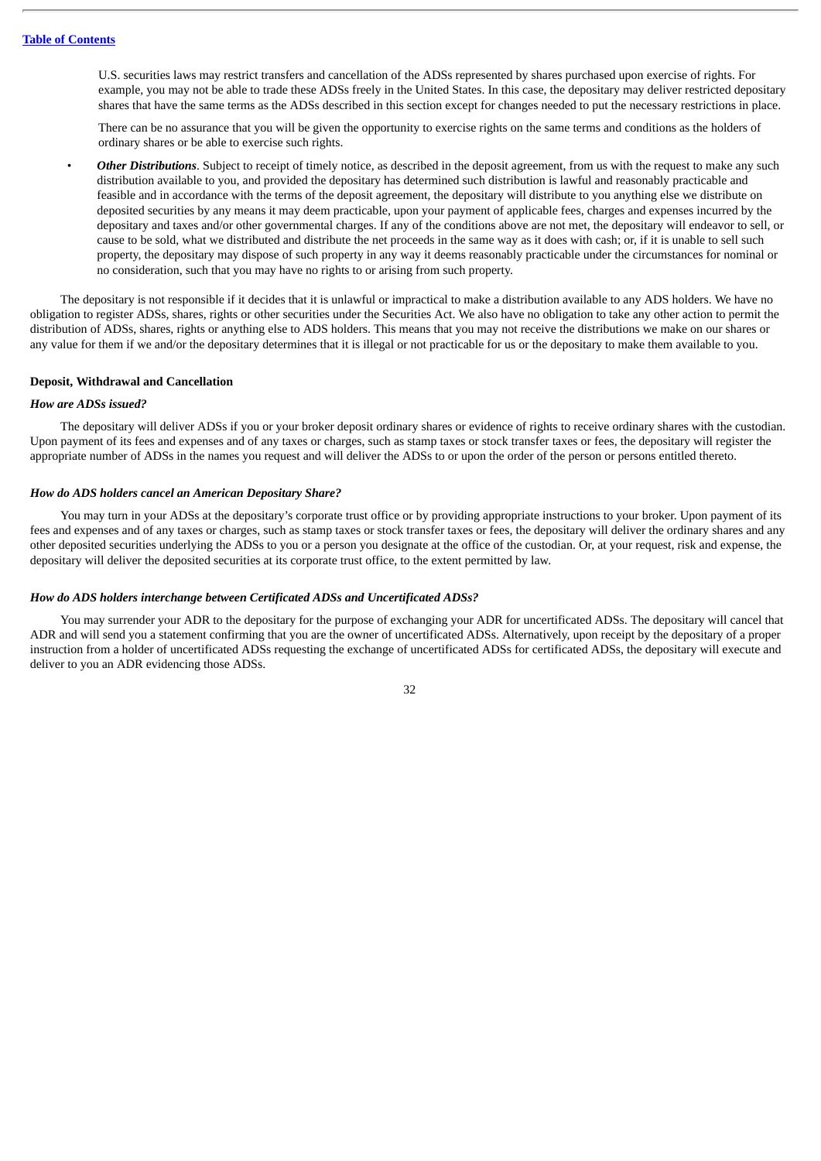U.S. securities laws may restrict transfers and cancellation of the ADSs represented by shares purchased upon exercise of rights. For example, you may not be able to trade these ADSs freely in the United States. In this case, the depositary may deliver restricted depositary shares that have the same terms as the ADSs described in this section except for changes needed to put the necessary restrictions in place.

There can be no assurance that you will be given the opportunity to exercise rights on the same terms and conditions as the holders of ordinary shares or be able to exercise such rights.

• *Other Distributions*. Subject to receipt of timely notice, as described in the deposit agreement, from us with the request to make any such distribution available to you, and provided the depositary has determined such distribution is lawful and reasonably practicable and feasible and in accordance with the terms of the deposit agreement, the depositary will distribute to you anything else we distribute on deposited securities by any means it may deem practicable, upon your payment of applicable fees, charges and expenses incurred by the depositary and taxes and/or other governmental charges. If any of the conditions above are not met, the depositary will endeavor to sell, or cause to be sold, what we distributed and distribute the net proceeds in the same way as it does with cash; or, if it is unable to sell such property, the depositary may dispose of such property in any way it deems reasonably practicable under the circumstances for nominal or no consideration, such that you may have no rights to or arising from such property.

The depositary is not responsible if it decides that it is unlawful or impractical to make a distribution available to any ADS holders. We have no obligation to register ADSs, shares, rights or other securities under the Securities Act. We also have no obligation to take any other action to permit the distribution of ADSs, shares, rights or anything else to ADS holders. This means that you may not receive the distributions we make on our shares or any value for them if we and/or the depositary determines that it is illegal or not practicable for us or the depositary to make them available to you.

#### **Deposit, Withdrawal and Cancellation**

## *How are ADSs issued?*

The depositary will deliver ADSs if you or your broker deposit ordinary shares or evidence of rights to receive ordinary shares with the custodian. Upon payment of its fees and expenses and of any taxes or charges, such as stamp taxes or stock transfer taxes or fees, the depositary will register the appropriate number of ADSs in the names you request and will deliver the ADSs to or upon the order of the person or persons entitled thereto.

## *How do ADS holders cancel an American Depositary Share?*

You may turn in your ADSs at the depositary's corporate trust office or by providing appropriate instructions to your broker. Upon payment of its fees and expenses and of any taxes or charges, such as stamp taxes or stock transfer taxes or fees, the depositary will deliver the ordinary shares and any other deposited securities underlying the ADSs to you or a person you designate at the office of the custodian. Or, at your request, risk and expense, the depositary will deliver the deposited securities at its corporate trust office, to the extent permitted by law.

## *How do ADS holders interchange between Certificated ADSs and Uncertificated ADSs?*

You may surrender your ADR to the depositary for the purpose of exchanging your ADR for uncertificated ADSs. The depositary will cancel that ADR and will send you a statement confirming that you are the owner of uncertificated ADSs. Alternatively, upon receipt by the depositary of a proper instruction from a holder of uncertificated ADSs requesting the exchange of uncertificated ADSs for certificated ADSs, the depositary will execute and deliver to you an ADR evidencing those ADSs.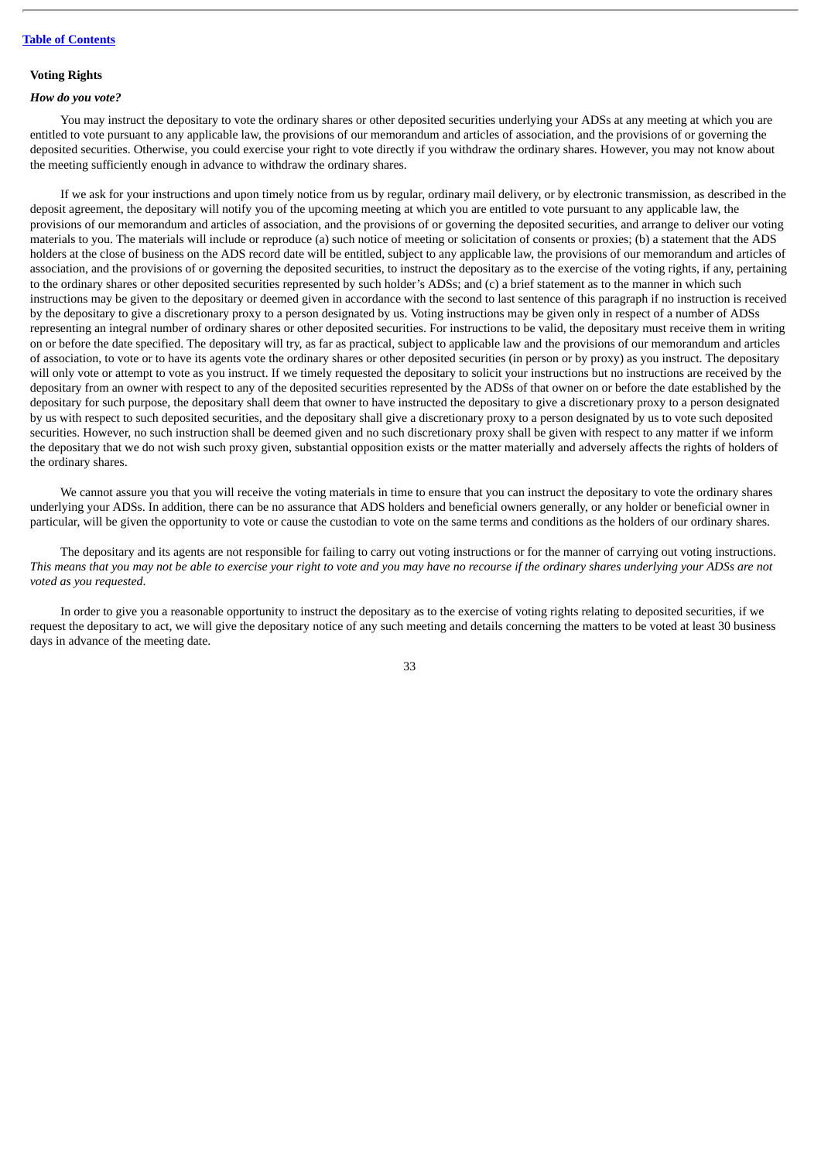## **Voting Rights**

## *How do you vote?*

You may instruct the depositary to vote the ordinary shares or other deposited securities underlying your ADSs at any meeting at which you are entitled to vote pursuant to any applicable law, the provisions of our memorandum and articles of association, and the provisions of or governing the deposited securities. Otherwise, you could exercise your right to vote directly if you withdraw the ordinary shares. However, you may not know about the meeting sufficiently enough in advance to withdraw the ordinary shares.

If we ask for your instructions and upon timely notice from us by regular, ordinary mail delivery, or by electronic transmission, as described in the deposit agreement, the depositary will notify you of the upcoming meeting at which you are entitled to vote pursuant to any applicable law, the provisions of our memorandum and articles of association, and the provisions of or governing the deposited securities, and arrange to deliver our voting materials to you. The materials will include or reproduce (a) such notice of meeting or solicitation of consents or proxies; (b) a statement that the ADS holders at the close of business on the ADS record date will be entitled, subject to any applicable law, the provisions of our memorandum and articles of association, and the provisions of or governing the deposited securities, to instruct the depositary as to the exercise of the voting rights, if any, pertaining to the ordinary shares or other deposited securities represented by such holder's ADSs; and (c) a brief statement as to the manner in which such instructions may be given to the depositary or deemed given in accordance with the second to last sentence of this paragraph if no instruction is received by the depositary to give a discretionary proxy to a person designated by us. Voting instructions may be given only in respect of a number of ADSs representing an integral number of ordinary shares or other deposited securities. For instructions to be valid, the depositary must receive them in writing on or before the date specified. The depositary will try, as far as practical, subject to applicable law and the provisions of our memorandum and articles of association, to vote or to have its agents vote the ordinary shares or other deposited securities (in person or by proxy) as you instruct. The depositary will only vote or attempt to vote as you instruct. If we timely requested the depositary to solicit your instructions but no instructions are received by the depositary from an owner with respect to any of the deposited securities represented by the ADSs of that owner on or before the date established by the depositary for such purpose, the depositary shall deem that owner to have instructed the depositary to give a discretionary proxy to a person designated by us with respect to such deposited securities, and the depositary shall give a discretionary proxy to a person designated by us to vote such deposited securities. However, no such instruction shall be deemed given and no such discretionary proxy shall be given with respect to any matter if we inform the depositary that we do not wish such proxy given, substantial opposition exists or the matter materially and adversely affects the rights of holders of the ordinary shares.

We cannot assure you that you will receive the voting materials in time to ensure that you can instruct the depositary to vote the ordinary shares underlying your ADSs. In addition, there can be no assurance that ADS holders and beneficial owners generally, or any holder or beneficial owner in particular, will be given the opportunity to vote or cause the custodian to vote on the same terms and conditions as the holders of our ordinary shares.

The depositary and its agents are not responsible for failing to carry out voting instructions or for the manner of carrying out voting instructions. This means that you may not be able to exercise your right to vote and you may have no recourse if the ordinary shares underlying your ADSs are not *voted as you requested*.

In order to give you a reasonable opportunity to instruct the depositary as to the exercise of voting rights relating to deposited securities, if we request the depositary to act, we will give the depositary notice of any such meeting and details concerning the matters to be voted at least 30 business days in advance of the meeting date.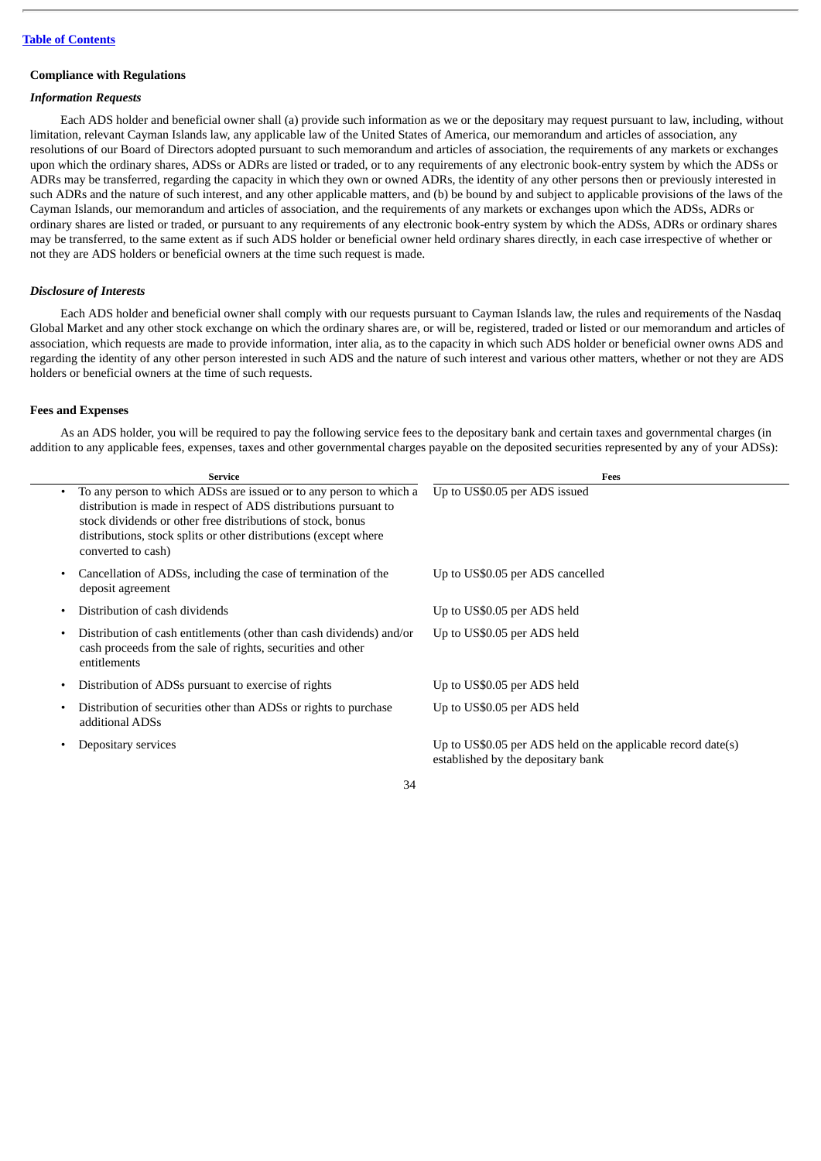## **Compliance with Regulations**

## *Information Requests*

Each ADS holder and beneficial owner shall (a) provide such information as we or the depositary may request pursuant to law, including, without limitation, relevant Cayman Islands law, any applicable law of the United States of America, our memorandum and articles of association, any resolutions of our Board of Directors adopted pursuant to such memorandum and articles of association, the requirements of any markets or exchanges upon which the ordinary shares, ADSs or ADRs are listed or traded, or to any requirements of any electronic book-entry system by which the ADSs or ADRs may be transferred, regarding the capacity in which they own or owned ADRs, the identity of any other persons then or previously interested in such ADRs and the nature of such interest, and any other applicable matters, and (b) be bound by and subject to applicable provisions of the laws of the Cayman Islands, our memorandum and articles of association, and the requirements of any markets or exchanges upon which the ADSs, ADRs or ordinary shares are listed or traded, or pursuant to any requirements of any electronic book-entry system by which the ADSs, ADRs or ordinary shares may be transferred, to the same extent as if such ADS holder or beneficial owner held ordinary shares directly, in each case irrespective of whether or not they are ADS holders or beneficial owners at the time such request is made.

## *Disclosure of Interests*

Each ADS holder and beneficial owner shall comply with our requests pursuant to Cayman Islands law, the rules and requirements of the Nasdaq Global Market and any other stock exchange on which the ordinary shares are, or will be, registered, traded or listed or our memorandum and articles of association, which requests are made to provide information, inter alia, as to the capacity in which such ADS holder or beneficial owner owns ADS and regarding the identity of any other person interested in such ADS and the nature of such interest and various other matters, whether or not they are ADS holders or beneficial owners at the time of such requests.

## **Fees and Expenses**

As an ADS holder, you will be required to pay the following service fees to the depositary bank and certain taxes and governmental charges (in addition to any applicable fees, expenses, taxes and other governmental charges payable on the deposited securities represented by any of your ADSs):

| <b>Service</b>                                                                                                                                                                                                                                                                                               | Fees                                                                                               |
|--------------------------------------------------------------------------------------------------------------------------------------------------------------------------------------------------------------------------------------------------------------------------------------------------------------|----------------------------------------------------------------------------------------------------|
| To any person to which ADSs are issued or to any person to which a<br>$\bullet$<br>distribution is made in respect of ADS distributions pursuant to<br>stock dividends or other free distributions of stock, bonus<br>distributions, stock splits or other distributions (except where<br>converted to cash) | Up to US\$0.05 per ADS issued                                                                      |
| Cancellation of ADSs, including the case of termination of the<br>$\bullet$<br>deposit agreement                                                                                                                                                                                                             | Up to US\$0.05 per ADS cancelled                                                                   |
| Distribution of cash dividends<br>$\bullet$                                                                                                                                                                                                                                                                  | Up to US\$0.05 per ADS held                                                                        |
| Distribution of cash entitlements (other than cash dividends) and/or<br>$\bullet$<br>cash proceeds from the sale of rights, securities and other<br>entitlements                                                                                                                                             | Up to US\$0.05 per ADS held                                                                        |
| Distribution of ADSs pursuant to exercise of rights<br>٠                                                                                                                                                                                                                                                     | Up to US\$0.05 per ADS held                                                                        |
| Distribution of securities other than ADSs or rights to purchase<br>$\bullet$<br>additional ADSs                                                                                                                                                                                                             | Up to US\$0.05 per ADS held                                                                        |
| Depositary services                                                                                                                                                                                                                                                                                          | Up to US\$0.05 per ADS held on the applicable record date(s)<br>established by the depositary bank |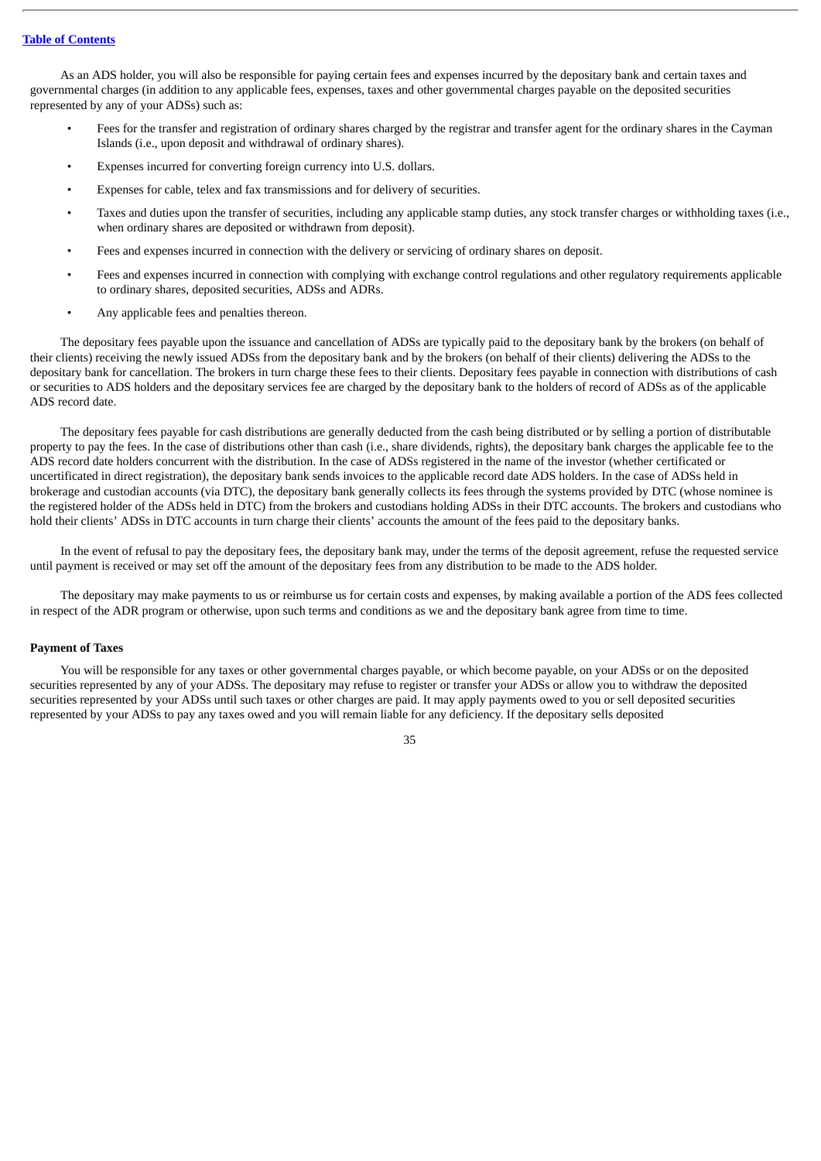As an ADS holder, you will also be responsible for paying certain fees and expenses incurred by the depositary bank and certain taxes and governmental charges (in addition to any applicable fees, expenses, taxes and other governmental charges payable on the deposited securities represented by any of your ADSs) such as:

- Fees for the transfer and registration of ordinary shares charged by the registrar and transfer agent for the ordinary shares in the Cayman Islands (i.e., upon deposit and withdrawal of ordinary shares).
- Expenses incurred for converting foreign currency into U.S. dollars.
- Expenses for cable, telex and fax transmissions and for delivery of securities.
- Taxes and duties upon the transfer of securities, including any applicable stamp duties, any stock transfer charges or withholding taxes (i.e., when ordinary shares are deposited or withdrawn from deposit).
- Fees and expenses incurred in connection with the delivery or servicing of ordinary shares on deposit.
- Fees and expenses incurred in connection with complying with exchange control regulations and other regulatory requirements applicable to ordinary shares, deposited securities, ADSs and ADRs.
- Any applicable fees and penalties thereon.

The depositary fees payable upon the issuance and cancellation of ADSs are typically paid to the depositary bank by the brokers (on behalf of their clients) receiving the newly issued ADSs from the depositary bank and by the brokers (on behalf of their clients) delivering the ADSs to the depositary bank for cancellation. The brokers in turn charge these fees to their clients. Depositary fees payable in connection with distributions of cash or securities to ADS holders and the depositary services fee are charged by the depositary bank to the holders of record of ADSs as of the applicable ADS record date.

The depositary fees payable for cash distributions are generally deducted from the cash being distributed or by selling a portion of distributable property to pay the fees. In the case of distributions other than cash (i.e., share dividends, rights), the depositary bank charges the applicable fee to the ADS record date holders concurrent with the distribution. In the case of ADSs registered in the name of the investor (whether certificated or uncertificated in direct registration), the depositary bank sends invoices to the applicable record date ADS holders. In the case of ADSs held in brokerage and custodian accounts (via DTC), the depositary bank generally collects its fees through the systems provided by DTC (whose nominee is the registered holder of the ADSs held in DTC) from the brokers and custodians holding ADSs in their DTC accounts. The brokers and custodians who hold their clients' ADSs in DTC accounts in turn charge their clients' accounts the amount of the fees paid to the depositary banks.

In the event of refusal to pay the depositary fees, the depositary bank may, under the terms of the deposit agreement, refuse the requested service until payment is received or may set off the amount of the depositary fees from any distribution to be made to the ADS holder.

The depositary may make payments to us or reimburse us for certain costs and expenses, by making available a portion of the ADS fees collected in respect of the ADR program or otherwise, upon such terms and conditions as we and the depositary bank agree from time to time.

## **Payment of Taxes**

You will be responsible for any taxes or other governmental charges payable, or which become payable, on your ADSs or on the deposited securities represented by any of your ADSs. The depositary may refuse to register or transfer your ADSs or allow you to withdraw the deposited securities represented by your ADSs until such taxes or other charges are paid. It may apply payments owed to you or sell deposited securities represented by your ADSs to pay any taxes owed and you will remain liable for any deficiency. If the depositary sells deposited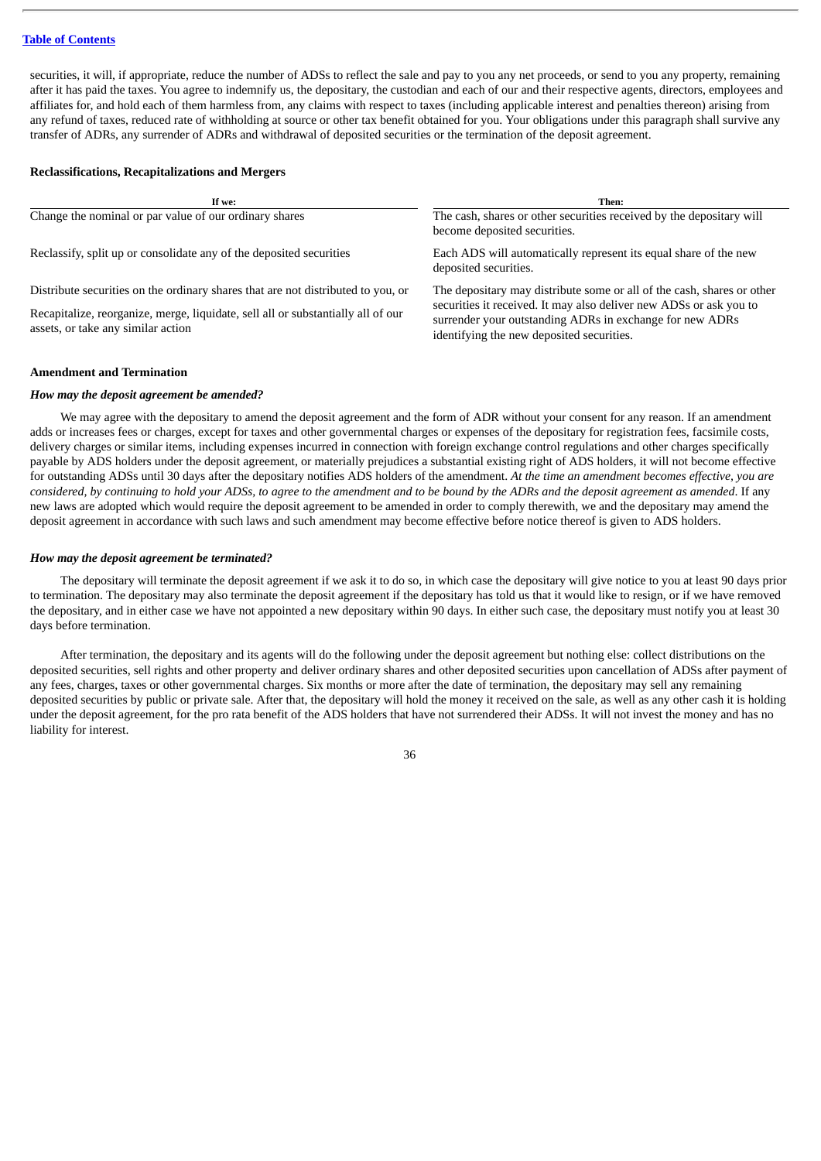securities, it will, if appropriate, reduce the number of ADSs to reflect the sale and pay to you any net proceeds, or send to you any property, remaining after it has paid the taxes. You agree to indemnify us, the depositary, the custodian and each of our and their respective agents, directors, employees and affiliates for, and hold each of them harmless from, any claims with respect to taxes (including applicable interest and penalties thereon) arising from any refund of taxes, reduced rate of withholding at source or other tax benefit obtained for you. Your obligations under this paragraph shall survive any transfer of ADRs, any surrender of ADRs and withdrawal of deposited securities or the termination of the deposit agreement.

## **Reclassifications, Recapitalizations and Mergers**

| If we:                                                                                                                 | Then:                                                                                                                                                                       |
|------------------------------------------------------------------------------------------------------------------------|-----------------------------------------------------------------------------------------------------------------------------------------------------------------------------|
| Change the nominal or par value of our ordinary shares                                                                 | The cash, shares or other securities received by the depositary will<br>become deposited securities.                                                                        |
| Reclassify, split up or consolidate any of the deposited securities                                                    | Each ADS will automatically represent its equal share of the new<br>deposited securities.                                                                                   |
| Distribute securities on the ordinary shares that are not distributed to you, or                                       | The depositary may distribute some or all of the cash, shares or other                                                                                                      |
| Recapitalize, reorganize, merge, liquidate, sell all or substantially all of our<br>assets, or take any similar action | securities it received. It may also deliver new ADSs or ask you to<br>surrender your outstanding ADRs in exchange for new ADRs<br>identifying the new deposited securities. |

## **Amendment and Termination**

## *How may the deposit agreement be amended?*

We may agree with the depositary to amend the deposit agreement and the form of ADR without your consent for any reason. If an amendment adds or increases fees or charges, except for taxes and other governmental charges or expenses of the depositary for registration fees, facsimile costs, delivery charges or similar items, including expenses incurred in connection with foreign exchange control regulations and other charges specifically payable by ADS holders under the deposit agreement, or materially prejudices a substantial existing right of ADS holders, it will not become effective for outstanding ADSs until 30 days after the depositary notifies ADS holders of the amendment. *At the time an amendment becomes effective, you are* considered, by continuing to hold your ADSs, to agree to the amendment and to be bound by the ADRs and the deposit agreement as amended. If any new laws are adopted which would require the deposit agreement to be amended in order to comply therewith, we and the depositary may amend the deposit agreement in accordance with such laws and such amendment may become effective before notice thereof is given to ADS holders.

## *How may the deposit agreement be terminated?*

The depositary will terminate the deposit agreement if we ask it to do so, in which case the depositary will give notice to you at least 90 days prior to termination. The depositary may also terminate the deposit agreement if the depositary has told us that it would like to resign, or if we have removed the depositary, and in either case we have not appointed a new depositary within 90 days. In either such case, the depositary must notify you at least 30 days before termination.

After termination, the depositary and its agents will do the following under the deposit agreement but nothing else: collect distributions on the deposited securities, sell rights and other property and deliver ordinary shares and other deposited securities upon cancellation of ADSs after payment of any fees, charges, taxes or other governmental charges. Six months or more after the date of termination, the depositary may sell any remaining deposited securities by public or private sale. After that, the depositary will hold the money it received on the sale, as well as any other cash it is holding under the deposit agreement, for the pro rata benefit of the ADS holders that have not surrendered their ADSs. It will not invest the money and has no liability for interest.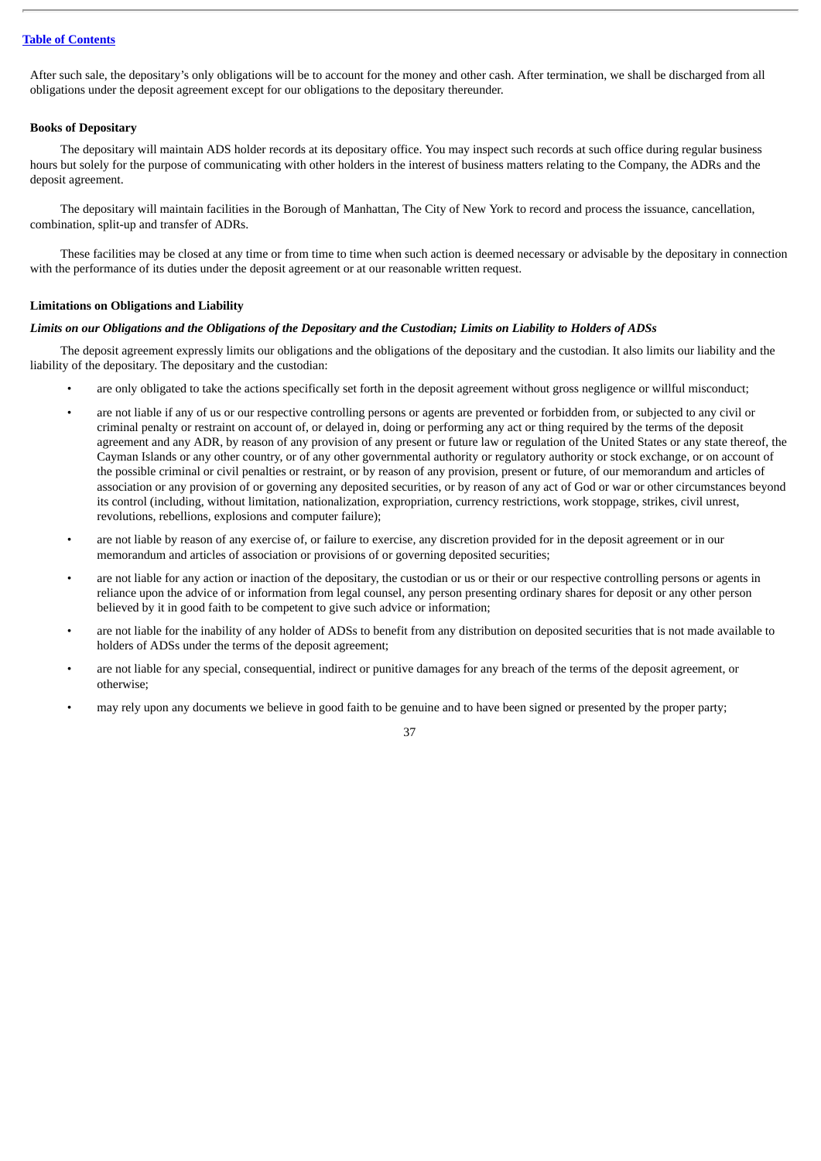After such sale, the depositary's only obligations will be to account for the money and other cash. After termination, we shall be discharged from all obligations under the deposit agreement except for our obligations to the depositary thereunder.

## **Books of Depositary**

The depositary will maintain ADS holder records at its depositary office. You may inspect such records at such office during regular business hours but solely for the purpose of communicating with other holders in the interest of business matters relating to the Company, the ADRs and the deposit agreement.

The depositary will maintain facilities in the Borough of Manhattan, The City of New York to record and process the issuance, cancellation, combination, split-up and transfer of ADRs.

These facilities may be closed at any time or from time to time when such action is deemed necessary or advisable by the depositary in connection with the performance of its duties under the deposit agreement or at our reasonable written request.

#### **Limitations on Obligations and Liability**

## Limits on our Obligations and the Obligations of the Depositary and the Custodian; Limits on Liability to Holders of ADSs

The deposit agreement expressly limits our obligations and the obligations of the depositary and the custodian. It also limits our liability and the liability of the depositary. The depositary and the custodian:

- are only obligated to take the actions specifically set forth in the deposit agreement without gross negligence or willful misconduct;
- are not liable if any of us or our respective controlling persons or agents are prevented or forbidden from, or subjected to any civil or criminal penalty or restraint on account of, or delayed in, doing or performing any act or thing required by the terms of the deposit agreement and any ADR, by reason of any provision of any present or future law or regulation of the United States or any state thereof, the Cayman Islands or any other country, or of any other governmental authority or regulatory authority or stock exchange, or on account of the possible criminal or civil penalties or restraint, or by reason of any provision, present or future, of our memorandum and articles of association or any provision of or governing any deposited securities, or by reason of any act of God or war or other circumstances beyond its control (including, without limitation, nationalization, expropriation, currency restrictions, work stoppage, strikes, civil unrest, revolutions, rebellions, explosions and computer failure);
- are not liable by reason of any exercise of, or failure to exercise, any discretion provided for in the deposit agreement or in our memorandum and articles of association or provisions of or governing deposited securities;
- are not liable for any action or inaction of the depositary, the custodian or us or their or our respective controlling persons or agents in reliance upon the advice of or information from legal counsel, any person presenting ordinary shares for deposit or any other person believed by it in good faith to be competent to give such advice or information;
- are not liable for the inability of any holder of ADSs to benefit from any distribution on deposited securities that is not made available to holders of ADSs under the terms of the deposit agreement;
- are not liable for any special, consequential, indirect or punitive damages for any breach of the terms of the deposit agreement, or otherwise;
- may rely upon any documents we believe in good faith to be genuine and to have been signed or presented by the proper party;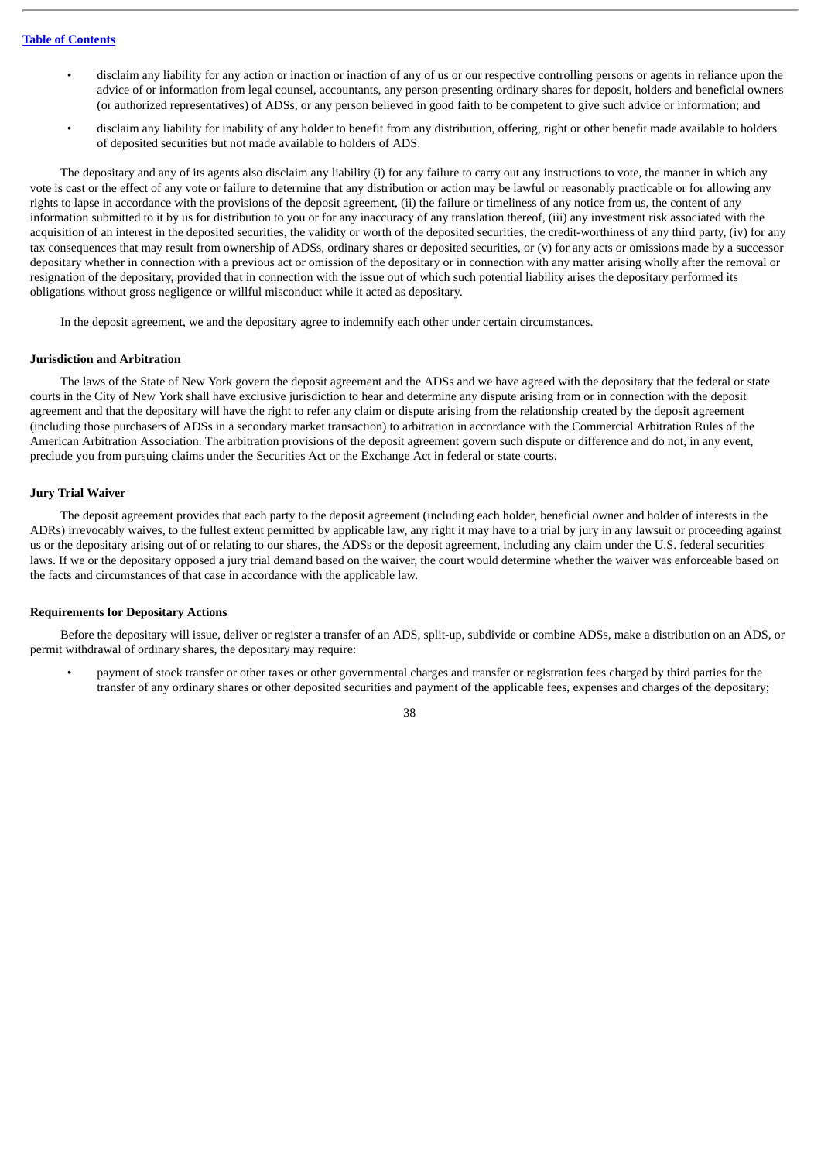- disclaim any liability for any action or inaction or inaction of any of us or our respective controlling persons or agents in reliance upon the advice of or information from legal counsel, accountants, any person presenting ordinary shares for deposit, holders and beneficial owners (or authorized representatives) of ADSs, or any person believed in good faith to be competent to give such advice or information; and
- disclaim any liability for inability of any holder to benefit from any distribution, offering, right or other benefit made available to holders of deposited securities but not made available to holders of ADS.

The depositary and any of its agents also disclaim any liability (i) for any failure to carry out any instructions to vote, the manner in which any vote is cast or the effect of any vote or failure to determine that any distribution or action may be lawful or reasonably practicable or for allowing any rights to lapse in accordance with the provisions of the deposit agreement, (ii) the failure or timeliness of any notice from us, the content of any information submitted to it by us for distribution to you or for any inaccuracy of any translation thereof, (iii) any investment risk associated with the acquisition of an interest in the deposited securities, the validity or worth of the deposited securities, the credit-worthiness of any third party, (iv) for any tax consequences that may result from ownership of ADSs, ordinary shares or deposited securities, or (v) for any acts or omissions made by a successor depositary whether in connection with a previous act or omission of the depositary or in connection with any matter arising wholly after the removal or resignation of the depositary, provided that in connection with the issue out of which such potential liability arises the depositary performed its obligations without gross negligence or willful misconduct while it acted as depositary.

In the deposit agreement, we and the depositary agree to indemnify each other under certain circumstances.

#### **Jurisdiction and Arbitration**

The laws of the State of New York govern the deposit agreement and the ADSs and we have agreed with the depositary that the federal or state courts in the City of New York shall have exclusive jurisdiction to hear and determine any dispute arising from or in connection with the deposit agreement and that the depositary will have the right to refer any claim or dispute arising from the relationship created by the deposit agreement (including those purchasers of ADSs in a secondary market transaction) to arbitration in accordance with the Commercial Arbitration Rules of the American Arbitration Association. The arbitration provisions of the deposit agreement govern such dispute or difference and do not, in any event, preclude you from pursuing claims under the Securities Act or the Exchange Act in federal or state courts.

#### **Jury Trial Waiver**

The deposit agreement provides that each party to the deposit agreement (including each holder, beneficial owner and holder of interests in the ADRs) irrevocably waives, to the fullest extent permitted by applicable law, any right it may have to a trial by jury in any lawsuit or proceeding against us or the depositary arising out of or relating to our shares, the ADSs or the deposit agreement, including any claim under the U.S. federal securities laws. If we or the depositary opposed a jury trial demand based on the waiver, the court would determine whether the waiver was enforceable based on the facts and circumstances of that case in accordance with the applicable law.

## **Requirements for Depositary Actions**

Before the depositary will issue, deliver or register a transfer of an ADS, split-up, subdivide or combine ADSs, make a distribution on an ADS, or permit withdrawal of ordinary shares, the depositary may require:

• payment of stock transfer or other taxes or other governmental charges and transfer or registration fees charged by third parties for the transfer of any ordinary shares or other deposited securities and payment of the applicable fees, expenses and charges of the depositary;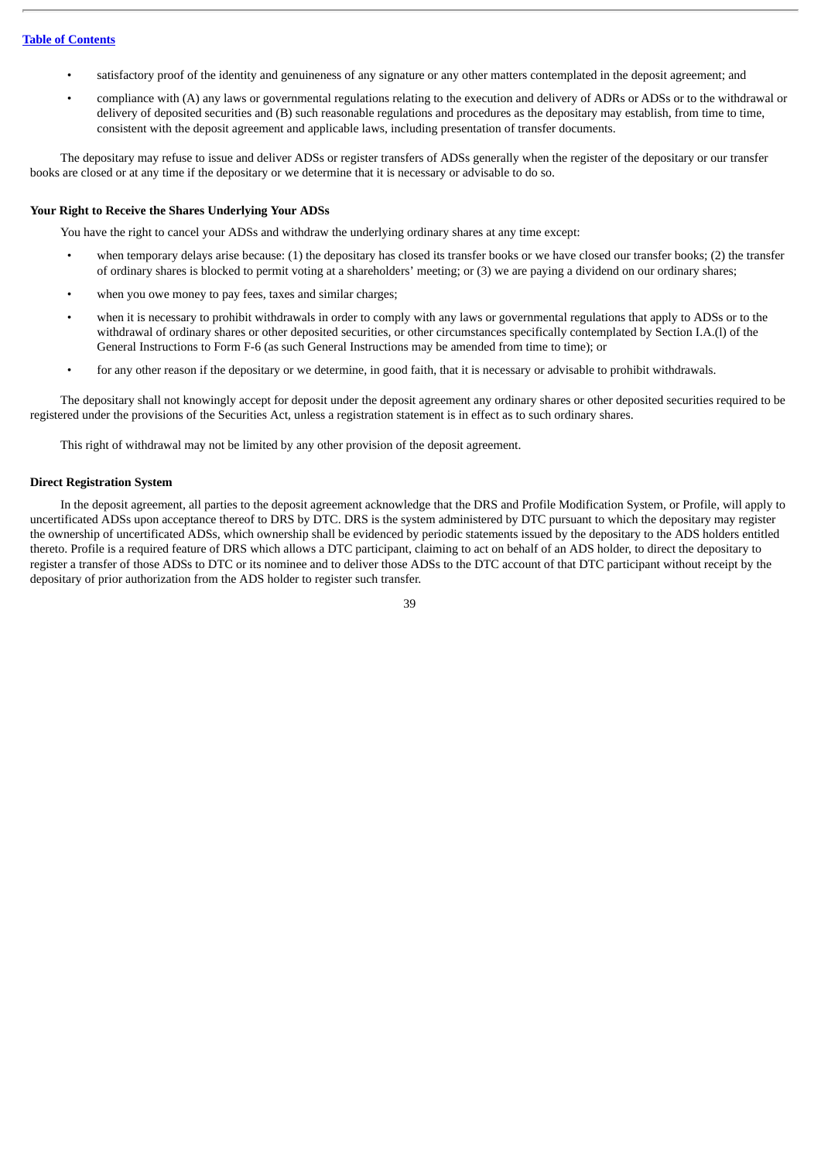- satisfactory proof of the identity and genuineness of any signature or any other matters contemplated in the deposit agreement; and
- compliance with (A) any laws or governmental regulations relating to the execution and delivery of ADRs or ADSs or to the withdrawal or delivery of deposited securities and (B) such reasonable regulations and procedures as the depositary may establish, from time to time, consistent with the deposit agreement and applicable laws, including presentation of transfer documents.

The depositary may refuse to issue and deliver ADSs or register transfers of ADSs generally when the register of the depositary or our transfer books are closed or at any time if the depositary or we determine that it is necessary or advisable to do so.

## **Your Right to Receive the Shares Underlying Your ADSs**

You have the right to cancel your ADSs and withdraw the underlying ordinary shares at any time except:

- when temporary delays arise because: (1) the depositary has closed its transfer books or we have closed our transfer books; (2) the transfer of ordinary shares is blocked to permit voting at a shareholders' meeting; or (3) we are paying a dividend on our ordinary shares;
- when you owe money to pay fees, taxes and similar charges;
- when it is necessary to prohibit withdrawals in order to comply with any laws or governmental regulations that apply to ADSs or to the withdrawal of ordinary shares or other deposited securities, or other circumstances specifically contemplated by Section I.A.(l) of the General Instructions to Form F-6 (as such General Instructions may be amended from time to time); or
- for any other reason if the depositary or we determine, in good faith, that it is necessary or advisable to prohibit withdrawals.

The depositary shall not knowingly accept for deposit under the deposit agreement any ordinary shares or other deposited securities required to be registered under the provisions of the Securities Act, unless a registration statement is in effect as to such ordinary shares.

This right of withdrawal may not be limited by any other provision of the deposit agreement.

## **Direct Registration System**

In the deposit agreement, all parties to the deposit agreement acknowledge that the DRS and Profile Modification System, or Profile, will apply to uncertificated ADSs upon acceptance thereof to DRS by DTC. DRS is the system administered by DTC pursuant to which the depositary may register the ownership of uncertificated ADSs, which ownership shall be evidenced by periodic statements issued by the depositary to the ADS holders entitled thereto. Profile is a required feature of DRS which allows a DTC participant, claiming to act on behalf of an ADS holder, to direct the depositary to register a transfer of those ADSs to DTC or its nominee and to deliver those ADSs to the DTC account of that DTC participant without receipt by the depositary of prior authorization from the ADS holder to register such transfer.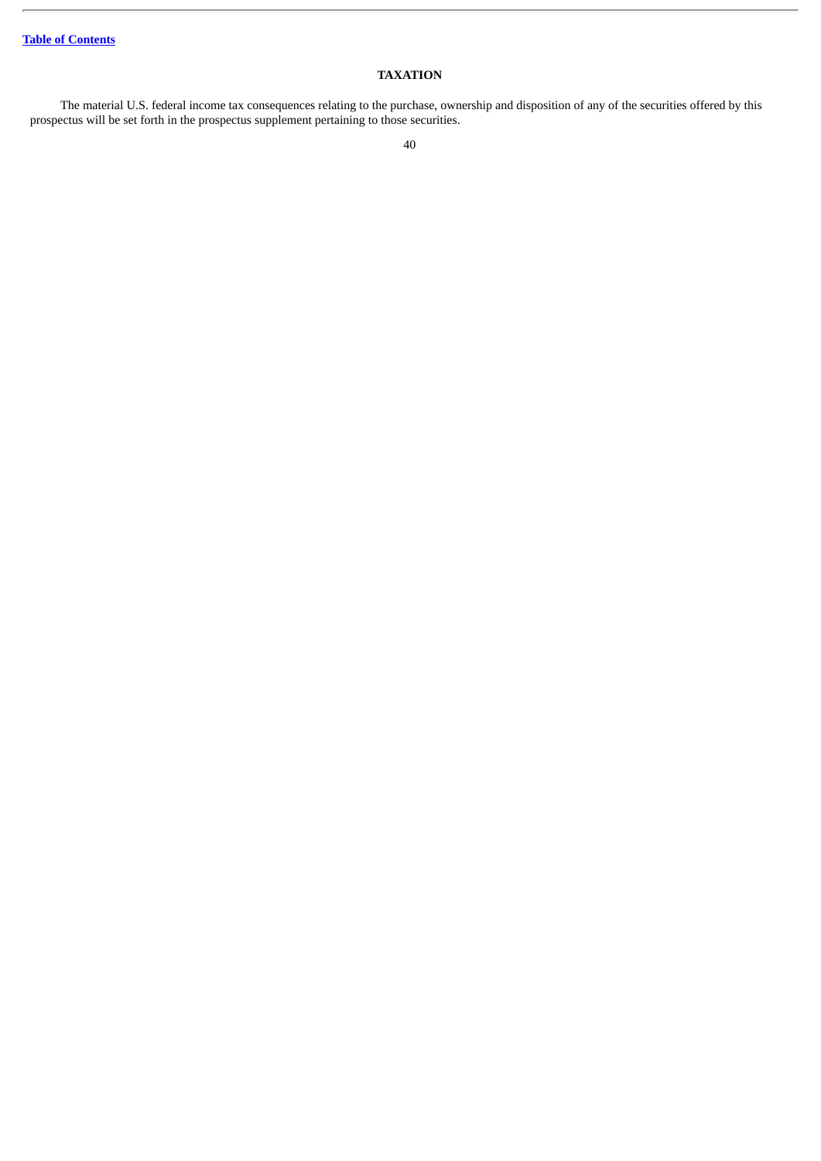## **TAXATION**

The material U.S. federal income tax consequences relating to the purchase, ownership and disposition of any of the securities offered by this prospectus will be set forth in the prospectus supplement pertaining to those securities.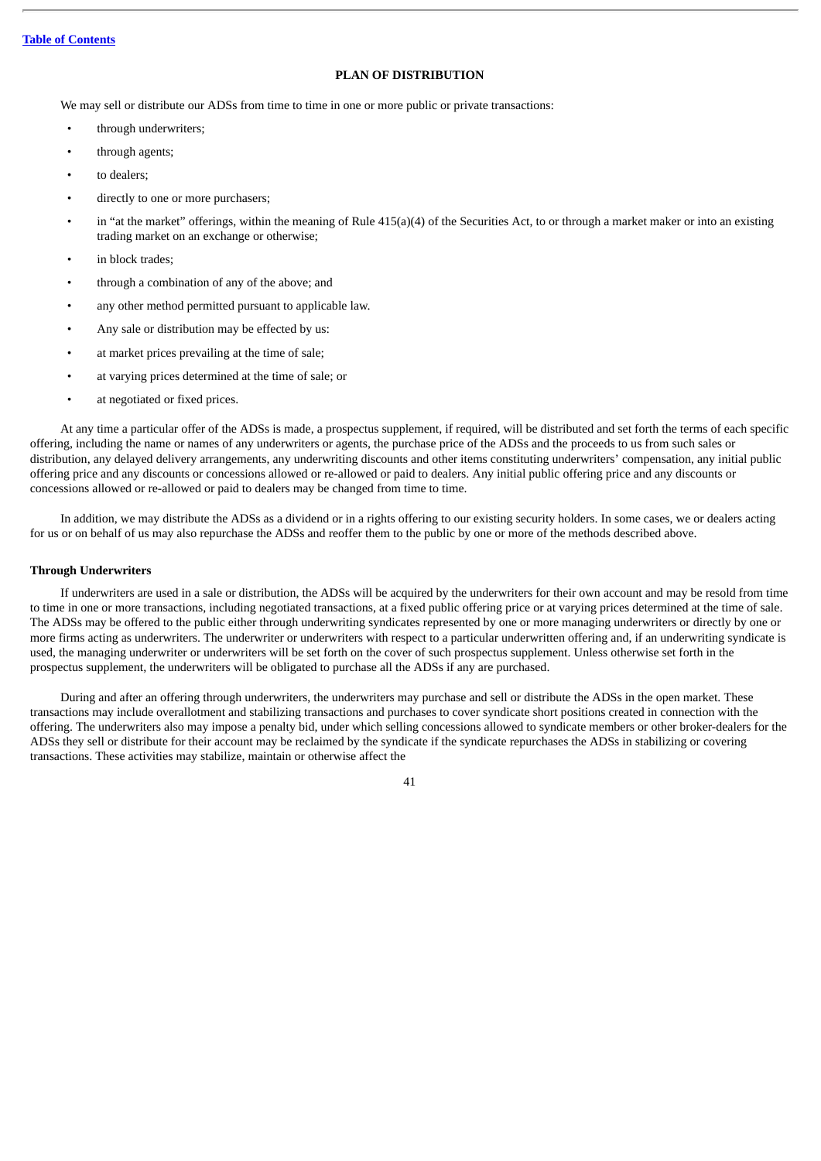## **PLAN OF DISTRIBUTION**

We may sell or distribute our ADSs from time to time in one or more public or private transactions:

- through underwriters;
- through agents;
- to dealers;
- directly to one or more purchasers;
- in "at the market" offerings, within the meaning of Rule 415(a)(4) of the Securities Act, to or through a market maker or into an existing trading market on an exchange or otherwise;
- in block trades;
- through a combination of any of the above; and
- any other method permitted pursuant to applicable law.
- Any sale or distribution may be effected by us:
- at market prices prevailing at the time of sale;
- at varying prices determined at the time of sale; or
- at negotiated or fixed prices.

At any time a particular offer of the ADSs is made, a prospectus supplement, if required, will be distributed and set forth the terms of each specific offering, including the name or names of any underwriters or agents, the purchase price of the ADSs and the proceeds to us from such sales or distribution, any delayed delivery arrangements, any underwriting discounts and other items constituting underwriters' compensation, any initial public offering price and any discounts or concessions allowed or re-allowed or paid to dealers. Any initial public offering price and any discounts or concessions allowed or re-allowed or paid to dealers may be changed from time to time.

In addition, we may distribute the ADSs as a dividend or in a rights offering to our existing security holders. In some cases, we or dealers acting for us or on behalf of us may also repurchase the ADSs and reoffer them to the public by one or more of the methods described above.

## **Through Underwriters**

If underwriters are used in a sale or distribution, the ADSs will be acquired by the underwriters for their own account and may be resold from time to time in one or more transactions, including negotiated transactions, at a fixed public offering price or at varying prices determined at the time of sale. The ADSs may be offered to the public either through underwriting syndicates represented by one or more managing underwriters or directly by one or more firms acting as underwriters. The underwriter or underwriters with respect to a particular underwritten offering and, if an underwriting syndicate is used, the managing underwriter or underwriters will be set forth on the cover of such prospectus supplement. Unless otherwise set forth in the prospectus supplement, the underwriters will be obligated to purchase all the ADSs if any are purchased.

During and after an offering through underwriters, the underwriters may purchase and sell or distribute the ADSs in the open market. These transactions may include overallotment and stabilizing transactions and purchases to cover syndicate short positions created in connection with the offering. The underwriters also may impose a penalty bid, under which selling concessions allowed to syndicate members or other broker-dealers for the ADSs they sell or distribute for their account may be reclaimed by the syndicate if the syndicate repurchases the ADSs in stabilizing or covering transactions. These activities may stabilize, maintain or otherwise affect the

 $\overline{A1}$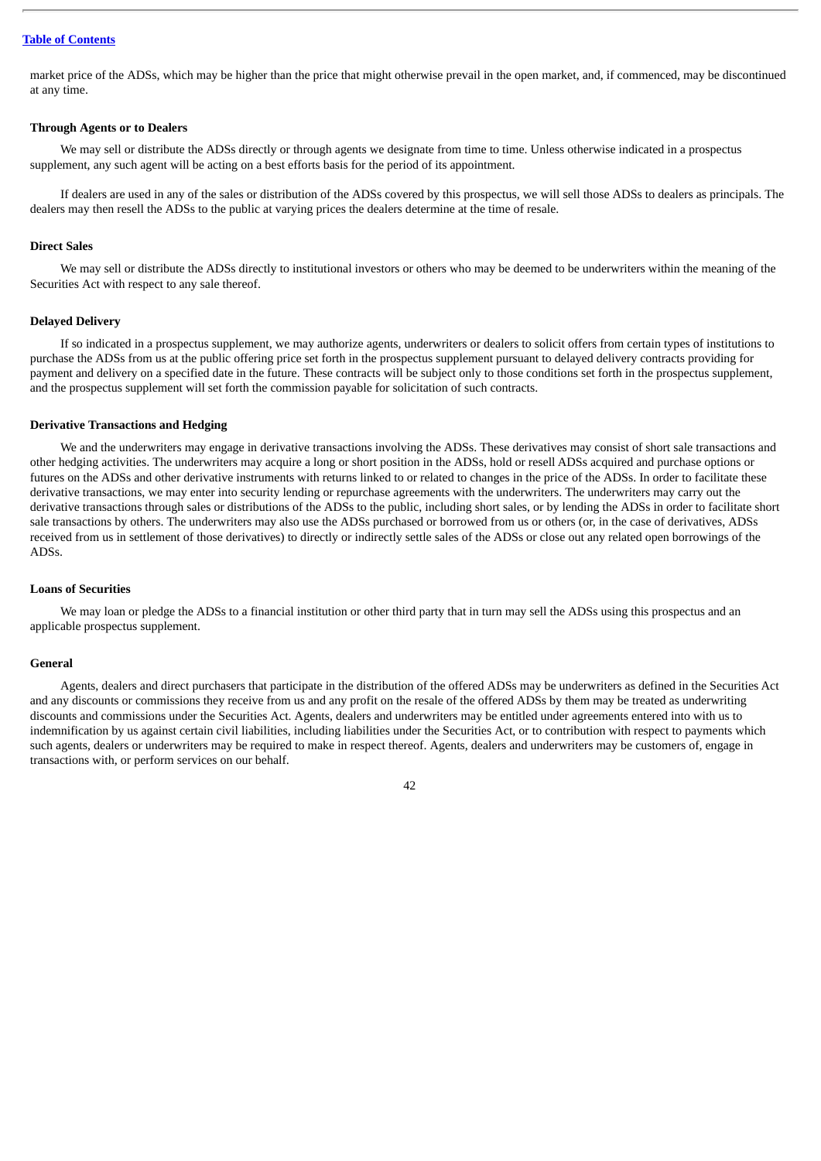market price of the ADSs, which may be higher than the price that might otherwise prevail in the open market, and, if commenced, may be discontinued at any time.

## **Through Agents or to Dealers**

We may sell or distribute the ADSs directly or through agents we designate from time to time. Unless otherwise indicated in a prospectus supplement, any such agent will be acting on a best efforts basis for the period of its appointment.

If dealers are used in any of the sales or distribution of the ADSs covered by this prospectus, we will sell those ADSs to dealers as principals. The dealers may then resell the ADSs to the public at varying prices the dealers determine at the time of resale.

## **Direct Sales**

We may sell or distribute the ADSs directly to institutional investors or others who may be deemed to be underwriters within the meaning of the Securities Act with respect to any sale thereof.

## **Delayed Delivery**

If so indicated in a prospectus supplement, we may authorize agents, underwriters or dealers to solicit offers from certain types of institutions to purchase the ADSs from us at the public offering price set forth in the prospectus supplement pursuant to delayed delivery contracts providing for payment and delivery on a specified date in the future. These contracts will be subject only to those conditions set forth in the prospectus supplement, and the prospectus supplement will set forth the commission payable for solicitation of such contracts.

## **Derivative Transactions and Hedging**

We and the underwriters may engage in derivative transactions involving the ADSs. These derivatives may consist of short sale transactions and other hedging activities. The underwriters may acquire a long or short position in the ADSs, hold or resell ADSs acquired and purchase options or futures on the ADSs and other derivative instruments with returns linked to or related to changes in the price of the ADSs. In order to facilitate these derivative transactions, we may enter into security lending or repurchase agreements with the underwriters. The underwriters may carry out the derivative transactions through sales or distributions of the ADSs to the public, including short sales, or by lending the ADSs in order to facilitate short sale transactions by others. The underwriters may also use the ADSs purchased or borrowed from us or others (or, in the case of derivatives, ADSs received from us in settlement of those derivatives) to directly or indirectly settle sales of the ADSs or close out any related open borrowings of the ADSs.

## **Loans of Securities**

We may loan or pledge the ADSs to a financial institution or other third party that in turn may sell the ADSs using this prospectus and an applicable prospectus supplement.

#### **General**

Agents, dealers and direct purchasers that participate in the distribution of the offered ADSs may be underwriters as defined in the Securities Act and any discounts or commissions they receive from us and any profit on the resale of the offered ADSs by them may be treated as underwriting discounts and commissions under the Securities Act. Agents, dealers and underwriters may be entitled under agreements entered into with us to indemnification by us against certain civil liabilities, including liabilities under the Securities Act, or to contribution with respect to payments which such agents, dealers or underwriters may be required to make in respect thereof. Agents, dealers and underwriters may be customers of, engage in transactions with, or perform services on our behalf.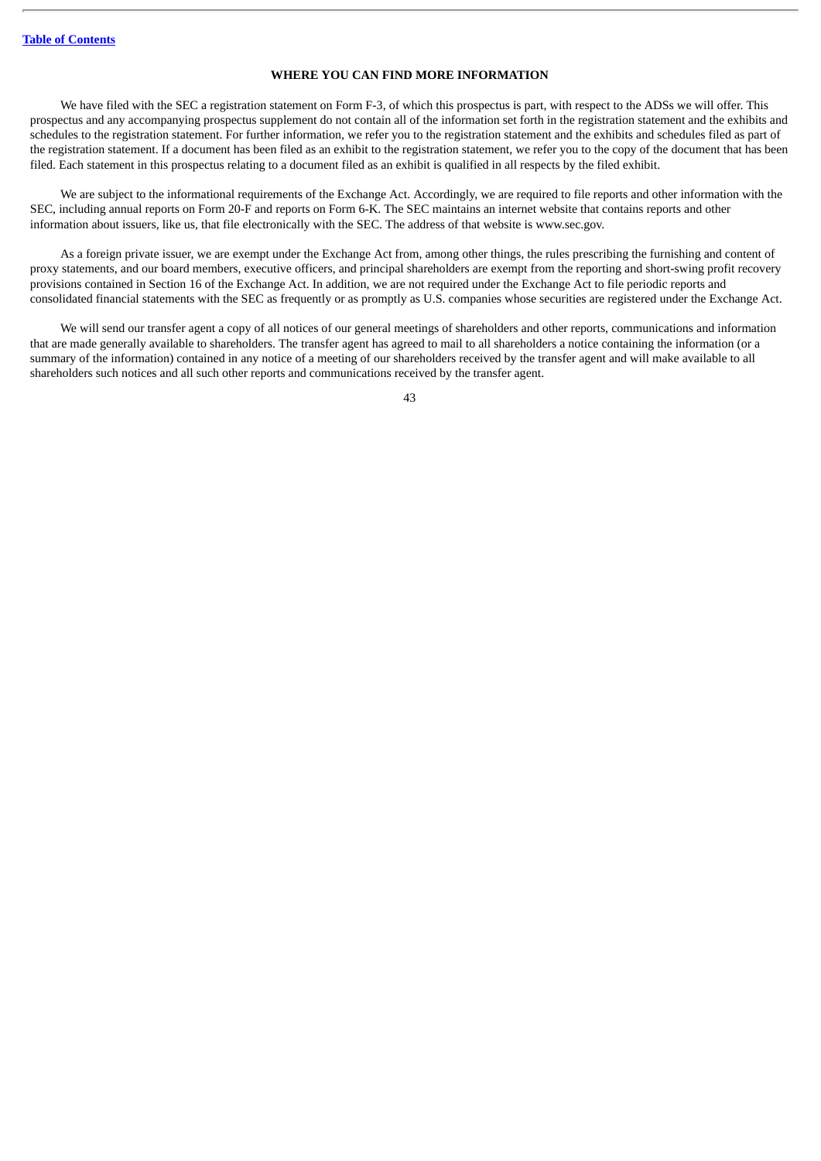## **WHERE YOU CAN FIND MORE INFORMATION**

We have filed with the SEC a registration statement on Form F-3, of which this prospectus is part, with respect to the ADSs we will offer. This prospectus and any accompanying prospectus supplement do not contain all of the information set forth in the registration statement and the exhibits and schedules to the registration statement. For further information, we refer you to the registration statement and the exhibits and schedules filed as part of the registration statement. If a document has been filed as an exhibit to the registration statement, we refer you to the copy of the document that has been filed. Each statement in this prospectus relating to a document filed as an exhibit is qualified in all respects by the filed exhibit.

We are subject to the informational requirements of the Exchange Act. Accordingly, we are required to file reports and other information with the SEC, including annual reports on Form 20-F and reports on Form 6-K. The SEC maintains an internet website that contains reports and other information about issuers, like us, that file electronically with the SEC. The address of that website is www.sec.gov.

As a foreign private issuer, we are exempt under the Exchange Act from, among other things, the rules prescribing the furnishing and content of proxy statements, and our board members, executive officers, and principal shareholders are exempt from the reporting and short-swing profit recovery provisions contained in Section 16 of the Exchange Act. In addition, we are not required under the Exchange Act to file periodic reports and consolidated financial statements with the SEC as frequently or as promptly as U.S. companies whose securities are registered under the Exchange Act.

We will send our transfer agent a copy of all notices of our general meetings of shareholders and other reports, communications and information that are made generally available to shareholders. The transfer agent has agreed to mail to all shareholders a notice containing the information (or a summary of the information) contained in any notice of a meeting of our shareholders received by the transfer agent and will make available to all shareholders such notices and all such other reports and communications received by the transfer agent.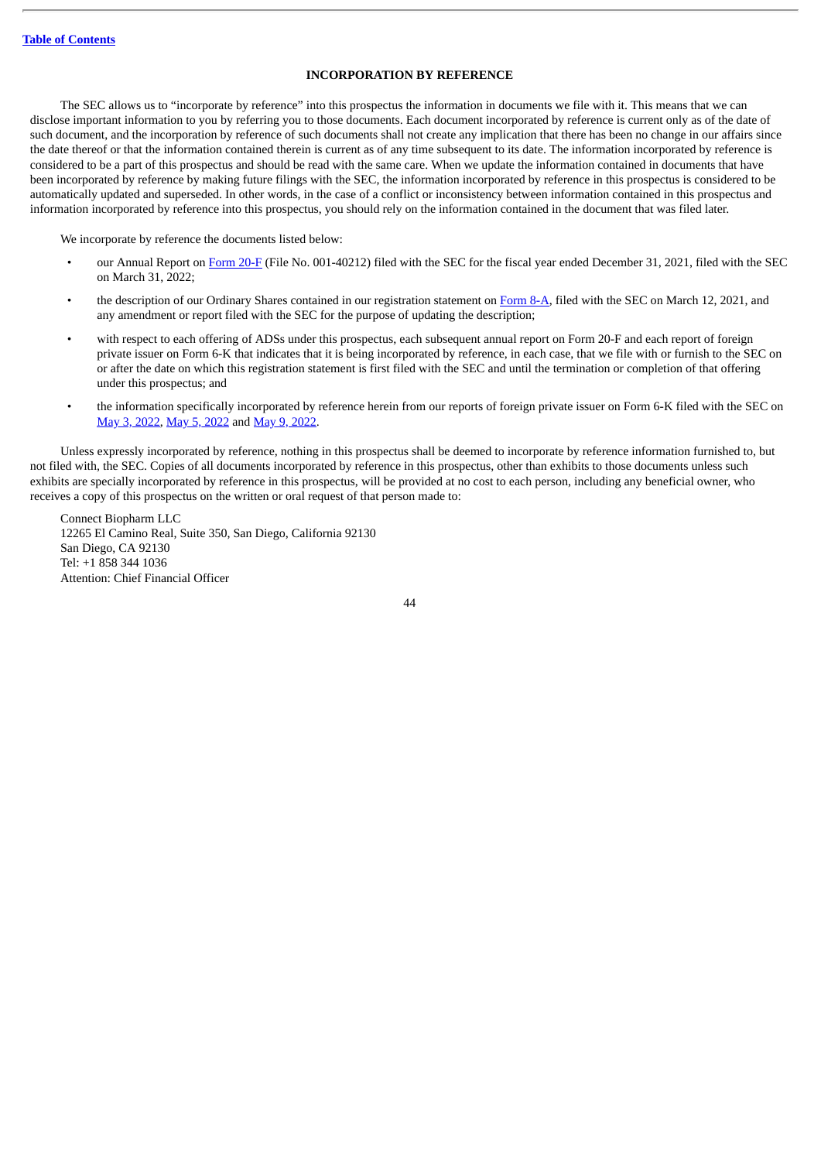## **INCORPORATION BY REFERENCE**

The SEC allows us to "incorporate by reference" into this prospectus the information in documents we file with it. This means that we can disclose important information to you by referring you to those documents. Each document incorporated by reference is current only as of the date of such document, and the incorporation by reference of such documents shall not create any implication that there has been no change in our affairs since the date thereof or that the information contained therein is current as of any time subsequent to its date. The information incorporated by reference is considered to be a part of this prospectus and should be read with the same care. When we update the information contained in documents that have been incorporated by reference by making future filings with the SEC, the information incorporated by reference in this prospectus is considered to be automatically updated and superseded. In other words, in the case of a conflict or inconsistency between information contained in this prospectus and information incorporated by reference into this prospectus, you should rely on the information contained in the document that was filed later.

We incorporate by reference the documents listed below:

- our Annual Report on [Form](http://www.sec.gov/ix?doc=/Archives/edgar/data/1835268/000095017022005219/cntb-20211231.htm) 20-F (File No. 001-40212) filed with the SEC for the fiscal year ended December 31, 2021, filed with the SEC on March 31, 2022;
- the description of our Ordinary Shares contained in our registration statement on [Form](http://www.sec.gov/Archives/edgar/data/1835268/000119312521079822/d154885d8a12b.htm) 8-A, filed with the SEC on March 12, 2021, and any amendment or report filed with the SEC for the purpose of updating the description;
- with respect to each offering of ADSs under this prospectus, each subsequent annual report on Form 20-F and each report of foreign private issuer on Form 6-K that indicates that it is being incorporated by reference, in each case, that we file with or furnish to the SEC on or after the date on which this registration statement is first filed with the SEC and until the termination or completion of that offering under this prospectus; and
- the information specifically incorporated by reference herein from our reports of foreign private issuer on Form 6-K filed with the SEC on May 3, [2022](http://www.sec.gov/Archives/edgar/data/1835268/000119312522138757/d313808d6k.htm), May 5, [2022](http://www.sec.gov/Archives/edgar/data/1835268/000119312522141190/d356777d6k.htm) and May 9, [2022.](http://www.sec.gov/Archives/edgar/data/1835268/000119312522144991/d296687d6k.htm)

Unless expressly incorporated by reference, nothing in this prospectus shall be deemed to incorporate by reference information furnished to, but not filed with, the SEC. Copies of all documents incorporated by reference in this prospectus, other than exhibits to those documents unless such exhibits are specially incorporated by reference in this prospectus, will be provided at no cost to each person, including any beneficial owner, who receives a copy of this prospectus on the written or oral request of that person made to:

Connect Biopharm LLC 12265 El Camino Real, Suite 350, San Diego, California 92130 San Diego, CA 92130 Tel: +1 858 344 1036 Attention: Chief Financial Officer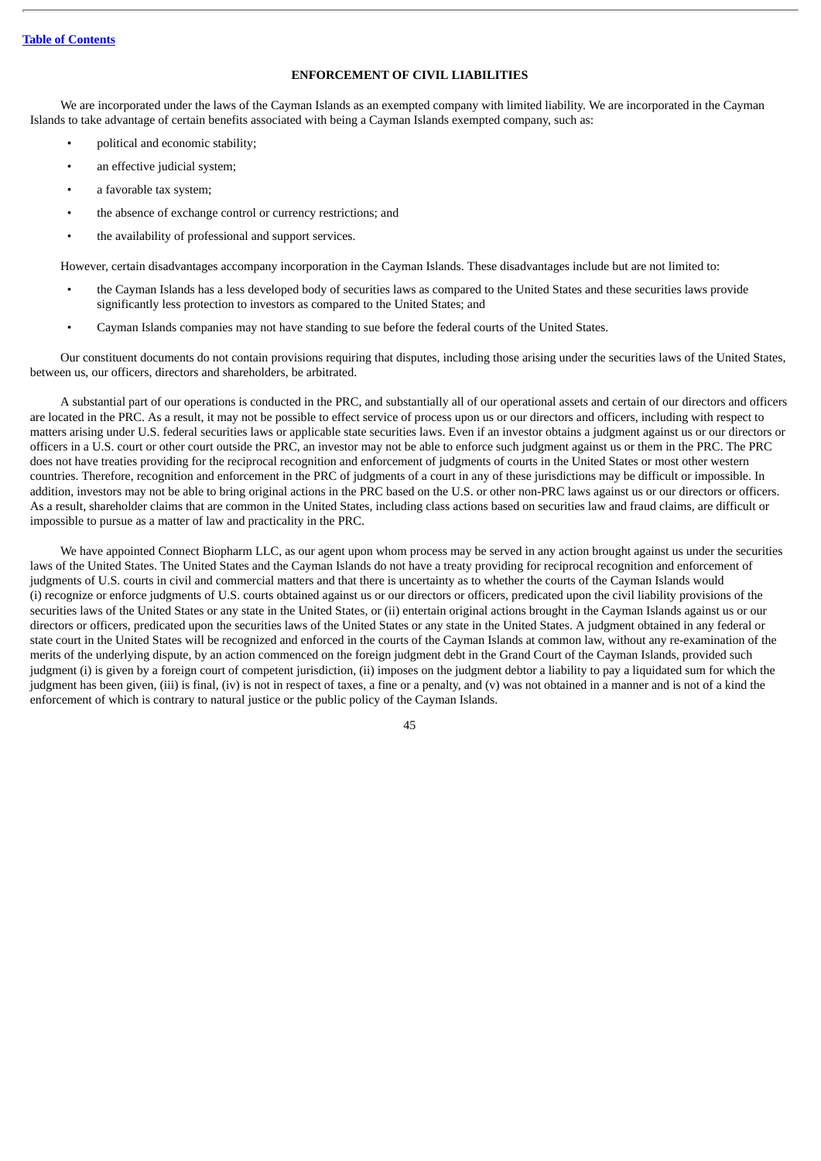## **ENFORCEMENT OF CIVIL LIABILITIES**

We are incorporated under the laws of the Cayman Islands as an exempted company with limited liability. We are incorporated in the Cayman Islands to take advantage of certain benefits associated with being a Cayman Islands exempted company, such as:

- political and economic stability;
- an effective judicial system;
- a favorable tax system;
- the absence of exchange control or currency restrictions; and
- the availability of professional and support services.

However, certain disadvantages accompany incorporation in the Cayman Islands. These disadvantages include but are not limited to:

- the Cayman Islands has a less developed body of securities laws as compared to the United States and these securities laws provide significantly less protection to investors as compared to the United States; and
- Cayman Islands companies may not have standing to sue before the federal courts of the United States.

Our constituent documents do not contain provisions requiring that disputes, including those arising under the securities laws of the United States, between us, our officers, directors and shareholders, be arbitrated.

A substantial part of our operations is conducted in the PRC, and substantially all of our operational assets and certain of our directors and officers are located in the PRC. As a result, it may not be possible to effect service of process upon us or our directors and officers, including with respect to matters arising under U.S. federal securities laws or applicable state securities laws. Even if an investor obtains a judgment against us or our directors or officers in a U.S. court or other court outside the PRC, an investor may not be able to enforce such judgment against us or them in the PRC. The PRC does not have treaties providing for the reciprocal recognition and enforcement of judgments of courts in the United States or most other western countries. Therefore, recognition and enforcement in the PRC of judgments of a court in any of these jurisdictions may be difficult or impossible. In addition, investors may not be able to bring original actions in the PRC based on the U.S. or other non-PRC laws against us or our directors or officers. As a result, shareholder claims that are common in the United States, including class actions based on securities law and fraud claims, are difficult or impossible to pursue as a matter of law and practicality in the PRC.

We have appointed Connect Biopharm LLC, as our agent upon whom process may be served in any action brought against us under the securities laws of the United States. The United States and the Cayman Islands do not have a treaty providing for reciprocal recognition and enforcement of judgments of U.S. courts in civil and commercial matters and that there is uncertainty as to whether the courts of the Cayman Islands would (i) recognize or enforce judgments of U.S. courts obtained against us or our directors or officers, predicated upon the civil liability provisions of the securities laws of the United States or any state in the United States, or (ii) entertain original actions brought in the Cayman Islands against us or our directors or officers, predicated upon the securities laws of the United States or any state in the United States. A judgment obtained in any federal or state court in the United States will be recognized and enforced in the courts of the Cayman Islands at common law, without any re-examination of the merits of the underlying dispute, by an action commenced on the foreign judgment debt in the Grand Court of the Cayman Islands, provided such judgment (i) is given by a foreign court of competent jurisdiction, (ii) imposes on the judgment debtor a liability to pay a liquidated sum for which the judgment has been given, (iii) is final, (iv) is not in respect of taxes, a fine or a penalty, and (v) was not obtained in a manner and is not of a kind the enforcement of which is contrary to natural justice or the public policy of the Cayman Islands.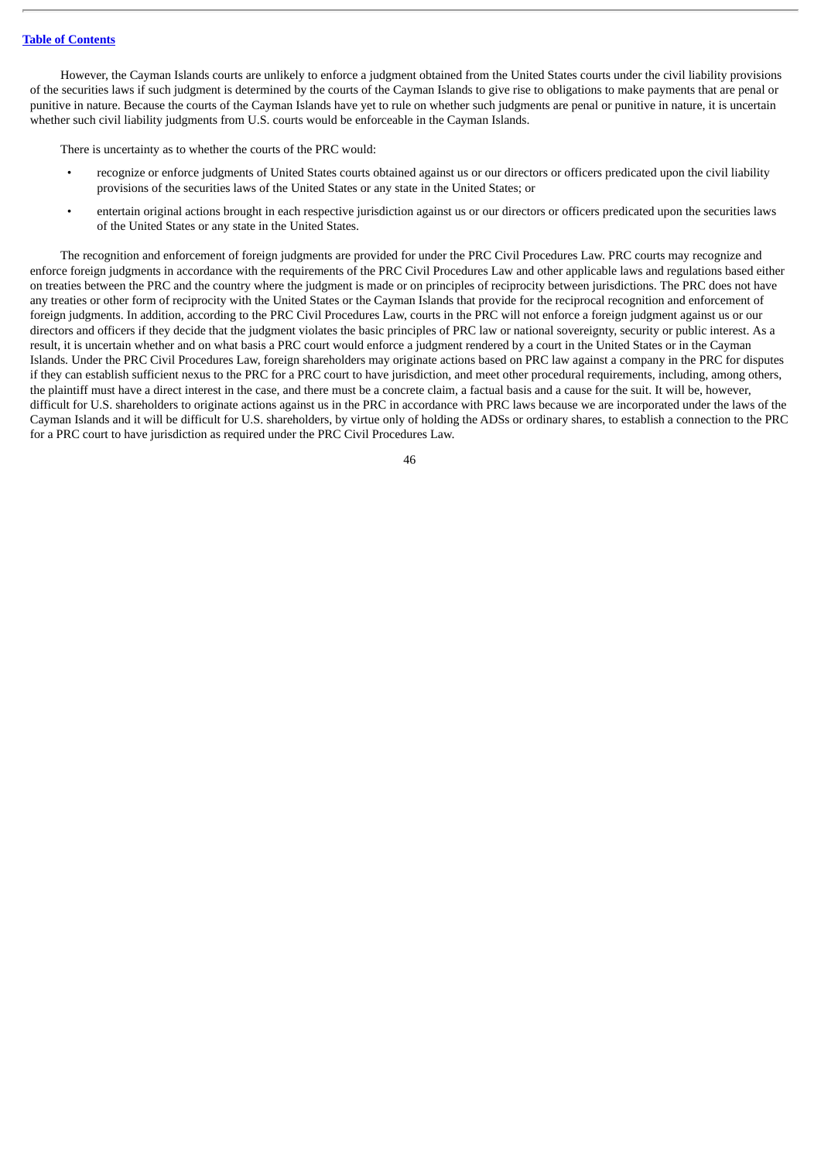However, the Cayman Islands courts are unlikely to enforce a judgment obtained from the United States courts under the civil liability provisions of the securities laws if such judgment is determined by the courts of the Cayman Islands to give rise to obligations to make payments that are penal or punitive in nature. Because the courts of the Cayman Islands have yet to rule on whether such judgments are penal or punitive in nature, it is uncertain whether such civil liability judgments from U.S. courts would be enforceable in the Cayman Islands.

There is uncertainty as to whether the courts of the PRC would:

- recognize or enforce judgments of United States courts obtained against us or our directors or officers predicated upon the civil liability provisions of the securities laws of the United States or any state in the United States; or
- entertain original actions brought in each respective jurisdiction against us or our directors or officers predicated upon the securities laws of the United States or any state in the United States.

The recognition and enforcement of foreign judgments are provided for under the PRC Civil Procedures Law. PRC courts may recognize and enforce foreign judgments in accordance with the requirements of the PRC Civil Procedures Law and other applicable laws and regulations based either on treaties between the PRC and the country where the judgment is made or on principles of reciprocity between jurisdictions. The PRC does not have any treaties or other form of reciprocity with the United States or the Cayman Islands that provide for the reciprocal recognition and enforcement of foreign judgments. In addition, according to the PRC Civil Procedures Law, courts in the PRC will not enforce a foreign judgment against us or our directors and officers if they decide that the judgment violates the basic principles of PRC law or national sovereignty, security or public interest. As a result, it is uncertain whether and on what basis a PRC court would enforce a judgment rendered by a court in the United States or in the Cayman Islands. Under the PRC Civil Procedures Law, foreign shareholders may originate actions based on PRC law against a company in the PRC for disputes if they can establish sufficient nexus to the PRC for a PRC court to have jurisdiction, and meet other procedural requirements, including, among others, the plaintiff must have a direct interest in the case, and there must be a concrete claim, a factual basis and a cause for the suit. It will be, however, difficult for U.S. shareholders to originate actions against us in the PRC in accordance with PRC laws because we are incorporated under the laws of the Cayman Islands and it will be difficult for U.S. shareholders, by virtue only of holding the ADSs or ordinary shares, to establish a connection to the PRC for a PRC court to have jurisdiction as required under the PRC Civil Procedures Law.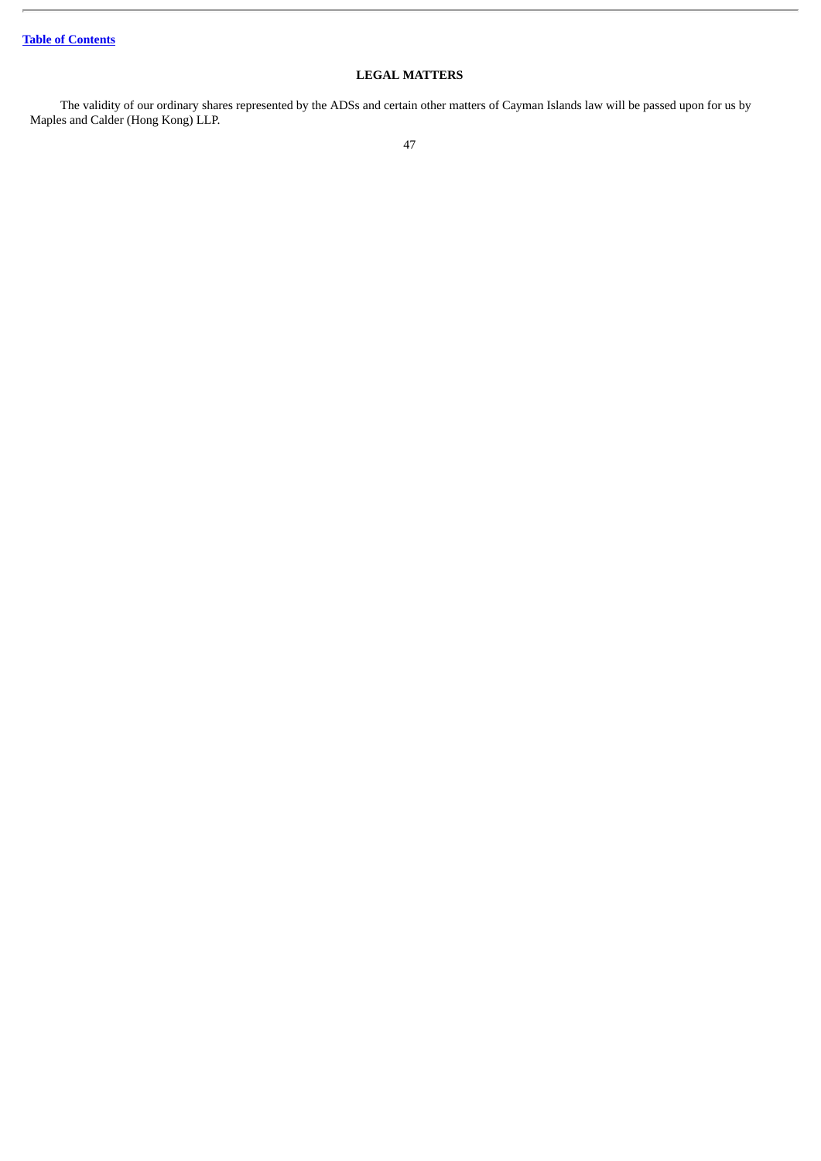## **LEGAL MATTERS**

The validity of our ordinary shares represented by the ADSs and certain other matters of Cayman Islands law will be passed upon for us by Maples and Calder (Hong Kong) LLP.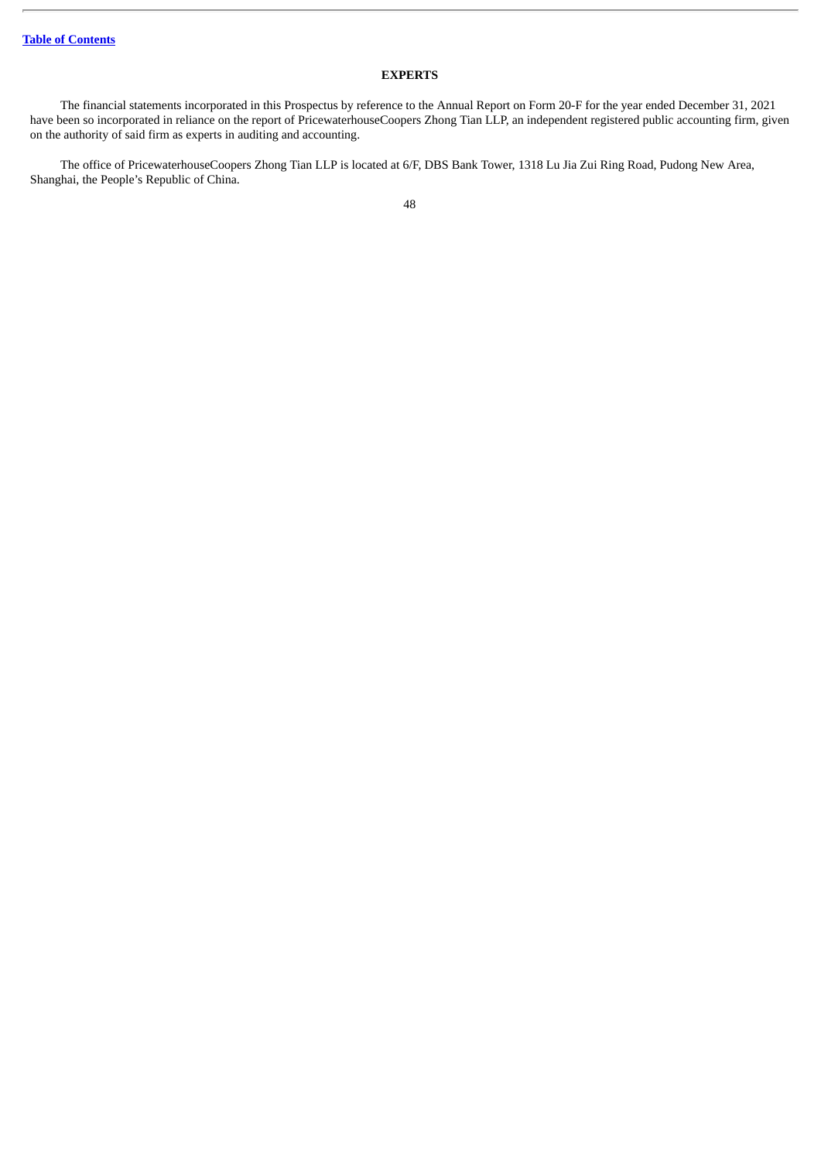## **EXPERTS**

The financial statements incorporated in this Prospectus by reference to the Annual Report on Form 20-F for the year ended December 31, 2021 have been so incorporated in reliance on the report of PricewaterhouseCoopers Zhong Tian LLP, an independent registered public accounting firm, given on the authority of said firm as experts in auditing and accounting.

The office of PricewaterhouseCoopers Zhong Tian LLP is located at 6/F, DBS Bank Tower, 1318 Lu Jia Zui Ring Road, Pudong New Area, Shanghai, the People's Republic of China.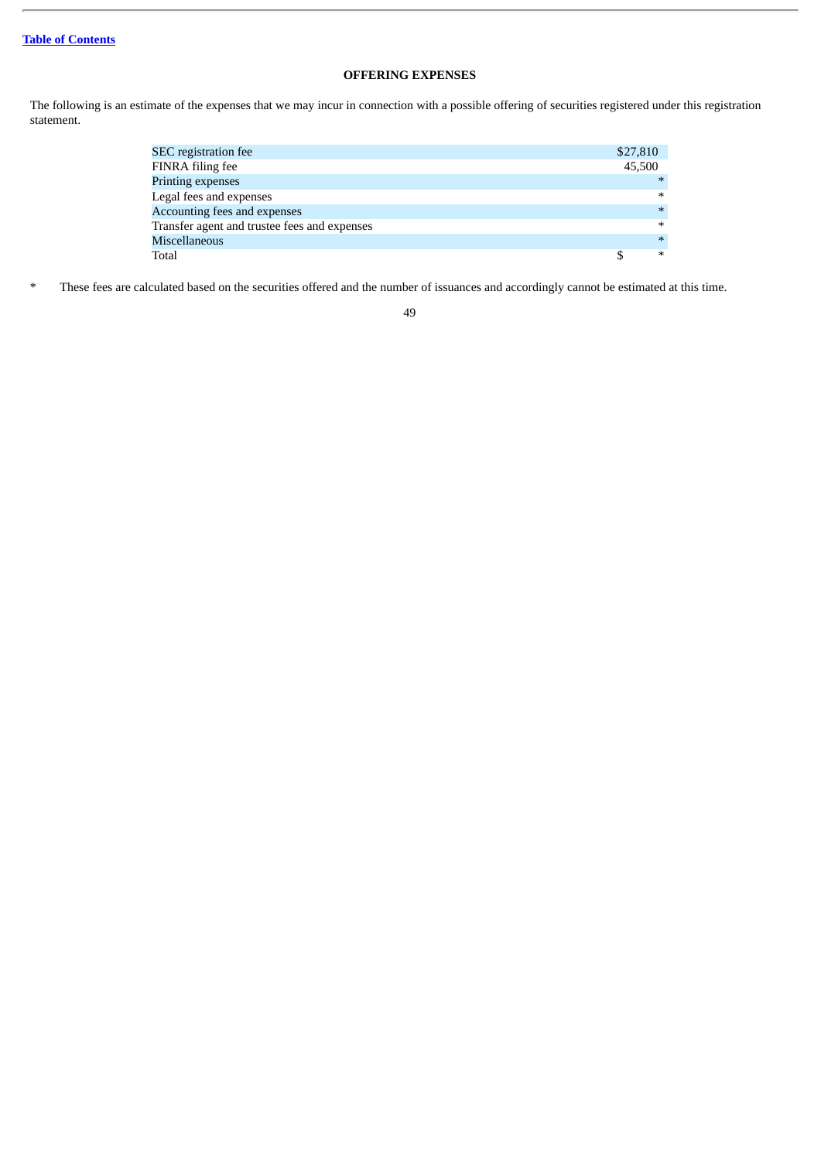## **OFFERING EXPENSES**

The following is an estimate of the expenses that we may incur in connection with a possible offering of securities registered under this registration statement.

| SEC registration fee                         | \$27,810 |
|----------------------------------------------|----------|
| FINRA filing fee                             | 45.500   |
| <b>Printing expenses</b>                     | $*$      |
| Legal fees and expenses                      | $\ast$   |
| Accounting fees and expenses                 | $*$      |
| Transfer agent and trustee fees and expenses | $\ast$   |
| Miscellaneous                                | $*$      |
| Total                                        | $\ast$   |

\* These fees are calculated based on the securities offered and the number of issuances and accordingly cannot be estimated at this time.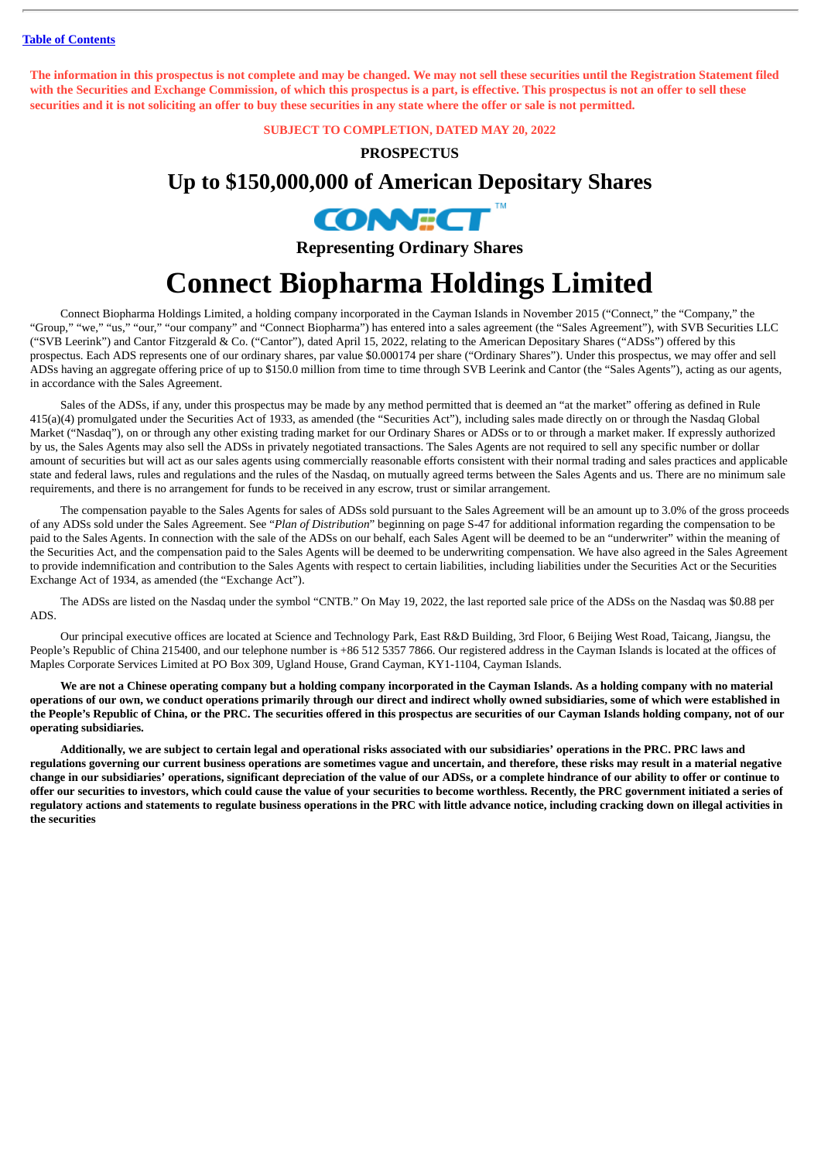The information in this prospectus is not complete and may be changed. We may not sell these securities until the Registration Statement filed with the Securities and Exchange Commission, of which this prospectus is a part, is effective. This prospectus is not an offer to sell these securities and it is not soliciting an offer to buy these securities in any state where the offer or sale is not permitted.

**SUBJECT TO COMPLETION, DATED MAY 20, 2022**

## **PROSPECTUS**

## **Up to \$150,000,000 of American Depositary Shares**



**Representing Ordinary Shares**

# **Connect Biopharma Holdings Limited**

Connect Biopharma Holdings Limited, a holding company incorporated in the Cayman Islands in November 2015 ("Connect," the "Company," the "Group," "we," "us," "our," "our company" and "Connect Biopharma") has entered into a sales agreement (the "Sales Agreement"), with SVB Securities LLC ("SVB Leerink") and Cantor Fitzgerald & Co. ("Cantor"), dated April 15, 2022, relating to the American Depositary Shares ("ADSs") offered by this prospectus. Each ADS represents one of our ordinary shares, par value \$0.000174 per share ("Ordinary Shares"). Under this prospectus, we may offer and sell ADSs having an aggregate offering price of up to \$150.0 million from time to time through SVB Leerink and Cantor (the "Sales Agents"), acting as our agents, in accordance with the Sales Agreement.

Sales of the ADSs, if any, under this prospectus may be made by any method permitted that is deemed an "at the market" offering as defined in Rule 415(a)(4) promulgated under the Securities Act of 1933, as amended (the "Securities Act"), including sales made directly on or through the Nasdaq Global Market ("Nasdaq"), on or through any other existing trading market for our Ordinary Shares or ADSs or to or through a market maker. If expressly authorized by us, the Sales Agents may also sell the ADSs in privately negotiated transactions. The Sales Agents are not required to sell any specific number or dollar amount of securities but will act as our sales agents using commercially reasonable efforts consistent with their normal trading and sales practices and applicable state and federal laws, rules and regulations and the rules of the Nasdaq, on mutually agreed terms between the Sales Agents and us. There are no minimum sale requirements, and there is no arrangement for funds to be received in any escrow, trust or similar arrangement.

The compensation payable to the Sales Agents for sales of ADSs sold pursuant to the Sales Agreement will be an amount up to 3.0% of the gross proceeds of any ADSs sold under the Sales Agreement. See "*Plan of Distribution*" beginning on page S-47 for additional information regarding the compensation to be paid to the Sales Agents. In connection with the sale of the ADSs on our behalf, each Sales Agent will be deemed to be an "underwriter" within the meaning of the Securities Act, and the compensation paid to the Sales Agents will be deemed to be underwriting compensation. We have also agreed in the Sales Agreement to provide indemnification and contribution to the Sales Agents with respect to certain liabilities, including liabilities under the Securities Act or the Securities Exchange Act of 1934, as amended (the "Exchange Act").

The ADSs are listed on the Nasdaq under the symbol "CNTB." On May 19, 2022, the last reported sale price of the ADSs on the Nasdaq was \$0.88 per ADS.

Our principal executive offices are located at Science and Technology Park, East R&D Building, 3rd Floor, 6 Beijing West Road, Taicang, Jiangsu, the People's Republic of China 215400, and our telephone number is +86 512 5357 7866. Our registered address in the Cayman Islands is located at the offices of Maples Corporate Services Limited at PO Box 309, Ugland House, Grand Cayman, KY1-1104, Cayman Islands.

We are not a Chinese operating company but a holding company incorporated in the Cayman Islands. As a holding company with no material operations of our own, we conduct operations primarily through our direct and indirect wholly owned subsidiaries, some of which were established in the People's Republic of China, or the PRC. The securities offered in this prospectus are securities of our Cayman Islands holding company, not of our **operating subsidiaries.**

Additionally, we are subject to certain legal and operational risks associated with our subsidiaries' operations in the PRC. PRC laws and regulations governing our current business operations are sometimes vague and uncertain, and therefore, these risks may result in a material negative change in our subsidiaries' operations, significant depreciation of the value of our ADSs, or a complete hindrance of our ability to offer or continue to offer our securities to investors, which could cause the value of your securities to become worthless. Recently, the PRC government initiated a series of regulatory actions and statements to regulate business operations in the PRC with little advance notice, including cracking down on illegal activities in **the securities**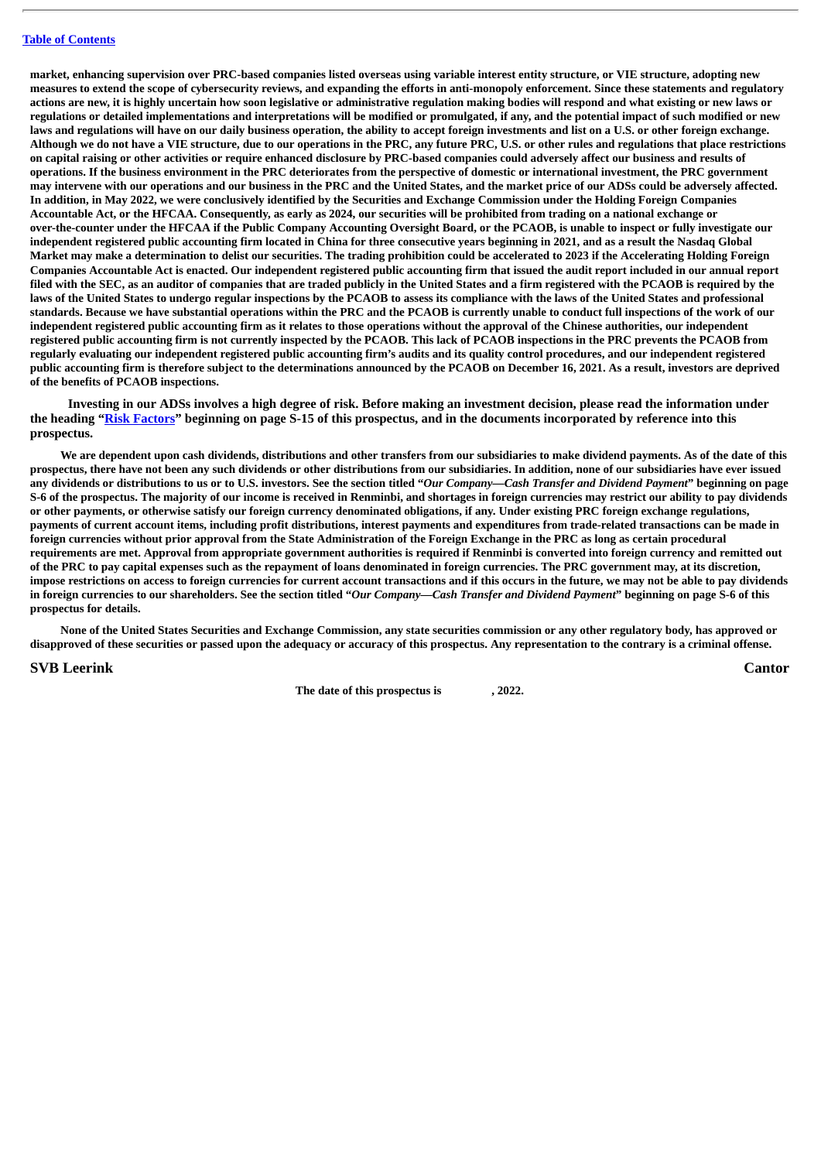market, enhancing supervision over PRC-based companies listed overseas using variable interest entity structure, or VIE structure, adopting new measures to extend the scope of cybersecurity reviews, and expanding the efforts in anti-monopoly enforcement. Since these statements and regulatory actions are new, it is highly uncertain how soon legislative or administrative regulation making bodies will respond and what existing or new laws or regulations or detailed implementations and interpretations will be modified or promulgated, if any, and the potential impact of such modified or new laws and regulations will have on our daily business operation, the ability to accept foreign investments and list on a U.S. or other foreign exchange. Although we do not have a VIE structure, due to our operations in the PRC, any future PRC, U.S. or other rules and regulations that place restrictions on capital raising or other activities or require enhanced disclosure by PRC-based companies could adversely affect our business and results of operations. If the business environment in the PRC deteriorates from the perspective of domestic or international investment, the PRC government may intervene with our operations and our business in the PRC and the United States, and the market price of our ADSs could be adversely affected. In addition, in May 2022, we were conclusively identified by the Securities and Exchange Commission under the Holding Foreign Companies Accountable Act, or the HFCAA. Consequently, as early as 2024, our securities will be prohibited from trading on a national exchange or over-the-counter under the HFCAA if the Public Company Accounting Oversight Board, or the PCAOB, is unable to inspect or fully investigate our independent registered public accounting firm located in China for three consecutive years beginning in 2021, and as a result the Nasdaq Global Market may make a determination to delist our securities. The trading prohibition could be accelerated to 2023 if the Accelerating Holding Foreign Companies Accountable Act is enacted. Our independent registered public accounting firm that issued the audit report included in our annual report filed with the SEC, as an auditor of companies that are traded publicly in the United States and a firm registered with the PCAOB is required by the laws of the United States to undergo regular inspections by the PCAOB to assess its compliance with the laws of the United States and professional standards. Because we have substantial operations within the PRC and the PCAOB is currently unable to conduct full inspections of the work of our independent registered public accounting firm as it relates to those operations without the approval of the Chinese authorities, our independent registered public accounting firm is not currently inspected by the PCAOB. This lack of PCAOB inspections in the PRC prevents the PCAOB from regularly evaluating our independent registered public accounting firm's audits and its quality control procedures, and our independent registered public accounting firm is therefore subject to the determinations announced by the PCAOB on December 16, 2021. As a result, investors are deprived **of the benefits of PCAOB inspections.**

**Investing in our ADSs involves a high degree of risk. Before making an investment decision, please read the information under the heading "[Risk Factors](#page-71-0)" beginning on page S-15 of this prospectus, and in the documents incorporated by reference into this prospectus.**

We are dependent upon cash dividends, distributions and other transfers from our subsidiaries to make dividend payments. As of the date of this prospectus, there have not been any such dividends or other distributions from our subsidiaries. In addition, none of our subsidiaries have ever issued any dividends or distributions to us or to U.S. investors. See the section titled "Our Company-Cash Transfer and Dividend Payment" beginning on page S-6 of the prospectus. The majority of our income is received in Renminbi, and shortages in foreign currencies may restrict our ability to pay dividends or other payments, or otherwise satisfy our foreign currency denominated obligations, if any. Under existing PRC foreign exchange regulations, payments of current account items, including profit distributions, interest payments and expenditures from trade-related transactions can be made in foreign currencies without prior approval from the State Administration of the Foreign Exchange in the PRC as long as certain procedural requirements are met. Approval from appropriate government authorities is required if Renminbi is converted into foreign currency and remitted out of the PRC to pay capital expenses such as the repayment of loans denominated in foreign currencies. The PRC government may, at its discretion, impose restrictions on access to foreign currencies for current account transactions and if this occurs in the future, we may not be able to pay dividends in foreign currencies to our shareholders. See the section titled "Our Company-Cash Transfer and Dividend Payment" beginning on page S-6 of this **prospectus for details.**

None of the United States Securities and Exchange Commission, any state securities commission or any other regulatory body, has approved or disapproved of these securities or passed upon the adequacy or accuracy of this prospectus. Any representation to the contrary is a criminal offense.

**SVB Leerink Cantor**

**The date of this prospectus is , 2022.**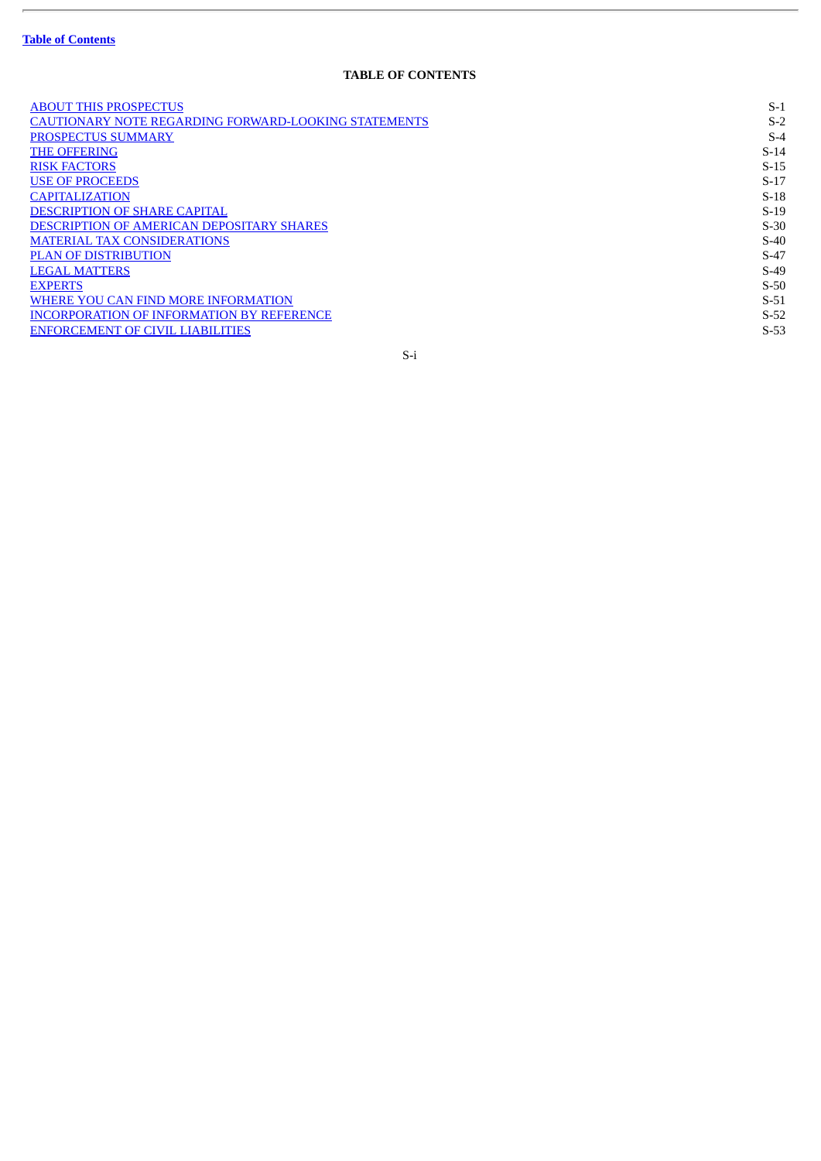L.

## **TABLE OF CONTENTS**

| <b>ABOUT THIS PROSPECTUS</b>                                | $S-1$  |
|-------------------------------------------------------------|--------|
| <b>CAUTIONARY NOTE REGARDING FORWARD-LOOKING STATEMENTS</b> | $S-2$  |
| PROSPECTUS SUMMARY                                          | $S-4$  |
| <b>THE OFFERING</b>                                         | $S-14$ |
| <b>RISK FACTORS</b>                                         | $S-15$ |
| <b>USE OF PROCEEDS</b>                                      | $S-17$ |
| <b>CAPITALIZATION</b>                                       | $S-18$ |
| <b>DESCRIPTION OF SHARE CAPITAL</b>                         | $S-19$ |
| <b>DESCRIPTION OF AMERICAN DEPOSITARY SHARES</b>            | $S-30$ |
| <b>MATERIAL TAX CONSIDERATIONS</b>                          | $S-40$ |
| <b>PLAN OF DISTRIBUTION</b>                                 | $S-47$ |
| <b>LEGAL MATTERS</b>                                        | $S-49$ |
| <b>EXPERTS</b>                                              | $S-50$ |
| WHERE YOU CAN FIND MORE INFORMATION                         | $S-51$ |
| <b>INCORPORATION OF INFORMATION BY REFERENCE</b>            | $S-52$ |
| <b>ENFORCEMENT OF CIVIL LIABILITIES</b>                     | $S-53$ |
| S-i                                                         |        |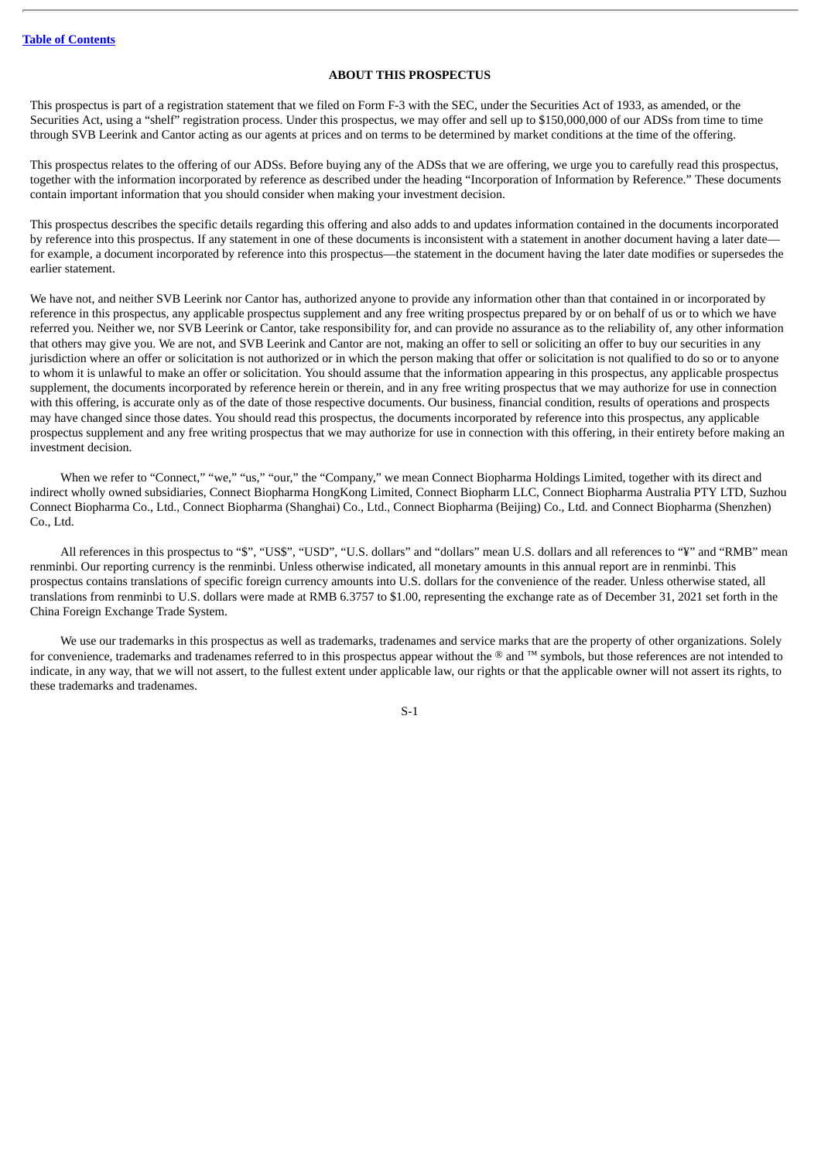## **ABOUT THIS PROSPECTUS**

<span id="page-57-0"></span>This prospectus is part of a registration statement that we filed on Form F-3 with the SEC, under the Securities Act of 1933, as amended, or the Securities Act, using a "shelf" registration process. Under this prospectus, we may offer and sell up to \$150,000,000 of our ADSs from time to time through SVB Leerink and Cantor acting as our agents at prices and on terms to be determined by market conditions at the time of the offering.

This prospectus relates to the offering of our ADSs. Before buying any of the ADSs that we are offering, we urge you to carefully read this prospectus, together with the information incorporated by reference as described under the heading "Incorporation of Information by Reference." These documents contain important information that you should consider when making your investment decision.

This prospectus describes the specific details regarding this offering and also adds to and updates information contained in the documents incorporated by reference into this prospectus. If any statement in one of these documents is inconsistent with a statement in another document having a later date for example, a document incorporated by reference into this prospectus—the statement in the document having the later date modifies or supersedes the earlier statement.

We have not, and neither SVB Leerink nor Cantor has, authorized anyone to provide any information other than that contained in or incorporated by reference in this prospectus, any applicable prospectus supplement and any free writing prospectus prepared by or on behalf of us or to which we have referred you. Neither we, nor SVB Leerink or Cantor, take responsibility for, and can provide no assurance as to the reliability of, any other information that others may give you. We are not, and SVB Leerink and Cantor are not, making an offer to sell or soliciting an offer to buy our securities in any jurisdiction where an offer or solicitation is not authorized or in which the person making that offer or solicitation is not qualified to do so or to anyone to whom it is unlawful to make an offer or solicitation. You should assume that the information appearing in this prospectus, any applicable prospectus supplement, the documents incorporated by reference herein or therein, and in any free writing prospectus that we may authorize for use in connection with this offering, is accurate only as of the date of those respective documents. Our business, financial condition, results of operations and prospects may have changed since those dates. You should read this prospectus, the documents incorporated by reference into this prospectus, any applicable prospectus supplement and any free writing prospectus that we may authorize for use in connection with this offering, in their entirety before making an investment decision.

When we refer to "Connect," "we," "us," "our," the "Company," we mean Connect Biopharma Holdings Limited, together with its direct and indirect wholly owned subsidiaries, Connect Biopharma HongKong Limited, Connect Biopharm LLC, Connect Biopharma Australia PTY LTD, Suzhou Connect Biopharma Co., Ltd., Connect Biopharma (Shanghai) Co., Ltd., Connect Biopharma (Beijing) Co., Ltd. and Connect Biopharma (Shenzhen) Co., Ltd.

All references in this prospectus to "\$", "US\$", "USD", "U.S. dollars" and "dollars" mean U.S. dollars and all references to "¥" and "RMB" mean renminbi. Our reporting currency is the renminbi. Unless otherwise indicated, all monetary amounts in this annual report are in renminbi. This prospectus contains translations of specific foreign currency amounts into U.S. dollars for the convenience of the reader. Unless otherwise stated, all translations from renminbi to U.S. dollars were made at RMB 6.3757 to \$1.00, representing the exchange rate as of December 31, 2021 set forth in the China Foreign Exchange Trade System.

We use our trademarks in this prospectus as well as trademarks, tradenames and service marks that are the property of other organizations. Solely for convenience, trademarks and tradenames referred to in this prospectus appear without the ® and ™ symbols, but those references are not intended to indicate, in any way, that we will not assert, to the fullest extent under applicable law, our rights or that the applicable owner will not assert its rights, to these trademarks and tradenames.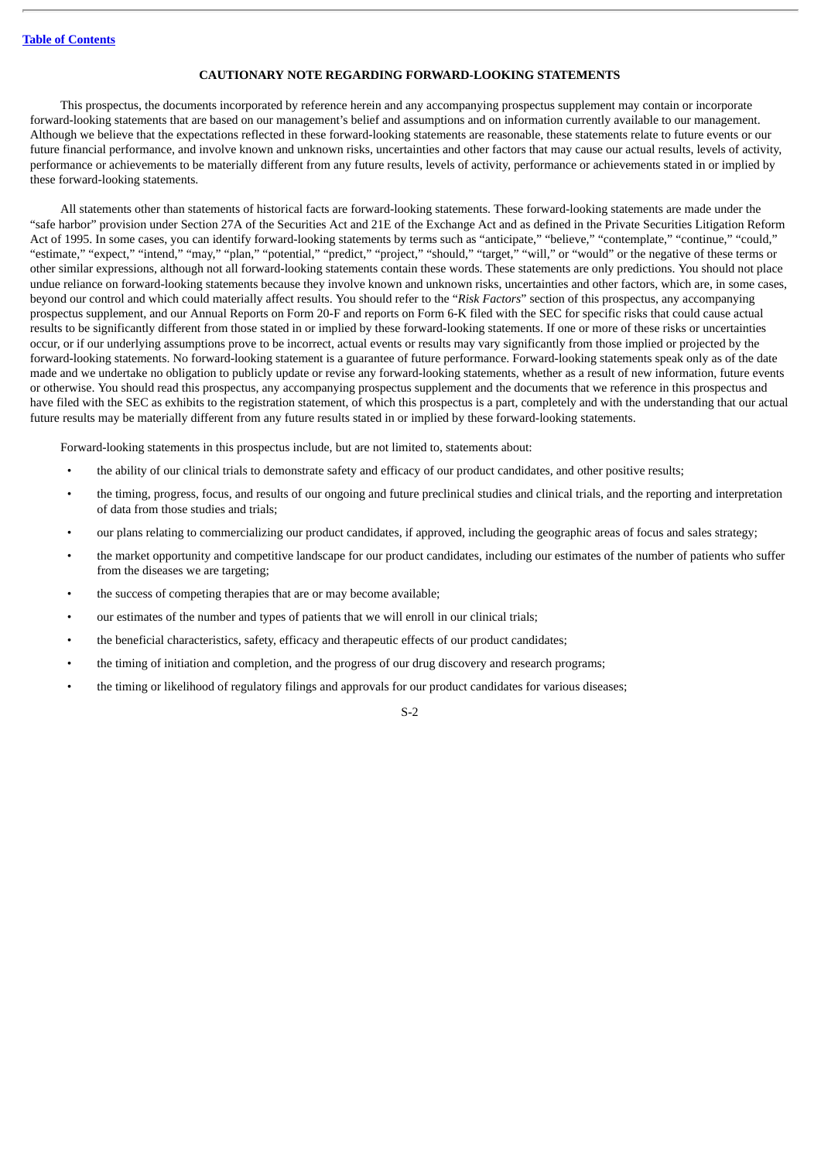## **CAUTIONARY NOTE REGARDING FORWARD-LOOKING STATEMENTS**

<span id="page-58-0"></span>This prospectus, the documents incorporated by reference herein and any accompanying prospectus supplement may contain or incorporate forward-looking statements that are based on our management's belief and assumptions and on information currently available to our management. Although we believe that the expectations reflected in these forward-looking statements are reasonable, these statements relate to future events or our future financial performance, and involve known and unknown risks, uncertainties and other factors that may cause our actual results, levels of activity, performance or achievements to be materially different from any future results, levels of activity, performance or achievements stated in or implied by these forward-looking statements.

All statements other than statements of historical facts are forward-looking statements. These forward-looking statements are made under the "safe harbor" provision under Section 27A of the Securities Act and 21E of the Exchange Act and as defined in the Private Securities Litigation Reform Act of 1995. In some cases, you can identify forward-looking statements by terms such as "anticipate," "believe," "contemplate," "continue," "could," "estimate," "expect," "intend," "may," "plan," "potential," "predict," "project," "should," "target," "will," or "would" or the negative of these terms or other similar expressions, although not all forward-looking statements contain these words. These statements are only predictions. You should not place undue reliance on forward-looking statements because they involve known and unknown risks, uncertainties and other factors, which are, in some cases, beyond our control and which could materially affect results. You should refer to the "*Risk Factors*" section of this prospectus, any accompanying prospectus supplement, and our Annual Reports on Form 20-F and reports on Form 6-K filed with the SEC for specific risks that could cause actual results to be significantly different from those stated in or implied by these forward-looking statements. If one or more of these risks or uncertainties occur, or if our underlying assumptions prove to be incorrect, actual events or results may vary significantly from those implied or projected by the forward-looking statements. No forward-looking statement is a guarantee of future performance. Forward-looking statements speak only as of the date made and we undertake no obligation to publicly update or revise any forward-looking statements, whether as a result of new information, future events or otherwise. You should read this prospectus, any accompanying prospectus supplement and the documents that we reference in this prospectus and have filed with the SEC as exhibits to the registration statement, of which this prospectus is a part, completely and with the understanding that our actual future results may be materially different from any future results stated in or implied by these forward-looking statements.

Forward-looking statements in this prospectus include, but are not limited to, statements about:

- the ability of our clinical trials to demonstrate safety and efficacy of our product candidates, and other positive results;
- the timing, progress, focus, and results of our ongoing and future preclinical studies and clinical trials, and the reporting and interpretation of data from those studies and trials;
- our plans relating to commercializing our product candidates, if approved, including the geographic areas of focus and sales strategy;
- the market opportunity and competitive landscape for our product candidates, including our estimates of the number of patients who suffer from the diseases we are targeting;
- the success of competing therapies that are or may become available;
- our estimates of the number and types of patients that we will enroll in our clinical trials;
- the beneficial characteristics, safety, efficacy and therapeutic effects of our product candidates;
- the timing of initiation and completion, and the progress of our drug discovery and research programs;
- the timing or likelihood of regulatory filings and approvals for our product candidates for various diseases;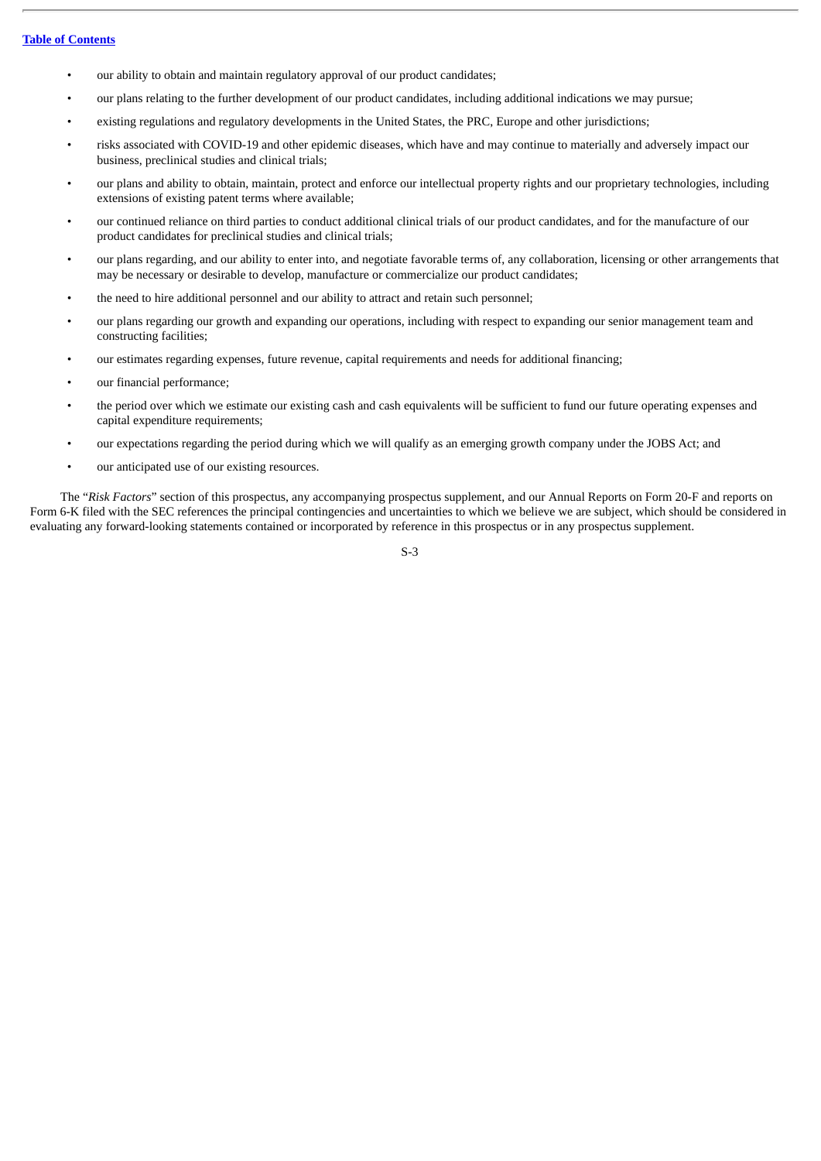- our ability to obtain and maintain regulatory approval of our product candidates;
- our plans relating to the further development of our product candidates, including additional indications we may pursue;
- existing regulations and regulatory developments in the United States, the PRC, Europe and other jurisdictions;
- risks associated with COVID-19 and other epidemic diseases, which have and may continue to materially and adversely impact our business, preclinical studies and clinical trials;
- our plans and ability to obtain, maintain, protect and enforce our intellectual property rights and our proprietary technologies, including extensions of existing patent terms where available;
- our continued reliance on third parties to conduct additional clinical trials of our product candidates, and for the manufacture of our product candidates for preclinical studies and clinical trials;
- our plans regarding, and our ability to enter into, and negotiate favorable terms of, any collaboration, licensing or other arrangements that may be necessary or desirable to develop, manufacture or commercialize our product candidates;
- the need to hire additional personnel and our ability to attract and retain such personnel;
- our plans regarding our growth and expanding our operations, including with respect to expanding our senior management team and constructing facilities;
- our estimates regarding expenses, future revenue, capital requirements and needs for additional financing;
- our financial performance;
- the period over which we estimate our existing cash and cash equivalents will be sufficient to fund our future operating expenses and capital expenditure requirements;
- our expectations regarding the period during which we will qualify as an emerging growth company under the JOBS Act; and
- our anticipated use of our existing resources.

The "*Risk Factors*" section of this prospectus, any accompanying prospectus supplement, and our Annual Reports on Form 20-F and reports on Form 6-K filed with the SEC references the principal contingencies and uncertainties to which we believe we are subject, which should be considered in evaluating any forward-looking statements contained or incorporated by reference in this prospectus or in any prospectus supplement.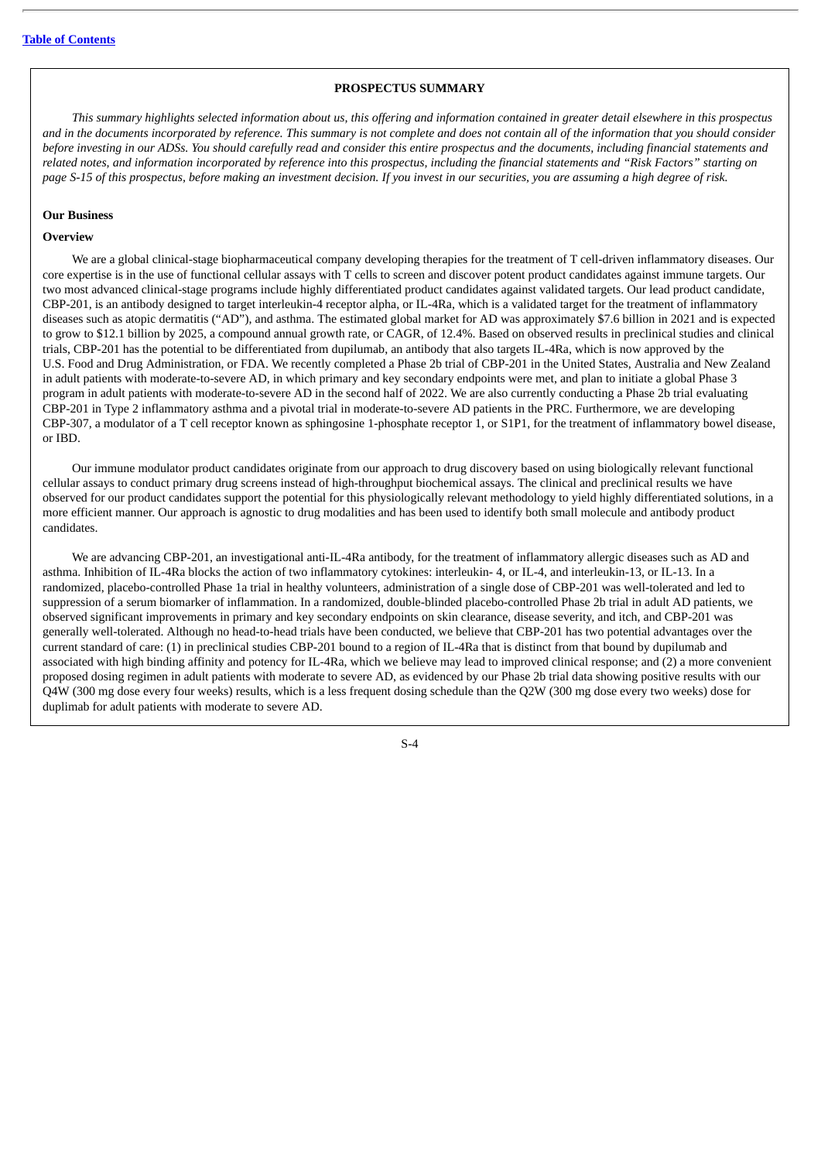## **PROSPECTUS SUMMARY**

<span id="page-60-0"></span>This summary highlights selected information about us, this offering and information contained in greater detail elsewhere in this prospectus and in the documents incorporated by reference. This summary is not complete and does not contain all of the information that you should consider before investing in our ADSs. You should carefully read and consider this entire prospectus and the documents, including financial statements and related notes, and information incorporated by reference into this prospectus, includina the financial statements and "Risk Factors" starting on page S-15 of this prospectus, before making an investment decision. If you invest in our securities, you are assuming a high degree of risk.

## **Our Business**

## **Overview**

We are a global clinical-stage biopharmaceutical company developing therapies for the treatment of T cell-driven inflammatory diseases. Our core expertise is in the use of functional cellular assays with T cells to screen and discover potent product candidates against immune targets. Our two most advanced clinical-stage programs include highly differentiated product candidates against validated targets. Our lead product candidate, CBP-201, is an antibody designed to target interleukin-4 receptor alpha, or IL-4Ra, which is a validated target for the treatment of inflammatory diseases such as atopic dermatitis ("AD"), and asthma. The estimated global market for AD was approximately \$7.6 billion in 2021 and is expected to grow to \$12.1 billion by 2025, a compound annual growth rate, or CAGR, of 12.4%. Based on observed results in preclinical studies and clinical trials, CBP-201 has the potential to be differentiated from dupilumab, an antibody that also targets IL-4Ra, which is now approved by the U.S. Food and Drug Administration, or FDA. We recently completed a Phase 2b trial of CBP-201 in the United States, Australia and New Zealand in adult patients with moderate-to-severe AD, in which primary and key secondary endpoints were met, and plan to initiate a global Phase 3 program in adult patients with moderate-to-severe AD in the second half of 2022. We are also currently conducting a Phase 2b trial evaluating CBP-201 in Type 2 inflammatory asthma and a pivotal trial in moderate-to-severe AD patients in the PRC. Furthermore, we are developing CBP-307, a modulator of a T cell receptor known as sphingosine 1-phosphate receptor 1, or S1P1, for the treatment of inflammatory bowel disease, or IBD.

Our immune modulator product candidates originate from our approach to drug discovery based on using biologically relevant functional cellular assays to conduct primary drug screens instead of high-throughput biochemical assays. The clinical and preclinical results we have observed for our product candidates support the potential for this physiologically relevant methodology to yield highly differentiated solutions, in a more efficient manner. Our approach is agnostic to drug modalities and has been used to identify both small molecule and antibody product candidates.

We are advancing CBP-201, an investigational anti-IL-4Ra antibody, for the treatment of inflammatory allergic diseases such as AD and asthma. Inhibition of IL-4Ra blocks the action of two inflammatory cytokines: interleukin- 4, or IL-4, and interleukin-13, or IL-13. In a randomized, placebo-controlled Phase 1a trial in healthy volunteers, administration of a single dose of CBP-201 was well-tolerated and led to suppression of a serum biomarker of inflammation. In a randomized, double-blinded placebo-controlled Phase 2b trial in adult AD patients, we observed significant improvements in primary and key secondary endpoints on skin clearance, disease severity, and itch, and CBP-201 was generally well-tolerated. Although no head-to-head trials have been conducted, we believe that CBP-201 has two potential advantages over the current standard of care: (1) in preclinical studies CBP-201 bound to a region of IL-4Ra that is distinct from that bound by dupilumab and associated with high binding affinity and potency for IL-4Ra, which we believe may lead to improved clinical response; and (2) a more convenient proposed dosing regimen in adult patients with moderate to severe AD, as evidenced by our Phase 2b trial data showing positive results with our Q4W (300 mg dose every four weeks) results, which is a less frequent dosing schedule than the Q2W (300 mg dose every two weeks) dose for duplimab for adult patients with moderate to severe AD.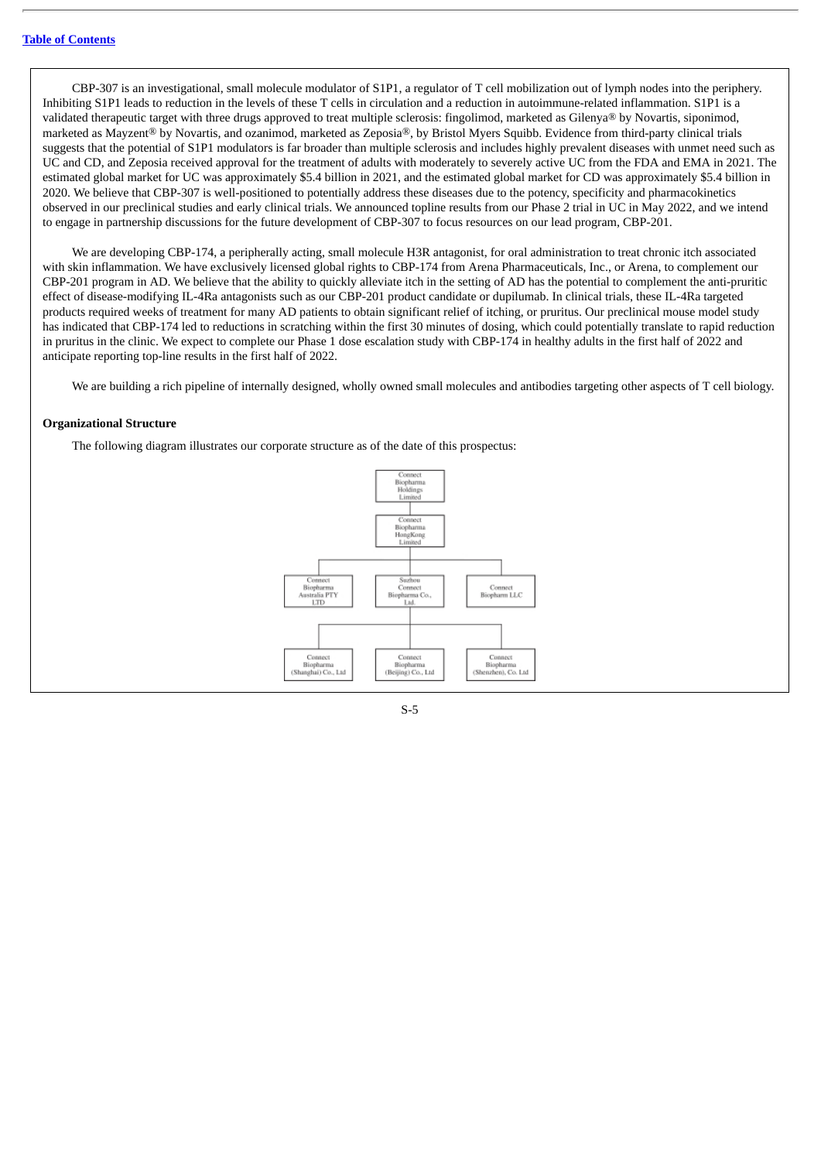CBP-307 is an investigational, small molecule modulator of S1P1, a regulator of T cell mobilization out of lymph nodes into the periphery. Inhibiting S1P1 leads to reduction in the levels of these T cells in circulation and a reduction in autoimmune-related inflammation. S1P1 is a validated therapeutic target with three drugs approved to treat multiple sclerosis: fingolimod, marketed as Gilenya® by Novartis, siponimod, marketed as Mayzent® by Novartis, and ozanimod, marketed as Zeposia®, by Bristol Myers Squibb. Evidence from third-party clinical trials suggests that the potential of S1P1 modulators is far broader than multiple sclerosis and includes highly prevalent diseases with unmet need such as UC and CD, and Zeposia received approval for the treatment of adults with moderately to severely active UC from the FDA and EMA in 2021. The estimated global market for UC was approximately \$5.4 billion in 2021, and the estimated global market for CD was approximately \$5.4 billion in 2020. We believe that CBP-307 is well-positioned to potentially address these diseases due to the potency, specificity and pharmacokinetics observed in our preclinical studies and early clinical trials. We announced topline results from our Phase 2 trial in UC in May 2022, and we intend to engage in partnership discussions for the future development of CBP-307 to focus resources on our lead program, CBP-201.

We are developing CBP-174, a peripherally acting, small molecule H3R antagonist, for oral administration to treat chronic itch associated with skin inflammation. We have exclusively licensed global rights to CBP-174 from Arena Pharmaceuticals, Inc., or Arena, to complement our CBP-201 program in AD. We believe that the ability to quickly alleviate itch in the setting of AD has the potential to complement the anti-pruritic effect of disease-modifying IL-4Ra antagonists such as our CBP-201 product candidate or dupilumab. In clinical trials, these IL-4Ra targeted products required weeks of treatment for many AD patients to obtain significant relief of itching, or pruritus. Our preclinical mouse model study has indicated that CBP-174 led to reductions in scratching within the first 30 minutes of dosing, which could potentially translate to rapid reduction in pruritus in the clinic. We expect to complete our Phase 1 dose escalation study with CBP-174 in healthy adults in the first half of 2022 and anticipate reporting top-line results in the first half of 2022.

We are building a rich pipeline of internally designed, wholly owned small molecules and antibodies targeting other aspects of T cell biology.

#### **Organizational Structure**

The following diagram illustrates our corporate structure as of the date of this prospectus:



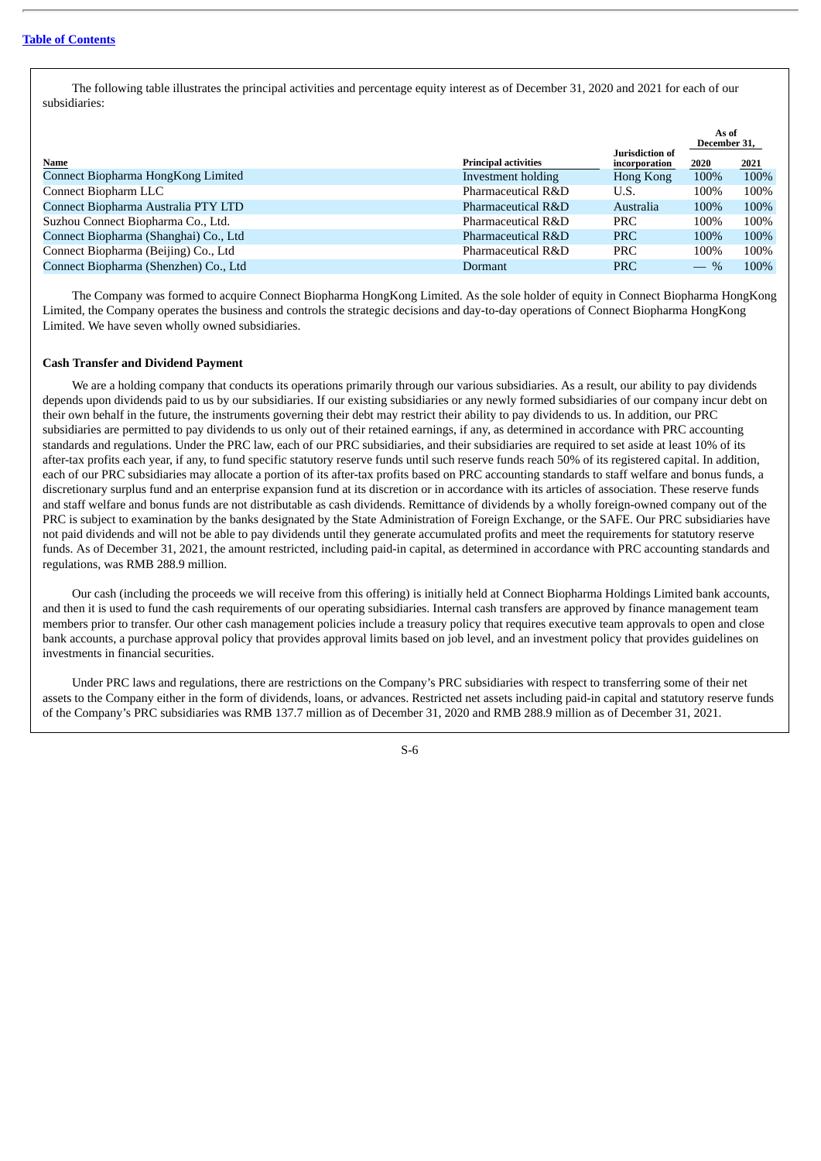The following table illustrates the principal activities and percentage equity interest as of December 31, 2020 and 2021 for each of our subsidiaries:

|                                       |                             | Jurisdiction of | As of<br>December 31, |      |
|---------------------------------------|-----------------------------|-----------------|-----------------------|------|
| Name                                  | <b>Principal activities</b> | incorporation   | 2020                  | 2021 |
| Connect Biopharma HongKong Limited    | Investment holding          | Hong Kong       | 100%                  | 100% |
| Connect Biopharm LLC                  | Pharmaceutical R&D          | U.S.            | 100%                  | 100% |
| Connect Biopharma Australia PTY LTD   | Pharmaceutical R&D          | Australia       | 100%                  | 100% |
| Suzhou Connect Biopharma Co., Ltd.    | Pharmaceutical R&D          | <b>PRC</b>      | 100%                  | 100% |
| Connect Biopharma (Shanghai) Co., Ltd | Pharmaceutical R&D          | <b>PRC</b>      | 100%                  | 100% |
| Connect Biopharma (Beijing) Co., Ltd  | Pharmaceutical R&D          | <b>PRC</b>      | 100%                  | 100% |
| Connect Biopharma (Shenzhen) Co., Ltd | Dormant                     | <b>PRC</b>      | $-$ %                 | 100% |

The Company was formed to acquire Connect Biopharma HongKong Limited. As the sole holder of equity in Connect Biopharma HongKong Limited, the Company operates the business and controls the strategic decisions and day-to-day operations of Connect Biopharma HongKong Limited. We have seven wholly owned subsidiaries.

## **Cash Transfer and Dividend Payment**

We are a holding company that conducts its operations primarily through our various subsidiaries. As a result, our ability to pay dividends depends upon dividends paid to us by our subsidiaries. If our existing subsidiaries or any newly formed subsidiaries of our company incur debt on their own behalf in the future, the instruments governing their debt may restrict their ability to pay dividends to us. In addition, our PRC subsidiaries are permitted to pay dividends to us only out of their retained earnings, if any, as determined in accordance with PRC accounting standards and regulations. Under the PRC law, each of our PRC subsidiaries, and their subsidiaries are required to set aside at least 10% of its after-tax profits each year, if any, to fund specific statutory reserve funds until such reserve funds reach 50% of its registered capital. In addition, each of our PRC subsidiaries may allocate a portion of its after-tax profits based on PRC accounting standards to staff welfare and bonus funds, a discretionary surplus fund and an enterprise expansion fund at its discretion or in accordance with its articles of association. These reserve funds and staff welfare and bonus funds are not distributable as cash dividends. Remittance of dividends by a wholly foreign-owned company out of the PRC is subject to examination by the banks designated by the State Administration of Foreign Exchange, or the SAFE. Our PRC subsidiaries have not paid dividends and will not be able to pay dividends until they generate accumulated profits and meet the requirements for statutory reserve funds. As of December 31, 2021, the amount restricted, including paid-in capital, as determined in accordance with PRC accounting standards and regulations, was RMB 288.9 million.

Our cash (including the proceeds we will receive from this offering) is initially held at Connect Biopharma Holdings Limited bank accounts, and then it is used to fund the cash requirements of our operating subsidiaries. Internal cash transfers are approved by finance management team members prior to transfer. Our other cash management policies include a treasury policy that requires executive team approvals to open and close bank accounts, a purchase approval policy that provides approval limits based on job level, and an investment policy that provides guidelines on investments in financial securities.

Under PRC laws and regulations, there are restrictions on the Company's PRC subsidiaries with respect to transferring some of their net assets to the Company either in the form of dividends, loans, or advances. Restricted net assets including paid-in capital and statutory reserve funds of the Company's PRC subsidiaries was RMB 137.7 million as of December 31, 2020 and RMB 288.9 million as of December 31, 2021.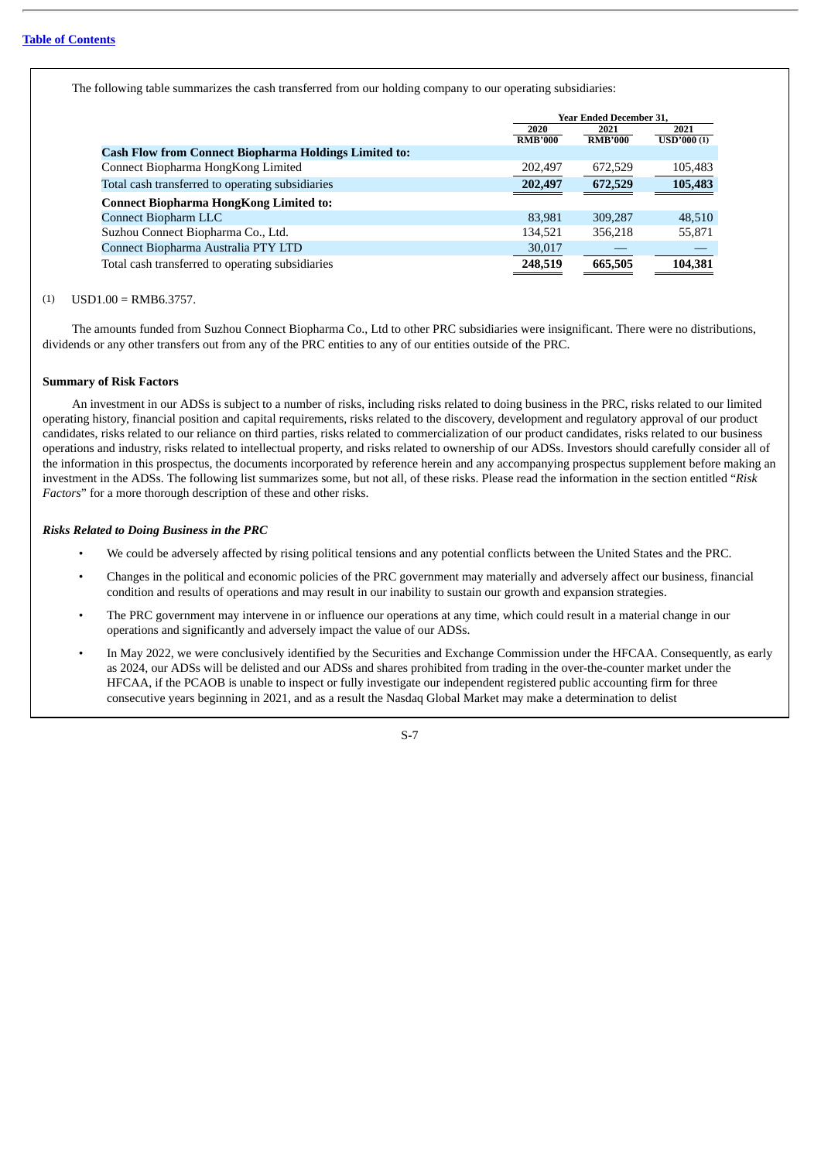The following table summarizes the cash transferred from our holding company to our operating subsidiaries:

|                                                              | <b>Year Ended December 31.</b> |                |                   |
|--------------------------------------------------------------|--------------------------------|----------------|-------------------|
|                                                              | 2020                           | 2021           | 2021              |
|                                                              | <b>RMB'000</b>                 | <b>RMB'000</b> | <b>USD'000(1)</b> |
| <b>Cash Flow from Connect Biopharma Holdings Limited to:</b> |                                |                |                   |
| Connect Biopharma HongKong Limited                           | 202,497                        | 672,529        | 105,483           |
| Total cash transferred to operating subsidiaries             | 202,497                        | 672,529        | 105,483           |
| <b>Connect Biopharma HongKong Limited to:</b>                |                                |                |                   |
| Connect Biopharm LLC                                         | 83.981                         | 309,287        | 48.510            |
| Suzhou Connect Biopharma Co., Ltd.                           | 134,521                        | 356.218        | 55,871            |
| Connect Biopharma Australia PTY LTD                          | 30,017                         |                |                   |
| Total cash transferred to operating subsidiaries             | 248,519                        | 665,505        | 104,381           |

## $(1)$  USD1.00 = RMB6.3757

The amounts funded from Suzhou Connect Biopharma Co., Ltd to other PRC subsidiaries were insignificant. There were no distributions, dividends or any other transfers out from any of the PRC entities to any of our entities outside of the PRC.

#### **Summary of Risk Factors**

An investment in our ADSs is subject to a number of risks, including risks related to doing business in the PRC, risks related to our limited operating history, financial position and capital requirements, risks related to the discovery, development and regulatory approval of our product candidates, risks related to our reliance on third parties, risks related to commercialization of our product candidates, risks related to our business operations and industry, risks related to intellectual property, and risks related to ownership of our ADSs. Investors should carefully consider all of the information in this prospectus, the documents incorporated by reference herein and any accompanying prospectus supplement before making an investment in the ADSs. The following list summarizes some, but not all, of these risks. Please read the information in the section entitled "*Risk Factors*" for a more thorough description of these and other risks.

## *Risks Related to Doing Business in the PRC*

- We could be adversely affected by rising political tensions and any potential conflicts between the United States and the PRC.
- Changes in the political and economic policies of the PRC government may materially and adversely affect our business, financial condition and results of operations and may result in our inability to sustain our growth and expansion strategies.
- The PRC government may intervene in or influence our operations at any time, which could result in a material change in our operations and significantly and adversely impact the value of our ADSs.
- In May 2022, we were conclusively identified by the Securities and Exchange Commission under the HFCAA. Consequently, as early as 2024, our ADSs will be delisted and our ADSs and shares prohibited from trading in the over-the-counter market under the HFCAA, if the PCAOB is unable to inspect or fully investigate our independent registered public accounting firm for three consecutive years beginning in 2021, and as a result the Nasdaq Global Market may make a determination to delist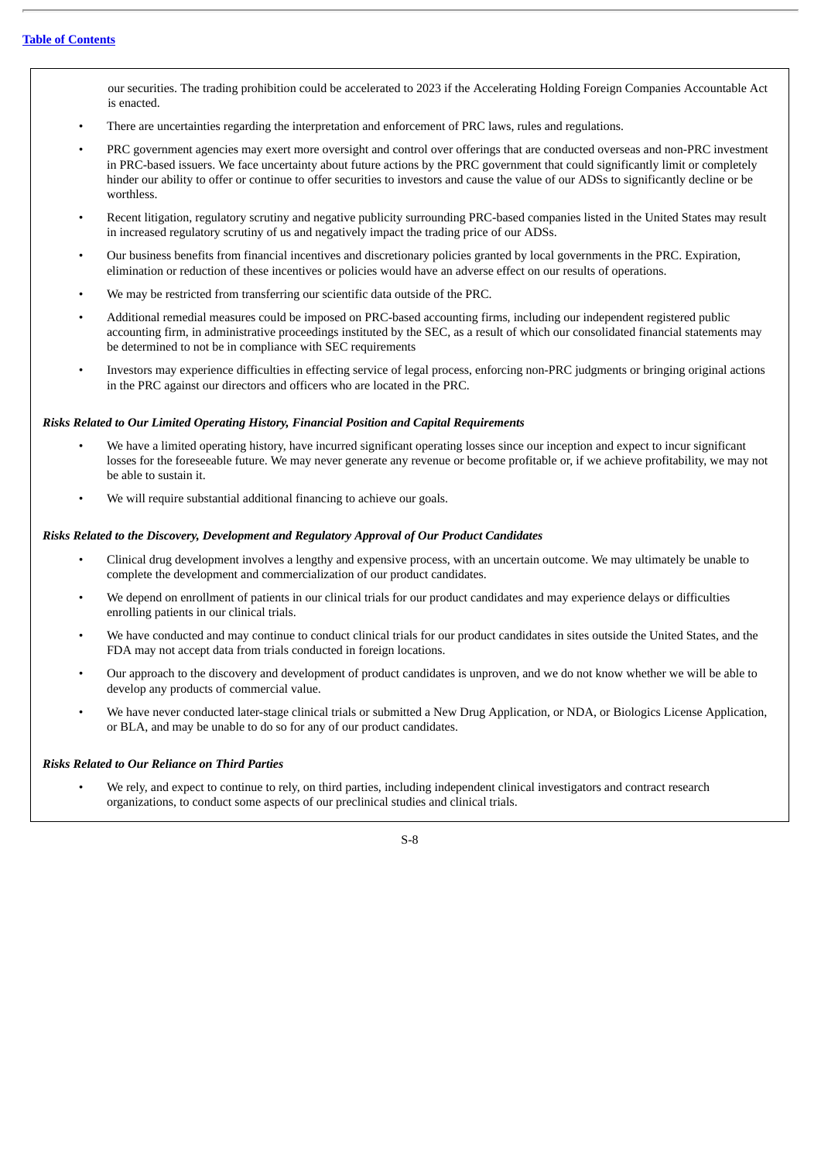our securities. The trading prohibition could be accelerated to 2023 if the Accelerating Holding Foreign Companies Accountable Act is enacted.

- There are uncertainties regarding the interpretation and enforcement of PRC laws, rules and regulations.
- PRC government agencies may exert more oversight and control over offerings that are conducted overseas and non-PRC investment in PRC-based issuers. We face uncertainty about future actions by the PRC government that could significantly limit or completely hinder our ability to offer or continue to offer securities to investors and cause the value of our ADSs to significantly decline or be worthless.
- Recent litigation, regulatory scrutiny and negative publicity surrounding PRC-based companies listed in the United States may result in increased regulatory scrutiny of us and negatively impact the trading price of our ADSs.
- Our business benefits from financial incentives and discretionary policies granted by local governments in the PRC. Expiration, elimination or reduction of these incentives or policies would have an adverse effect on our results of operations.
- We may be restricted from transferring our scientific data outside of the PRC.
- Additional remedial measures could be imposed on PRC-based accounting firms, including our independent registered public accounting firm, in administrative proceedings instituted by the SEC, as a result of which our consolidated financial statements may be determined to not be in compliance with SEC requirements
- Investors may experience difficulties in effecting service of legal process, enforcing non-PRC judgments or bringing original actions in the PRC against our directors and officers who are located in the PRC.

## *Risks Related to Our Limited Operating History, Financial Position and Capital Requirements*

- We have a limited operating history, have incurred significant operating losses since our inception and expect to incur significant losses for the foreseeable future. We may never generate any revenue or become profitable or, if we achieve profitability, we may not be able to sustain it.
- We will require substantial additional financing to achieve our goals.

## *Risks Related to the Discovery, Development and Regulatory Approval of Our Product Candidates*

- Clinical drug development involves a lengthy and expensive process, with an uncertain outcome. We may ultimately be unable to complete the development and commercialization of our product candidates.
- We depend on enrollment of patients in our clinical trials for our product candidates and may experience delays or difficulties enrolling patients in our clinical trials.
- We have conducted and may continue to conduct clinical trials for our product candidates in sites outside the United States, and the FDA may not accept data from trials conducted in foreign locations.
- Our approach to the discovery and development of product candidates is unproven, and we do not know whether we will be able to develop any products of commercial value.
- We have never conducted later-stage clinical trials or submitted a New Drug Application, or NDA, or Biologics License Application, or BLA, and may be unable to do so for any of our product candidates.

## *Risks Related to Our Reliance on Third Parties*

• We rely, and expect to continue to rely, on third parties, including independent clinical investigators and contract research organizations, to conduct some aspects of our preclinical studies and clinical trials.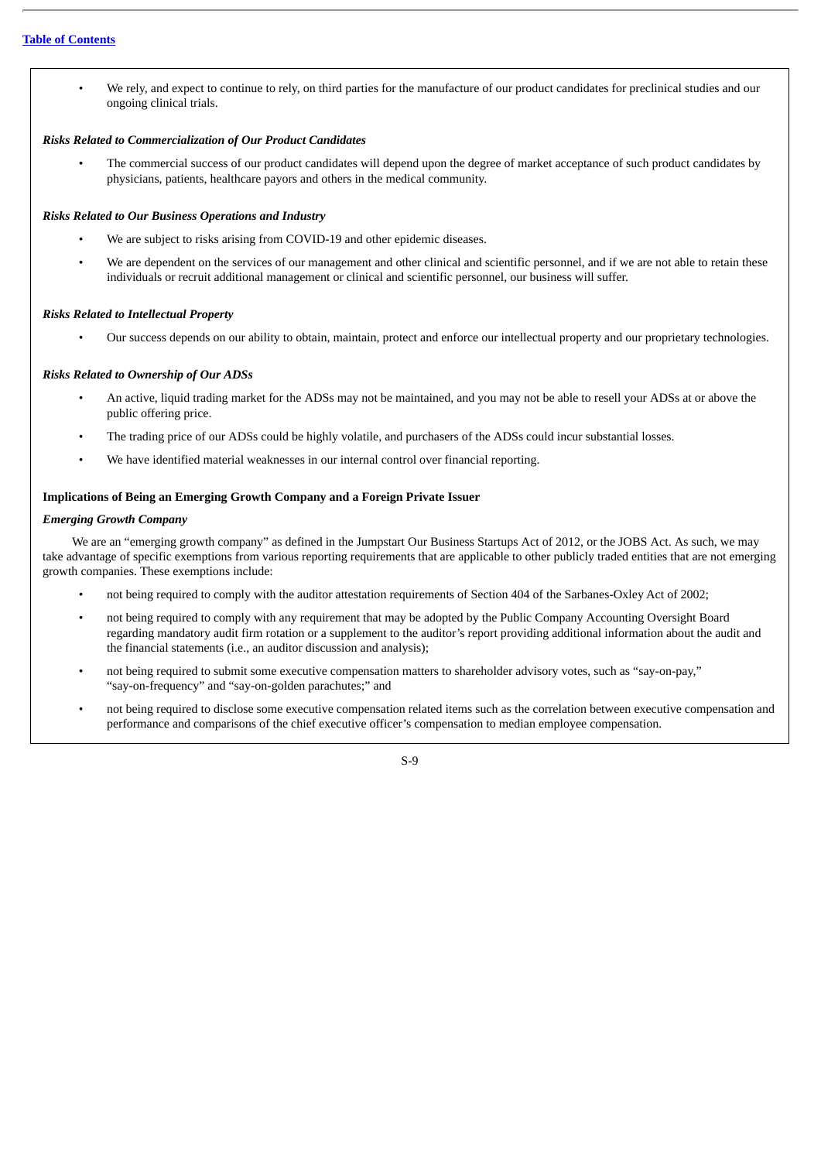• We rely, and expect to continue to rely, on third parties for the manufacture of our product candidates for preclinical studies and our ongoing clinical trials.

## *Risks Related to Commercialization of Our Product Candidates*

• The commercial success of our product candidates will depend upon the degree of market acceptance of such product candidates by physicians, patients, healthcare payors and others in the medical community.

## *Risks Related to Our Business Operations and Industry*

- We are subject to risks arising from COVID-19 and other epidemic diseases.
- We are dependent on the services of our management and other clinical and scientific personnel, and if we are not able to retain these individuals or recruit additional management or clinical and scientific personnel, our business will suffer.

## *Risks Related to Intellectual Property*

• Our success depends on our ability to obtain, maintain, protect and enforce our intellectual property and our proprietary technologies.

## *Risks Related to Ownership of Our ADSs*

- An active, liquid trading market for the ADSs may not be maintained, and you may not be able to resell your ADSs at or above the public offering price.
- The trading price of our ADSs could be highly volatile, and purchasers of the ADSs could incur substantial losses.
- We have identified material weaknesses in our internal control over financial reporting.

## **Implications of Being an Emerging Growth Company and a Foreign Private Issuer**

## *Emerging Growth Company*

We are an "emerging growth company" as defined in the Jumpstart Our Business Startups Act of 2012, or the JOBS Act. As such, we may take advantage of specific exemptions from various reporting requirements that are applicable to other publicly traded entities that are not emerging growth companies. These exemptions include:

- not being required to comply with the auditor attestation requirements of Section 404 of the Sarbanes-Oxley Act of 2002;
- not being required to comply with any requirement that may be adopted by the Public Company Accounting Oversight Board regarding mandatory audit firm rotation or a supplement to the auditor's report providing additional information about the audit and the financial statements (i.e., an auditor discussion and analysis);
- not being required to submit some executive compensation matters to shareholder advisory votes, such as "say-on-pay," "say-on-frequency" and "say-on-golden parachutes;" and
- not being required to disclose some executive compensation related items such as the correlation between executive compensation and performance and comparisons of the chief executive officer's compensation to median employee compensation.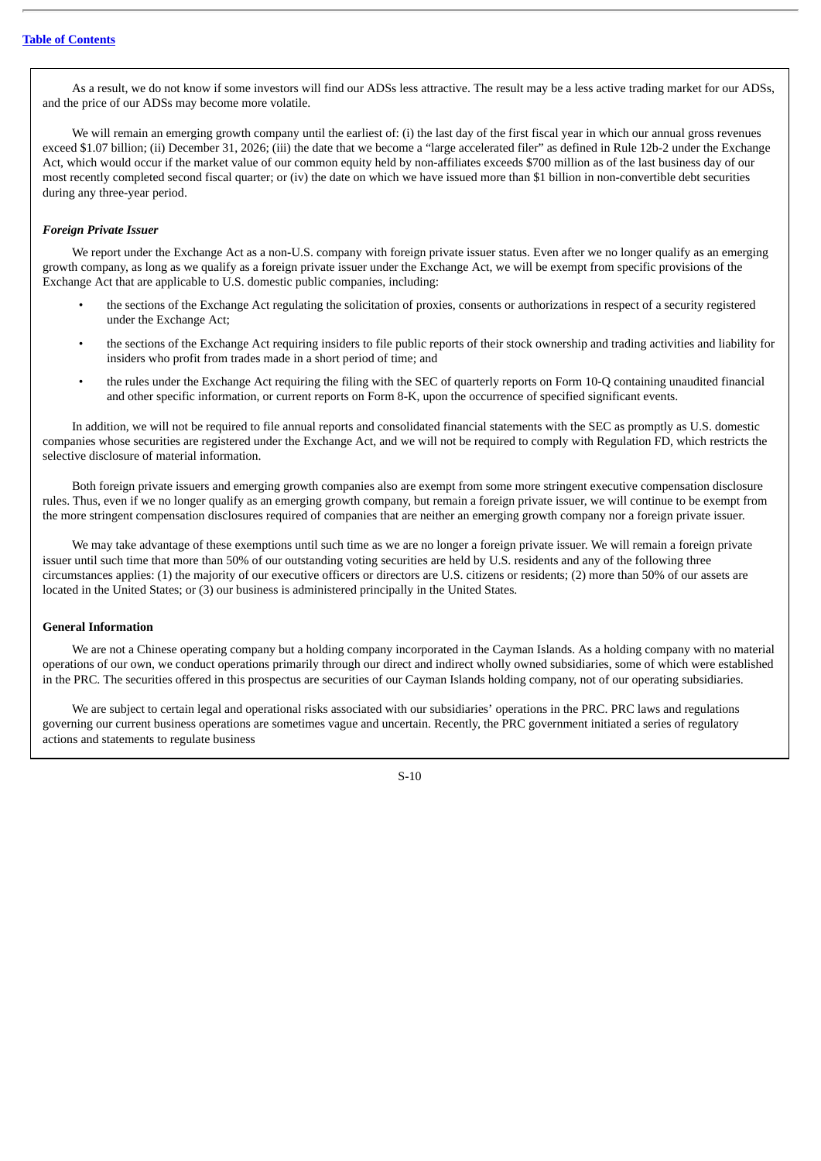As a result, we do not know if some investors will find our ADSs less attractive. The result may be a less active trading market for our ADSs, and the price of our ADSs may become more volatile.

We will remain an emerging growth company until the earliest of: (i) the last day of the first fiscal year in which our annual gross revenues exceed \$1.07 billion; (ii) December 31, 2026; (iii) the date that we become a "large accelerated filer" as defined in Rule 12b-2 under the Exchange Act, which would occur if the market value of our common equity held by non-affiliates exceeds \$700 million as of the last business day of our most recently completed second fiscal quarter; or (iv) the date on which we have issued more than \$1 billion in non-convertible debt securities during any three-year period.

## *Foreign Private Issuer*

We report under the Exchange Act as a non-U.S. company with foreign private issuer status. Even after we no longer qualify as an emerging growth company, as long as we qualify as a foreign private issuer under the Exchange Act, we will be exempt from specific provisions of the Exchange Act that are applicable to U.S. domestic public companies, including:

- the sections of the Exchange Act regulating the solicitation of proxies, consents or authorizations in respect of a security registered under the Exchange Act;
- the sections of the Exchange Act requiring insiders to file public reports of their stock ownership and trading activities and liability for insiders who profit from trades made in a short period of time; and
- the rules under the Exchange Act requiring the filing with the SEC of quarterly reports on Form 10-Q containing unaudited financial and other specific information, or current reports on Form 8-K, upon the occurrence of specified significant events.

In addition, we will not be required to file annual reports and consolidated financial statements with the SEC as promptly as U.S. domestic companies whose securities are registered under the Exchange Act, and we will not be required to comply with Regulation FD, which restricts the selective disclosure of material information.

Both foreign private issuers and emerging growth companies also are exempt from some more stringent executive compensation disclosure rules. Thus, even if we no longer qualify as an emerging growth company, but remain a foreign private issuer, we will continue to be exempt from the more stringent compensation disclosures required of companies that are neither an emerging growth company nor a foreign private issuer.

We may take advantage of these exemptions until such time as we are no longer a foreign private issuer. We will remain a foreign private issuer until such time that more than 50% of our outstanding voting securities are held by U.S. residents and any of the following three circumstances applies: (1) the majority of our executive officers or directors are U.S. citizens or residents; (2) more than 50% of our assets are located in the United States; or (3) our business is administered principally in the United States.

## **General Information**

We are not a Chinese operating company but a holding company incorporated in the Cayman Islands. As a holding company with no material operations of our own, we conduct operations primarily through our direct and indirect wholly owned subsidiaries, some of which were established in the PRC. The securities offered in this prospectus are securities of our Cayman Islands holding company, not of our operating subsidiaries.

We are subject to certain legal and operational risks associated with our subsidiaries' operations in the PRC. PRC laws and regulations governing our current business operations are sometimes vague and uncertain. Recently, the PRC government initiated a series of regulatory actions and statements to regulate business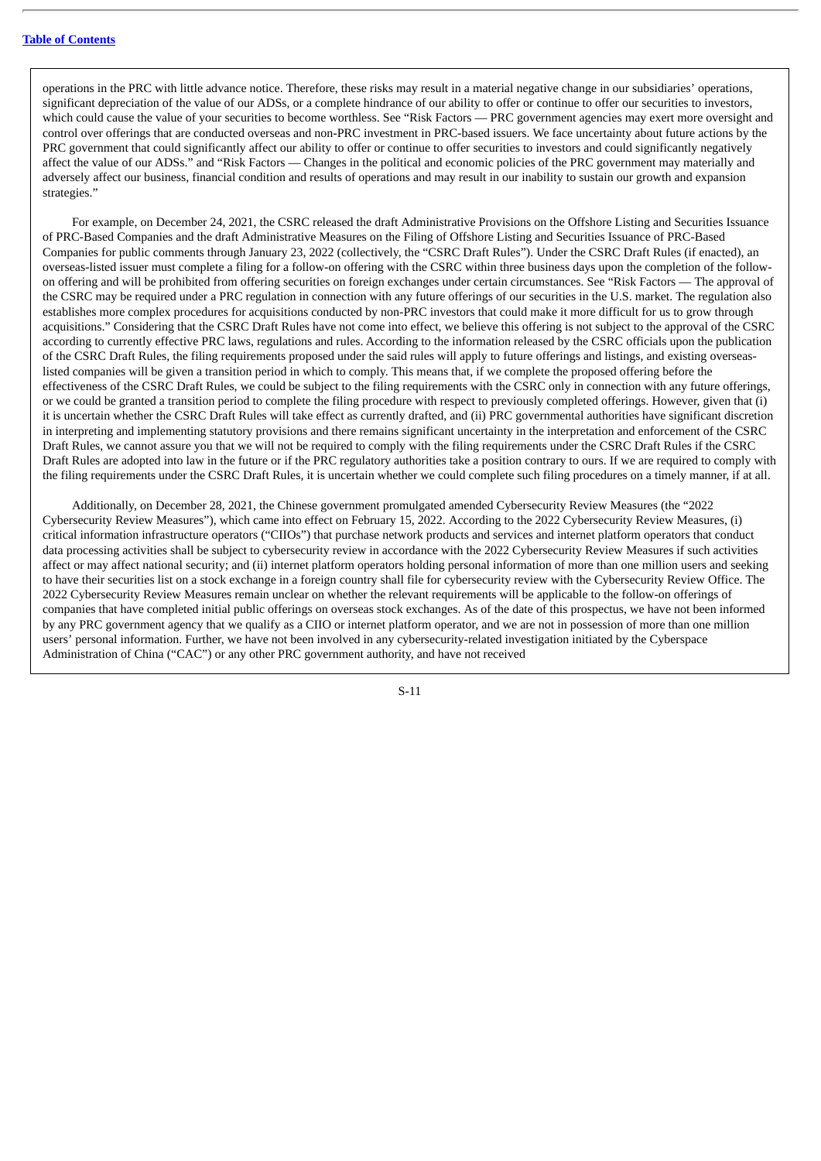operations in the PRC with little advance notice. Therefore, these risks may result in a material negative change in our subsidiaries' operations, significant depreciation of the value of our ADSs, or a complete hindrance of our ability to offer or continue to offer our securities to investors, which could cause the value of your securities to become worthless. See "Risk Factors — PRC government agencies may exert more oversight and control over offerings that are conducted overseas and non-PRC investment in PRC-based issuers. We face uncertainty about future actions by the PRC government that could significantly affect our ability to offer or continue to offer securities to investors and could significantly negatively affect the value of our ADSs." and "Risk Factors — Changes in the political and economic policies of the PRC government may materially and adversely affect our business, financial condition and results of operations and may result in our inability to sustain our growth and expansion strategies."

For example, on December 24, 2021, the CSRC released the draft Administrative Provisions on the Offshore Listing and Securities Issuance of PRC-Based Companies and the draft Administrative Measures on the Filing of Offshore Listing and Securities Issuance of PRC-Based Companies for public comments through January 23, 2022 (collectively, the "CSRC Draft Rules"). Under the CSRC Draft Rules (if enacted), an overseas-listed issuer must complete a filing for a follow-on offering with the CSRC within three business days upon the completion of the followon offering and will be prohibited from offering securities on foreign exchanges under certain circumstances. See "Risk Factors — The approval of the CSRC may be required under a PRC regulation in connection with any future offerings of our securities in the U.S. market. The regulation also establishes more complex procedures for acquisitions conducted by non-PRC investors that could make it more difficult for us to grow through acquisitions." Considering that the CSRC Draft Rules have not come into effect, we believe this offering is not subject to the approval of the CSRC according to currently effective PRC laws, regulations and rules. According to the information released by the CSRC officials upon the publication of the CSRC Draft Rules, the filing requirements proposed under the said rules will apply to future offerings and listings, and existing overseaslisted companies will be given a transition period in which to comply. This means that, if we complete the proposed offering before the effectiveness of the CSRC Draft Rules, we could be subject to the filing requirements with the CSRC only in connection with any future offerings, or we could be granted a transition period to complete the filing procedure with respect to previously completed offerings. However, given that (i) it is uncertain whether the CSRC Draft Rules will take effect as currently drafted, and (ii) PRC governmental authorities have significant discretion in interpreting and implementing statutory provisions and there remains significant uncertainty in the interpretation and enforcement of the CSRC Draft Rules, we cannot assure you that we will not be required to comply with the filing requirements under the CSRC Draft Rules if the CSRC Draft Rules are adopted into law in the future or if the PRC regulatory authorities take a position contrary to ours. If we are required to comply with the filing requirements under the CSRC Draft Rules, it is uncertain whether we could complete such filing procedures on a timely manner, if at all.

Additionally, on December 28, 2021, the Chinese government promulgated amended Cybersecurity Review Measures (the "2022 Cybersecurity Review Measures"), which came into effect on February 15, 2022. According to the 2022 Cybersecurity Review Measures, (i) critical information infrastructure operators ("CIIOs") that purchase network products and services and internet platform operators that conduct data processing activities shall be subject to cybersecurity review in accordance with the 2022 Cybersecurity Review Measures if such activities affect or may affect national security; and (ii) internet platform operators holding personal information of more than one million users and seeking to have their securities list on a stock exchange in a foreign country shall file for cybersecurity review with the Cybersecurity Review Office. The 2022 Cybersecurity Review Measures remain unclear on whether the relevant requirements will be applicable to the follow-on offerings of companies that have completed initial public offerings on overseas stock exchanges. As of the date of this prospectus, we have not been informed by any PRC government agency that we qualify as a CIIO or internet platform operator, and we are not in possession of more than one million users' personal information. Further, we have not been involved in any cybersecurity-related investigation initiated by the Cyberspace Administration of China ("CAC") or any other PRC government authority, and have not received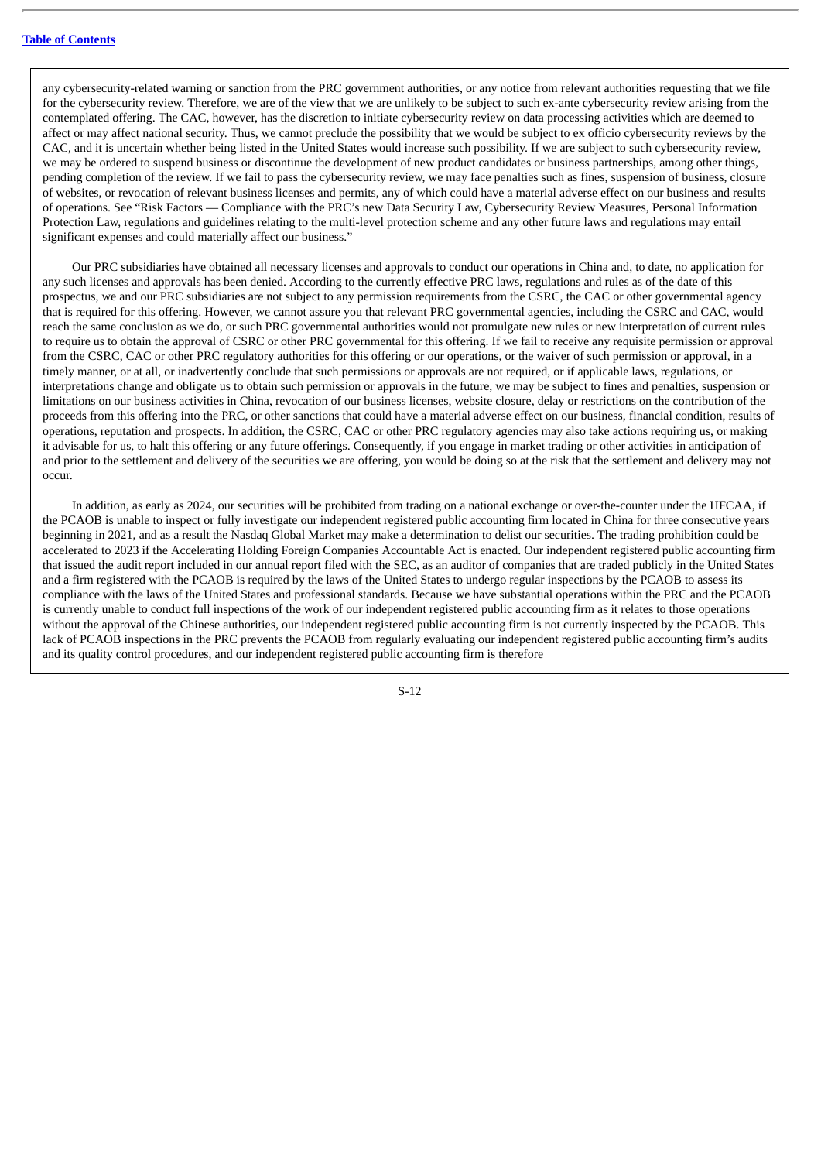any cybersecurity-related warning or sanction from the PRC government authorities, or any notice from relevant authorities requesting that we file for the cybersecurity review. Therefore, we are of the view that we are unlikely to be subject to such ex-ante cybersecurity review arising from the contemplated offering. The CAC, however, has the discretion to initiate cybersecurity review on data processing activities which are deemed to affect or may affect national security. Thus, we cannot preclude the possibility that we would be subject to ex officio cybersecurity reviews by the CAC, and it is uncertain whether being listed in the United States would increase such possibility. If we are subject to such cybersecurity review, we may be ordered to suspend business or discontinue the development of new product candidates or business partnerships, among other things, pending completion of the review. If we fail to pass the cybersecurity review, we may face penalties such as fines, suspension of business, closure of websites, or revocation of relevant business licenses and permits, any of which could have a material adverse effect on our business and results of operations. See "Risk Factors — Compliance with the PRC's new Data Security Law, Cybersecurity Review Measures, Personal Information Protection Law, regulations and guidelines relating to the multi-level protection scheme and any other future laws and regulations may entail significant expenses and could materially affect our business."

Our PRC subsidiaries have obtained all necessary licenses and approvals to conduct our operations in China and, to date, no application for any such licenses and approvals has been denied. According to the currently effective PRC laws, regulations and rules as of the date of this prospectus, we and our PRC subsidiaries are not subject to any permission requirements from the CSRC, the CAC or other governmental agency that is required for this offering. However, we cannot assure you that relevant PRC governmental agencies, including the CSRC and CAC, would reach the same conclusion as we do, or such PRC governmental authorities would not promulgate new rules or new interpretation of current rules to require us to obtain the approval of CSRC or other PRC governmental for this offering. If we fail to receive any requisite permission or approval from the CSRC, CAC or other PRC regulatory authorities for this offering or our operations, or the waiver of such permission or approval, in a timely manner, or at all, or inadvertently conclude that such permissions or approvals are not required, or if applicable laws, regulations, or interpretations change and obligate us to obtain such permission or approvals in the future, we may be subject to fines and penalties, suspension or limitations on our business activities in China, revocation of our business licenses, website closure, delay or restrictions on the contribution of the proceeds from this offering into the PRC, or other sanctions that could have a material adverse effect on our business, financial condition, results of operations, reputation and prospects. In addition, the CSRC, CAC or other PRC regulatory agencies may also take actions requiring us, or making it advisable for us, to halt this offering or any future offerings. Consequently, if you engage in market trading or other activities in anticipation of and prior to the settlement and delivery of the securities we are offering, you would be doing so at the risk that the settlement and delivery may not occur.

In addition, as early as 2024, our securities will be prohibited from trading on a national exchange or over-the-counter under the HFCAA, if the PCAOB is unable to inspect or fully investigate our independent registered public accounting firm located in China for three consecutive years beginning in 2021, and as a result the Nasdaq Global Market may make a determination to delist our securities. The trading prohibition could be accelerated to 2023 if the Accelerating Holding Foreign Companies Accountable Act is enacted. Our independent registered public accounting firm that issued the audit report included in our annual report filed with the SEC, as an auditor of companies that are traded publicly in the United States and a firm registered with the PCAOB is required by the laws of the United States to undergo regular inspections by the PCAOB to assess its compliance with the laws of the United States and professional standards. Because we have substantial operations within the PRC and the PCAOB is currently unable to conduct full inspections of the work of our independent registered public accounting firm as it relates to those operations without the approval of the Chinese authorities, our independent registered public accounting firm is not currently inspected by the PCAOB. This lack of PCAOB inspections in the PRC prevents the PCAOB from regularly evaluating our independent registered public accounting firm's audits and its quality control procedures, and our independent registered public accounting firm is therefore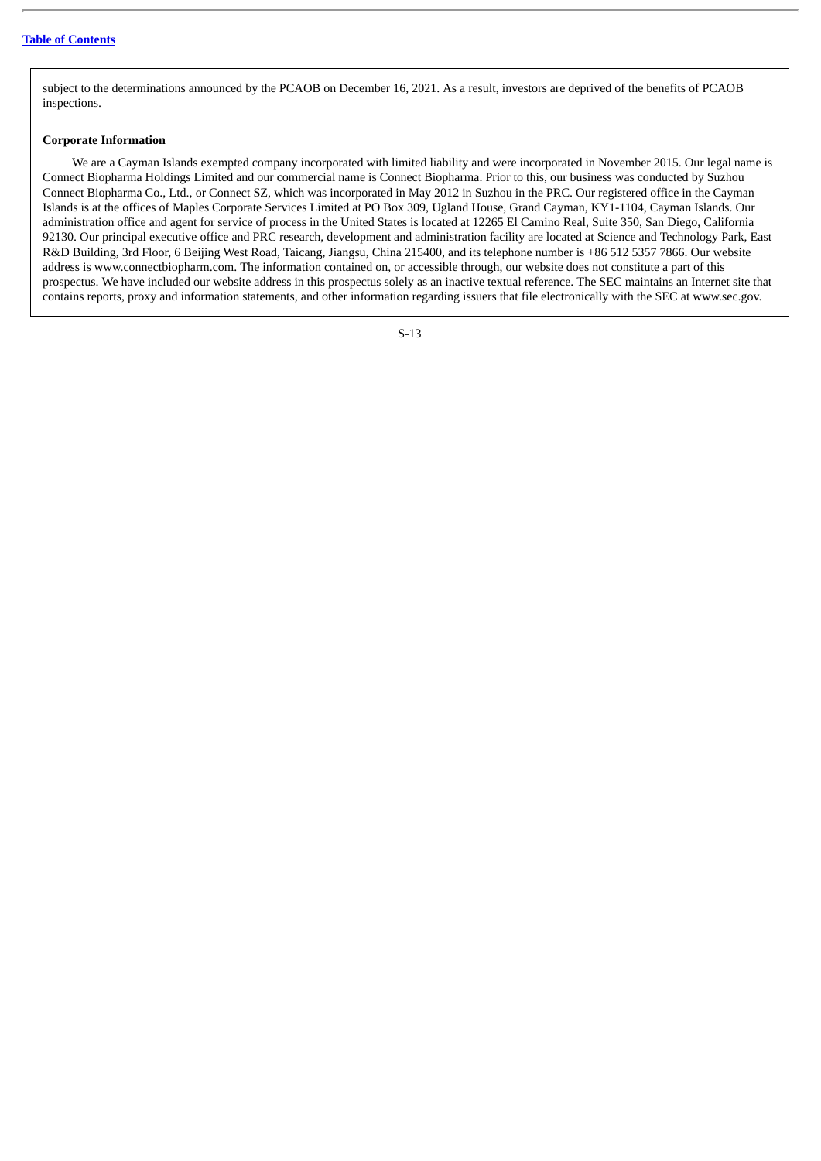subject to the determinations announced by the PCAOB on December 16, 2021. As a result, investors are deprived of the benefits of PCAOB inspections.

## **Corporate Information**

We are a Cayman Islands exempted company incorporated with limited liability and were incorporated in November 2015. Our legal name is Connect Biopharma Holdings Limited and our commercial name is Connect Biopharma. Prior to this, our business was conducted by Suzhou Connect Biopharma Co., Ltd., or Connect SZ, which was incorporated in May 2012 in Suzhou in the PRC. Our registered office in the Cayman Islands is at the offices of Maples Corporate Services Limited at PO Box 309, Ugland House, Grand Cayman, KY1-1104, Cayman Islands. Our administration office and agent for service of process in the United States is located at 12265 El Camino Real, Suite 350, San Diego, California 92130. Our principal executive office and PRC research, development and administration facility are located at Science and Technology Park, East R&D Building, 3rd Floor, 6 Beijing West Road, Taicang, Jiangsu, China 215400, and its telephone number is +86 512 5357 7866. Our website address is www.connectbiopharm.com. The information contained on, or accessible through, our website does not constitute a part of this prospectus. We have included our website address in this prospectus solely as an inactive textual reference. The SEC maintains an Internet site that contains reports, proxy and information statements, and other information regarding issuers that file electronically with the SEC at www.sec.gov.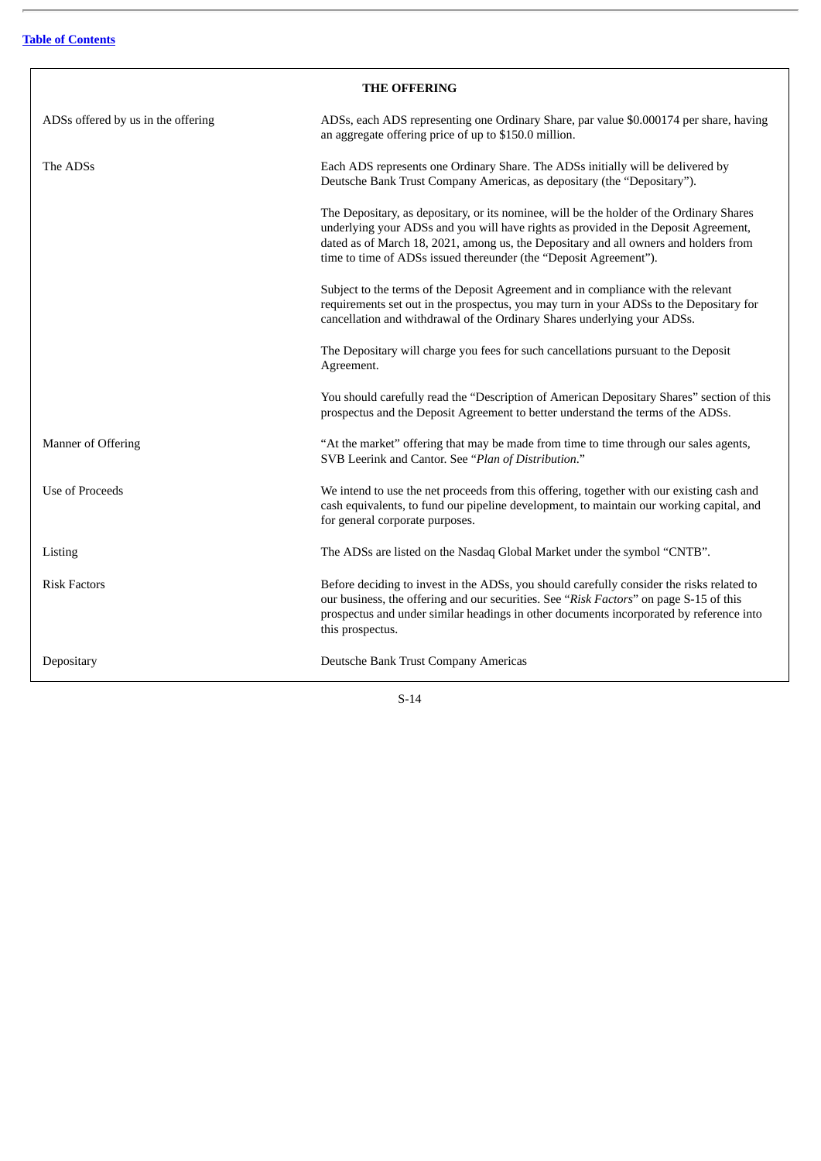$\overline{a}$ 

 $\mathsf{r}$ 

<span id="page-70-0"></span>

| <b>THE OFFERING</b>                |                                                                                                                                                                                                                                                                                                                                              |
|------------------------------------|----------------------------------------------------------------------------------------------------------------------------------------------------------------------------------------------------------------------------------------------------------------------------------------------------------------------------------------------|
| ADSs offered by us in the offering | ADSs, each ADS representing one Ordinary Share, par value \$0.000174 per share, having<br>an aggregate offering price of up to \$150.0 million.                                                                                                                                                                                              |
| The ADSs                           | Each ADS represents one Ordinary Share. The ADSs initially will be delivered by<br>Deutsche Bank Trust Company Americas, as depositary (the "Depositary").                                                                                                                                                                                   |
|                                    | The Depositary, as depositary, or its nominee, will be the holder of the Ordinary Shares<br>underlying your ADSs and you will have rights as provided in the Deposit Agreement,<br>dated as of March 18, 2021, among us, the Depositary and all owners and holders from<br>time to time of ADSs issued thereunder (the "Deposit Agreement"). |
|                                    | Subject to the terms of the Deposit Agreement and in compliance with the relevant<br>requirements set out in the prospectus, you may turn in your ADSs to the Depositary for<br>cancellation and withdrawal of the Ordinary Shares underlying your ADSs.                                                                                     |
|                                    | The Depositary will charge you fees for such cancellations pursuant to the Deposit<br>Agreement.                                                                                                                                                                                                                                             |
|                                    | You should carefully read the "Description of American Depositary Shares" section of this<br>prospectus and the Deposit Agreement to better understand the terms of the ADSs.                                                                                                                                                                |
| Manner of Offering                 | "At the market" offering that may be made from time to time through our sales agents,<br>SVB Leerink and Cantor. See "Plan of Distribution."                                                                                                                                                                                                 |
| <b>Use of Proceeds</b>             | We intend to use the net proceeds from this offering, together with our existing cash and<br>cash equivalents, to fund our pipeline development, to maintain our working capital, and<br>for general corporate purposes.                                                                                                                     |
| Listing                            | The ADSs are listed on the Nasdaq Global Market under the symbol "CNTB".                                                                                                                                                                                                                                                                     |
| <b>Risk Factors</b>                | Before deciding to invest in the ADSs, you should carefully consider the risks related to<br>our business, the offering and our securities. See "Risk Factors" on page S-15 of this<br>prospectus and under similar headings in other documents incorporated by reference into<br>this prospectus.                                           |
| Depositary                         | Deutsche Bank Trust Company Americas                                                                                                                                                                                                                                                                                                         |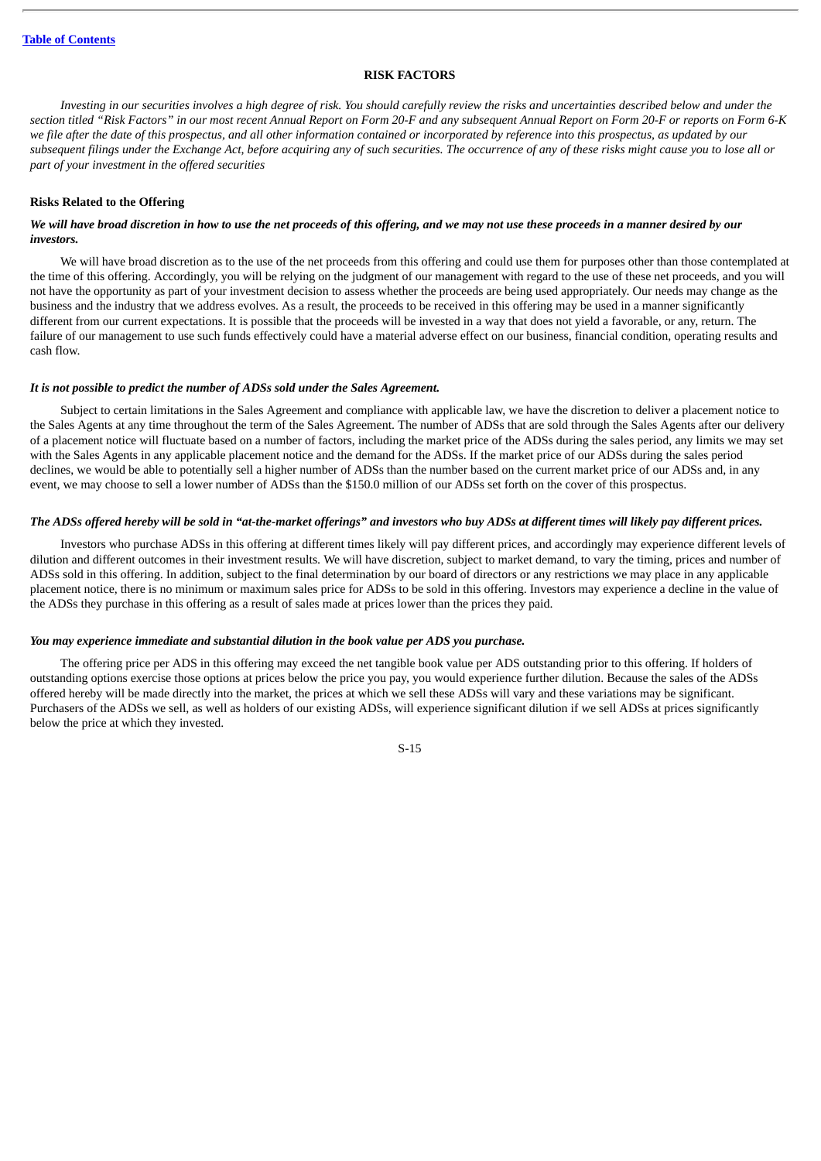## **RISK FACTORS**

<span id="page-71-0"></span>Investing in our securities involves a high degree of risk. You should carefully review the risks and uncertainties described below and under the section titled "Risk Factors" in our most recent Annual Report on Form 20-F and any subsequent Annual Report on Form 20-F or reports on Form 6-K we file after the date of this prospectus, and all other information contained or incorporated by reference into this prospectus, as updated by our subsequent filings under the Exchange Act, before acquiring any of such securities. The occurrence of any of these risks might cause you to lose all or *part of your investment in the offered securities*

## **Risks Related to the Offering**

## We will have broad discretion in how to use the net proceeds of this offering, and we may not use these proceeds in a manner desired by our *investors.*

We will have broad discretion as to the use of the net proceeds from this offering and could use them for purposes other than those contemplated at the time of this offering. Accordingly, you will be relying on the judgment of our management with regard to the use of these net proceeds, and you will not have the opportunity as part of your investment decision to assess whether the proceeds are being used appropriately. Our needs may change as the business and the industry that we address evolves. As a result, the proceeds to be received in this offering may be used in a manner significantly different from our current expectations. It is possible that the proceeds will be invested in a way that does not yield a favorable, or any, return. The failure of our management to use such funds effectively could have a material adverse effect on our business, financial condition, operating results and cash flow.

## *It is not possible to predict the number of ADSs sold under the Sales Agreement.*

Subject to certain limitations in the Sales Agreement and compliance with applicable law, we have the discretion to deliver a placement notice to the Sales Agents at any time throughout the term of the Sales Agreement. The number of ADSs that are sold through the Sales Agents after our delivery of a placement notice will fluctuate based on a number of factors, including the market price of the ADSs during the sales period, any limits we may set with the Sales Agents in any applicable placement notice and the demand for the ADSs. If the market price of our ADSs during the sales period declines, we would be able to potentially sell a higher number of ADSs than the number based on the current market price of our ADSs and, in any event, we may choose to sell a lower number of ADSs than the \$150.0 million of our ADSs set forth on the cover of this prospectus.

## The ADSs offered hereby will be sold in "at-the-market offerings" and investors who buy ADSs at different times will likely pay different prices.

Investors who purchase ADSs in this offering at different times likely will pay different prices, and accordingly may experience different levels of dilution and different outcomes in their investment results. We will have discretion, subject to market demand, to vary the timing, prices and number of ADSs sold in this offering. In addition, subject to the final determination by our board of directors or any restrictions we may place in any applicable placement notice, there is no minimum or maximum sales price for ADSs to be sold in this offering. Investors may experience a decline in the value of the ADSs they purchase in this offering as a result of sales made at prices lower than the prices they paid.

## *You may experience immediate and substantial dilution in the book value per ADS you purchase.*

The offering price per ADS in this offering may exceed the net tangible book value per ADS outstanding prior to this offering. If holders of outstanding options exercise those options at prices below the price you pay, you would experience further dilution. Because the sales of the ADSs offered hereby will be made directly into the market, the prices at which we sell these ADSs will vary and these variations may be significant. Purchasers of the ADSs we sell, as well as holders of our existing ADSs, will experience significant dilution if we sell ADSs at prices significantly below the price at which they invested.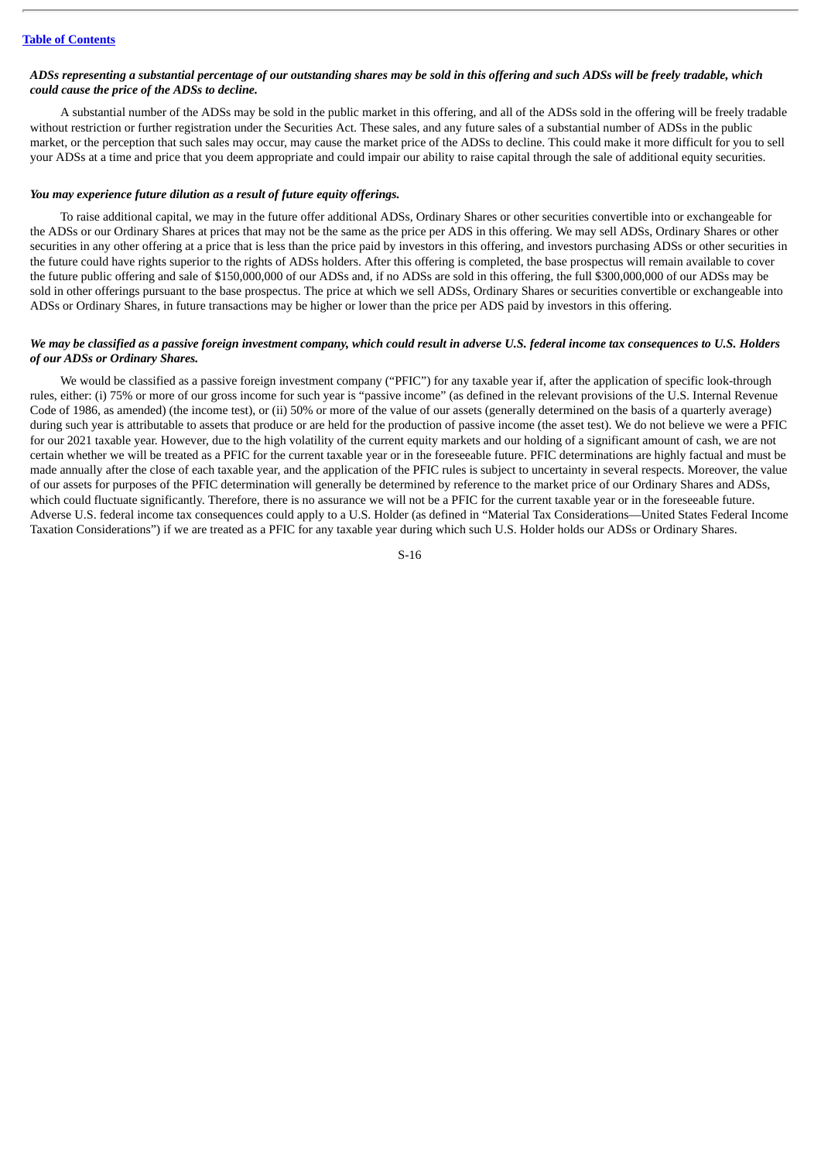## ADSs representing a substantial percentage of our outstanding shares may be sold in this offering and such ADSs will be freely tradable, which *could cause the price of the ADSs to decline.*

A substantial number of the ADSs may be sold in the public market in this offering, and all of the ADSs sold in the offering will be freely tradable without restriction or further registration under the Securities Act. These sales, and any future sales of a substantial number of ADSs in the public market, or the perception that such sales may occur, may cause the market price of the ADSs to decline. This could make it more difficult for you to sell your ADSs at a time and price that you deem appropriate and could impair our ability to raise capital through the sale of additional equity securities.

### *You may experience future dilution as a result of future equity offerings.*

To raise additional capital, we may in the future offer additional ADSs, Ordinary Shares or other securities convertible into or exchangeable for the ADSs or our Ordinary Shares at prices that may not be the same as the price per ADS in this offering. We may sell ADSs, Ordinary Shares or other securities in any other offering at a price that is less than the price paid by investors in this offering, and investors purchasing ADSs or other securities in the future could have rights superior to the rights of ADSs holders. After this offering is completed, the base prospectus will remain available to cover the future public offering and sale of \$150,000,000 of our ADSs and, if no ADSs are sold in this offering, the full \$300,000,000 of our ADSs may be sold in other offerings pursuant to the base prospectus. The price at which we sell ADSs, Ordinary Shares or securities convertible or exchangeable into ADSs or Ordinary Shares, in future transactions may be higher or lower than the price per ADS paid by investors in this offering.

## We may be classified as a passive foreign investment company, which could result in adverse U.S. federal income tax consequences to U.S. Holders *of our ADSs or Ordinary Shares.*

We would be classified as a passive foreign investment company ("PFIC") for any taxable year if, after the application of specific look-through rules, either: (i) 75% or more of our gross income for such year is "passive income" (as defined in the relevant provisions of the U.S. Internal Revenue Code of 1986, as amended) (the income test), or (ii) 50% or more of the value of our assets (generally determined on the basis of a quarterly average) during such year is attributable to assets that produce or are held for the production of passive income (the asset test). We do not believe we were a PFIC for our 2021 taxable year. However, due to the high volatility of the current equity markets and our holding of a significant amount of cash, we are not certain whether we will be treated as a PFIC for the current taxable year or in the foreseeable future. PFIC determinations are highly factual and must be made annually after the close of each taxable year, and the application of the PFIC rules is subject to uncertainty in several respects. Moreover, the value of our assets for purposes of the PFIC determination will generally be determined by reference to the market price of our Ordinary Shares and ADSs, which could fluctuate significantly. Therefore, there is no assurance we will not be a PFIC for the current taxable year or in the foreseeable future. Adverse U.S. federal income tax consequences could apply to a U.S. Holder (as defined in "Material Tax Considerations—United States Federal Income Taxation Considerations") if we are treated as a PFIC for any taxable year during which such U.S. Holder holds our ADSs or Ordinary Shares.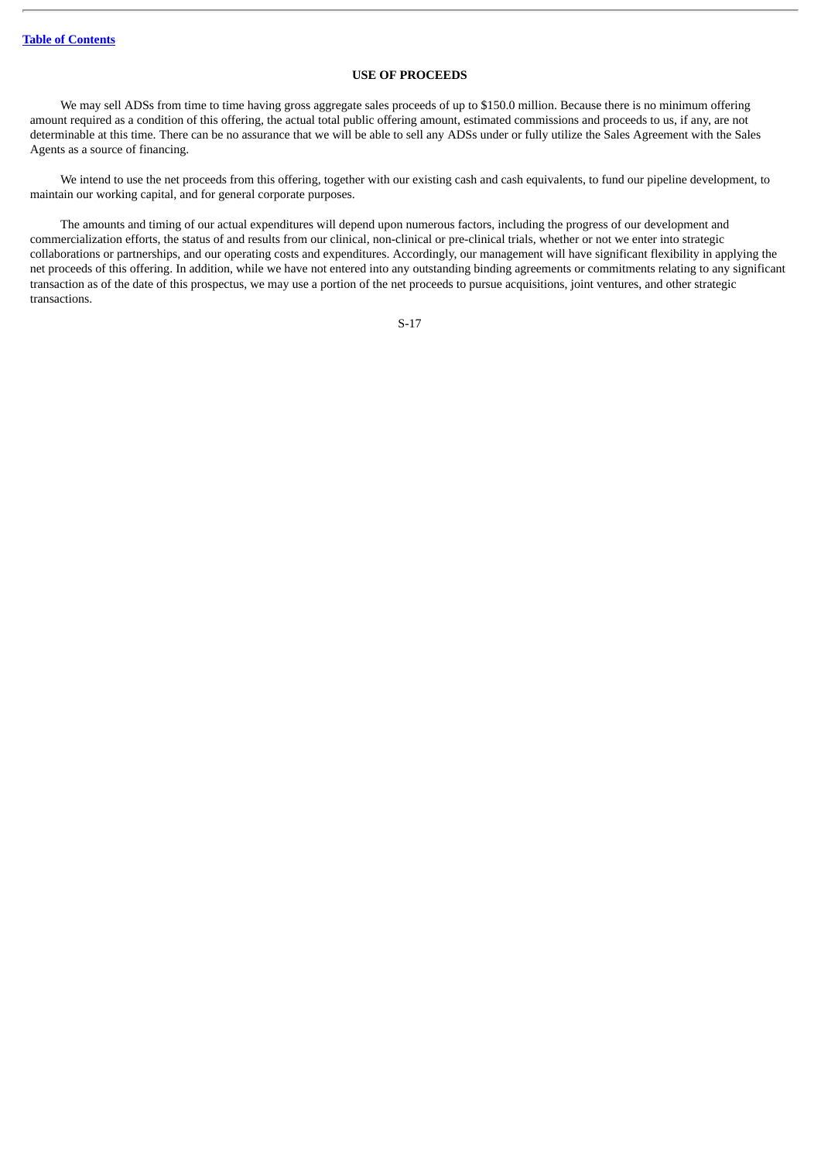# **USE OF PROCEEDS**

We may sell ADSs from time to time having gross aggregate sales proceeds of up to \$150.0 million. Because there is no minimum offering amount required as a condition of this offering, the actual total public offering amount, estimated commissions and proceeds to us, if any, are not determinable at this time. There can be no assurance that we will be able to sell any ADSs under or fully utilize the Sales Agreement with the Sales Agents as a source of financing.

We intend to use the net proceeds from this offering, together with our existing cash and cash equivalents, to fund our pipeline development, to maintain our working capital, and for general corporate purposes.

The amounts and timing of our actual expenditures will depend upon numerous factors, including the progress of our development and commercialization efforts, the status of and results from our clinical, non-clinical or pre-clinical trials, whether or not we enter into strategic collaborations or partnerships, and our operating costs and expenditures. Accordingly, our management will have significant flexibility in applying the net proceeds of this offering. In addition, while we have not entered into any outstanding binding agreements or commitments relating to any significant transaction as of the date of this prospectus, we may use a portion of the net proceeds to pursue acquisitions, joint ventures, and other strategic transactions.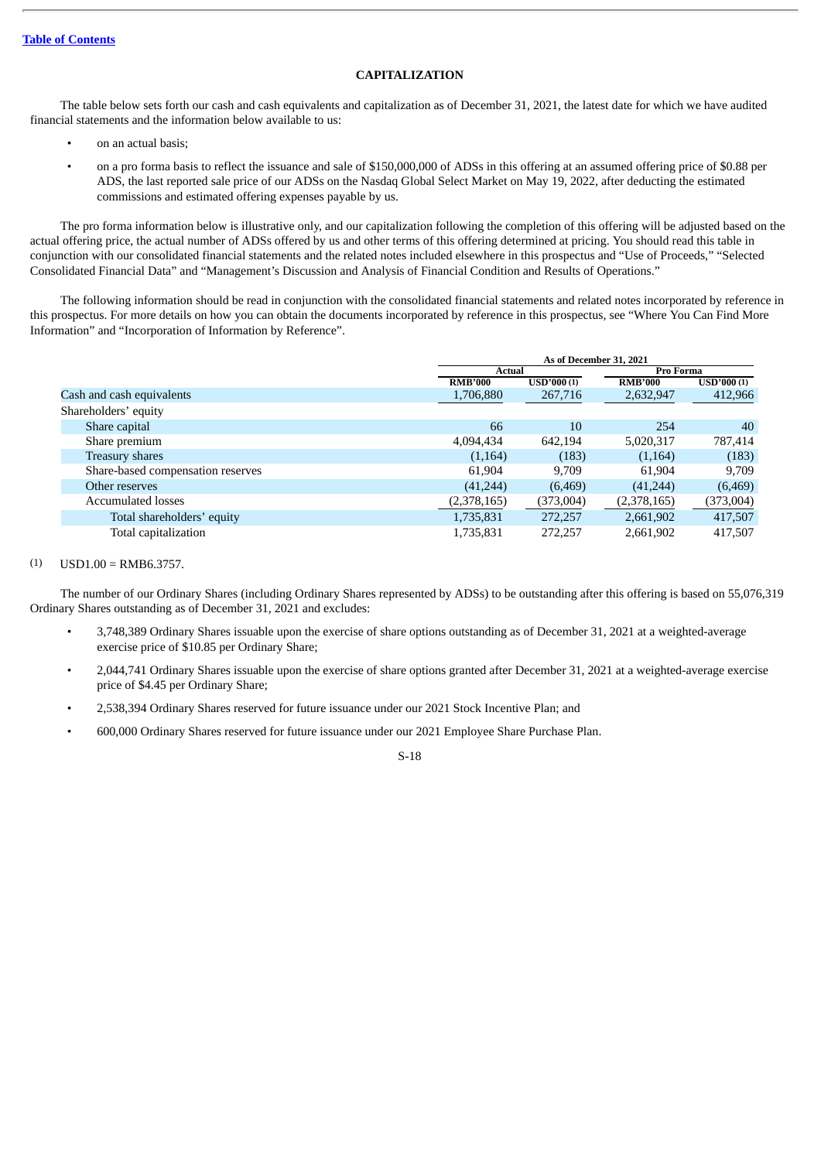# **CAPITALIZATION**

The table below sets forth our cash and cash equivalents and capitalization as of December 31, 2021, the latest date for which we have audited financial statements and the information below available to us:

- on an actual basis;
- on a pro forma basis to reflect the issuance and sale of \$150,000,000 of ADSs in this offering at an assumed offering price of \$0.88 per ADS, the last reported sale price of our ADSs on the Nasdaq Global Select Market on May 19, 2022, after deducting the estimated commissions and estimated offering expenses payable by us.

The pro forma information below is illustrative only, and our capitalization following the completion of this offering will be adjusted based on the actual offering price, the actual number of ADSs offered by us and other terms of this offering determined at pricing. You should read this table in conjunction with our consolidated financial statements and the related notes included elsewhere in this prospectus and "Use of Proceeds," "Selected Consolidated Financial Data" and "Management's Discussion and Analysis of Financial Condition and Results of Operations."

The following information should be read in conjunction with the consolidated financial statements and related notes incorporated by reference in this prospectus. For more details on how you can obtain the documents incorporated by reference in this prospectus, see "Where You Can Find More Information" and "Incorporation of Information by Reference".

|                                   | As of December 31, 2021 |                   |                |            |
|-----------------------------------|-------------------------|-------------------|----------------|------------|
|                                   | Actual                  |                   | Pro Forma      |            |
|                                   | <b>RMB'000</b>          | <b>USD'000(1)</b> | <b>RMB'000</b> | USD'000(1) |
| Cash and cash equivalents         | 1,706,880               | 267,716           | 2,632,947      | 412,966    |
| Shareholders' equity              |                         |                   |                |            |
| Share capital                     | 66                      | 10                | 254            | 40         |
| Share premium                     | 4,094,434               | 642.194           | 5,020,317      | 787,414    |
| Treasury shares                   | (1,164)                 | (183)             | (1, 164)       | (183)      |
| Share-based compensation reserves | 61.904                  | 9.709             | 61,904         | 9,709      |
| Other reserves                    | (41, 244)               | (6, 469)          | (41, 244)      | (6, 469)   |
| <b>Accumulated losses</b>         | (2,378,165)             | (373,004)         | (2,378,165)    | (373,004)  |
| Total shareholders' equity        | 1,735,831               | 272,257           | 2,661,902      | 417,507    |
| Total capitalization              | 1,735,831               | 272.257           | 2,661,902      | 417,507    |

### $(1)$  USD1.00 = RMB6.3757.

The number of our Ordinary Shares (including Ordinary Shares represented by ADSs) to be outstanding after this offering is based on 55,076,319 Ordinary Shares outstanding as of December 31, 2021 and excludes:

- 3,748,389 Ordinary Shares issuable upon the exercise of share options outstanding as of December 31, 2021 at a weighted-average exercise price of \$10.85 per Ordinary Share;
- 2,044,741 Ordinary Shares issuable upon the exercise of share options granted after December 31, 2021 at a weighted-average exercise price of \$4.45 per Ordinary Share;
- 2,538,394 Ordinary Shares reserved for future issuance under our 2021 Stock Incentive Plan; and
- 600,000 Ordinary Shares reserved for future issuance under our 2021 Employee Share Purchase Plan.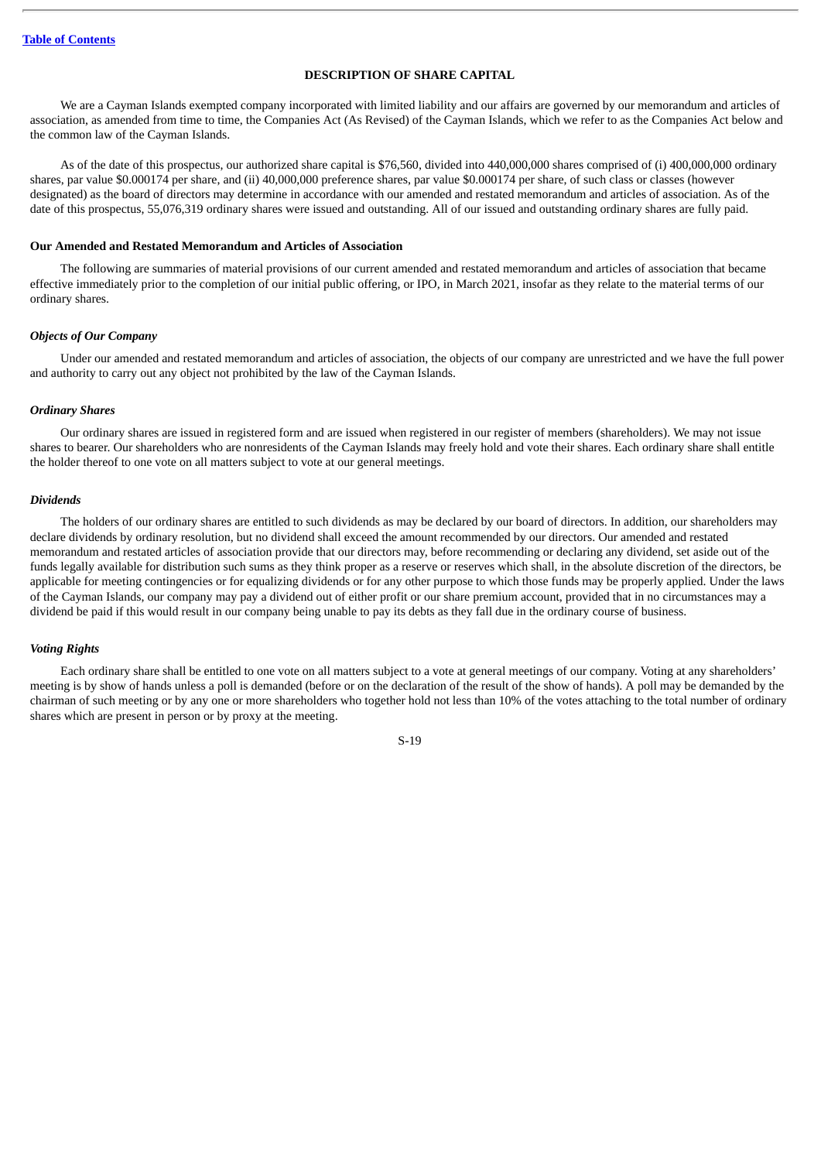# **DESCRIPTION OF SHARE CAPITAL**

We are a Cayman Islands exempted company incorporated with limited liability and our affairs are governed by our memorandum and articles of association, as amended from time to time, the Companies Act (As Revised) of the Cayman Islands, which we refer to as the Companies Act below and the common law of the Cayman Islands.

As of the date of this prospectus, our authorized share capital is \$76,560, divided into 440,000,000 shares comprised of (i) 400,000,000 ordinary shares, par value \$0.000174 per share, and (ii) 40,000,000 preference shares, par value \$0.000174 per share, of such class or classes (however designated) as the board of directors may determine in accordance with our amended and restated memorandum and articles of association. As of the date of this prospectus, 55,076,319 ordinary shares were issued and outstanding. All of our issued and outstanding ordinary shares are fully paid.

## **Our Amended and Restated Memorandum and Articles of Association**

The following are summaries of material provisions of our current amended and restated memorandum and articles of association that became effective immediately prior to the completion of our initial public offering, or IPO, in March 2021, insofar as they relate to the material terms of our ordinary shares.

#### *Objects of Our Company*

Under our amended and restated memorandum and articles of association, the objects of our company are unrestricted and we have the full power and authority to carry out any object not prohibited by the law of the Cayman Islands.

#### *Ordinary Shares*

Our ordinary shares are issued in registered form and are issued when registered in our register of members (shareholders). We may not issue shares to bearer. Our shareholders who are nonresidents of the Cayman Islands may freely hold and vote their shares. Each ordinary share shall entitle the holder thereof to one vote on all matters subject to vote at our general meetings.

#### *Dividends*

The holders of our ordinary shares are entitled to such dividends as may be declared by our board of directors. In addition, our shareholders may declare dividends by ordinary resolution, but no dividend shall exceed the amount recommended by our directors. Our amended and restated memorandum and restated articles of association provide that our directors may, before recommending or declaring any dividend, set aside out of the funds legally available for distribution such sums as they think proper as a reserve or reserves which shall, in the absolute discretion of the directors, be applicable for meeting contingencies or for equalizing dividends or for any other purpose to which those funds may be properly applied. Under the laws of the Cayman Islands, our company may pay a dividend out of either profit or our share premium account, provided that in no circumstances may a dividend be paid if this would result in our company being unable to pay its debts as they fall due in the ordinary course of business.

#### *Voting Rights*

Each ordinary share shall be entitled to one vote on all matters subject to a vote at general meetings of our company. Voting at any shareholders' meeting is by show of hands unless a poll is demanded (before or on the declaration of the result of the show of hands). A poll may be demanded by the chairman of such meeting or by any one or more shareholders who together hold not less than 10% of the votes attaching to the total number of ordinary shares which are present in person or by proxy at the meeting.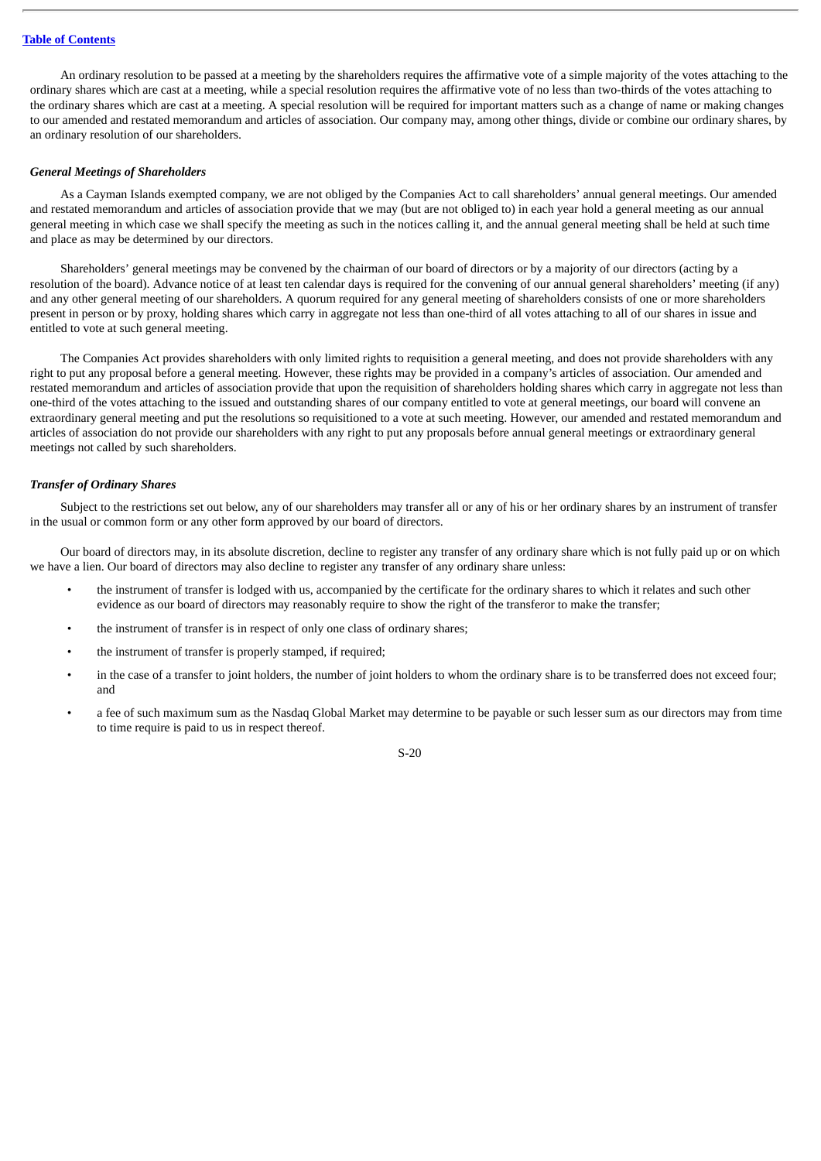## **Table of [Contents](#page-4-0)**

An ordinary resolution to be passed at a meeting by the shareholders requires the affirmative vote of a simple majority of the votes attaching to the ordinary shares which are cast at a meeting, while a special resolution requires the affirmative vote of no less than two-thirds of the votes attaching to the ordinary shares which are cast at a meeting. A special resolution will be required for important matters such as a change of name or making changes to our amended and restated memorandum and articles of association. Our company may, among other things, divide or combine our ordinary shares, by an ordinary resolution of our shareholders.

### *General Meetings of Shareholders*

As a Cayman Islands exempted company, we are not obliged by the Companies Act to call shareholders' annual general meetings. Our amended and restated memorandum and articles of association provide that we may (but are not obliged to) in each year hold a general meeting as our annual general meeting in which case we shall specify the meeting as such in the notices calling it, and the annual general meeting shall be held at such time and place as may be determined by our directors.

Shareholders' general meetings may be convened by the chairman of our board of directors or by a majority of our directors (acting by a resolution of the board). Advance notice of at least ten calendar days is required for the convening of our annual general shareholders' meeting (if any) and any other general meeting of our shareholders. A quorum required for any general meeting of shareholders consists of one or more shareholders present in person or by proxy, holding shares which carry in aggregate not less than one-third of all votes attaching to all of our shares in issue and entitled to vote at such general meeting.

The Companies Act provides shareholders with only limited rights to requisition a general meeting, and does not provide shareholders with any right to put any proposal before a general meeting. However, these rights may be provided in a company's articles of association. Our amended and restated memorandum and articles of association provide that upon the requisition of shareholders holding shares which carry in aggregate not less than one-third of the votes attaching to the issued and outstanding shares of our company entitled to vote at general meetings, our board will convene an extraordinary general meeting and put the resolutions so requisitioned to a vote at such meeting. However, our amended and restated memorandum and articles of association do not provide our shareholders with any right to put any proposals before annual general meetings or extraordinary general meetings not called by such shareholders.

## *Transfer of Ordinary Shares*

Subject to the restrictions set out below, any of our shareholders may transfer all or any of his or her ordinary shares by an instrument of transfer in the usual or common form or any other form approved by our board of directors.

Our board of directors may, in its absolute discretion, decline to register any transfer of any ordinary share which is not fully paid up or on which we have a lien. Our board of directors may also decline to register any transfer of any ordinary share unless:

- the instrument of transfer is lodged with us, accompanied by the certificate for the ordinary shares to which it relates and such other evidence as our board of directors may reasonably require to show the right of the transferor to make the transfer;
- the instrument of transfer is in respect of only one class of ordinary shares;
- the instrument of transfer is properly stamped, if required;
- in the case of a transfer to joint holders, the number of joint holders to whom the ordinary share is to be transferred does not exceed four; and
- a fee of such maximum sum as the Nasdaq Global Market may determine to be payable or such lesser sum as our directors may from time to time require is paid to us in respect thereof.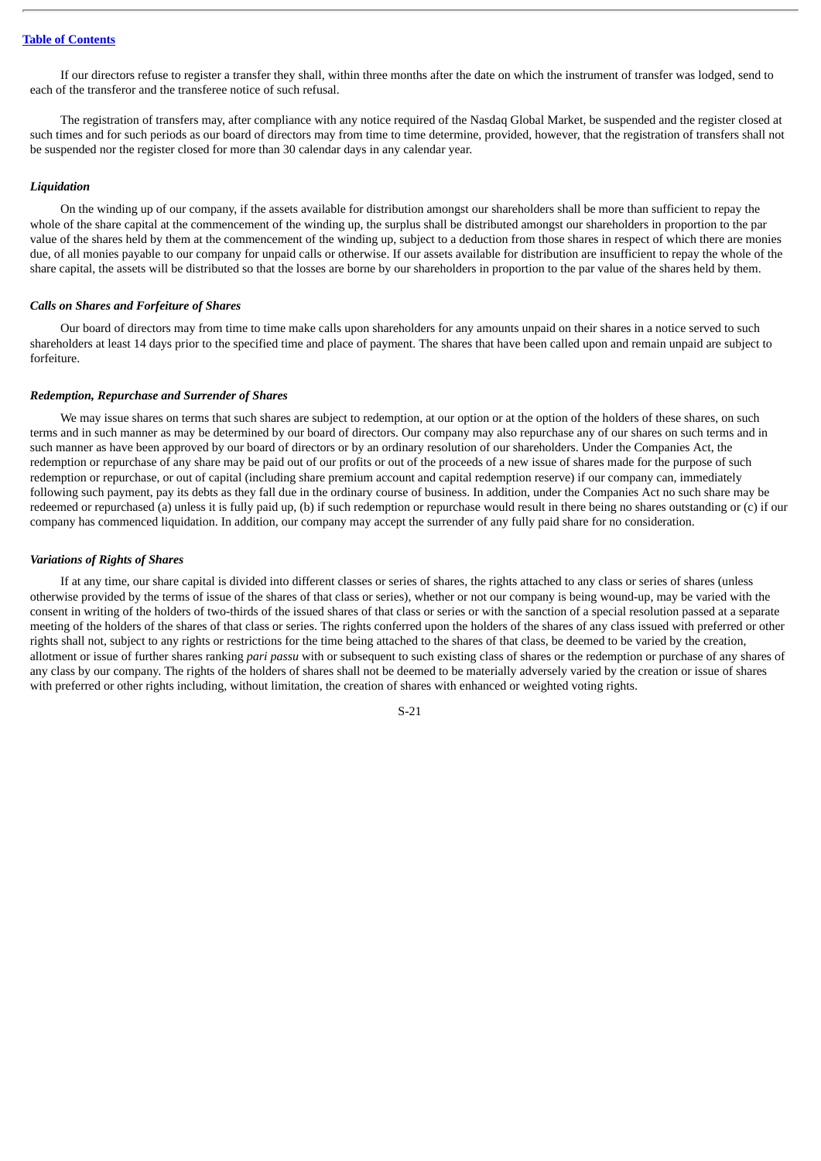If our directors refuse to register a transfer they shall, within three months after the date on which the instrument of transfer was lodged, send to each of the transferor and the transferee notice of such refusal.

The registration of transfers may, after compliance with any notice required of the Nasdaq Global Market, be suspended and the register closed at such times and for such periods as our board of directors may from time to time determine, provided, however, that the registration of transfers shall not be suspended nor the register closed for more than 30 calendar days in any calendar year.

#### *Liquidation*

On the winding up of our company, if the assets available for distribution amongst our shareholders shall be more than sufficient to repay the whole of the share capital at the commencement of the winding up, the surplus shall be distributed amongst our shareholders in proportion to the par value of the shares held by them at the commencement of the winding up, subject to a deduction from those shares in respect of which there are monies due, of all monies payable to our company for unpaid calls or otherwise. If our assets available for distribution are insufficient to repay the whole of the share capital, the assets will be distributed so that the losses are borne by our shareholders in proportion to the par value of the shares held by them.

#### *Calls on Shares and Forfeiture of Shares*

Our board of directors may from time to time make calls upon shareholders for any amounts unpaid on their shares in a notice served to such shareholders at least 14 days prior to the specified time and place of payment. The shares that have been called upon and remain unpaid are subject to forfeiture.

#### *Redemption, Repurchase and Surrender of Shares*

We may issue shares on terms that such shares are subject to redemption, at our option or at the option of the holders of these shares, on such terms and in such manner as may be determined by our board of directors. Our company may also repurchase any of our shares on such terms and in such manner as have been approved by our board of directors or by an ordinary resolution of our shareholders. Under the Companies Act, the redemption or repurchase of any share may be paid out of our profits or out of the proceeds of a new issue of shares made for the purpose of such redemption or repurchase, or out of capital (including share premium account and capital redemption reserve) if our company can, immediately following such payment, pay its debts as they fall due in the ordinary course of business. In addition, under the Companies Act no such share may be redeemed or repurchased (a) unless it is fully paid up, (b) if such redemption or repurchase would result in there being no shares outstanding or (c) if our company has commenced liquidation. In addition, our company may accept the surrender of any fully paid share for no consideration.

#### *Variations of Rights of Shares*

If at any time, our share capital is divided into different classes or series of shares, the rights attached to any class or series of shares (unless otherwise provided by the terms of issue of the shares of that class or series), whether or not our company is being wound-up, may be varied with the consent in writing of the holders of two-thirds of the issued shares of that class or series or with the sanction of a special resolution passed at a separate meeting of the holders of the shares of that class or series. The rights conferred upon the holders of the shares of any class issued with preferred or other rights shall not, subject to any rights or restrictions for the time being attached to the shares of that class, be deemed to be varied by the creation, allotment or issue of further shares ranking *pari passu* with or subsequent to such existing class of shares or the redemption or purchase of any shares of any class by our company. The rights of the holders of shares shall not be deemed to be materially adversely varied by the creation or issue of shares with preferred or other rights including, without limitation, the creation of shares with enhanced or weighted voting rights.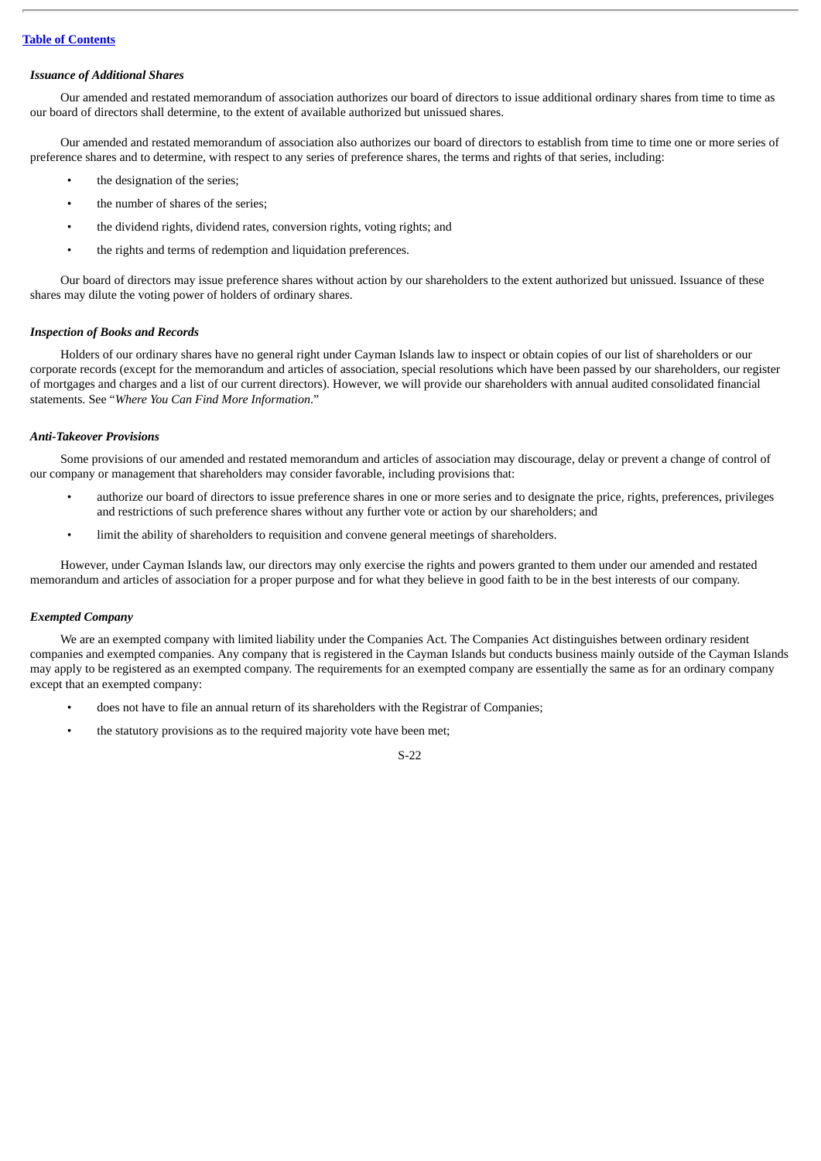# *Issuance of Additional Shares*

Our amended and restated memorandum of association authorizes our board of directors to issue additional ordinary shares from time to time as our board of directors shall determine, to the extent of available authorized but unissued shares.

Our amended and restated memorandum of association also authorizes our board of directors to establish from time to time one or more series of preference shares and to determine, with respect to any series of preference shares, the terms and rights of that series, including:

- the designation of the series;
- the number of shares of the series;
- the dividend rights, dividend rates, conversion rights, voting rights; and
- the rights and terms of redemption and liquidation preferences.

Our board of directors may issue preference shares without action by our shareholders to the extent authorized but unissued. Issuance of these shares may dilute the voting power of holders of ordinary shares.

### *Inspection of Books and Records*

Holders of our ordinary shares have no general right under Cayman Islands law to inspect or obtain copies of our list of shareholders or our corporate records (except for the memorandum and articles of association, special resolutions which have been passed by our shareholders, our register of mortgages and charges and a list of our current directors). However, we will provide our shareholders with annual audited consolidated financial statements. See "*Where You Can Find More Information*."

## *Anti-Takeover Provisions*

Some provisions of our amended and restated memorandum and articles of association may discourage, delay or prevent a change of control of our company or management that shareholders may consider favorable, including provisions that:

- authorize our board of directors to issue preference shares in one or more series and to designate the price, rights, preferences, privileges and restrictions of such preference shares without any further vote or action by our shareholders; and
- limit the ability of shareholders to requisition and convene general meetings of shareholders.

However, under Cayman Islands law, our directors may only exercise the rights and powers granted to them under our amended and restated memorandum and articles of association for a proper purpose and for what they believe in good faith to be in the best interests of our company.

## *Exempted Company*

We are an exempted company with limited liability under the Companies Act. The Companies Act distinguishes between ordinary resident companies and exempted companies. Any company that is registered in the Cayman Islands but conducts business mainly outside of the Cayman Islands may apply to be registered as an exempted company. The requirements for an exempted company are essentially the same as for an ordinary company except that an exempted company:

- does not have to file an annual return of its shareholders with the Registrar of Companies;
- the statutory provisions as to the required majority vote have been met;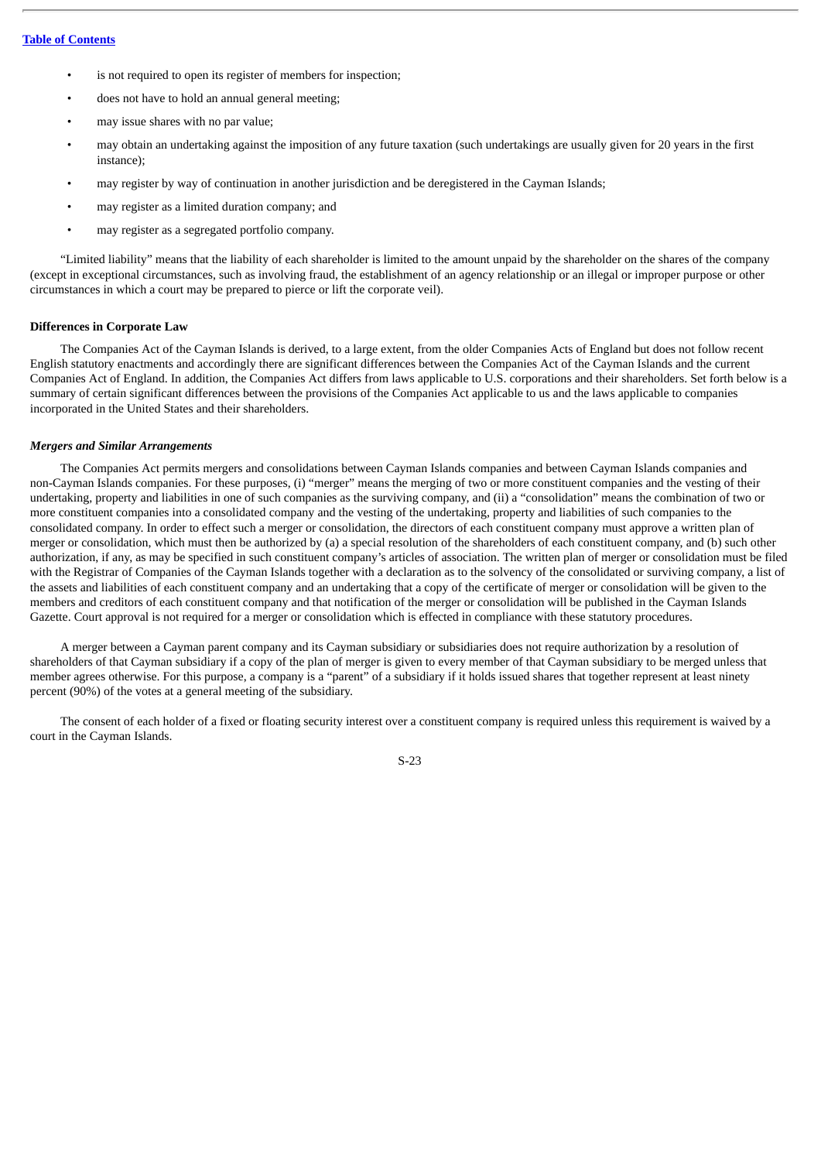- is not required to open its register of members for inspection;
- does not have to hold an annual general meeting;
- may issue shares with no par value;
- may obtain an undertaking against the imposition of any future taxation (such undertakings are usually given for 20 years in the first instance);
- may register by way of continuation in another jurisdiction and be deregistered in the Cayman Islands;
- may register as a limited duration company; and
- may register as a segregated portfolio company.

"Limited liability" means that the liability of each shareholder is limited to the amount unpaid by the shareholder on the shares of the company (except in exceptional circumstances, such as involving fraud, the establishment of an agency relationship or an illegal or improper purpose or other circumstances in which a court may be prepared to pierce or lift the corporate veil).

## **Differences in Corporate Law**

The Companies Act of the Cayman Islands is derived, to a large extent, from the older Companies Acts of England but does not follow recent English statutory enactments and accordingly there are significant differences between the Companies Act of the Cayman Islands and the current Companies Act of England. In addition, the Companies Act differs from laws applicable to U.S. corporations and their shareholders. Set forth below is a summary of certain significant differences between the provisions of the Companies Act applicable to us and the laws applicable to companies incorporated in the United States and their shareholders.

### *Mergers and Similar Arrangements*

The Companies Act permits mergers and consolidations between Cayman Islands companies and between Cayman Islands companies and non-Cayman Islands companies. For these purposes, (i) "merger" means the merging of two or more constituent companies and the vesting of their undertaking, property and liabilities in one of such companies as the surviving company, and (ii) a "consolidation" means the combination of two or more constituent companies into a consolidated company and the vesting of the undertaking, property and liabilities of such companies to the consolidated company. In order to effect such a merger or consolidation, the directors of each constituent company must approve a written plan of merger or consolidation, which must then be authorized by (a) a special resolution of the shareholders of each constituent company, and (b) such other authorization, if any, as may be specified in such constituent company's articles of association. The written plan of merger or consolidation must be filed with the Registrar of Companies of the Cayman Islands together with a declaration as to the solvency of the consolidated or surviving company, a list of the assets and liabilities of each constituent company and an undertaking that a copy of the certificate of merger or consolidation will be given to the members and creditors of each constituent company and that notification of the merger or consolidation will be published in the Cayman Islands Gazette. Court approval is not required for a merger or consolidation which is effected in compliance with these statutory procedures.

A merger between a Cayman parent company and its Cayman subsidiary or subsidiaries does not require authorization by a resolution of shareholders of that Cayman subsidiary if a copy of the plan of merger is given to every member of that Cayman subsidiary to be merged unless that member agrees otherwise. For this purpose, a company is a "parent" of a subsidiary if it holds issued shares that together represent at least ninety percent (90%) of the votes at a general meeting of the subsidiary.

The consent of each holder of a fixed or floating security interest over a constituent company is required unless this requirement is waived by a court in the Cayman Islands.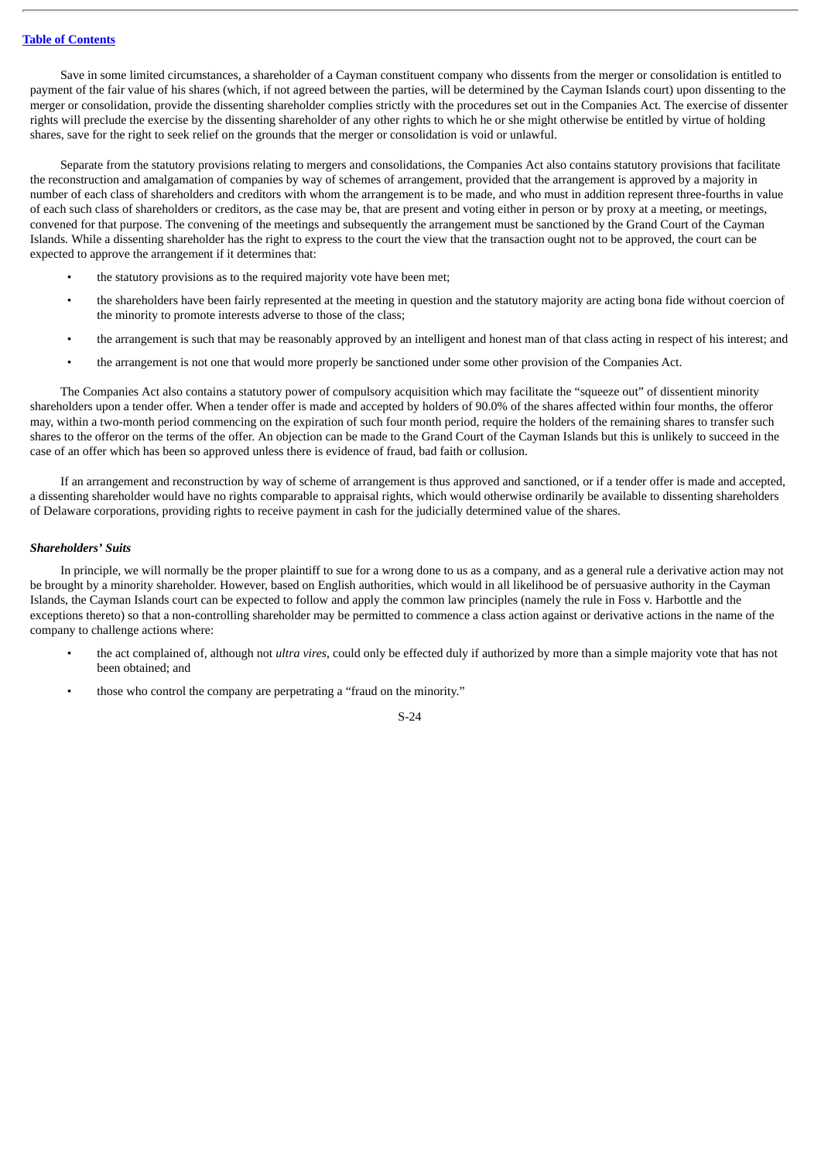Save in some limited circumstances, a shareholder of a Cayman constituent company who dissents from the merger or consolidation is entitled to payment of the fair value of his shares (which, if not agreed between the parties, will be determined by the Cayman Islands court) upon dissenting to the merger or consolidation, provide the dissenting shareholder complies strictly with the procedures set out in the Companies Act. The exercise of dissenter rights will preclude the exercise by the dissenting shareholder of any other rights to which he or she might otherwise be entitled by virtue of holding shares, save for the right to seek relief on the grounds that the merger or consolidation is void or unlawful.

Separate from the statutory provisions relating to mergers and consolidations, the Companies Act also contains statutory provisions that facilitate the reconstruction and amalgamation of companies by way of schemes of arrangement, provided that the arrangement is approved by a majority in number of each class of shareholders and creditors with whom the arrangement is to be made, and who must in addition represent three-fourths in value of each such class of shareholders or creditors, as the case may be, that are present and voting either in person or by proxy at a meeting, or meetings, convened for that purpose. The convening of the meetings and subsequently the arrangement must be sanctioned by the Grand Court of the Cayman Islands. While a dissenting shareholder has the right to express to the court the view that the transaction ought not to be approved, the court can be expected to approve the arrangement if it determines that:

- the statutory provisions as to the required majority vote have been met;
- the shareholders have been fairly represented at the meeting in question and the statutory majority are acting bona fide without coercion of the minority to promote interests adverse to those of the class;
- the arrangement is such that may be reasonably approved by an intelligent and honest man of that class acting in respect of his interest; and
- the arrangement is not one that would more properly be sanctioned under some other provision of the Companies Act.

The Companies Act also contains a statutory power of compulsory acquisition which may facilitate the "squeeze out" of dissentient minority shareholders upon a tender offer. When a tender offer is made and accepted by holders of 90.0% of the shares affected within four months, the offeror may, within a two-month period commencing on the expiration of such four month period, require the holders of the remaining shares to transfer such shares to the offeror on the terms of the offer. An objection can be made to the Grand Court of the Cayman Islands but this is unlikely to succeed in the case of an offer which has been so approved unless there is evidence of fraud, bad faith or collusion.

If an arrangement and reconstruction by way of scheme of arrangement is thus approved and sanctioned, or if a tender offer is made and accepted, a dissenting shareholder would have no rights comparable to appraisal rights, which would otherwise ordinarily be available to dissenting shareholders of Delaware corporations, providing rights to receive payment in cash for the judicially determined value of the shares.

## *Shareholders' Suits*

In principle, we will normally be the proper plaintiff to sue for a wrong done to us as a company, and as a general rule a derivative action may not be brought by a minority shareholder. However, based on English authorities, which would in all likelihood be of persuasive authority in the Cayman Islands, the Cayman Islands court can be expected to follow and apply the common law principles (namely the rule in Foss v. Harbottle and the exceptions thereto) so that a non-controlling shareholder may be permitted to commence a class action against or derivative actions in the name of the company to challenge actions where:

- the act complained of, although not *ultra vires*, could only be effected duly if authorized by more than a simple majority vote that has not been obtained; and
- those who control the company are perpetrating a "fraud on the minority."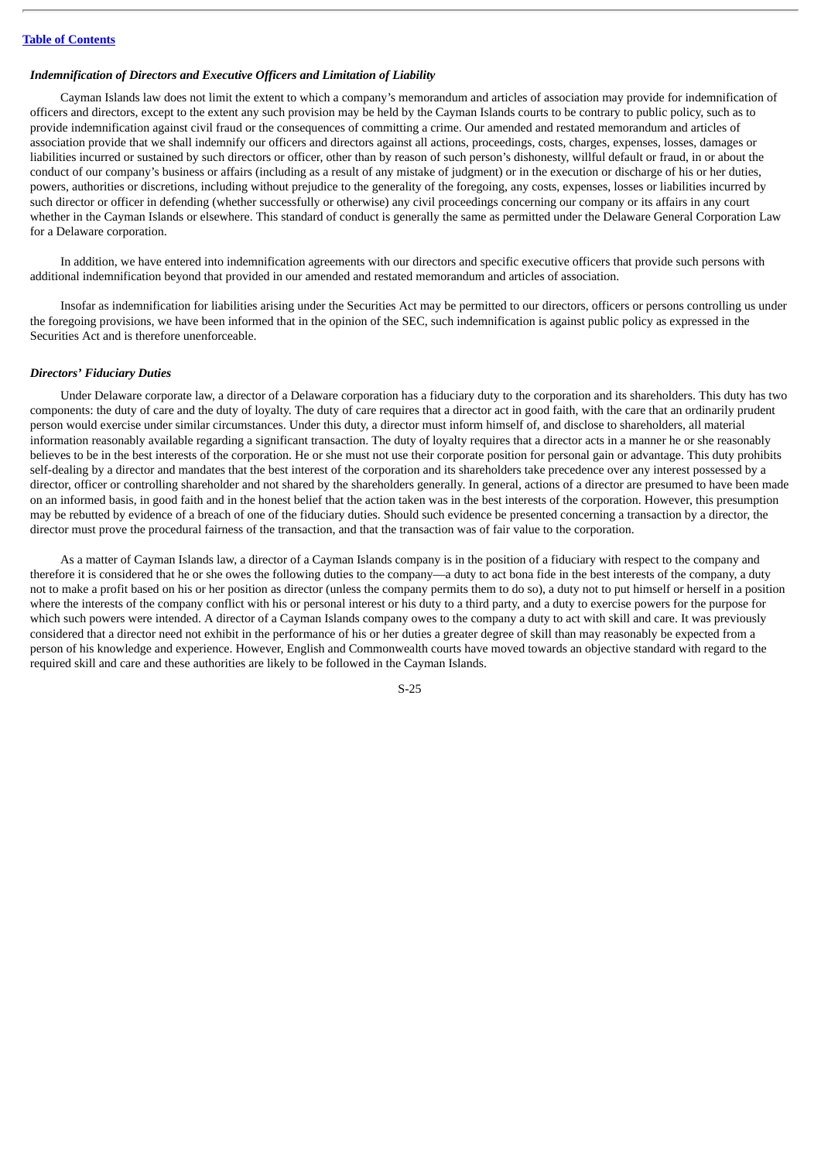### *Indemnification of Directors and Executive Officers and Limitation of Liability*

Cayman Islands law does not limit the extent to which a company's memorandum and articles of association may provide for indemnification of officers and directors, except to the extent any such provision may be held by the Cayman Islands courts to be contrary to public policy, such as to provide indemnification against civil fraud or the consequences of committing a crime. Our amended and restated memorandum and articles of association provide that we shall indemnify our officers and directors against all actions, proceedings, costs, charges, expenses, losses, damages or liabilities incurred or sustained by such directors or officer, other than by reason of such person's dishonesty, willful default or fraud, in or about the conduct of our company's business or affairs (including as a result of any mistake of judgment) or in the execution or discharge of his or her duties, powers, authorities or discretions, including without prejudice to the generality of the foregoing, any costs, expenses, losses or liabilities incurred by such director or officer in defending (whether successfully or otherwise) any civil proceedings concerning our company or its affairs in any court whether in the Cayman Islands or elsewhere. This standard of conduct is generally the same as permitted under the Delaware General Corporation Law for a Delaware corporation.

In addition, we have entered into indemnification agreements with our directors and specific executive officers that provide such persons with additional indemnification beyond that provided in our amended and restated memorandum and articles of association.

Insofar as indemnification for liabilities arising under the Securities Act may be permitted to our directors, officers or persons controlling us under the foregoing provisions, we have been informed that in the opinion of the SEC, such indemnification is against public policy as expressed in the Securities Act and is therefore unenforceable.

## *Directors' Fiduciary Duties*

Under Delaware corporate law, a director of a Delaware corporation has a fiduciary duty to the corporation and its shareholders. This duty has two components: the duty of care and the duty of loyalty. The duty of care requires that a director act in good faith, with the care that an ordinarily prudent person would exercise under similar circumstances. Under this duty, a director must inform himself of, and disclose to shareholders, all material information reasonably available regarding a significant transaction. The duty of loyalty requires that a director acts in a manner he or she reasonably believes to be in the best interests of the corporation. He or she must not use their corporate position for personal gain or advantage. This duty prohibits self-dealing by a director and mandates that the best interest of the corporation and its shareholders take precedence over any interest possessed by a director, officer or controlling shareholder and not shared by the shareholders generally. In general, actions of a director are presumed to have been made on an informed basis, in good faith and in the honest belief that the action taken was in the best interests of the corporation. However, this presumption may be rebutted by evidence of a breach of one of the fiduciary duties. Should such evidence be presented concerning a transaction by a director, the director must prove the procedural fairness of the transaction, and that the transaction was of fair value to the corporation.

As a matter of Cayman Islands law, a director of a Cayman Islands company is in the position of a fiduciary with respect to the company and therefore it is considered that he or she owes the following duties to the company—a duty to act bona fide in the best interests of the company, a duty not to make a profit based on his or her position as director (unless the company permits them to do so), a duty not to put himself or herself in a position where the interests of the company conflict with his or personal interest or his duty to a third party, and a duty to exercise powers for the purpose for which such powers were intended. A director of a Cayman Islands company owes to the company a duty to act with skill and care. It was previously considered that a director need not exhibit in the performance of his or her duties a greater degree of skill than may reasonably be expected from a person of his knowledge and experience. However, English and Commonwealth courts have moved towards an objective standard with regard to the required skill and care and these authorities are likely to be followed in the Cayman Islands.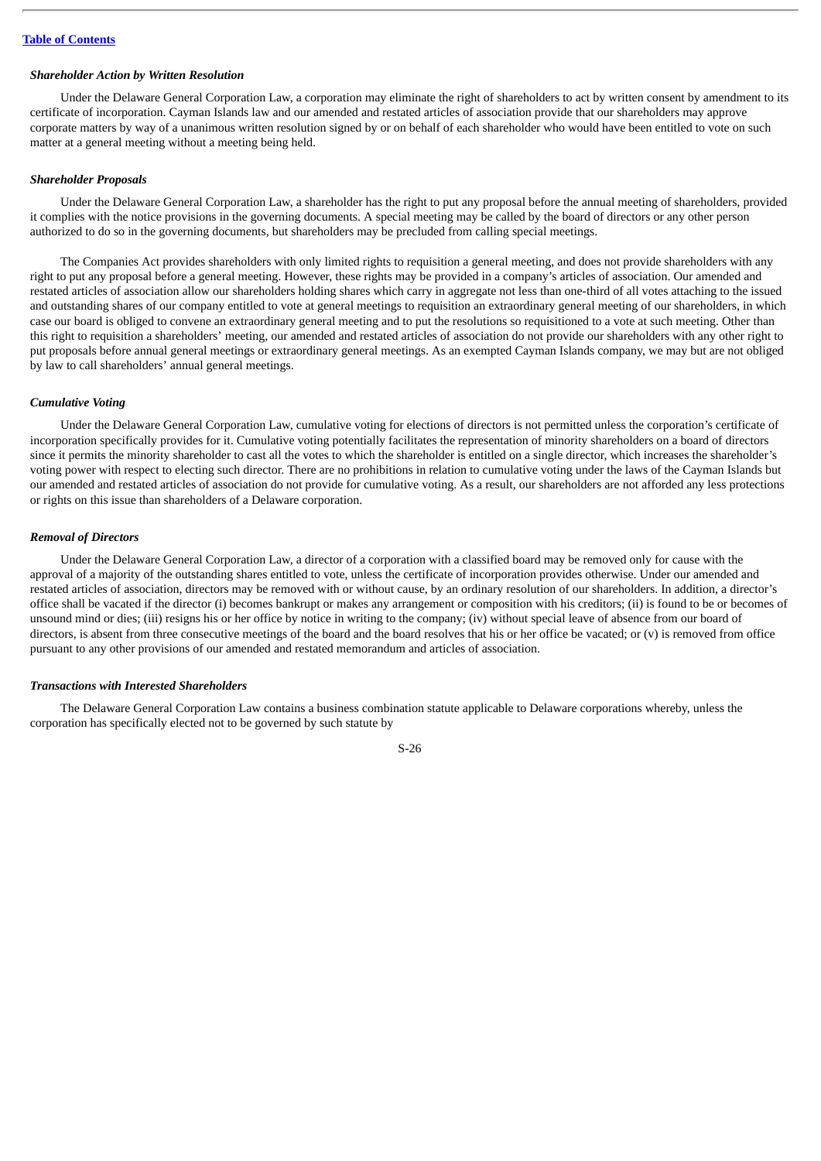#### *Shareholder Action by Written Resolution*

Under the Delaware General Corporation Law, a corporation may eliminate the right of shareholders to act by written consent by amendment to its certificate of incorporation. Cayman Islands law and our amended and restated articles of association provide that our shareholders may approve corporate matters by way of a unanimous written resolution signed by or on behalf of each shareholder who would have been entitled to vote on such matter at a general meeting without a meeting being held.

#### *Shareholder Proposals*

Under the Delaware General Corporation Law, a shareholder has the right to put any proposal before the annual meeting of shareholders, provided it complies with the notice provisions in the governing documents. A special meeting may be called by the board of directors or any other person authorized to do so in the governing documents, but shareholders may be precluded from calling special meetings.

The Companies Act provides shareholders with only limited rights to requisition a general meeting, and does not provide shareholders with any right to put any proposal before a general meeting. However, these rights may be provided in a company's articles of association. Our amended and restated articles of association allow our shareholders holding shares which carry in aggregate not less than one-third of all votes attaching to the issued and outstanding shares of our company entitled to vote at general meetings to requisition an extraordinary general meeting of our shareholders, in which case our board is obliged to convene an extraordinary general meeting and to put the resolutions so requisitioned to a vote at such meeting. Other than this right to requisition a shareholders' meeting, our amended and restated articles of association do not provide our shareholders with any other right to put proposals before annual general meetings or extraordinary general meetings. As an exempted Cayman Islands company, we may but are not obliged by law to call shareholders' annual general meetings.

### *Cumulative Voting*

Under the Delaware General Corporation Law, cumulative voting for elections of directors is not permitted unless the corporation's certificate of incorporation specifically provides for it. Cumulative voting potentially facilitates the representation of minority shareholders on a board of directors since it permits the minority shareholder to cast all the votes to which the shareholder is entitled on a single director, which increases the shareholder's voting power with respect to electing such director. There are no prohibitions in relation to cumulative voting under the laws of the Cayman Islands but our amended and restated articles of association do not provide for cumulative voting. As a result, our shareholders are not afforded any less protections or rights on this issue than shareholders of a Delaware corporation.

### *Removal of Directors*

Under the Delaware General Corporation Law, a director of a corporation with a classified board may be removed only for cause with the approval of a majority of the outstanding shares entitled to vote, unless the certificate of incorporation provides otherwise. Under our amended and restated articles of association, directors may be removed with or without cause, by an ordinary resolution of our shareholders. In addition, a director's office shall be vacated if the director (i) becomes bankrupt or makes any arrangement or composition with his creditors; (ii) is found to be or becomes of unsound mind or dies; (iii) resigns his or her office by notice in writing to the company; (iv) without special leave of absence from our board of directors, is absent from three consecutive meetings of the board and the board resolves that his or her office be vacated; or (v) is removed from office pursuant to any other provisions of our amended and restated memorandum and articles of association.

# *Transactions with Interested Shareholders*

The Delaware General Corporation Law contains a business combination statute applicable to Delaware corporations whereby, unless the corporation has specifically elected not to be governed by such statute by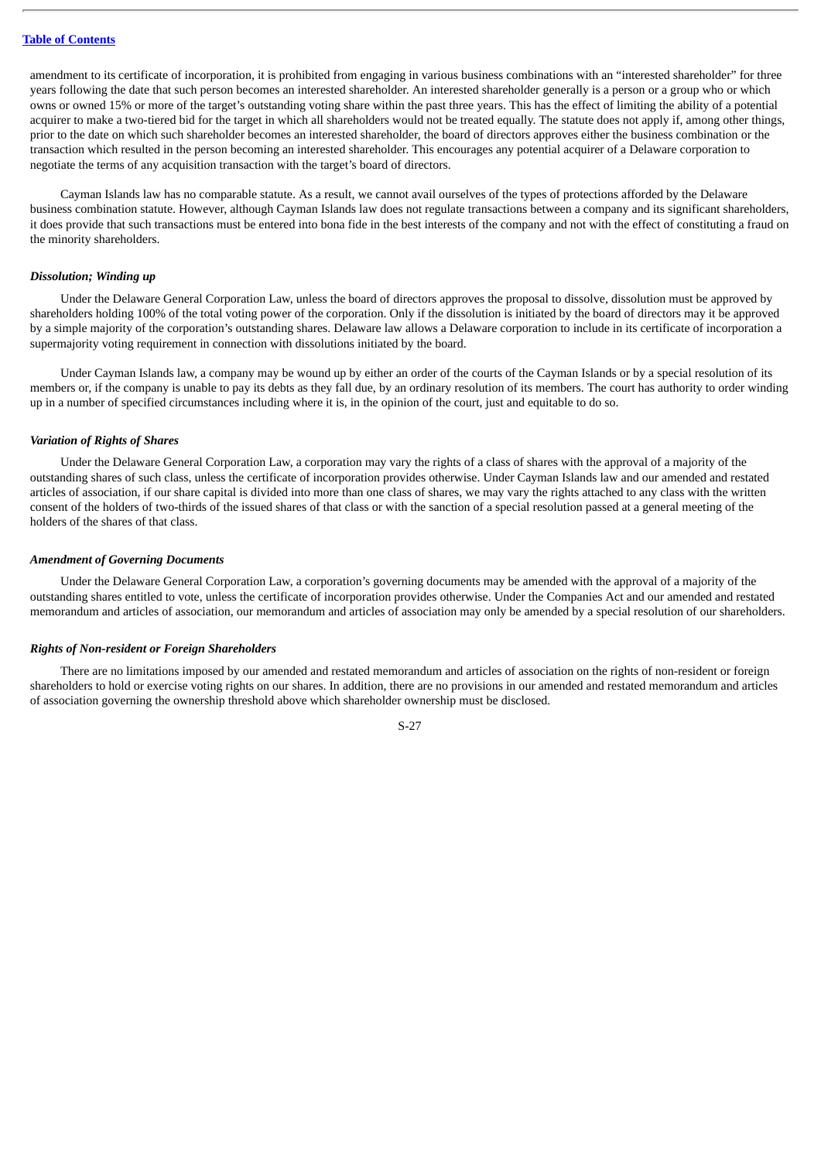amendment to its certificate of incorporation, it is prohibited from engaging in various business combinations with an "interested shareholder" for three years following the date that such person becomes an interested shareholder. An interested shareholder generally is a person or a group who or which owns or owned 15% or more of the target's outstanding voting share within the past three years. This has the effect of limiting the ability of a potential acquirer to make a two-tiered bid for the target in which all shareholders would not be treated equally. The statute does not apply if, among other things, prior to the date on which such shareholder becomes an interested shareholder, the board of directors approves either the business combination or the transaction which resulted in the person becoming an interested shareholder. This encourages any potential acquirer of a Delaware corporation to negotiate the terms of any acquisition transaction with the target's board of directors.

Cayman Islands law has no comparable statute. As a result, we cannot avail ourselves of the types of protections afforded by the Delaware business combination statute. However, although Cayman Islands law does not regulate transactions between a company and its significant shareholders, it does provide that such transactions must be entered into bona fide in the best interests of the company and not with the effect of constituting a fraud on the minority shareholders.

#### *Dissolution; Winding up*

Under the Delaware General Corporation Law, unless the board of directors approves the proposal to dissolve, dissolution must be approved by shareholders holding 100% of the total voting power of the corporation. Only if the dissolution is initiated by the board of directors may it be approved by a simple majority of the corporation's outstanding shares. Delaware law allows a Delaware corporation to include in its certificate of incorporation a supermajority voting requirement in connection with dissolutions initiated by the board.

Under Cayman Islands law, a company may be wound up by either an order of the courts of the Cayman Islands or by a special resolution of its members or, if the company is unable to pay its debts as they fall due, by an ordinary resolution of its members. The court has authority to order winding up in a number of specified circumstances including where it is, in the opinion of the court, just and equitable to do so.

#### *Variation of Rights of Shares*

Under the Delaware General Corporation Law, a corporation may vary the rights of a class of shares with the approval of a majority of the outstanding shares of such class, unless the certificate of incorporation provides otherwise. Under Cayman Islands law and our amended and restated articles of association, if our share capital is divided into more than one class of shares, we may vary the rights attached to any class with the written consent of the holders of two-thirds of the issued shares of that class or with the sanction of a special resolution passed at a general meeting of the holders of the shares of that class.

### *Amendment of Governing Documents*

Under the Delaware General Corporation Law, a corporation's governing documents may be amended with the approval of a majority of the outstanding shares entitled to vote, unless the certificate of incorporation provides otherwise. Under the Companies Act and our amended and restated memorandum and articles of association, our memorandum and articles of association may only be amended by a special resolution of our shareholders.

# *Rights of Non-resident or Foreign Shareholders*

There are no limitations imposed by our amended and restated memorandum and articles of association on the rights of non-resident or foreign shareholders to hold or exercise voting rights on our shares. In addition, there are no provisions in our amended and restated memorandum and articles of association governing the ownership threshold above which shareholder ownership must be disclosed.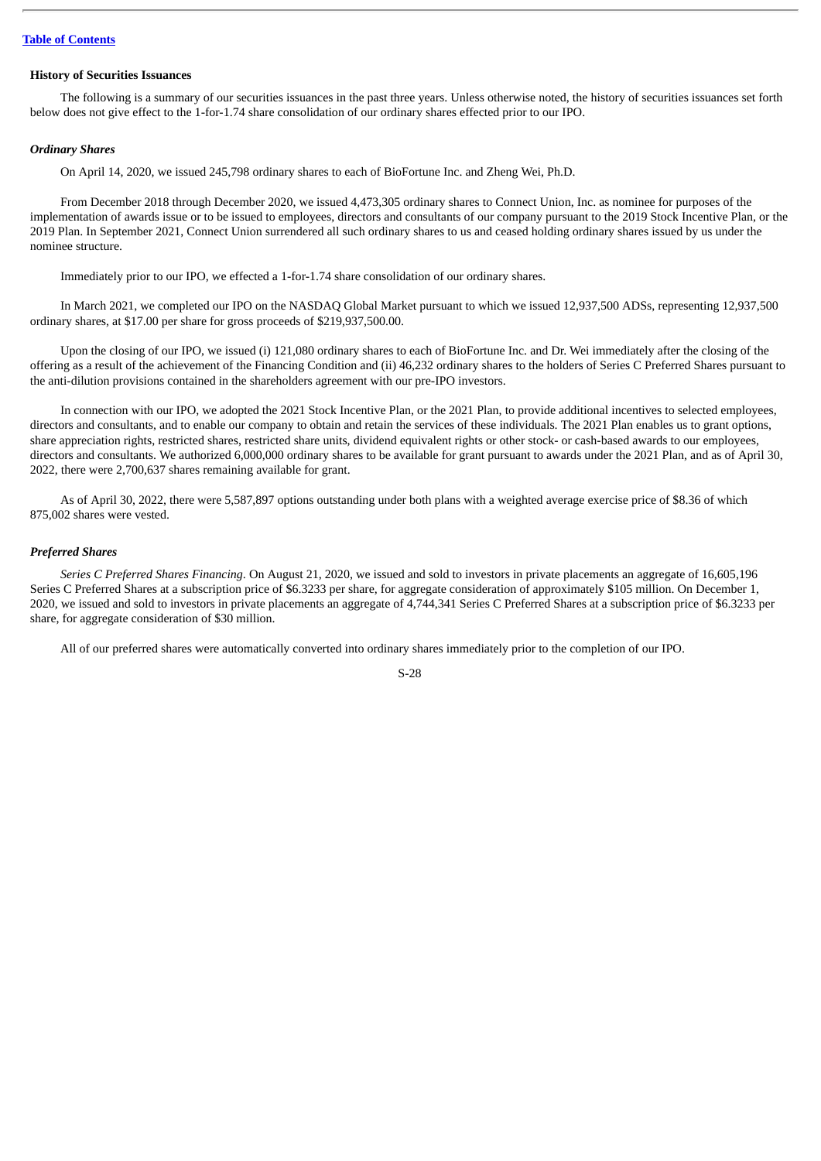## **History of Securities Issuances**

The following is a summary of our securities issuances in the past three years. Unless otherwise noted, the history of securities issuances set forth below does not give effect to the 1-for-1.74 share consolidation of our ordinary shares effected prior to our IPO.

#### *Ordinary Shares*

On April 14, 2020, we issued 245,798 ordinary shares to each of BioFortune Inc. and Zheng Wei, Ph.D.

From December 2018 through December 2020, we issued 4,473,305 ordinary shares to Connect Union, Inc. as nominee for purposes of the implementation of awards issue or to be issued to employees, directors and consultants of our company pursuant to the 2019 Stock Incentive Plan, or the 2019 Plan. In September 2021, Connect Union surrendered all such ordinary shares to us and ceased holding ordinary shares issued by us under the nominee structure.

Immediately prior to our IPO, we effected a 1-for-1.74 share consolidation of our ordinary shares.

In March 2021, we completed our IPO on the NASDAQ Global Market pursuant to which we issued 12,937,500 ADSs, representing 12,937,500 ordinary shares, at \$17.00 per share for gross proceeds of \$219,937,500.00.

Upon the closing of our IPO, we issued (i) 121,080 ordinary shares to each of BioFortune Inc. and Dr. Wei immediately after the closing of the offering as a result of the achievement of the Financing Condition and (ii) 46,232 ordinary shares to the holders of Series C Preferred Shares pursuant to the anti-dilution provisions contained in the shareholders agreement with our pre-IPO investors.

In connection with our IPO, we adopted the 2021 Stock Incentive Plan, or the 2021 Plan, to provide additional incentives to selected employees, directors and consultants, and to enable our company to obtain and retain the services of these individuals. The 2021 Plan enables us to grant options, share appreciation rights, restricted shares, restricted share units, dividend equivalent rights or other stock- or cash-based awards to our employees, directors and consultants. We authorized 6,000,000 ordinary shares to be available for grant pursuant to awards under the 2021 Plan, and as of April 30, 2022, there were 2,700,637 shares remaining available for grant.

As of April 30, 2022, there were 5,587,897 options outstanding under both plans with a weighted average exercise price of \$8.36 of which 875,002 shares were vested.

## *Preferred Shares*

*Series C Preferred Shares Financing*. On August 21, 2020, we issued and sold to investors in private placements an aggregate of 16,605,196 Series C Preferred Shares at a subscription price of \$6.3233 per share, for aggregate consideration of approximately \$105 million. On December 1, 2020, we issued and sold to investors in private placements an aggregate of 4,744,341 Series C Preferred Shares at a subscription price of \$6.3233 per share, for aggregate consideration of \$30 million.

All of our preferred shares were automatically converted into ordinary shares immediately prior to the completion of our IPO.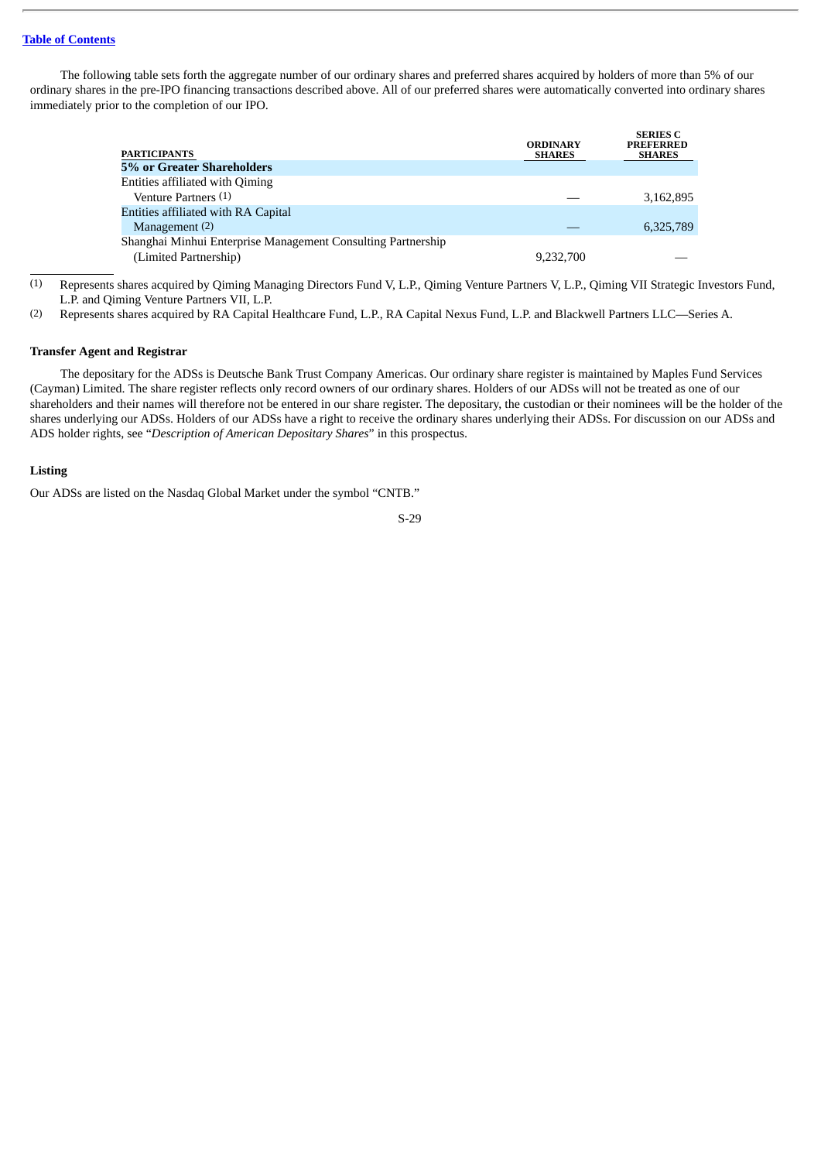## **Table of [Contents](#page-4-0)**

The following table sets forth the aggregate number of our ordinary shares and preferred shares acquired by holders of more than 5% of our ordinary shares in the pre-IPO financing transactions described above. All of our preferred shares were automatically converted into ordinary shares immediately prior to the completion of our IPO.

| <b>PARTICIPANTS</b>                                          | <b>ORDINARY</b><br><b>SHARES</b> | <b>SERIES C</b><br><b>PREFERRED</b><br><b>SHARES</b> |
|--------------------------------------------------------------|----------------------------------|------------------------------------------------------|
| 5% or Greater Shareholders                                   |                                  |                                                      |
| Entities affiliated with Qiming                              |                                  |                                                      |
| Venture Partners (1)                                         |                                  | 3,162,895                                            |
| Entities affiliated with RA Capital                          |                                  |                                                      |
| Management (2)                                               |                                  | 6,325,789                                            |
| Shanghai Minhui Enterprise Management Consulting Partnership |                                  |                                                      |
| (Limited Partnership)                                        | 9.232.700                        |                                                      |

(1) Represents shares acquired by Qiming Managing Directors Fund V, L.P., Qiming Venture Partners V, L.P., Qiming VII Strategic Investors Fund, L.P. and Qiming Venture Partners VII, L.P.

(2) Represents shares acquired by RA Capital Healthcare Fund, L.P., RA Capital Nexus Fund, L.P. and Blackwell Partners LLC—Series A.

#### **Transfer Agent and Registrar**

The depositary for the ADSs is Deutsche Bank Trust Company Americas. Our ordinary share register is maintained by Maples Fund Services (Cayman) Limited. The share register reflects only record owners of our ordinary shares. Holders of our ADSs will not be treated as one of our shareholders and their names will therefore not be entered in our share register. The depositary, the custodian or their nominees will be the holder of the shares underlying our ADSs. Holders of our ADSs have a right to receive the ordinary shares underlying their ADSs. For discussion on our ADSs and ADS holder rights, see "*Description of American Depositary Shares*" in this prospectus.

### **Listing**

Our ADSs are listed on the Nasdaq Global Market under the symbol "CNTB."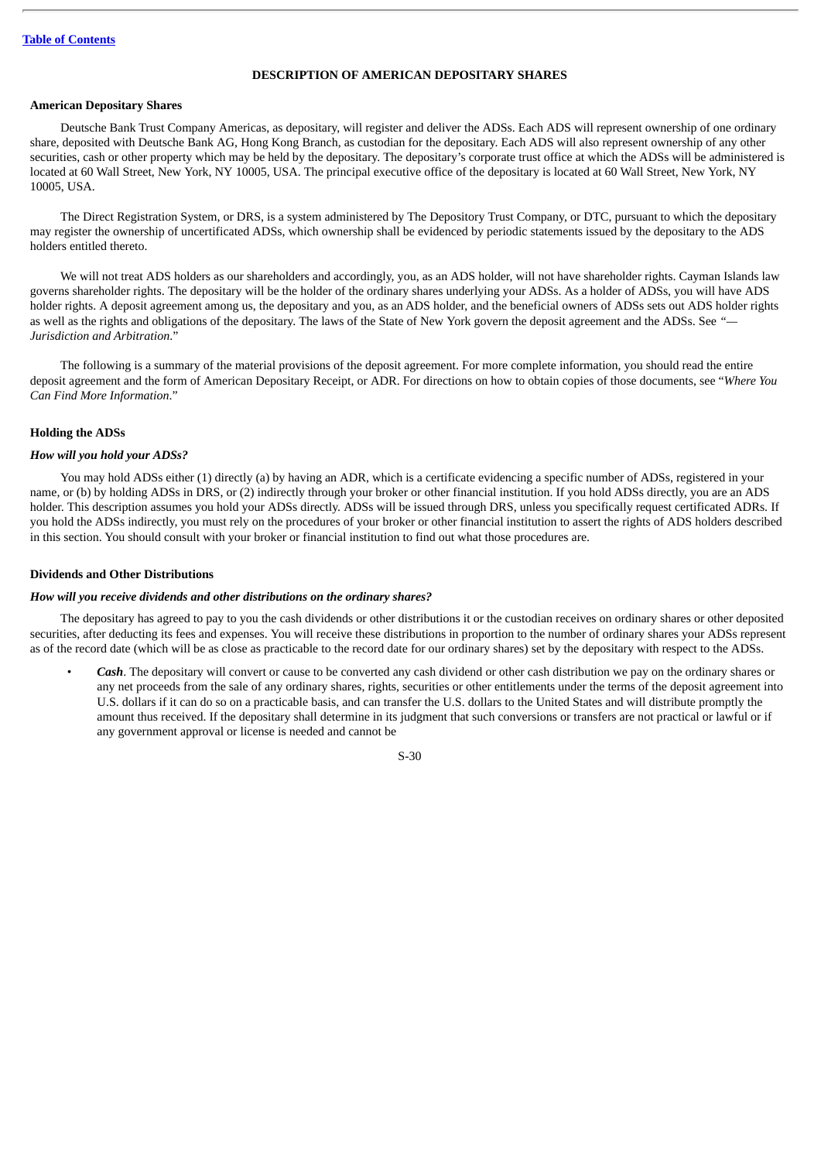## **DESCRIPTION OF AMERICAN DEPOSITARY SHARES**

## **American Depositary Shares**

Deutsche Bank Trust Company Americas, as depositary, will register and deliver the ADSs. Each ADS will represent ownership of one ordinary share, deposited with Deutsche Bank AG, Hong Kong Branch, as custodian for the depositary. Each ADS will also represent ownership of any other securities, cash or other property which may be held by the depositary. The depositary's corporate trust office at which the ADSs will be administered is located at 60 Wall Street, New York, NY 10005, USA. The principal executive office of the depositary is located at 60 Wall Street, New York, NY 10005, USA.

The Direct Registration System, or DRS, is a system administered by The Depository Trust Company, or DTC, pursuant to which the depositary may register the ownership of uncertificated ADSs, which ownership shall be evidenced by periodic statements issued by the depositary to the ADS holders entitled thereto.

We will not treat ADS holders as our shareholders and accordingly, you, as an ADS holder, will not have shareholder rights. Cayman Islands law governs shareholder rights. The depositary will be the holder of the ordinary shares underlying your ADSs. As a holder of ADSs, you will have ADS holder rights. A deposit agreement among us, the depositary and you, as an ADS holder, and the beneficial owners of ADSs sets out ADS holder rights as well as the rights and obligations of the depositary. The laws of the State of New York govern the deposit agreement and the ADSs. See *"— Jurisdiction and Arbitration*."

The following is a summary of the material provisions of the deposit agreement. For more complete information, you should read the entire deposit agreement and the form of American Depositary Receipt, or ADR. For directions on how to obtain copies of those documents, see "*Where You Can Find More Information*."

## **Holding the ADSs**

### *How will you hold your ADSs?*

You may hold ADSs either (1) directly (a) by having an ADR, which is a certificate evidencing a specific number of ADSs, registered in your name, or (b) by holding ADSs in DRS, or (2) indirectly through your broker or other financial institution. If you hold ADSs directly, you are an ADS holder. This description assumes you hold your ADSs directly. ADSs will be issued through DRS, unless you specifically request certificated ADRs. If you hold the ADSs indirectly, you must rely on the procedures of your broker or other financial institution to assert the rights of ADS holders described in this section. You should consult with your broker or financial institution to find out what those procedures are.

### **Dividends and Other Distributions**

#### *How will you receive dividends and other distributions on the ordinary shares?*

The depositary has agreed to pay to you the cash dividends or other distributions it or the custodian receives on ordinary shares or other deposited securities, after deducting its fees and expenses. You will receive these distributions in proportion to the number of ordinary shares your ADSs represent as of the record date (which will be as close as practicable to the record date for our ordinary shares) set by the depositary with respect to the ADSs.

• *Cash*. The depositary will convert or cause to be converted any cash dividend or other cash distribution we pay on the ordinary shares or any net proceeds from the sale of any ordinary shares, rights, securities or other entitlements under the terms of the deposit agreement into U.S. dollars if it can do so on a practicable basis, and can transfer the U.S. dollars to the United States and will distribute promptly the amount thus received. If the depositary shall determine in its judgment that such conversions or transfers are not practical or lawful or if any government approval or license is needed and cannot be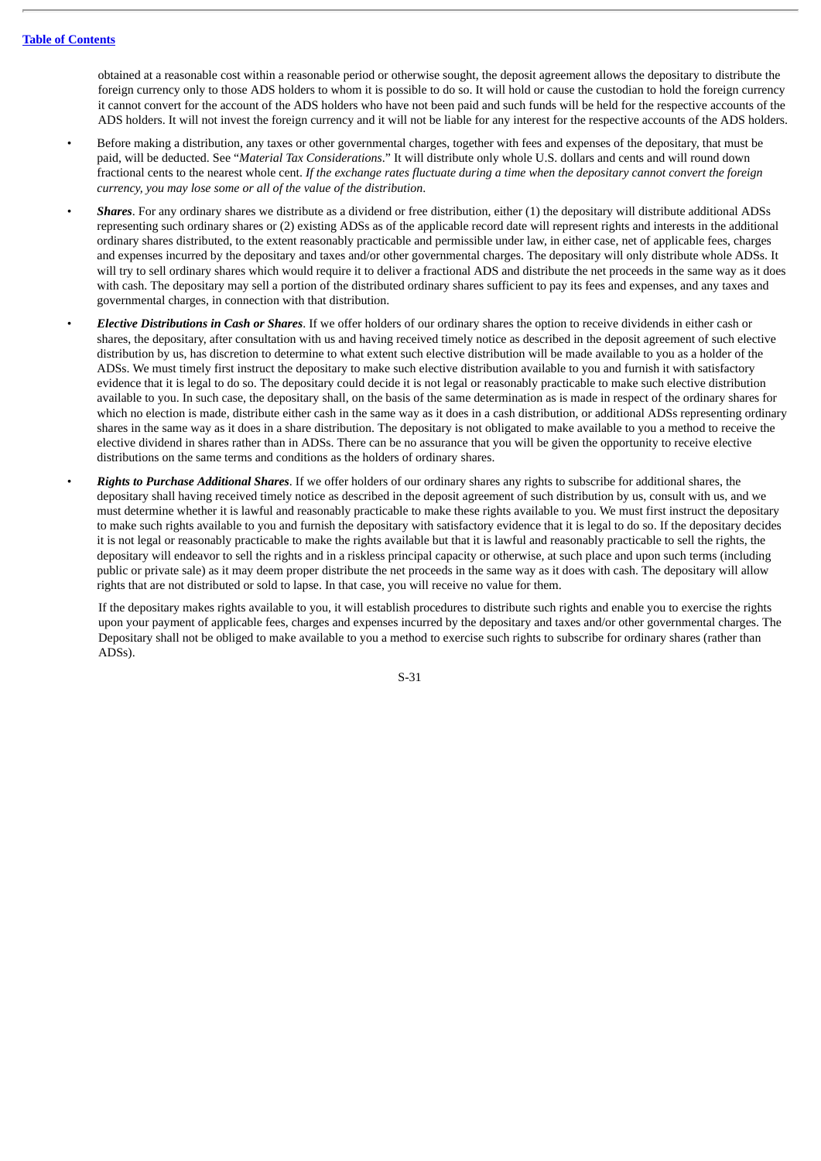obtained at a reasonable cost within a reasonable period or otherwise sought, the deposit agreement allows the depositary to distribute the foreign currency only to those ADS holders to whom it is possible to do so. It will hold or cause the custodian to hold the foreign currency it cannot convert for the account of the ADS holders who have not been paid and such funds will be held for the respective accounts of the ADS holders. It will not invest the foreign currency and it will not be liable for any interest for the respective accounts of the ADS holders.

- Before making a distribution, any taxes or other governmental charges, together with fees and expenses of the depositary, that must be paid, will be deducted. See "*Material Tax Considerations*." It will distribute only whole U.S. dollars and cents and will round down fractional cents to the nearest whole cent. If the exchange rates fluctuate during a time when the depositary cannot convert the foreign *currency, you may lose some or all of the value of the distribution*.
- *Shares*. For any ordinary shares we distribute as a dividend or free distribution, either (1) the depositary will distribute additional ADSs representing such ordinary shares or (2) existing ADSs as of the applicable record date will represent rights and interests in the additional ordinary shares distributed, to the extent reasonably practicable and permissible under law, in either case, net of applicable fees, charges and expenses incurred by the depositary and taxes and/or other governmental charges. The depositary will only distribute whole ADSs. It will try to sell ordinary shares which would require it to deliver a fractional ADS and distribute the net proceeds in the same way as it does with cash. The depositary may sell a portion of the distributed ordinary shares sufficient to pay its fees and expenses, and any taxes and governmental charges, in connection with that distribution.
- *Elective Distributions in Cash or Shares*. If we offer holders of our ordinary shares the option to receive dividends in either cash or shares, the depositary, after consultation with us and having received timely notice as described in the deposit agreement of such elective distribution by us, has discretion to determine to what extent such elective distribution will be made available to you as a holder of the ADSs. We must timely first instruct the depositary to make such elective distribution available to you and furnish it with satisfactory evidence that it is legal to do so. The depositary could decide it is not legal or reasonably practicable to make such elective distribution available to you. In such case, the depositary shall, on the basis of the same determination as is made in respect of the ordinary shares for which no election is made, distribute either cash in the same way as it does in a cash distribution, or additional ADSs representing ordinary shares in the same way as it does in a share distribution. The depositary is not obligated to make available to you a method to receive the elective dividend in shares rather than in ADSs. There can be no assurance that you will be given the opportunity to receive elective distributions on the same terms and conditions as the holders of ordinary shares.
- *Rights to Purchase Additional Shares*. If we offer holders of our ordinary shares any rights to subscribe for additional shares, the depositary shall having received timely notice as described in the deposit agreement of such distribution by us, consult with us, and we must determine whether it is lawful and reasonably practicable to make these rights available to you. We must first instruct the depositary to make such rights available to you and furnish the depositary with satisfactory evidence that it is legal to do so. If the depositary decides it is not legal or reasonably practicable to make the rights available but that it is lawful and reasonably practicable to sell the rights, the depositary will endeavor to sell the rights and in a riskless principal capacity or otherwise, at such place and upon such terms (including public or private sale) as it may deem proper distribute the net proceeds in the same way as it does with cash. The depositary will allow rights that are not distributed or sold to lapse. In that case, you will receive no value for them.

If the depositary makes rights available to you, it will establish procedures to distribute such rights and enable you to exercise the rights upon your payment of applicable fees, charges and expenses incurred by the depositary and taxes and/or other governmental charges. The Depositary shall not be obliged to make available to you a method to exercise such rights to subscribe for ordinary shares (rather than ADSs).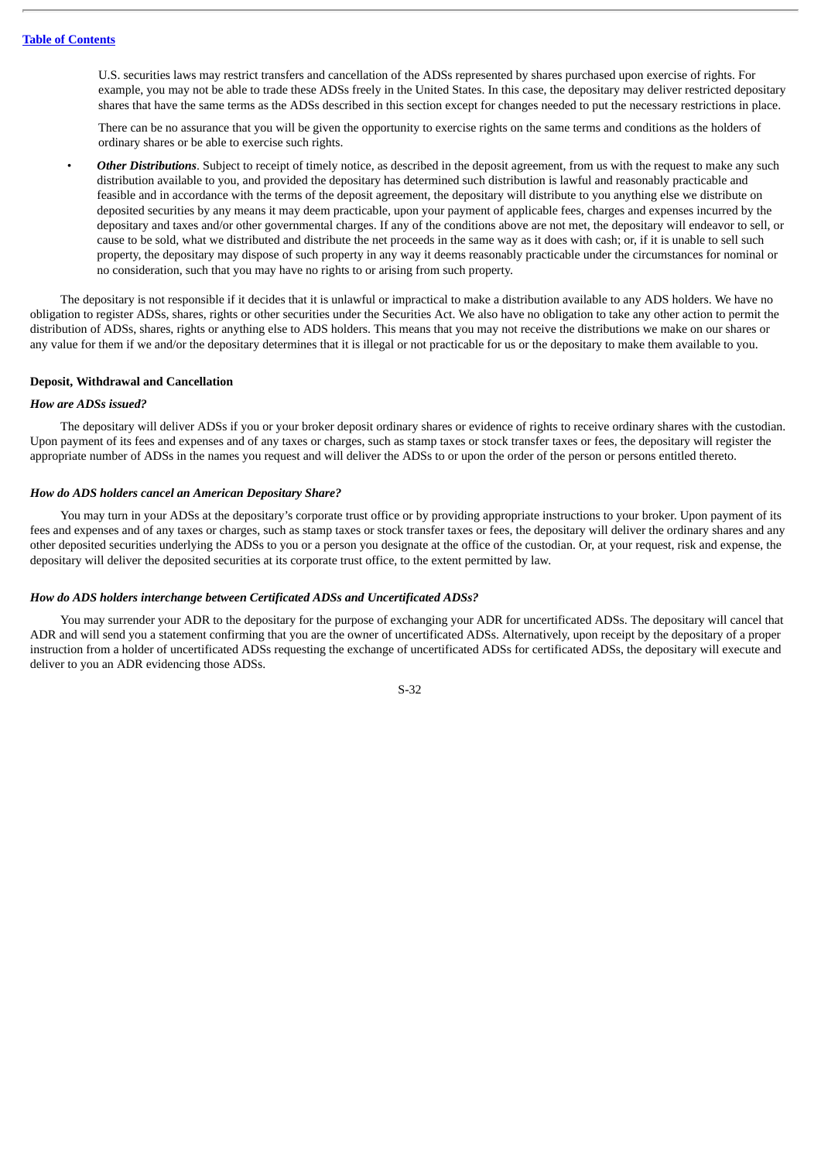U.S. securities laws may restrict transfers and cancellation of the ADSs represented by shares purchased upon exercise of rights. For example, you may not be able to trade these ADSs freely in the United States. In this case, the depositary may deliver restricted depositary shares that have the same terms as the ADSs described in this section except for changes needed to put the necessary restrictions in place.

There can be no assurance that you will be given the opportunity to exercise rights on the same terms and conditions as the holders of ordinary shares or be able to exercise such rights.

• *Other Distributions*. Subject to receipt of timely notice, as described in the deposit agreement, from us with the request to make any such distribution available to you, and provided the depositary has determined such distribution is lawful and reasonably practicable and feasible and in accordance with the terms of the deposit agreement, the depositary will distribute to you anything else we distribute on deposited securities by any means it may deem practicable, upon your payment of applicable fees, charges and expenses incurred by the depositary and taxes and/or other governmental charges. If any of the conditions above are not met, the depositary will endeavor to sell, or cause to be sold, what we distributed and distribute the net proceeds in the same way as it does with cash; or, if it is unable to sell such property, the depositary may dispose of such property in any way it deems reasonably practicable under the circumstances for nominal or no consideration, such that you may have no rights to or arising from such property.

The depositary is not responsible if it decides that it is unlawful or impractical to make a distribution available to any ADS holders. We have no obligation to register ADSs, shares, rights or other securities under the Securities Act. We also have no obligation to take any other action to permit the distribution of ADSs, shares, rights or anything else to ADS holders. This means that you may not receive the distributions we make on our shares or any value for them if we and/or the depositary determines that it is illegal or not practicable for us or the depositary to make them available to you.

#### **Deposit, Withdrawal and Cancellation**

#### *How are ADSs issued?*

The depositary will deliver ADSs if you or your broker deposit ordinary shares or evidence of rights to receive ordinary shares with the custodian. Upon payment of its fees and expenses and of any taxes or charges, such as stamp taxes or stock transfer taxes or fees, the depositary will register the appropriate number of ADSs in the names you request and will deliver the ADSs to or upon the order of the person or persons entitled thereto.

### *How do ADS holders cancel an American Depositary Share?*

You may turn in your ADSs at the depositary's corporate trust office or by providing appropriate instructions to your broker. Upon payment of its fees and expenses and of any taxes or charges, such as stamp taxes or stock transfer taxes or fees, the depositary will deliver the ordinary shares and any other deposited securities underlying the ADSs to you or a person you designate at the office of the custodian. Or, at your request, risk and expense, the depositary will deliver the deposited securities at its corporate trust office, to the extent permitted by law.

#### *How do ADS holders interchange between Certificated ADSs and Uncertificated ADSs?*

You may surrender your ADR to the depositary for the purpose of exchanging your ADR for uncertificated ADSs. The depositary will cancel that ADR and will send you a statement confirming that you are the owner of uncertificated ADSs. Alternatively, upon receipt by the depositary of a proper instruction from a holder of uncertificated ADSs requesting the exchange of uncertificated ADSs for certificated ADSs, the depositary will execute and deliver to you an ADR evidencing those ADSs.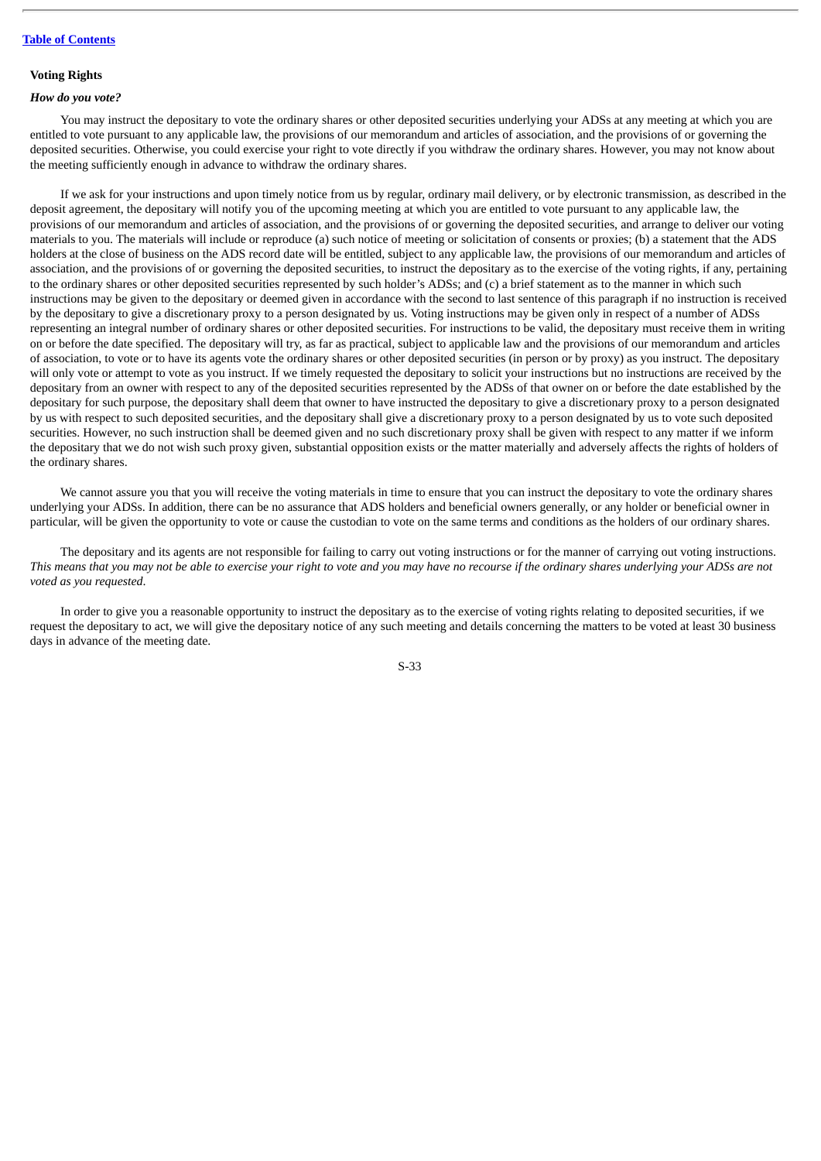### **Voting Rights**

### *How do you vote?*

You may instruct the depositary to vote the ordinary shares or other deposited securities underlying your ADSs at any meeting at which you are entitled to vote pursuant to any applicable law, the provisions of our memorandum and articles of association, and the provisions of or governing the deposited securities. Otherwise, you could exercise your right to vote directly if you withdraw the ordinary shares. However, you may not know about the meeting sufficiently enough in advance to withdraw the ordinary shares.

If we ask for your instructions and upon timely notice from us by regular, ordinary mail delivery, or by electronic transmission, as described in the deposit agreement, the depositary will notify you of the upcoming meeting at which you are entitled to vote pursuant to any applicable law, the provisions of our memorandum and articles of association, and the provisions of or governing the deposited securities, and arrange to deliver our voting materials to you. The materials will include or reproduce (a) such notice of meeting or solicitation of consents or proxies; (b) a statement that the ADS holders at the close of business on the ADS record date will be entitled, subject to any applicable law, the provisions of our memorandum and articles of association, and the provisions of or governing the deposited securities, to instruct the depositary as to the exercise of the voting rights, if any, pertaining to the ordinary shares or other deposited securities represented by such holder's ADSs; and (c) a brief statement as to the manner in which such instructions may be given to the depositary or deemed given in accordance with the second to last sentence of this paragraph if no instruction is received by the depositary to give a discretionary proxy to a person designated by us. Voting instructions may be given only in respect of a number of ADSs representing an integral number of ordinary shares or other deposited securities. For instructions to be valid, the depositary must receive them in writing on or before the date specified. The depositary will try, as far as practical, subject to applicable law and the provisions of our memorandum and articles of association, to vote or to have its agents vote the ordinary shares or other deposited securities (in person or by proxy) as you instruct. The depositary will only vote or attempt to vote as you instruct. If we timely requested the depositary to solicit your instructions but no instructions are received by the depositary from an owner with respect to any of the deposited securities represented by the ADSs of that owner on or before the date established by the depositary for such purpose, the depositary shall deem that owner to have instructed the depositary to give a discretionary proxy to a person designated by us with respect to such deposited securities, and the depositary shall give a discretionary proxy to a person designated by us to vote such deposited securities. However, no such instruction shall be deemed given and no such discretionary proxy shall be given with respect to any matter if we inform the depositary that we do not wish such proxy given, substantial opposition exists or the matter materially and adversely affects the rights of holders of the ordinary shares.

We cannot assure you that you will receive the voting materials in time to ensure that you can instruct the depositary to vote the ordinary shares underlying your ADSs. In addition, there can be no assurance that ADS holders and beneficial owners generally, or any holder or beneficial owner in particular, will be given the opportunity to vote or cause the custodian to vote on the same terms and conditions as the holders of our ordinary shares.

The depositary and its agents are not responsible for failing to carry out voting instructions or for the manner of carrying out voting instructions. This means that you may not be able to exercise your right to vote and you may have no recourse if the ordinary shares underlying your ADSs are not *voted as you requested*.

In order to give you a reasonable opportunity to instruct the depositary as to the exercise of voting rights relating to deposited securities, if we request the depositary to act, we will give the depositary notice of any such meeting and details concerning the matters to be voted at least 30 business days in advance of the meeting date.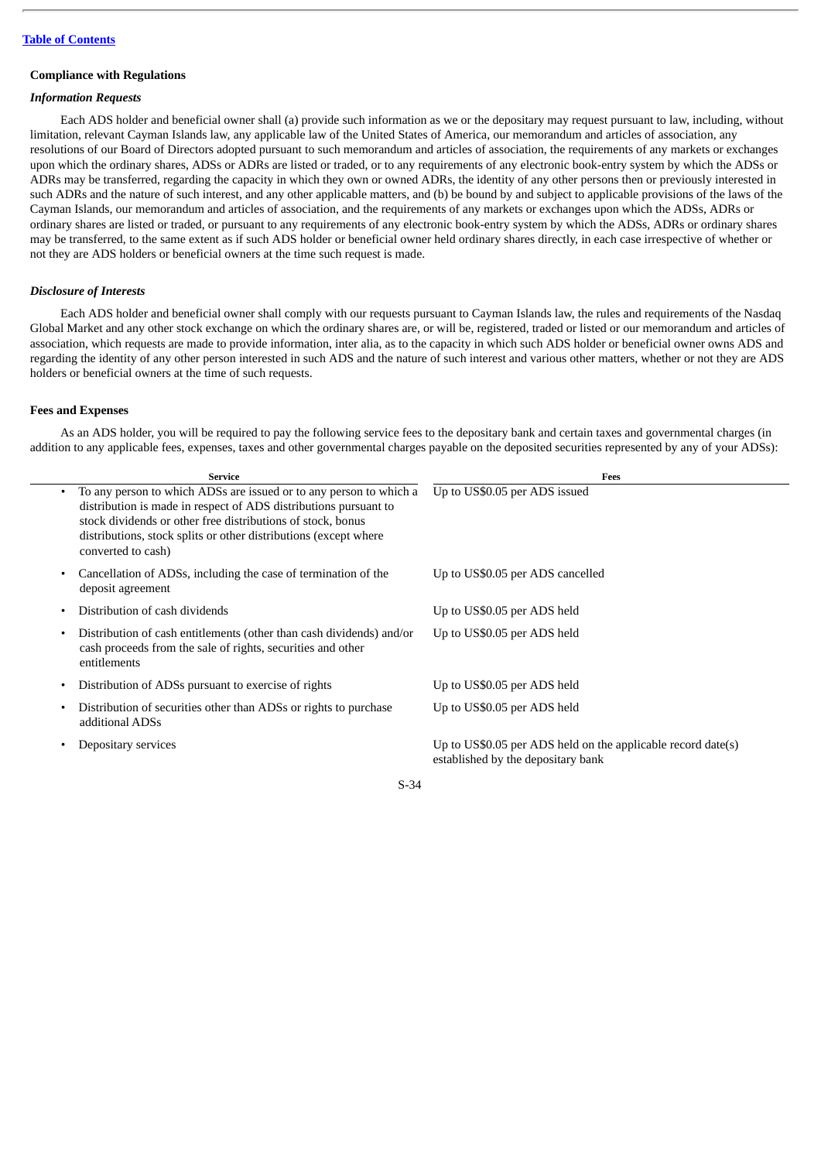## **Compliance with Regulations**

# *Information Requests*

Each ADS holder and beneficial owner shall (a) provide such information as we or the depositary may request pursuant to law, including, without limitation, relevant Cayman Islands law, any applicable law of the United States of America, our memorandum and articles of association, any resolutions of our Board of Directors adopted pursuant to such memorandum and articles of association, the requirements of any markets or exchanges upon which the ordinary shares, ADSs or ADRs are listed or traded, or to any requirements of any electronic book-entry system by which the ADSs or ADRs may be transferred, regarding the capacity in which they own or owned ADRs, the identity of any other persons then or previously interested in such ADRs and the nature of such interest, and any other applicable matters, and (b) be bound by and subject to applicable provisions of the laws of the Cayman Islands, our memorandum and articles of association, and the requirements of any markets or exchanges upon which the ADSs, ADRs or ordinary shares are listed or traded, or pursuant to any requirements of any electronic book-entry system by which the ADSs, ADRs or ordinary shares may be transferred, to the same extent as if such ADS holder or beneficial owner held ordinary shares directly, in each case irrespective of whether or not they are ADS holders or beneficial owners at the time such request is made.

## *Disclosure of Interests*

Each ADS holder and beneficial owner shall comply with our requests pursuant to Cayman Islands law, the rules and requirements of the Nasdaq Global Market and any other stock exchange on which the ordinary shares are, or will be, registered, traded or listed or our memorandum and articles of association, which requests are made to provide information, inter alia, as to the capacity in which such ADS holder or beneficial owner owns ADS and regarding the identity of any other person interested in such ADS and the nature of such interest and various other matters, whether or not they are ADS holders or beneficial owners at the time of such requests.

## **Fees and Expenses**

As an ADS holder, you will be required to pay the following service fees to the depositary bank and certain taxes and governmental charges (in addition to any applicable fees, expenses, taxes and other governmental charges payable on the deposited securities represented by any of your ADSs):

| <b>Service</b>                                                                                                                                                                                                                                                                                               | Fees                                                                                               |
|--------------------------------------------------------------------------------------------------------------------------------------------------------------------------------------------------------------------------------------------------------------------------------------------------------------|----------------------------------------------------------------------------------------------------|
| To any person to which ADSs are issued or to any person to which a<br>$\bullet$<br>distribution is made in respect of ADS distributions pursuant to<br>stock dividends or other free distributions of stock, bonus<br>distributions, stock splits or other distributions (except where<br>converted to cash) | Up to US\$0.05 per ADS issued                                                                      |
| Cancellation of ADSs, including the case of termination of the<br>٠<br>deposit agreement                                                                                                                                                                                                                     | Up to US\$0.05 per ADS cancelled                                                                   |
| Distribution of cash dividends                                                                                                                                                                                                                                                                               | Up to US\$0.05 per ADS held                                                                        |
| Distribution of cash entitlements (other than cash dividends) and/or<br>٠<br>cash proceeds from the sale of rights, securities and other<br>entitlements                                                                                                                                                     | Up to US\$0.05 per ADS held                                                                        |
| Distribution of ADSs pursuant to exercise of rights<br>٠                                                                                                                                                                                                                                                     | Up to US\$0.05 per ADS held                                                                        |
| Distribution of securities other than ADSs or rights to purchase<br>additional ADSs                                                                                                                                                                                                                          | Up to US\$0.05 per ADS held                                                                        |
| Depositary services                                                                                                                                                                                                                                                                                          | Up to US\$0.05 per ADS held on the applicable record date(s)<br>established by the depositary bank |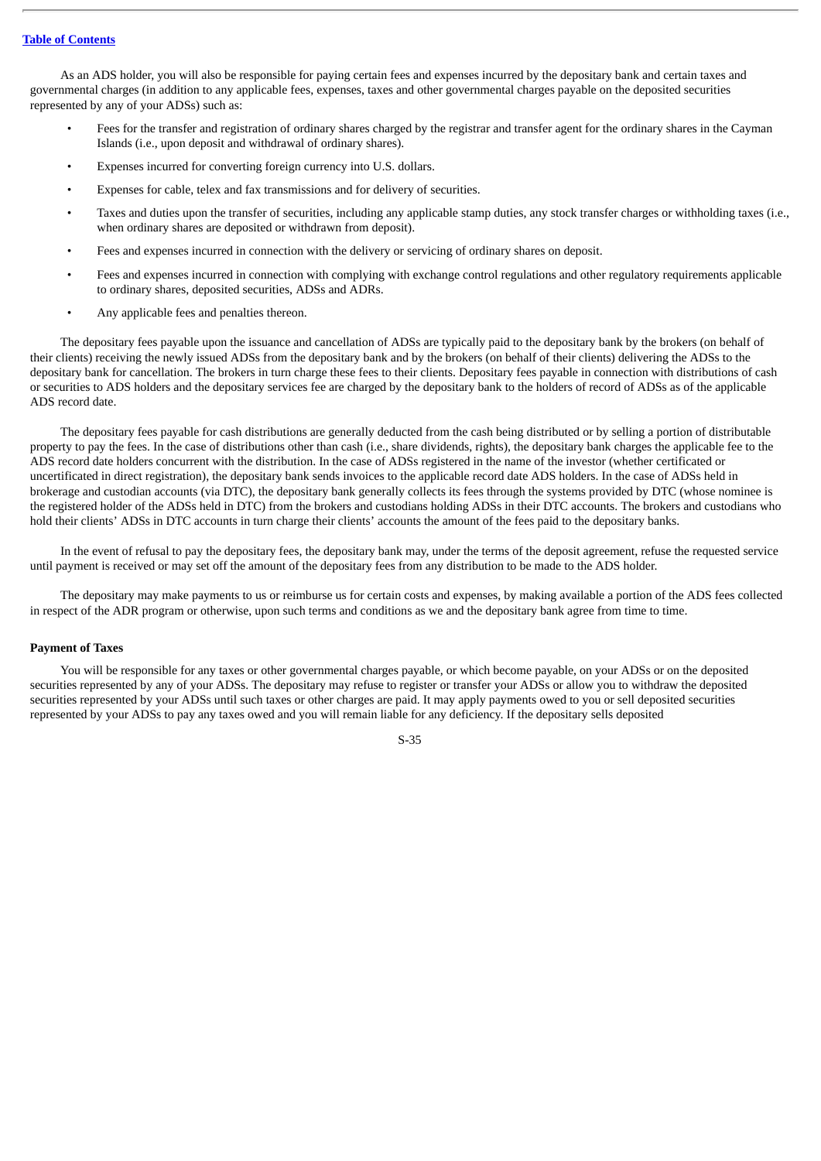## **Table of [Contents](#page-4-0)**

As an ADS holder, you will also be responsible for paying certain fees and expenses incurred by the depositary bank and certain taxes and governmental charges (in addition to any applicable fees, expenses, taxes and other governmental charges payable on the deposited securities represented by any of your ADSs) such as:

- Fees for the transfer and registration of ordinary shares charged by the registrar and transfer agent for the ordinary shares in the Cayman Islands (i.e., upon deposit and withdrawal of ordinary shares).
- Expenses incurred for converting foreign currency into U.S. dollars.
- Expenses for cable, telex and fax transmissions and for delivery of securities.
- Taxes and duties upon the transfer of securities, including any applicable stamp duties, any stock transfer charges or withholding taxes (i.e., when ordinary shares are deposited or withdrawn from deposit).
- Fees and expenses incurred in connection with the delivery or servicing of ordinary shares on deposit.
- Fees and expenses incurred in connection with complying with exchange control regulations and other regulatory requirements applicable to ordinary shares, deposited securities, ADSs and ADRs.
- Any applicable fees and penalties thereon.

The depositary fees payable upon the issuance and cancellation of ADSs are typically paid to the depositary bank by the brokers (on behalf of their clients) receiving the newly issued ADSs from the depositary bank and by the brokers (on behalf of their clients) delivering the ADSs to the depositary bank for cancellation. The brokers in turn charge these fees to their clients. Depositary fees payable in connection with distributions of cash or securities to ADS holders and the depositary services fee are charged by the depositary bank to the holders of record of ADSs as of the applicable ADS record date.

The depositary fees payable for cash distributions are generally deducted from the cash being distributed or by selling a portion of distributable property to pay the fees. In the case of distributions other than cash (i.e., share dividends, rights), the depositary bank charges the applicable fee to the ADS record date holders concurrent with the distribution. In the case of ADSs registered in the name of the investor (whether certificated or uncertificated in direct registration), the depositary bank sends invoices to the applicable record date ADS holders. In the case of ADSs held in brokerage and custodian accounts (via DTC), the depositary bank generally collects its fees through the systems provided by DTC (whose nominee is the registered holder of the ADSs held in DTC) from the brokers and custodians holding ADSs in their DTC accounts. The brokers and custodians who hold their clients' ADSs in DTC accounts in turn charge their clients' accounts the amount of the fees paid to the depositary banks.

In the event of refusal to pay the depositary fees, the depositary bank may, under the terms of the deposit agreement, refuse the requested service until payment is received or may set off the amount of the depositary fees from any distribution to be made to the ADS holder.

The depositary may make payments to us or reimburse us for certain costs and expenses, by making available a portion of the ADS fees collected in respect of the ADR program or otherwise, upon such terms and conditions as we and the depositary bank agree from time to time.

### **Payment of Taxes**

You will be responsible for any taxes or other governmental charges payable, or which become payable, on your ADSs or on the deposited securities represented by any of your ADSs. The depositary may refuse to register or transfer your ADSs or allow you to withdraw the deposited securities represented by your ADSs until such taxes or other charges are paid. It may apply payments owed to you or sell deposited securities represented by your ADSs to pay any taxes owed and you will remain liable for any deficiency. If the depositary sells deposited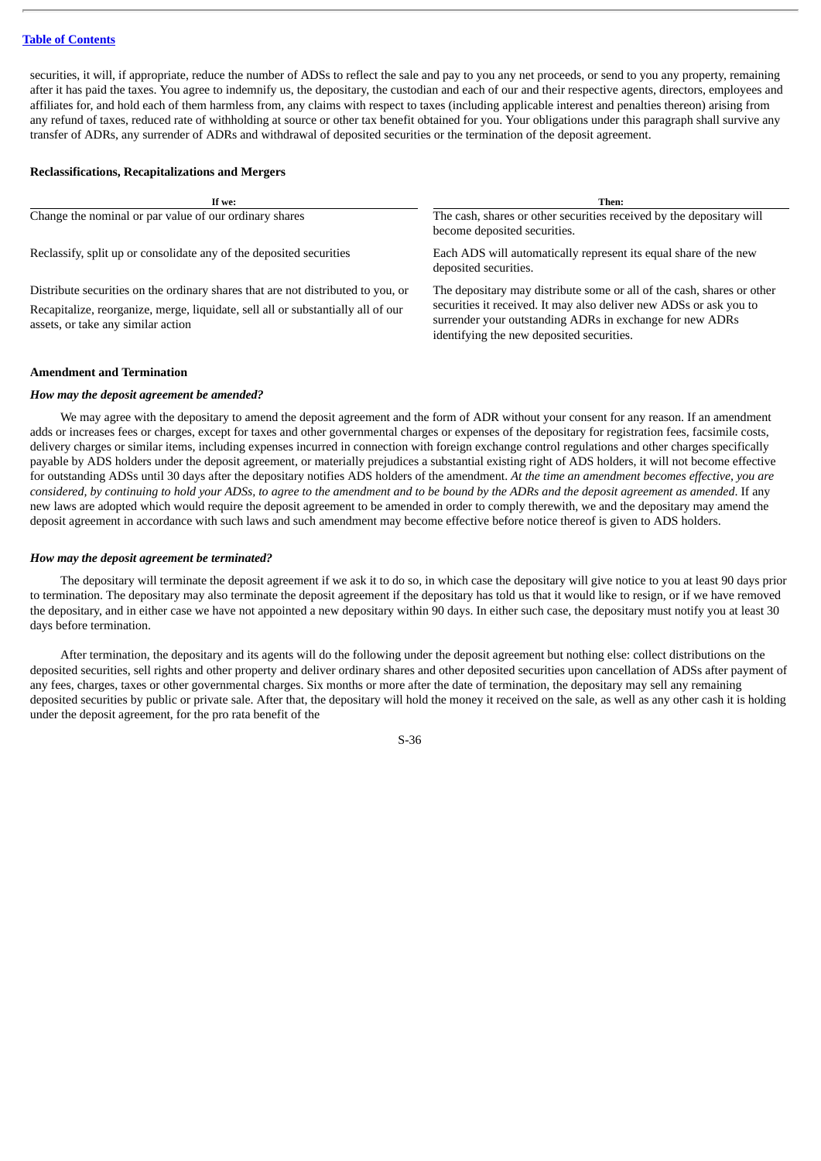## **Table of [Contents](#page-4-0)**

securities, it will, if appropriate, reduce the number of ADSs to reflect the sale and pay to you any net proceeds, or send to you any property, remaining after it has paid the taxes. You agree to indemnify us, the depositary, the custodian and each of our and their respective agents, directors, employees and affiliates for, and hold each of them harmless from, any claims with respect to taxes (including applicable interest and penalties thereon) arising from any refund of taxes, reduced rate of withholding at source or other tax benefit obtained for you. Your obligations under this paragraph shall survive any transfer of ADRs, any surrender of ADRs and withdrawal of deposited securities or the termination of the deposit agreement.

## **Reclassifications, Recapitalizations and Mergers**

| If we:                                                                                                                                                                                                     | Then:                                                                                                                                                                                                                                                 |
|------------------------------------------------------------------------------------------------------------------------------------------------------------------------------------------------------------|-------------------------------------------------------------------------------------------------------------------------------------------------------------------------------------------------------------------------------------------------------|
| Change the nominal or par value of our ordinary shares                                                                                                                                                     | The cash, shares or other securities received by the depositary will<br>become deposited securities.                                                                                                                                                  |
| Reclassify, split up or consolidate any of the deposited securities                                                                                                                                        | Each ADS will automatically represent its equal share of the new<br>deposited securities.                                                                                                                                                             |
| Distribute securities on the ordinary shares that are not distributed to you, or<br>Recapitalize, reorganize, merge, liquidate, sell all or substantially all of our<br>assets, or take any similar action | The depositary may distribute some or all of the cash, shares or other<br>securities it received. It may also deliver new ADSs or ask you to<br>surrender your outstanding ADRs in exchange for new ADRs<br>identifying the new deposited securities. |

## **Amendment and Termination**

## *How may the deposit agreement be amended?*

We may agree with the depositary to amend the deposit agreement and the form of ADR without your consent for any reason. If an amendment adds or increases fees or charges, except for taxes and other governmental charges or expenses of the depositary for registration fees, facsimile costs, delivery charges or similar items, including expenses incurred in connection with foreign exchange control regulations and other charges specifically payable by ADS holders under the deposit agreement, or materially prejudices a substantial existing right of ADS holders, it will not become effective for outstanding ADSs until 30 days after the depositary notifies ADS holders of the amendment. *At the time an amendment becomes effective, you are* considered, by continuing to hold your ADSs, to agree to the amendment and to be bound by the ADRs and the deposit agreement as amended. If any new laws are adopted which would require the deposit agreement to be amended in order to comply therewith, we and the depositary may amend the deposit agreement in accordance with such laws and such amendment may become effective before notice thereof is given to ADS holders.

### *How may the deposit agreement be terminated?*

The depositary will terminate the deposit agreement if we ask it to do so, in which case the depositary will give notice to you at least 90 days prior to termination. The depositary may also terminate the deposit agreement if the depositary has told us that it would like to resign, or if we have removed the depositary, and in either case we have not appointed a new depositary within 90 days. In either such case, the depositary must notify you at least 30 days before termination.

After termination, the depositary and its agents will do the following under the deposit agreement but nothing else: collect distributions on the deposited securities, sell rights and other property and deliver ordinary shares and other deposited securities upon cancellation of ADSs after payment of any fees, charges, taxes or other governmental charges. Six months or more after the date of termination, the depositary may sell any remaining deposited securities by public or private sale. After that, the depositary will hold the money it received on the sale, as well as any other cash it is holding under the deposit agreement, for the pro rata benefit of the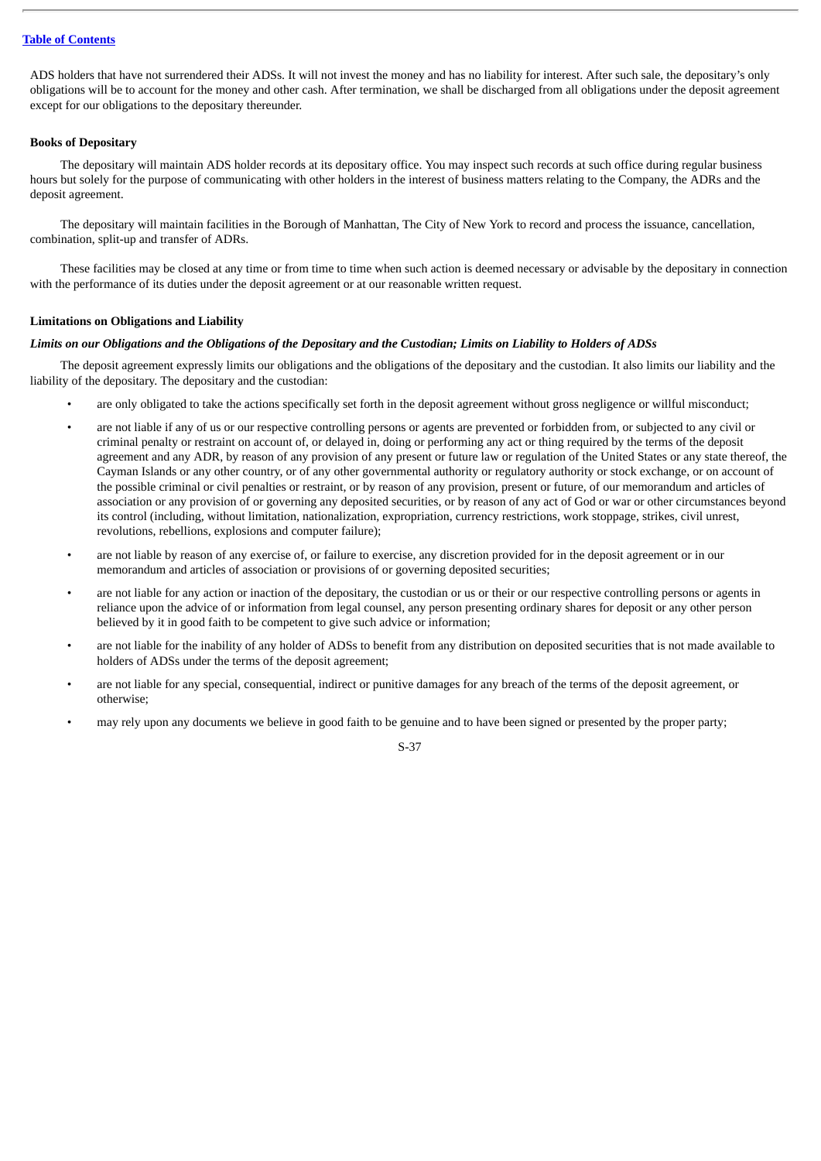ADS holders that have not surrendered their ADSs. It will not invest the money and has no liability for interest. After such sale, the depositary's only obligations will be to account for the money and other cash. After termination, we shall be discharged from all obligations under the deposit agreement except for our obligations to the depositary thereunder.

## **Books of Depositary**

The depositary will maintain ADS holder records at its depositary office. You may inspect such records at such office during regular business hours but solely for the purpose of communicating with other holders in the interest of business matters relating to the Company, the ADRs and the deposit agreement.

The depositary will maintain facilities in the Borough of Manhattan, The City of New York to record and process the issuance, cancellation, combination, split-up and transfer of ADRs.

These facilities may be closed at any time or from time to time when such action is deemed necessary or advisable by the depositary in connection with the performance of its duties under the deposit agreement or at our reasonable written request.

## **Limitations on Obligations and Liability**

## Limits on our Obligations and the Obligations of the Depositary and the Custodian; Limits on Liability to Holders of ADSs

The deposit agreement expressly limits our obligations and the obligations of the depositary and the custodian. It also limits our liability and the liability of the depositary. The depositary and the custodian:

- are only obligated to take the actions specifically set forth in the deposit agreement without gross negligence or willful misconduct;
- are not liable if any of us or our respective controlling persons or agents are prevented or forbidden from, or subjected to any civil or criminal penalty or restraint on account of, or delayed in, doing or performing any act or thing required by the terms of the deposit agreement and any ADR, by reason of any provision of any present or future law or regulation of the United States or any state thereof, the Cayman Islands or any other country, or of any other governmental authority or regulatory authority or stock exchange, or on account of the possible criminal or civil penalties or restraint, or by reason of any provision, present or future, of our memorandum and articles of association or any provision of or governing any deposited securities, or by reason of any act of God or war or other circumstances beyond its control (including, without limitation, nationalization, expropriation, currency restrictions, work stoppage, strikes, civil unrest, revolutions, rebellions, explosions and computer failure);
- are not liable by reason of any exercise of, or failure to exercise, any discretion provided for in the deposit agreement or in our memorandum and articles of association or provisions of or governing deposited securities;
- are not liable for any action or inaction of the depositary, the custodian or us or their or our respective controlling persons or agents in reliance upon the advice of or information from legal counsel, any person presenting ordinary shares for deposit or any other person believed by it in good faith to be competent to give such advice or information;
- are not liable for the inability of any holder of ADSs to benefit from any distribution on deposited securities that is not made available to holders of ADSs under the terms of the deposit agreement;
- are not liable for any special, consequential, indirect or punitive damages for any breach of the terms of the deposit agreement, or otherwise;
- may rely upon any documents we believe in good faith to be genuine and to have been signed or presented by the proper party;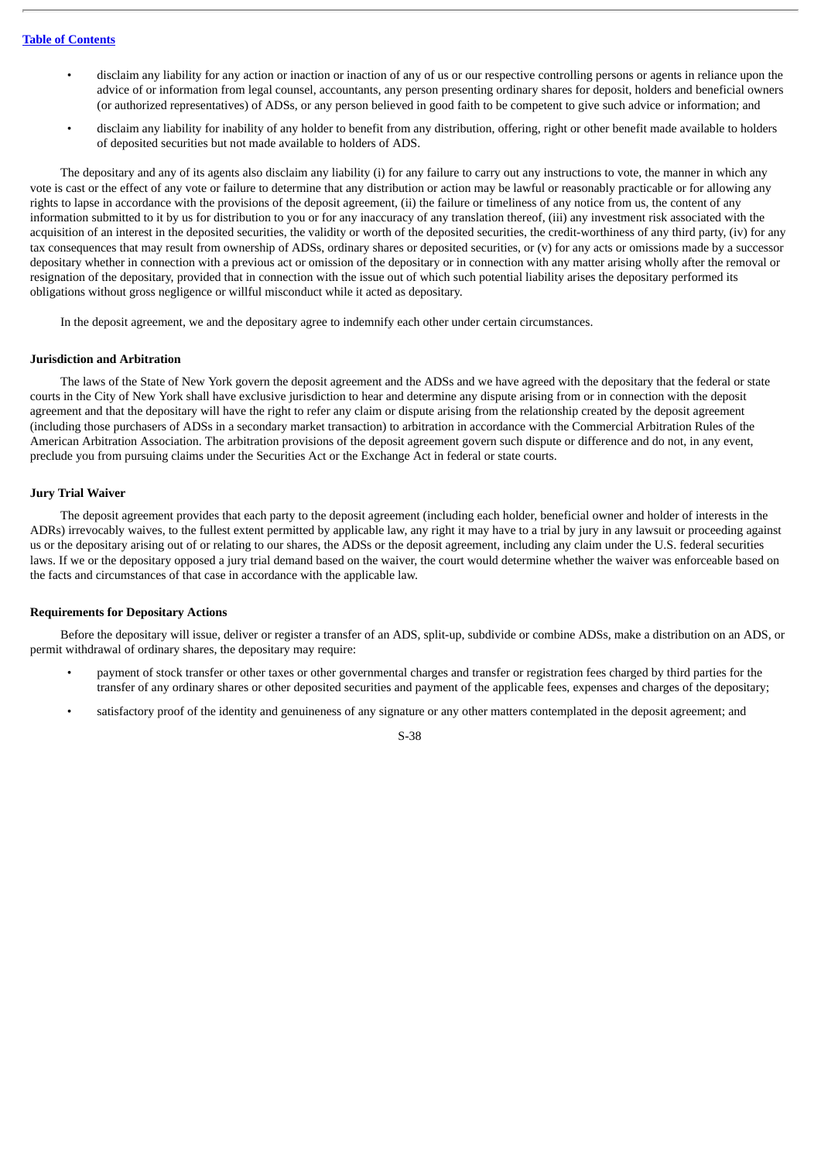- disclaim any liability for any action or inaction or inaction of any of us or our respective controlling persons or agents in reliance upon the advice of or information from legal counsel, accountants, any person presenting ordinary shares for deposit, holders and beneficial owners (or authorized representatives) of ADSs, or any person believed in good faith to be competent to give such advice or information; and
- disclaim any liability for inability of any holder to benefit from any distribution, offering, right or other benefit made available to holders of deposited securities but not made available to holders of ADS.

The depositary and any of its agents also disclaim any liability (i) for any failure to carry out any instructions to vote, the manner in which any vote is cast or the effect of any vote or failure to determine that any distribution or action may be lawful or reasonably practicable or for allowing any rights to lapse in accordance with the provisions of the deposit agreement, (ii) the failure or timeliness of any notice from us, the content of any information submitted to it by us for distribution to you or for any inaccuracy of any translation thereof, (iii) any investment risk associated with the acquisition of an interest in the deposited securities, the validity or worth of the deposited securities, the credit-worthiness of any third party, (iv) for any tax consequences that may result from ownership of ADSs, ordinary shares or deposited securities, or (v) for any acts or omissions made by a successor depositary whether in connection with a previous act or omission of the depositary or in connection with any matter arising wholly after the removal or resignation of the depositary, provided that in connection with the issue out of which such potential liability arises the depositary performed its obligations without gross negligence or willful misconduct while it acted as depositary.

In the deposit agreement, we and the depositary agree to indemnify each other under certain circumstances.

## **Jurisdiction and Arbitration**

The laws of the State of New York govern the deposit agreement and the ADSs and we have agreed with the depositary that the federal or state courts in the City of New York shall have exclusive jurisdiction to hear and determine any dispute arising from or in connection with the deposit agreement and that the depositary will have the right to refer any claim or dispute arising from the relationship created by the deposit agreement (including those purchasers of ADSs in a secondary market transaction) to arbitration in accordance with the Commercial Arbitration Rules of the American Arbitration Association. The arbitration provisions of the deposit agreement govern such dispute or difference and do not, in any event, preclude you from pursuing claims under the Securities Act or the Exchange Act in federal or state courts.

## **Jury Trial Waiver**

The deposit agreement provides that each party to the deposit agreement (including each holder, beneficial owner and holder of interests in the ADRs) irrevocably waives, to the fullest extent permitted by applicable law, any right it may have to a trial by jury in any lawsuit or proceeding against us or the depositary arising out of or relating to our shares, the ADSs or the deposit agreement, including any claim under the U.S. federal securities laws. If we or the depositary opposed a jury trial demand based on the waiver, the court would determine whether the waiver was enforceable based on the facts and circumstances of that case in accordance with the applicable law.

## **Requirements for Depositary Actions**

Before the depositary will issue, deliver or register a transfer of an ADS, split-up, subdivide or combine ADSs, make a distribution on an ADS, or permit withdrawal of ordinary shares, the depositary may require:

- payment of stock transfer or other taxes or other governmental charges and transfer or registration fees charged by third parties for the transfer of any ordinary shares or other deposited securities and payment of the applicable fees, expenses and charges of the depositary;
- satisfactory proof of the identity and genuineness of any signature or any other matters contemplated in the deposit agreement; and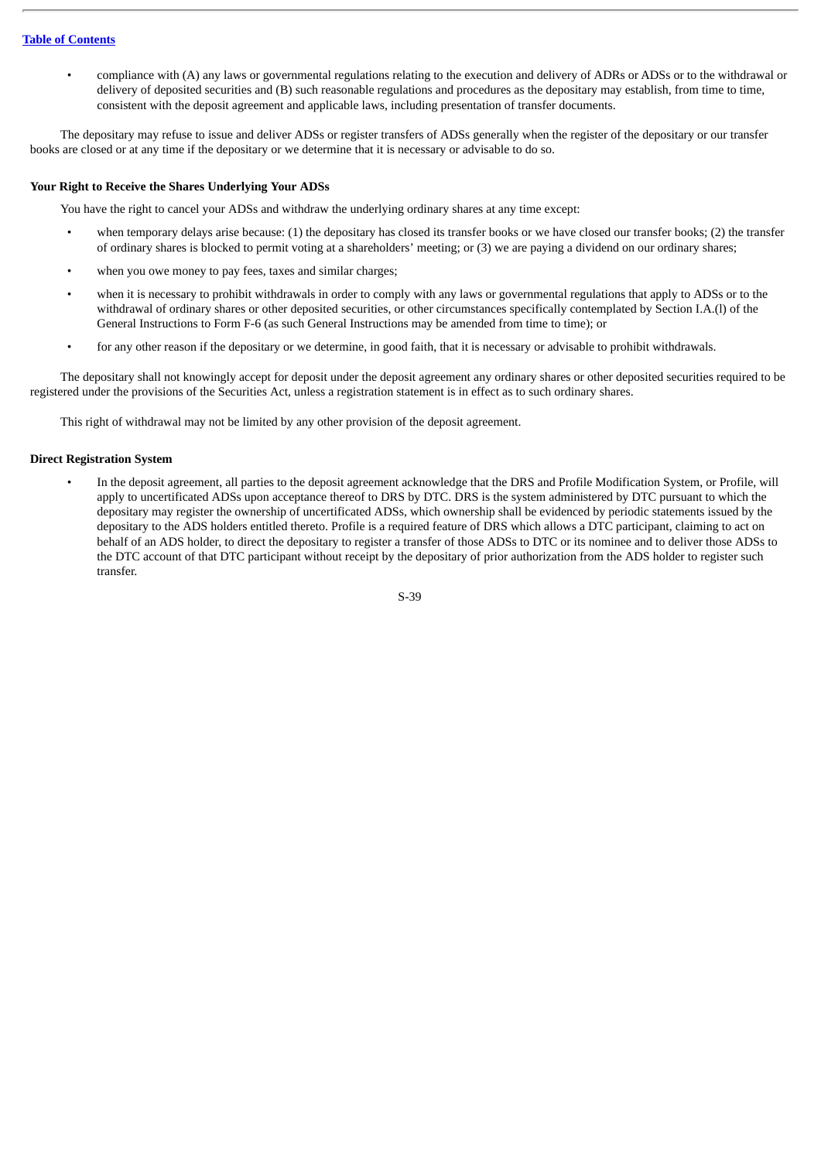• compliance with (A) any laws or governmental regulations relating to the execution and delivery of ADRs or ADSs or to the withdrawal or delivery of deposited securities and (B) such reasonable regulations and procedures as the depositary may establish, from time to time, consistent with the deposit agreement and applicable laws, including presentation of transfer documents.

The depositary may refuse to issue and deliver ADSs or register transfers of ADSs generally when the register of the depositary or our transfer books are closed or at any time if the depositary or we determine that it is necessary or advisable to do so.

## **Your Right to Receive the Shares Underlying Your ADSs**

You have the right to cancel your ADSs and withdraw the underlying ordinary shares at any time except:

- when temporary delays arise because: (1) the depositary has closed its transfer books or we have closed our transfer books; (2) the transfer of ordinary shares is blocked to permit voting at a shareholders' meeting; or (3) we are paying a dividend on our ordinary shares;
- when you owe money to pay fees, taxes and similar charges;
- when it is necessary to prohibit withdrawals in order to comply with any laws or governmental regulations that apply to ADSs or to the withdrawal of ordinary shares or other deposited securities, or other circumstances specifically contemplated by Section I.A.(l) of the General Instructions to Form F-6 (as such General Instructions may be amended from time to time); or
- for any other reason if the depositary or we determine, in good faith, that it is necessary or advisable to prohibit withdrawals.

The depositary shall not knowingly accept for deposit under the deposit agreement any ordinary shares or other deposited securities required to be registered under the provisions of the Securities Act, unless a registration statement is in effect as to such ordinary shares.

This right of withdrawal may not be limited by any other provision of the deposit agreement.

## **Direct Registration System**

• In the deposit agreement, all parties to the deposit agreement acknowledge that the DRS and Profile Modification System, or Profile, will apply to uncertificated ADSs upon acceptance thereof to DRS by DTC. DRS is the system administered by DTC pursuant to which the depositary may register the ownership of uncertificated ADSs, which ownership shall be evidenced by periodic statements issued by the depositary to the ADS holders entitled thereto. Profile is a required feature of DRS which allows a DTC participant, claiming to act on behalf of an ADS holder, to direct the depositary to register a transfer of those ADSs to DTC or its nominee and to deliver those ADSs to the DTC account of that DTC participant without receipt by the depositary of prior authorization from the ADS holder to register such transfer.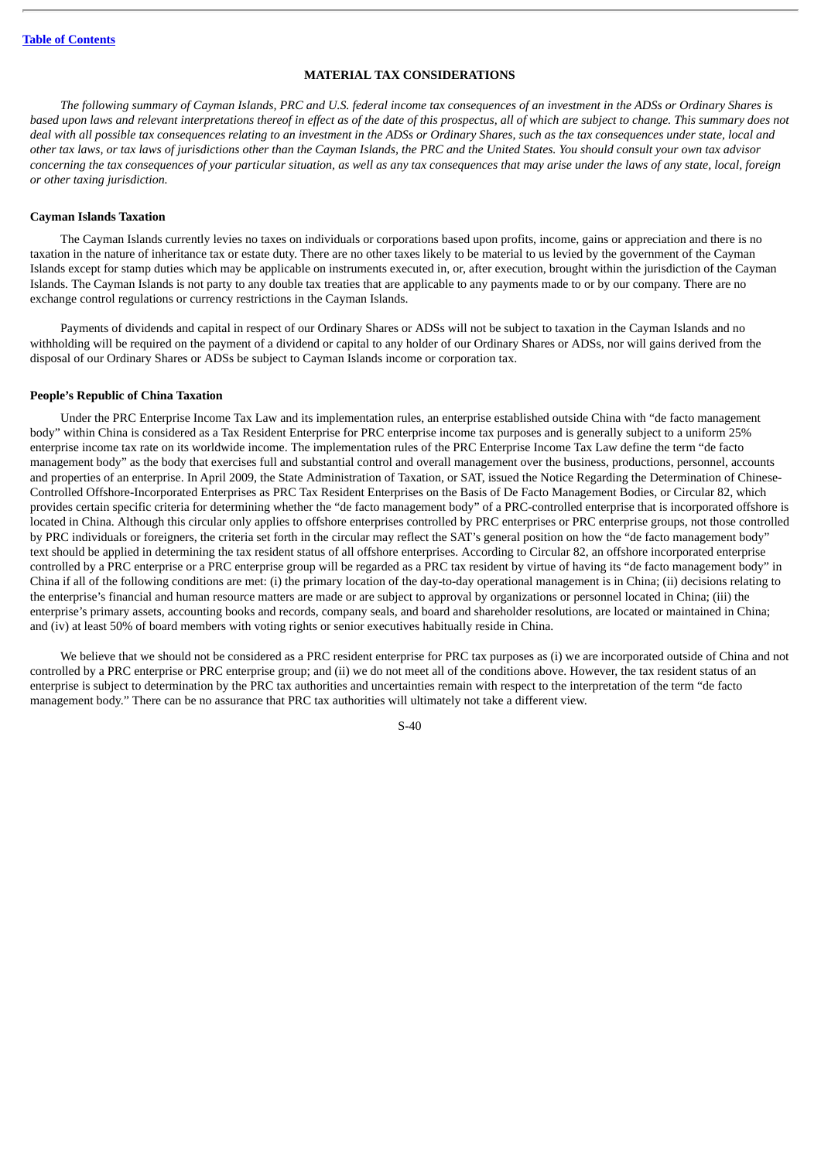# **MATERIAL TAX CONSIDERATIONS**

The following summary of Cayman Islands, PRC and U.S. federal income tax consequences of an investment in the ADSs or Ordinary Shares is based upon laws and relevant interpretations thereof in effect as of the date of this prospectus, all of which are subject to change. This summary does not deal with all possible tax consequences relating to an investment in the ADSs or Ordinary Shares, such as the tax consequences under state, local and other tax laws, or tax laws of jurisdictions other than the Cayman Islands, the PRC and the United States. You should consult your own tax advisor concerning the tax consequences of your particular situation, as well as any tax consequences that may arise under the laws of any state, local, foreign *or other taxing jurisdiction.*

## **Cayman Islands Taxation**

The Cayman Islands currently levies no taxes on individuals or corporations based upon profits, income, gains or appreciation and there is no taxation in the nature of inheritance tax or estate duty. There are no other taxes likely to be material to us levied by the government of the Cayman Islands except for stamp duties which may be applicable on instruments executed in, or, after execution, brought within the jurisdiction of the Cayman Islands. The Cayman Islands is not party to any double tax treaties that are applicable to any payments made to or by our company. There are no exchange control regulations or currency restrictions in the Cayman Islands.

Payments of dividends and capital in respect of our Ordinary Shares or ADSs will not be subject to taxation in the Cayman Islands and no withholding will be required on the payment of a dividend or capital to any holder of our Ordinary Shares or ADSs, nor will gains derived from the disposal of our Ordinary Shares or ADSs be subject to Cayman Islands income or corporation tax.

### **People's Republic of China Taxation**

Under the PRC Enterprise Income Tax Law and its implementation rules, an enterprise established outside China with "de facto management body" within China is considered as a Tax Resident Enterprise for PRC enterprise income tax purposes and is generally subject to a uniform 25% enterprise income tax rate on its worldwide income. The implementation rules of the PRC Enterprise Income Tax Law define the term "de facto management body" as the body that exercises full and substantial control and overall management over the business, productions, personnel, accounts and properties of an enterprise. In April 2009, the State Administration of Taxation, or SAT, issued the Notice Regarding the Determination of Chinese-Controlled Offshore-Incorporated Enterprises as PRC Tax Resident Enterprises on the Basis of De Facto Management Bodies, or Circular 82, which provides certain specific criteria for determining whether the "de facto management body" of a PRC-controlled enterprise that is incorporated offshore is located in China. Although this circular only applies to offshore enterprises controlled by PRC enterprises or PRC enterprise groups, not those controlled by PRC individuals or foreigners, the criteria set forth in the circular may reflect the SAT's general position on how the "de facto management body" text should be applied in determining the tax resident status of all offshore enterprises. According to Circular 82, an offshore incorporated enterprise controlled by a PRC enterprise or a PRC enterprise group will be regarded as a PRC tax resident by virtue of having its "de facto management body" in China if all of the following conditions are met: (i) the primary location of the day-to-day operational management is in China; (ii) decisions relating to the enterprise's financial and human resource matters are made or are subject to approval by organizations or personnel located in China; (iii) the enterprise's primary assets, accounting books and records, company seals, and board and shareholder resolutions, are located or maintained in China; and (iv) at least 50% of board members with voting rights or senior executives habitually reside in China.

We believe that we should not be considered as a PRC resident enterprise for PRC tax purposes as (i) we are incorporated outside of China and not controlled by a PRC enterprise or PRC enterprise group; and (ii) we do not meet all of the conditions above. However, the tax resident status of an enterprise is subject to determination by the PRC tax authorities and uncertainties remain with respect to the interpretation of the term "de facto management body." There can be no assurance that PRC tax authorities will ultimately not take a different view.

 $S<sub>-40</sub>$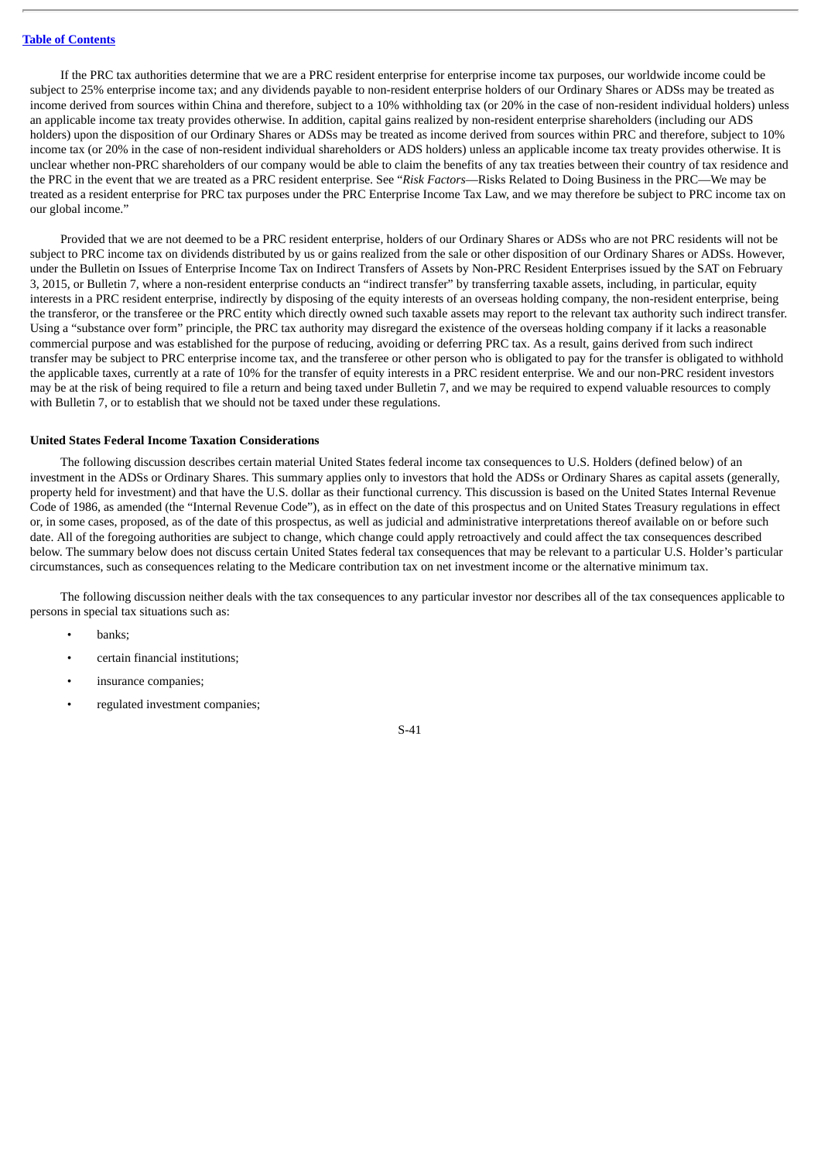If the PRC tax authorities determine that we are a PRC resident enterprise for enterprise income tax purposes, our worldwide income could be subject to 25% enterprise income tax; and any dividends payable to non-resident enterprise holders of our Ordinary Shares or ADSs may be treated as income derived from sources within China and therefore, subject to a 10% withholding tax (or 20% in the case of non-resident individual holders) unless an applicable income tax treaty provides otherwise. In addition, capital gains realized by non-resident enterprise shareholders (including our ADS holders) upon the disposition of our Ordinary Shares or ADSs may be treated as income derived from sources within PRC and therefore, subject to 10% income tax (or 20% in the case of non-resident individual shareholders or ADS holders) unless an applicable income tax treaty provides otherwise. It is unclear whether non-PRC shareholders of our company would be able to claim the benefits of any tax treaties between their country of tax residence and the PRC in the event that we are treated as a PRC resident enterprise. See "*Risk Factors*—Risks Related to Doing Business in the PRC—We may be treated as a resident enterprise for PRC tax purposes under the PRC Enterprise Income Tax Law, and we may therefore be subject to PRC income tax on our global income."

Provided that we are not deemed to be a PRC resident enterprise, holders of our Ordinary Shares or ADSs who are not PRC residents will not be subject to PRC income tax on dividends distributed by us or gains realized from the sale or other disposition of our Ordinary Shares or ADSs. However, under the Bulletin on Issues of Enterprise Income Tax on Indirect Transfers of Assets by Non-PRC Resident Enterprises issued by the SAT on February 3, 2015, or Bulletin 7, where a non-resident enterprise conducts an "indirect transfer" by transferring taxable assets, including, in particular, equity interests in a PRC resident enterprise, indirectly by disposing of the equity interests of an overseas holding company, the non-resident enterprise, being the transferor, or the transferee or the PRC entity which directly owned such taxable assets may report to the relevant tax authority such indirect transfer. Using a "substance over form" principle, the PRC tax authority may disregard the existence of the overseas holding company if it lacks a reasonable commercial purpose and was established for the purpose of reducing, avoiding or deferring PRC tax. As a result, gains derived from such indirect transfer may be subject to PRC enterprise income tax, and the transferee or other person who is obligated to pay for the transfer is obligated to withhold the applicable taxes, currently at a rate of 10% for the transfer of equity interests in a PRC resident enterprise. We and our non-PRC resident investors may be at the risk of being required to file a return and being taxed under Bulletin 7, and we may be required to expend valuable resources to comply with Bulletin 7, or to establish that we should not be taxed under these regulations.

#### **United States Federal Income Taxation Considerations**

The following discussion describes certain material United States federal income tax consequences to U.S. Holders (defined below) of an investment in the ADSs or Ordinary Shares. This summary applies only to investors that hold the ADSs or Ordinary Shares as capital assets (generally, property held for investment) and that have the U.S. dollar as their functional currency. This discussion is based on the United States Internal Revenue Code of 1986, as amended (the "Internal Revenue Code"), as in effect on the date of this prospectus and on United States Treasury regulations in effect or, in some cases, proposed, as of the date of this prospectus, as well as judicial and administrative interpretations thereof available on or before such date. All of the foregoing authorities are subject to change, which change could apply retroactively and could affect the tax consequences described below. The summary below does not discuss certain United States federal tax consequences that may be relevant to a particular U.S. Holder's particular circumstances, such as consequences relating to the Medicare contribution tax on net investment income or the alternative minimum tax.

The following discussion neither deals with the tax consequences to any particular investor nor describes all of the tax consequences applicable to persons in special tax situations such as:

- banks;
- certain financial institutions;
- insurance companies;
- regulated investment companies;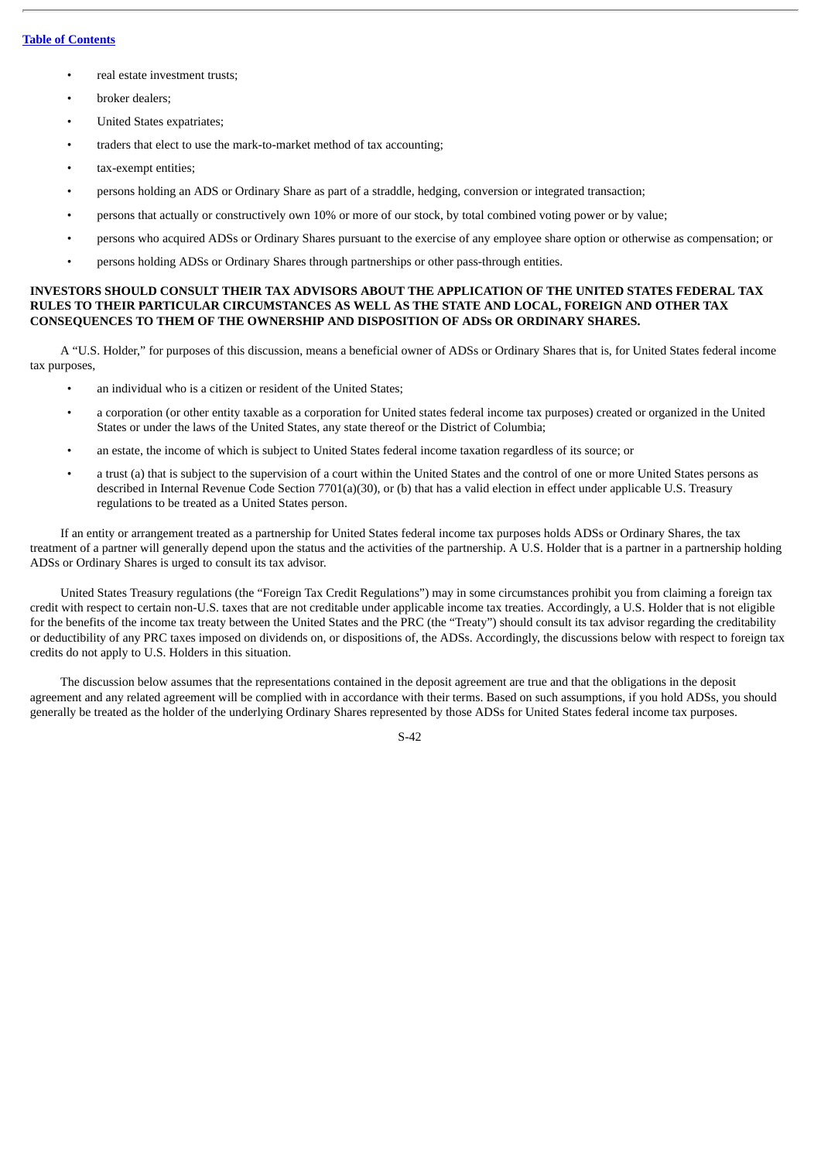## **Table of [Contents](#page-4-0)**

- real estate investment trusts;
- broker dealers;
- United States expatriates;
- traders that elect to use the mark-to-market method of tax accounting;
- tax-exempt entities;
- persons holding an ADS or Ordinary Share as part of a straddle, hedging, conversion or integrated transaction;
- persons that actually or constructively own 10% or more of our stock, by total combined voting power or by value;
- persons who acquired ADSs or Ordinary Shares pursuant to the exercise of any employee share option or otherwise as compensation; or
- persons holding ADSs or Ordinary Shares through partnerships or other pass-through entities.

## **INVESTORS SHOULD CONSULT THEIR TAX ADVISORS ABOUT THE APPLICATION OF THE UNITED STATES FEDERAL TAX RULES TO THEIR PARTICULAR CIRCUMSTANCES AS WELL AS THE STATE AND LOCAL, FOREIGN AND OTHER TAX CONSEQUENCES TO THEM OF THE OWNERSHIP AND DISPOSITION OF ADSs OR ORDINARY SHARES.**

A "U.S. Holder," for purposes of this discussion, means a beneficial owner of ADSs or Ordinary Shares that is, for United States federal income tax purposes,

- an individual who is a citizen or resident of the United States;
- a corporation (or other entity taxable as a corporation for United states federal income tax purposes) created or organized in the United States or under the laws of the United States, any state thereof or the District of Columbia;
- an estate, the income of which is subject to United States federal income taxation regardless of its source; or
- a trust (a) that is subject to the supervision of a court within the United States and the control of one or more United States persons as described in Internal Revenue Code Section 7701(a)(30), or (b) that has a valid election in effect under applicable U.S. Treasury regulations to be treated as a United States person.

If an entity or arrangement treated as a partnership for United States federal income tax purposes holds ADSs or Ordinary Shares, the tax treatment of a partner will generally depend upon the status and the activities of the partnership. A U.S. Holder that is a partner in a partnership holding ADSs or Ordinary Shares is urged to consult its tax advisor.

United States Treasury regulations (the "Foreign Tax Credit Regulations") may in some circumstances prohibit you from claiming a foreign tax credit with respect to certain non-U.S. taxes that are not creditable under applicable income tax treaties. Accordingly, a U.S. Holder that is not eligible for the benefits of the income tax treaty between the United States and the PRC (the "Treaty") should consult its tax advisor regarding the creditability or deductibility of any PRC taxes imposed on dividends on, or dispositions of, the ADSs. Accordingly, the discussions below with respect to foreign tax credits do not apply to U.S. Holders in this situation.

The discussion below assumes that the representations contained in the deposit agreement are true and that the obligations in the deposit agreement and any related agreement will be complied with in accordance with their terms. Based on such assumptions, if you hold ADSs, you should generally be treated as the holder of the underlying Ordinary Shares represented by those ADSs for United States federal income tax purposes.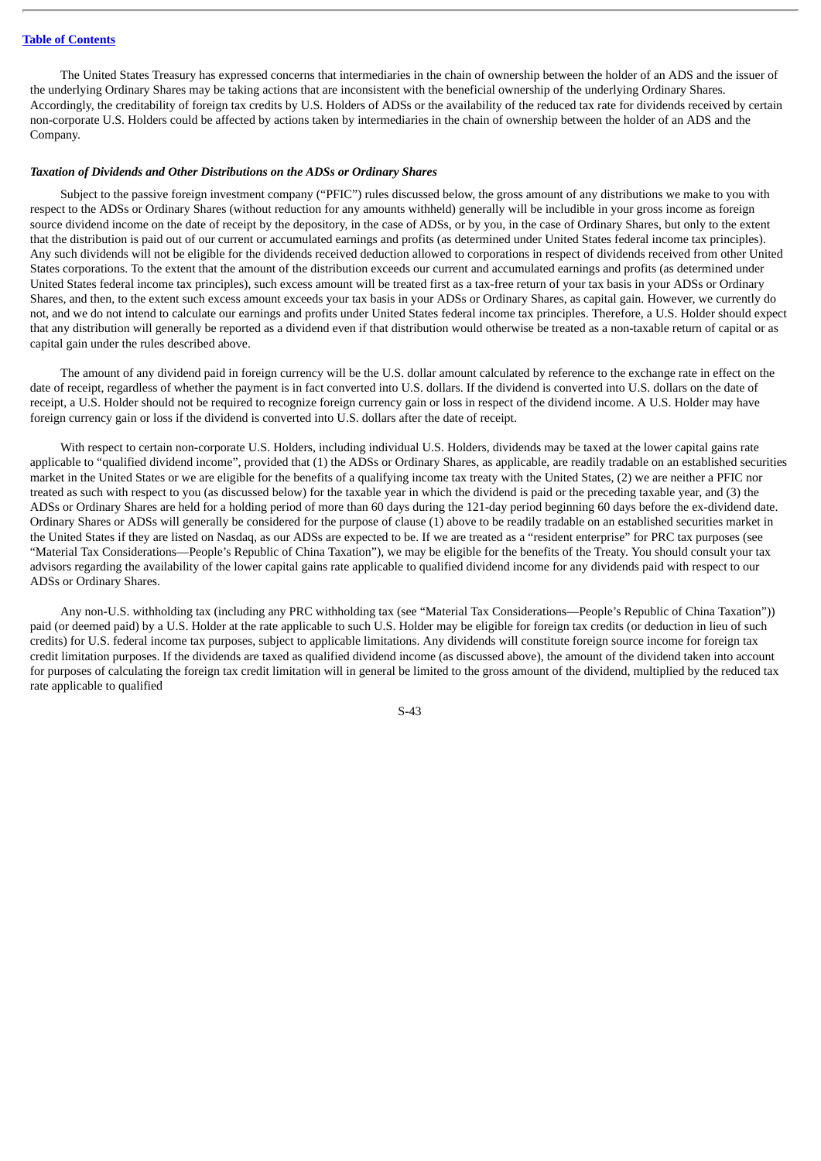## **Table of [Contents](#page-4-0)**

The United States Treasury has expressed concerns that intermediaries in the chain of ownership between the holder of an ADS and the issuer of the underlying Ordinary Shares may be taking actions that are inconsistent with the beneficial ownership of the underlying Ordinary Shares. Accordingly, the creditability of foreign tax credits by U.S. Holders of ADSs or the availability of the reduced tax rate for dividends received by certain non-corporate U.S. Holders could be affected by actions taken by intermediaries in the chain of ownership between the holder of an ADS and the Company.

## *Taxation of Dividends and Other Distributions on the ADSs or Ordinary Shares*

Subject to the passive foreign investment company ("PFIC") rules discussed below, the gross amount of any distributions we make to you with respect to the ADSs or Ordinary Shares (without reduction for any amounts withheld) generally will be includible in your gross income as foreign source dividend income on the date of receipt by the depository, in the case of ADSs, or by you, in the case of Ordinary Shares, but only to the extent that the distribution is paid out of our current or accumulated earnings and profits (as determined under United States federal income tax principles). Any such dividends will not be eligible for the dividends received deduction allowed to corporations in respect of dividends received from other United States corporations. To the extent that the amount of the distribution exceeds our current and accumulated earnings and profits (as determined under United States federal income tax principles), such excess amount will be treated first as a tax-free return of your tax basis in your ADSs or Ordinary Shares, and then, to the extent such excess amount exceeds your tax basis in your ADSs or Ordinary Shares, as capital gain. However, we currently do not, and we do not intend to calculate our earnings and profits under United States federal income tax principles. Therefore, a U.S. Holder should expect that any distribution will generally be reported as a dividend even if that distribution would otherwise be treated as a non-taxable return of capital or as capital gain under the rules described above.

The amount of any dividend paid in foreign currency will be the U.S. dollar amount calculated by reference to the exchange rate in effect on the date of receipt, regardless of whether the payment is in fact converted into U.S. dollars. If the dividend is converted into U.S. dollars on the date of receipt, a U.S. Holder should not be required to recognize foreign currency gain or loss in respect of the dividend income. A U.S. Holder may have foreign currency gain or loss if the dividend is converted into U.S. dollars after the date of receipt.

With respect to certain non-corporate U.S. Holders, including individual U.S. Holders, dividends may be taxed at the lower capital gains rate applicable to "qualified dividend income", provided that (1) the ADSs or Ordinary Shares, as applicable, are readily tradable on an established securities market in the United States or we are eligible for the benefits of a qualifying income tax treaty with the United States, (2) we are neither a PFIC nor treated as such with respect to you (as discussed below) for the taxable year in which the dividend is paid or the preceding taxable year, and (3) the ADSs or Ordinary Shares are held for a holding period of more than 60 days during the 121-day period beginning 60 days before the ex-dividend date. Ordinary Shares or ADSs will generally be considered for the purpose of clause (1) above to be readily tradable on an established securities market in the United States if they are listed on Nasdaq, as our ADSs are expected to be. If we are treated as a "resident enterprise" for PRC tax purposes (see "Material Tax Considerations—People's Republic of China Taxation"), we may be eligible for the benefits of the Treaty. You should consult your tax advisors regarding the availability of the lower capital gains rate applicable to qualified dividend income for any dividends paid with respect to our ADSs or Ordinary Shares.

Any non-U.S. withholding tax (including any PRC withholding tax (see "Material Tax Considerations—People's Republic of China Taxation")) paid (or deemed paid) by a U.S. Holder at the rate applicable to such U.S. Holder may be eligible for foreign tax credits (or deduction in lieu of such credits) for U.S. federal income tax purposes, subject to applicable limitations. Any dividends will constitute foreign source income for foreign tax credit limitation purposes. If the dividends are taxed as qualified dividend income (as discussed above), the amount of the dividend taken into account for purposes of calculating the foreign tax credit limitation will in general be limited to the gross amount of the dividend, multiplied by the reduced tax rate applicable to qualified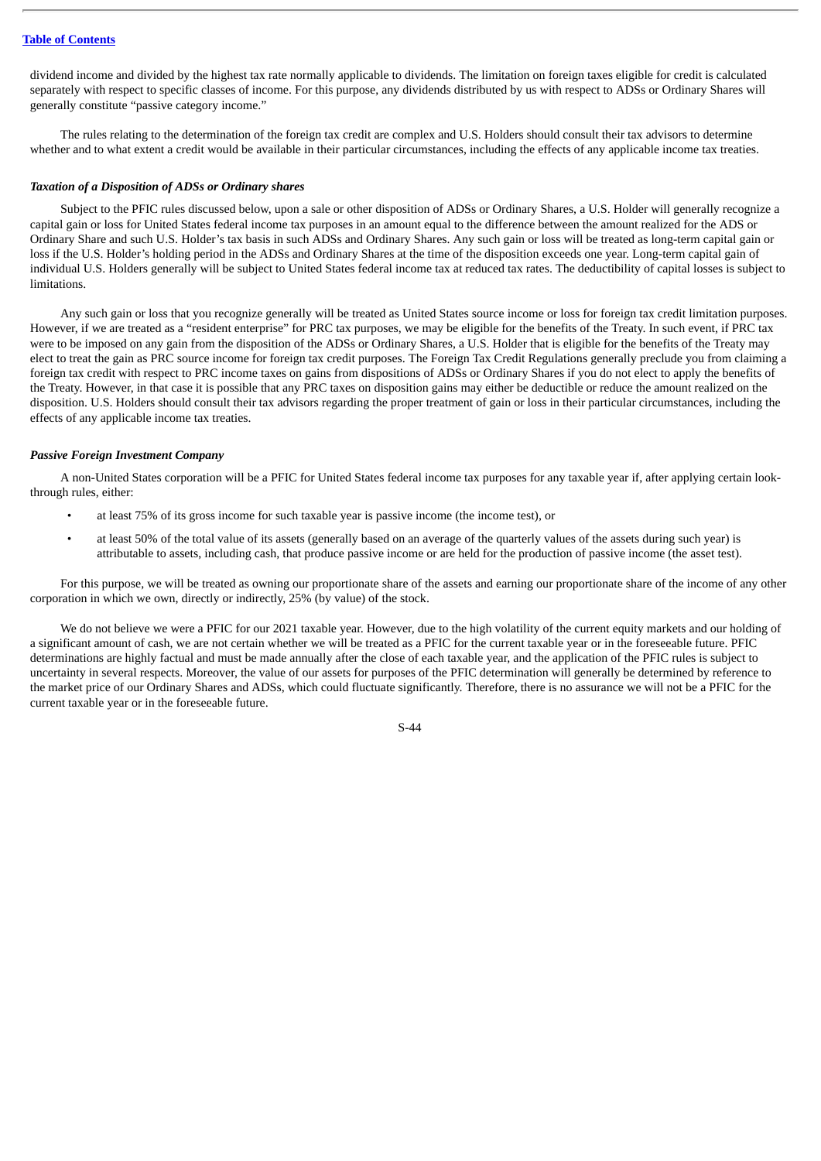dividend income and divided by the highest tax rate normally applicable to dividends. The limitation on foreign taxes eligible for credit is calculated separately with respect to specific classes of income. For this purpose, any dividends distributed by us with respect to ADSs or Ordinary Shares will generally constitute "passive category income."

The rules relating to the determination of the foreign tax credit are complex and U.S. Holders should consult their tax advisors to determine whether and to what extent a credit would be available in their particular circumstances, including the effects of any applicable income tax treaties.

### *Taxation of a Disposition of ADSs or Ordinary shares*

Subject to the PFIC rules discussed below, upon a sale or other disposition of ADSs or Ordinary Shares, a U.S. Holder will generally recognize a capital gain or loss for United States federal income tax purposes in an amount equal to the difference between the amount realized for the ADS or Ordinary Share and such U.S. Holder's tax basis in such ADSs and Ordinary Shares. Any such gain or loss will be treated as long-term capital gain or loss if the U.S. Holder's holding period in the ADSs and Ordinary Shares at the time of the disposition exceeds one year. Long-term capital gain of individual U.S. Holders generally will be subject to United States federal income tax at reduced tax rates. The deductibility of capital losses is subject to limitations.

Any such gain or loss that you recognize generally will be treated as United States source income or loss for foreign tax credit limitation purposes. However, if we are treated as a "resident enterprise" for PRC tax purposes, we may be eligible for the benefits of the Treaty. In such event, if PRC tax were to be imposed on any gain from the disposition of the ADSs or Ordinary Shares, a U.S. Holder that is eligible for the benefits of the Treaty may elect to treat the gain as PRC source income for foreign tax credit purposes. The Foreign Tax Credit Regulations generally preclude you from claiming a foreign tax credit with respect to PRC income taxes on gains from dispositions of ADSs or Ordinary Shares if you do not elect to apply the benefits of the Treaty. However, in that case it is possible that any PRC taxes on disposition gains may either be deductible or reduce the amount realized on the disposition. U.S. Holders should consult their tax advisors regarding the proper treatment of gain or loss in their particular circumstances, including the effects of any applicable income tax treaties.

#### *Passive Foreign Investment Company*

A non-United States corporation will be a PFIC for United States federal income tax purposes for any taxable year if, after applying certain lookthrough rules, either:

- at least 75% of its gross income for such taxable year is passive income (the income test), or
- at least 50% of the total value of its assets (generally based on an average of the quarterly values of the assets during such year) is attributable to assets, including cash, that produce passive income or are held for the production of passive income (the asset test).

For this purpose, we will be treated as owning our proportionate share of the assets and earning our proportionate share of the income of any other corporation in which we own, directly or indirectly, 25% (by value) of the stock.

We do not believe we were a PFIC for our 2021 taxable year. However, due to the high volatility of the current equity markets and our holding of a significant amount of cash, we are not certain whether we will be treated as a PFIC for the current taxable year or in the foreseeable future. PFIC determinations are highly factual and must be made annually after the close of each taxable year, and the application of the PFIC rules is subject to uncertainty in several respects. Moreover, the value of our assets for purposes of the PFIC determination will generally be determined by reference to the market price of our Ordinary Shares and ADSs, which could fluctuate significantly. Therefore, there is no assurance we will not be a PFIC for the current taxable year or in the foreseeable future.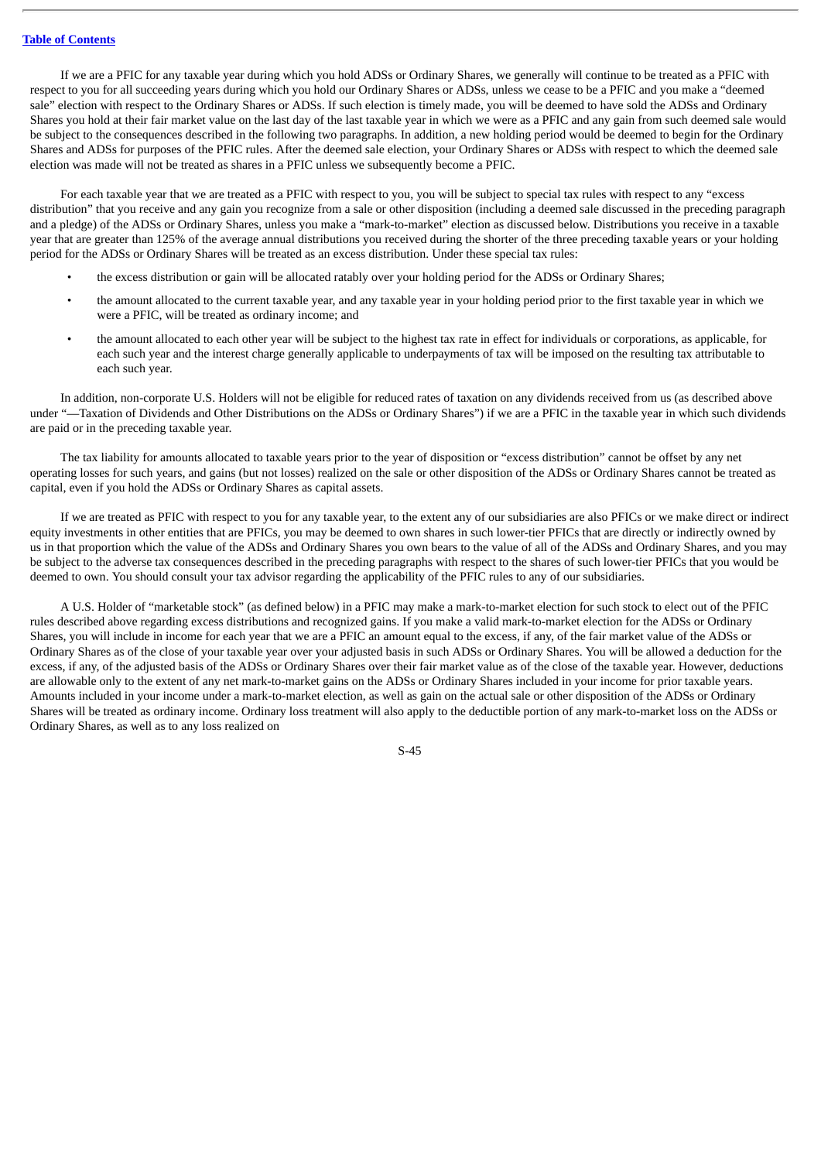If we are a PFIC for any taxable year during which you hold ADSs or Ordinary Shares, we generally will continue to be treated as a PFIC with respect to you for all succeeding years during which you hold our Ordinary Shares or ADSs, unless we cease to be a PFIC and you make a "deemed sale" election with respect to the Ordinary Shares or ADSs. If such election is timely made, you will be deemed to have sold the ADSs and Ordinary Shares you hold at their fair market value on the last day of the last taxable year in which we were as a PFIC and any gain from such deemed sale would be subject to the consequences described in the following two paragraphs. In addition, a new holding period would be deemed to begin for the Ordinary Shares and ADSs for purposes of the PFIC rules. After the deemed sale election, your Ordinary Shares or ADSs with respect to which the deemed sale election was made will not be treated as shares in a PFIC unless we subsequently become a PFIC.

For each taxable year that we are treated as a PFIC with respect to you, you will be subject to special tax rules with respect to any "excess distribution" that you receive and any gain you recognize from a sale or other disposition (including a deemed sale discussed in the preceding paragraph and a pledge) of the ADSs or Ordinary Shares, unless you make a "mark-to-market" election as discussed below. Distributions you receive in a taxable year that are greater than 125% of the average annual distributions you received during the shorter of the three preceding taxable years or your holding period for the ADSs or Ordinary Shares will be treated as an excess distribution. Under these special tax rules:

- the excess distribution or gain will be allocated ratably over your holding period for the ADSs or Ordinary Shares;
- the amount allocated to the current taxable year, and any taxable year in your holding period prior to the first taxable year in which we were a PFIC, will be treated as ordinary income; and
- the amount allocated to each other year will be subject to the highest tax rate in effect for individuals or corporations, as applicable, for each such year and the interest charge generally applicable to underpayments of tax will be imposed on the resulting tax attributable to each such year.

In addition, non-corporate U.S. Holders will not be eligible for reduced rates of taxation on any dividends received from us (as described above under "—Taxation of Dividends and Other Distributions on the ADSs or Ordinary Shares") if we are a PFIC in the taxable year in which such dividends are paid or in the preceding taxable year.

The tax liability for amounts allocated to taxable years prior to the year of disposition or "excess distribution" cannot be offset by any net operating losses for such years, and gains (but not losses) realized on the sale or other disposition of the ADSs or Ordinary Shares cannot be treated as capital, even if you hold the ADSs or Ordinary Shares as capital assets.

If we are treated as PFIC with respect to you for any taxable year, to the extent any of our subsidiaries are also PFICs or we make direct or indirect equity investments in other entities that are PFICs, you may be deemed to own shares in such lower-tier PFICs that are directly or indirectly owned by us in that proportion which the value of the ADSs and Ordinary Shares you own bears to the value of all of the ADSs and Ordinary Shares, and you may be subject to the adverse tax consequences described in the preceding paragraphs with respect to the shares of such lower-tier PFICs that you would be deemed to own. You should consult your tax advisor regarding the applicability of the PFIC rules to any of our subsidiaries.

A U.S. Holder of "marketable stock" (as defined below) in a PFIC may make a mark-to-market election for such stock to elect out of the PFIC rules described above regarding excess distributions and recognized gains. If you make a valid mark-to-market election for the ADSs or Ordinary Shares, you will include in income for each year that we are a PFIC an amount equal to the excess, if any, of the fair market value of the ADSs or Ordinary Shares as of the close of your taxable year over your adjusted basis in such ADSs or Ordinary Shares. You will be allowed a deduction for the excess, if any, of the adjusted basis of the ADSs or Ordinary Shares over their fair market value as of the close of the taxable year. However, deductions are allowable only to the extent of any net mark-to-market gains on the ADSs or Ordinary Shares included in your income for prior taxable years. Amounts included in your income under a mark-to-market election, as well as gain on the actual sale or other disposition of the ADSs or Ordinary Shares will be treated as ordinary income. Ordinary loss treatment will also apply to the deductible portion of any mark-to-market loss on the ADSs or Ordinary Shares, as well as to any loss realized on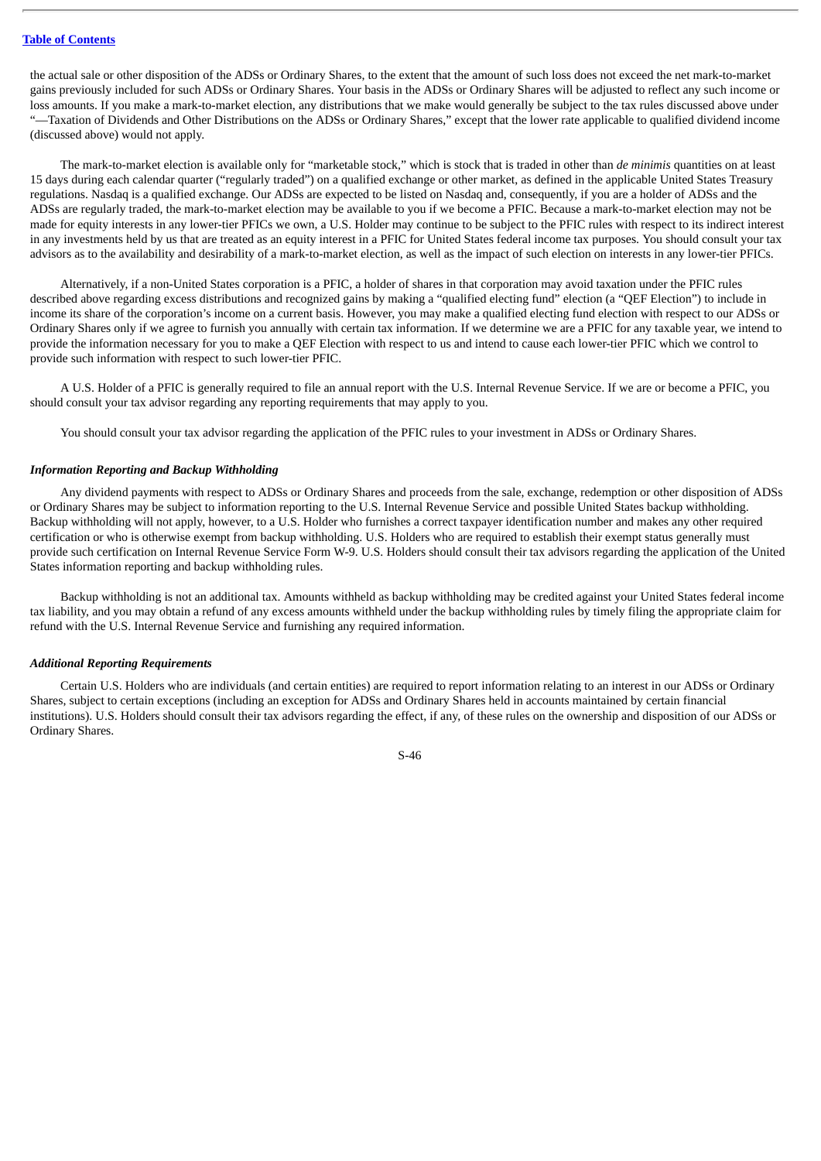the actual sale or other disposition of the ADSs or Ordinary Shares, to the extent that the amount of such loss does not exceed the net mark-to-market gains previously included for such ADSs or Ordinary Shares. Your basis in the ADSs or Ordinary Shares will be adjusted to reflect any such income or loss amounts. If you make a mark-to-market election, any distributions that we make would generally be subject to the tax rules discussed above under "—Taxation of Dividends and Other Distributions on the ADSs or Ordinary Shares," except that the lower rate applicable to qualified dividend income (discussed above) would not apply.

The mark-to-market election is available only for "marketable stock," which is stock that is traded in other than *de minimis* quantities on at least 15 days during each calendar quarter ("regularly traded") on a qualified exchange or other market, as defined in the applicable United States Treasury regulations. Nasdaq is a qualified exchange. Our ADSs are expected to be listed on Nasdaq and, consequently, if you are a holder of ADSs and the ADSs are regularly traded, the mark-to-market election may be available to you if we become a PFIC. Because a mark-to-market election may not be made for equity interests in any lower-tier PFICs we own, a U.S. Holder may continue to be subject to the PFIC rules with respect to its indirect interest in any investments held by us that are treated as an equity interest in a PFIC for United States federal income tax purposes. You should consult your tax advisors as to the availability and desirability of a mark-to-market election, as well as the impact of such election on interests in any lower-tier PFICs.

Alternatively, if a non-United States corporation is a PFIC, a holder of shares in that corporation may avoid taxation under the PFIC rules described above regarding excess distributions and recognized gains by making a "qualified electing fund" election (a "QEF Election") to include in income its share of the corporation's income on a current basis. However, you may make a qualified electing fund election with respect to our ADSs or Ordinary Shares only if we agree to furnish you annually with certain tax information. If we determine we are a PFIC for any taxable year, we intend to provide the information necessary for you to make a QEF Election with respect to us and intend to cause each lower-tier PFIC which we control to provide such information with respect to such lower-tier PFIC.

A U.S. Holder of a PFIC is generally required to file an annual report with the U.S. Internal Revenue Service. If we are or become a PFIC, you should consult your tax advisor regarding any reporting requirements that may apply to you.

You should consult your tax advisor regarding the application of the PFIC rules to your investment in ADSs or Ordinary Shares.

#### *Information Reporting and Backup Withholding*

Any dividend payments with respect to ADSs or Ordinary Shares and proceeds from the sale, exchange, redemption or other disposition of ADSs or Ordinary Shares may be subject to information reporting to the U.S. Internal Revenue Service and possible United States backup withholding. Backup withholding will not apply, however, to a U.S. Holder who furnishes a correct taxpayer identification number and makes any other required certification or who is otherwise exempt from backup withholding. U.S. Holders who are required to establish their exempt status generally must provide such certification on Internal Revenue Service Form W-9. U.S. Holders should consult their tax advisors regarding the application of the United States information reporting and backup withholding rules.

Backup withholding is not an additional tax. Amounts withheld as backup withholding may be credited against your United States federal income tax liability, and you may obtain a refund of any excess amounts withheld under the backup withholding rules by timely filing the appropriate claim for refund with the U.S. Internal Revenue Service and furnishing any required information.

## *Additional Reporting Requirements*

Certain U.S. Holders who are individuals (and certain entities) are required to report information relating to an interest in our ADSs or Ordinary Shares, subject to certain exceptions (including an exception for ADSs and Ordinary Shares held in accounts maintained by certain financial institutions). U.S. Holders should consult their tax advisors regarding the effect, if any, of these rules on the ownership and disposition of our ADSs or Ordinary Shares.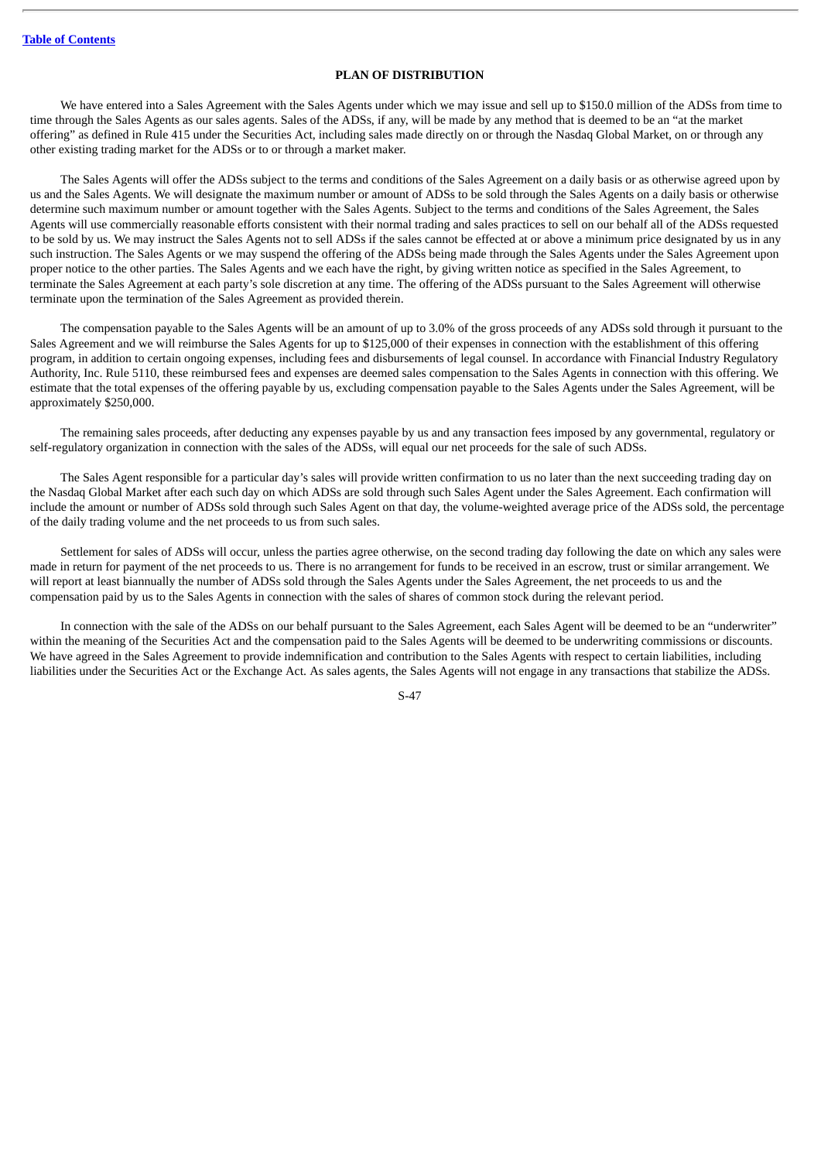# **PLAN OF DISTRIBUTION**

We have entered into a Sales Agreement with the Sales Agents under which we may issue and sell up to \$150.0 million of the ADSs from time to time through the Sales Agents as our sales agents. Sales of the ADSs, if any, will be made by any method that is deemed to be an "at the market offering" as defined in Rule 415 under the Securities Act, including sales made directly on or through the Nasdaq Global Market, on or through any other existing trading market for the ADSs or to or through a market maker.

The Sales Agents will offer the ADSs subject to the terms and conditions of the Sales Agreement on a daily basis or as otherwise agreed upon by us and the Sales Agents. We will designate the maximum number or amount of ADSs to be sold through the Sales Agents on a daily basis or otherwise determine such maximum number or amount together with the Sales Agents. Subject to the terms and conditions of the Sales Agreement, the Sales Agents will use commercially reasonable efforts consistent with their normal trading and sales practices to sell on our behalf all of the ADSs requested to be sold by us. We may instruct the Sales Agents not to sell ADSs if the sales cannot be effected at or above a minimum price designated by us in any such instruction. The Sales Agents or we may suspend the offering of the ADSs being made through the Sales Agents under the Sales Agreement upon proper notice to the other parties. The Sales Agents and we each have the right, by giving written notice as specified in the Sales Agreement, to terminate the Sales Agreement at each party's sole discretion at any time. The offering of the ADSs pursuant to the Sales Agreement will otherwise terminate upon the termination of the Sales Agreement as provided therein.

The compensation payable to the Sales Agents will be an amount of up to 3.0% of the gross proceeds of any ADSs sold through it pursuant to the Sales Agreement and we will reimburse the Sales Agents for up to \$125,000 of their expenses in connection with the establishment of this offering program, in addition to certain ongoing expenses, including fees and disbursements of legal counsel. In accordance with Financial Industry Regulatory Authority, Inc. Rule 5110, these reimbursed fees and expenses are deemed sales compensation to the Sales Agents in connection with this offering. We estimate that the total expenses of the offering payable by us, excluding compensation payable to the Sales Agents under the Sales Agreement, will be approximately \$250,000.

The remaining sales proceeds, after deducting any expenses payable by us and any transaction fees imposed by any governmental, regulatory or self-regulatory organization in connection with the sales of the ADSs, will equal our net proceeds for the sale of such ADSs.

The Sales Agent responsible for a particular day's sales will provide written confirmation to us no later than the next succeeding trading day on the Nasdaq Global Market after each such day on which ADSs are sold through such Sales Agent under the Sales Agreement. Each confirmation will include the amount or number of ADSs sold through such Sales Agent on that day, the volume-weighted average price of the ADSs sold, the percentage of the daily trading volume and the net proceeds to us from such sales.

Settlement for sales of ADSs will occur, unless the parties agree otherwise, on the second trading day following the date on which any sales were made in return for payment of the net proceeds to us. There is no arrangement for funds to be received in an escrow, trust or similar arrangement. We will report at least biannually the number of ADSs sold through the Sales Agents under the Sales Agreement, the net proceeds to us and the compensation paid by us to the Sales Agents in connection with the sales of shares of common stock during the relevant period.

In connection with the sale of the ADSs on our behalf pursuant to the Sales Agreement, each Sales Agent will be deemed to be an "underwriter" within the meaning of the Securities Act and the compensation paid to the Sales Agents will be deemed to be underwriting commissions or discounts. We have agreed in the Sales Agreement to provide indemnification and contribution to the Sales Agents with respect to certain liabilities, including liabilities under the Securities Act or the Exchange Act. As sales agents, the Sales Agents will not engage in any transactions that stabilize the ADSs.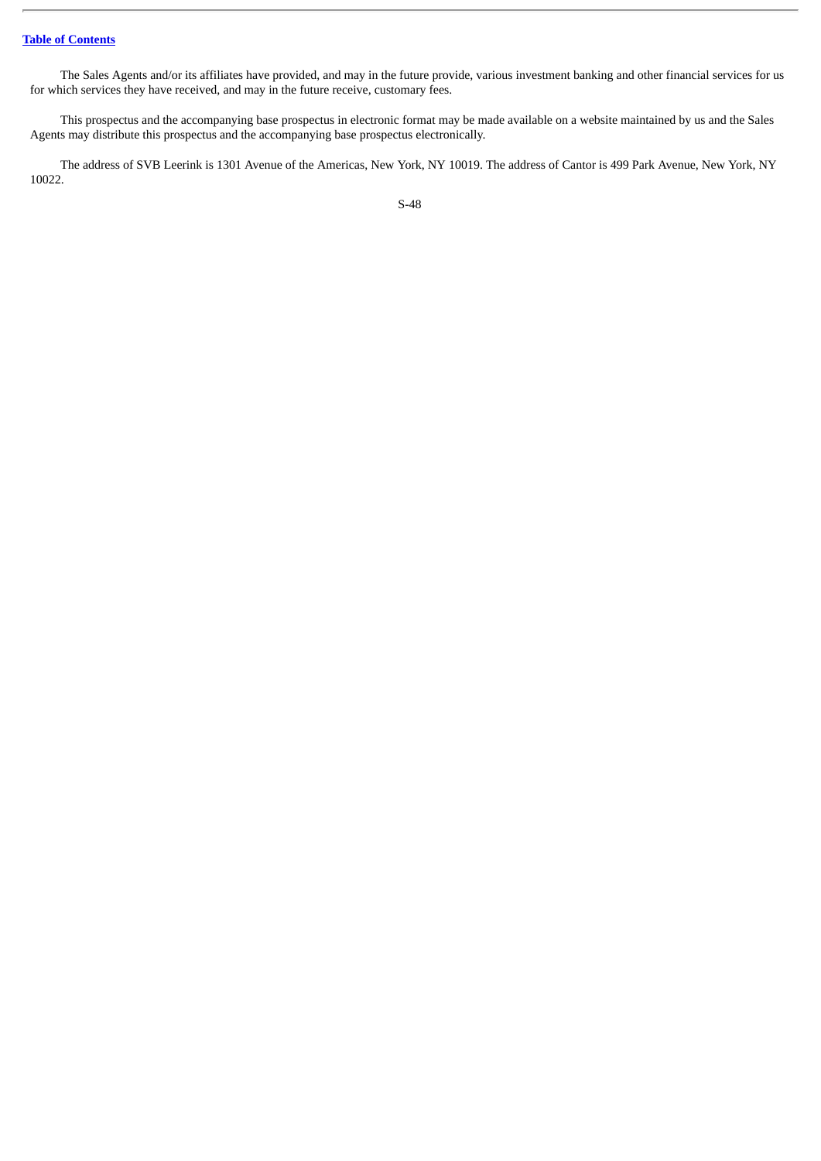# **Table of [Contents](#page-4-0)**

The Sales Agents and/or its affiliates have provided, and may in the future provide, various investment banking and other financial services for us for which services they have received, and may in the future receive, customary fees.

This prospectus and the accompanying base prospectus in electronic format may be made available on a website maintained by us and the Sales Agents may distribute this prospectus and the accompanying base prospectus electronically.

The address of SVB Leerink is 1301 Avenue of the Americas, New York, NY 10019. The address of Cantor is 499 Park Avenue, New York, NY 10022.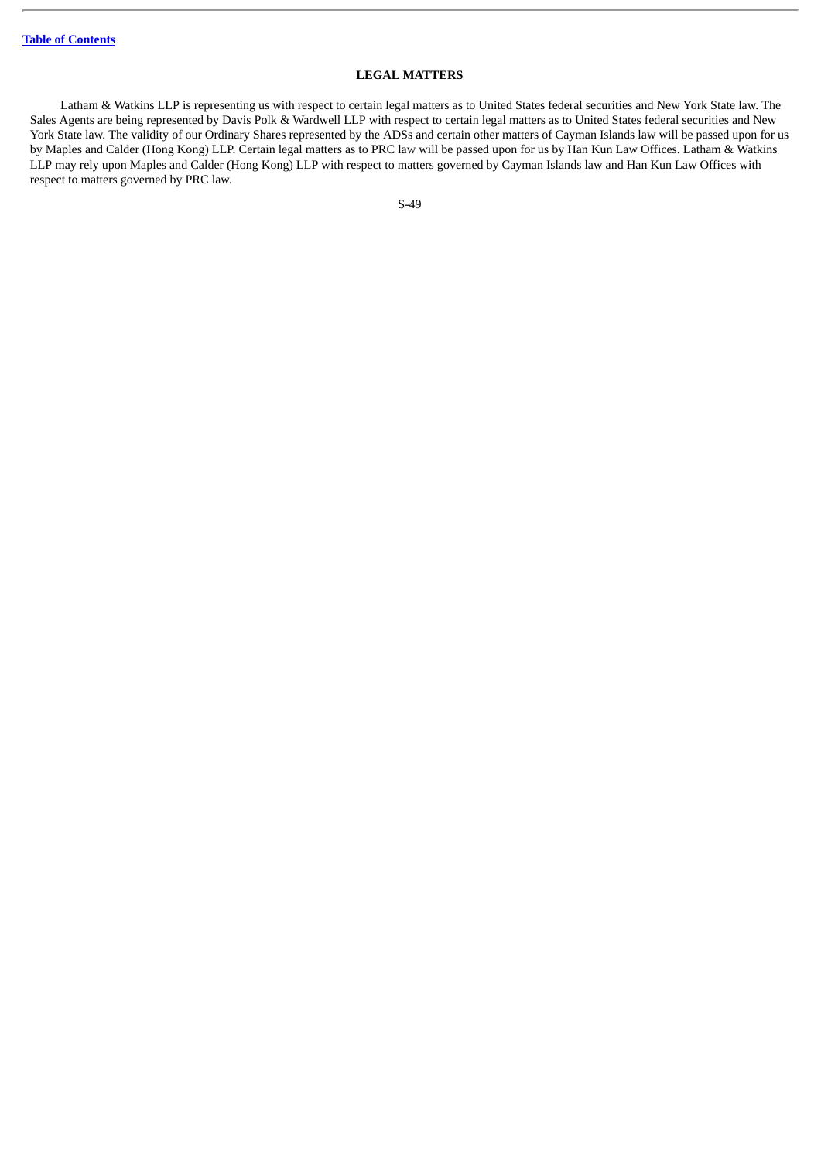# **LEGAL MATTERS**

Latham & Watkins LLP is representing us with respect to certain legal matters as to United States federal securities and New York State law. The Sales Agents are being represented by Davis Polk & Wardwell LLP with respect to certain legal matters as to United States federal securities and New York State law. The validity of our Ordinary Shares represented by the ADSs and certain other matters of Cayman Islands law will be passed upon for us by Maples and Calder (Hong Kong) LLP. Certain legal matters as to PRC law will be passed upon for us by Han Kun Law Offices. Latham & Watkins LLP may rely upon Maples and Calder (Hong Kong) LLP with respect to matters governed by Cayman Islands law and Han Kun Law Offices with respect to matters governed by PRC law.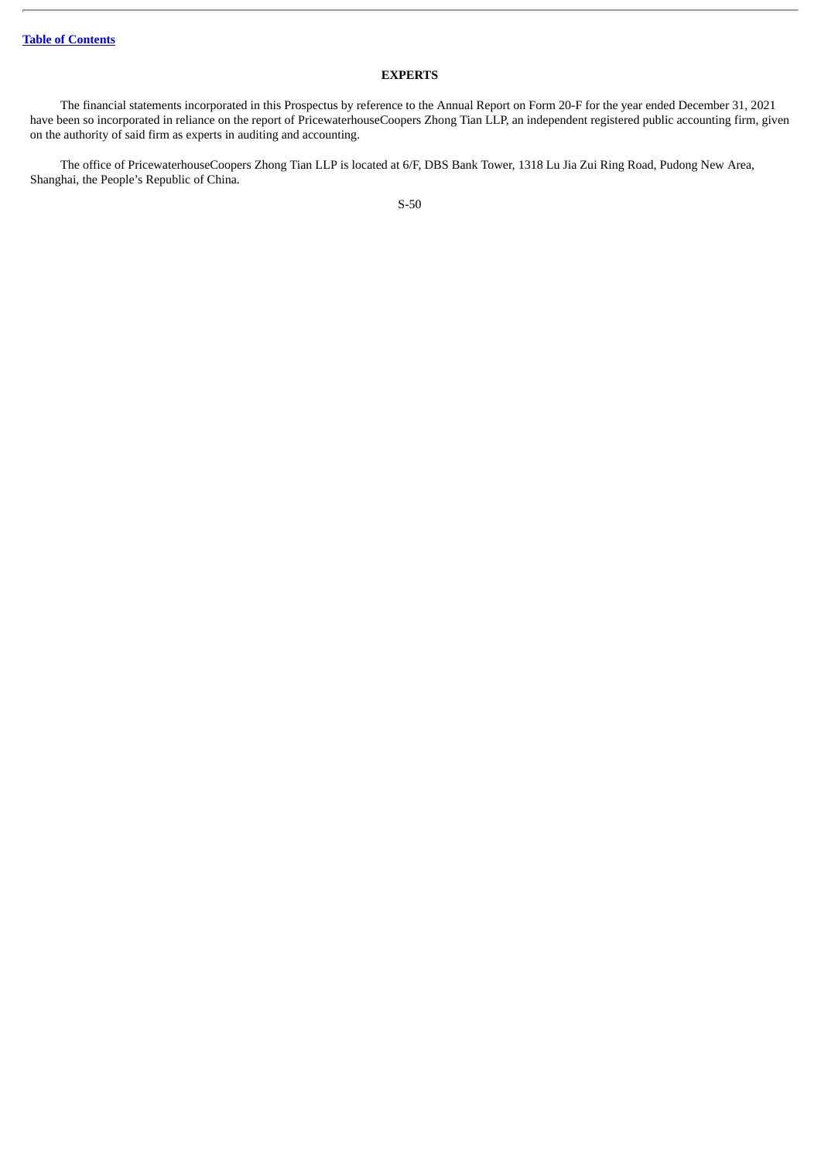# **EXPERTS**

The financial statements incorporated in this Prospectus by reference to the Annual Report on Form 20-F for the year ended December 31, 2021 have been so incorporated in reliance on the report of PricewaterhouseCoopers Zhong Tian LLP, an independent registered public accounting firm, given on the authority of said firm as experts in auditing and accounting.

The office of PricewaterhouseCoopers Zhong Tian LLP is located at 6/F, DBS Bank Tower, 1318 Lu Jia Zui Ring Road, Pudong New Area, Shanghai, the People's Republic of China.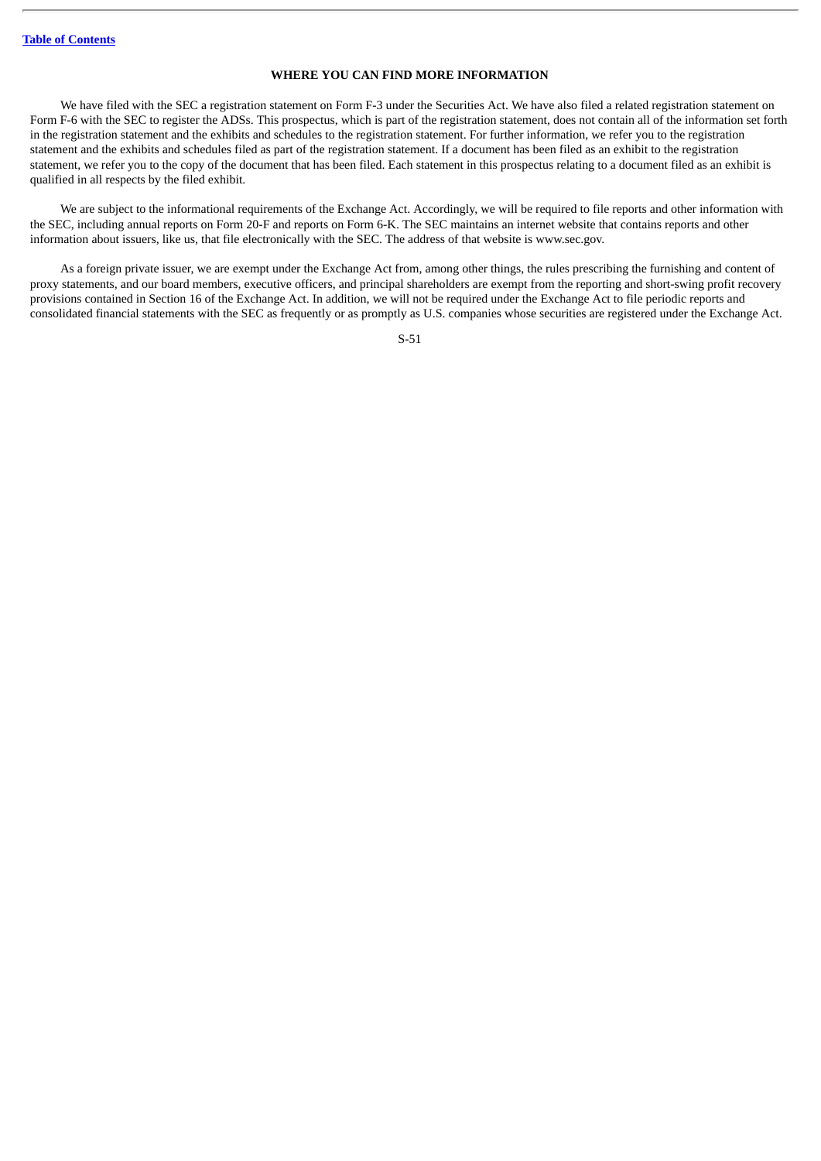## **WHERE YOU CAN FIND MORE INFORMATION**

We have filed with the SEC a registration statement on Form F-3 under the Securities Act. We have also filed a related registration statement on Form F-6 with the SEC to register the ADSs. This prospectus, which is part of the registration statement, does not contain all of the information set forth in the registration statement and the exhibits and schedules to the registration statement. For further information, we refer you to the registration statement and the exhibits and schedules filed as part of the registration statement. If a document has been filed as an exhibit to the registration statement, we refer you to the copy of the document that has been filed. Each statement in this prospectus relating to a document filed as an exhibit is qualified in all respects by the filed exhibit.

We are subject to the informational requirements of the Exchange Act. Accordingly, we will be required to file reports and other information with the SEC, including annual reports on Form 20-F and reports on Form 6-K. The SEC maintains an internet website that contains reports and other information about issuers, like us, that file electronically with the SEC. The address of that website is www.sec.gov.

As a foreign private issuer, we are exempt under the Exchange Act from, among other things, the rules prescribing the furnishing and content of proxy statements, and our board members, executive officers, and principal shareholders are exempt from the reporting and short-swing profit recovery provisions contained in Section 16 of the Exchange Act. In addition, we will not be required under the Exchange Act to file periodic reports and consolidated financial statements with the SEC as frequently or as promptly as U.S. companies whose securities are registered under the Exchange Act.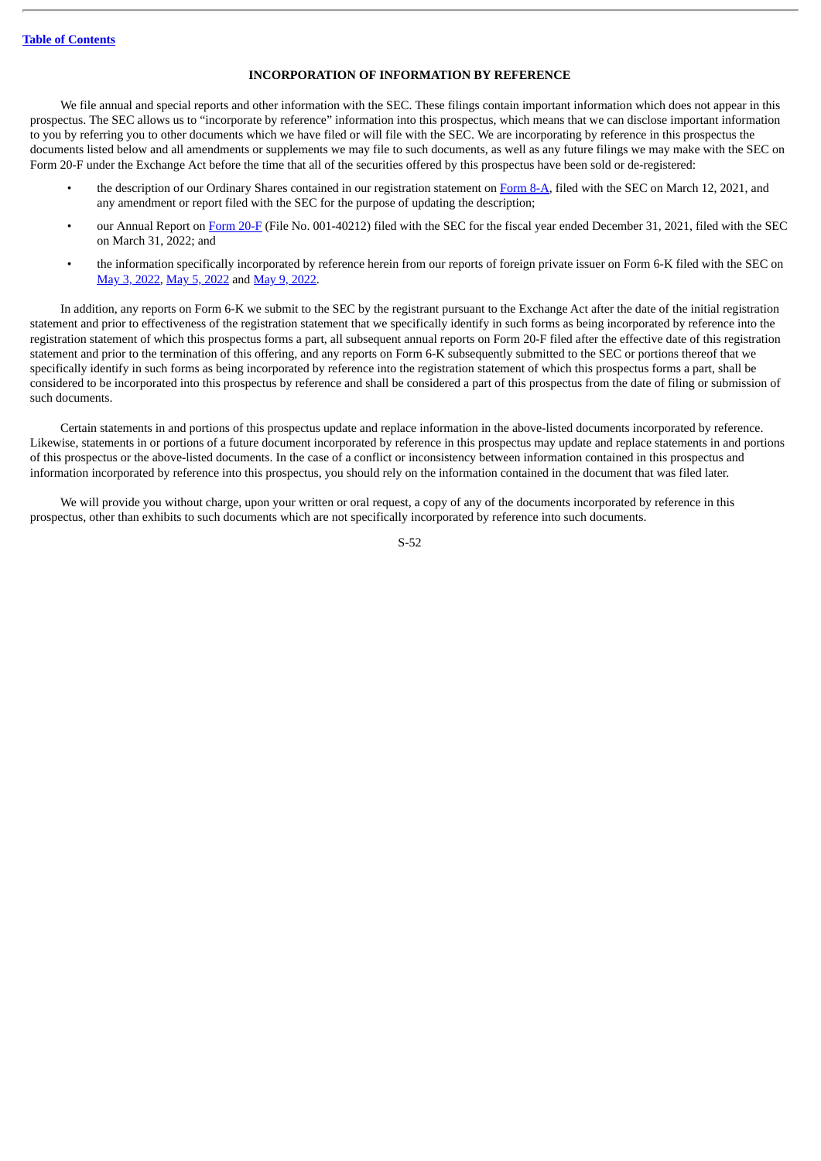## **INCORPORATION OF INFORMATION BY REFERENCE**

We file annual and special reports and other information with the SEC. These filings contain important information which does not appear in this prospectus. The SEC allows us to "incorporate by reference" information into this prospectus, which means that we can disclose important information to you by referring you to other documents which we have filed or will file with the SEC. We are incorporating by reference in this prospectus the documents listed below and all amendments or supplements we may file to such documents, as well as any future filings we may make with the SEC on Form 20-F under the Exchange Act before the time that all of the securities offered by this prospectus have been sold or de-registered:

- the description of our Ordinary Shares contained in our registration statement on [Form](http://www.sec.gov/Archives/edgar/data/1835268/000119312521079822/d154885d8a12b.htm) 8-A, filed with the SEC on March 12, 2021, and any amendment or report filed with the SEC for the purpose of updating the description;
- our Annual Report on [Form](http://www.sec.gov/ix?doc=/Archives/edgar/data/1835268/000095017022005219/cntb-20211231.htm) 20-F (File No. 001-40212) filed with the SEC for the fiscal year ended December 31, 2021, filed with the SEC on March 31, 2022; and
- the information specifically incorporated by reference herein from our reports of foreign private issuer on Form 6-K filed with the SEC on May 3, [2022](http://www.sec.gov/Archives/edgar/data/1835268/000119312522138757/d313808d6k.htm), May 5, [2022](http://www.sec.gov/Archives/edgar/data/1835268/000119312522141190/d356777d6k.htm) and May 9, [2022.](http://www.sec.gov/Archives/edgar/data/1835268/000119312522144991/d296687d6k.htm)

In addition, any reports on Form 6-K we submit to the SEC by the registrant pursuant to the Exchange Act after the date of the initial registration statement and prior to effectiveness of the registration statement that we specifically identify in such forms as being incorporated by reference into the registration statement of which this prospectus forms a part, all subsequent annual reports on Form 20-F filed after the effective date of this registration statement and prior to the termination of this offering, and any reports on Form 6-K subsequently submitted to the SEC or portions thereof that we specifically identify in such forms as being incorporated by reference into the registration statement of which this prospectus forms a part, shall be considered to be incorporated into this prospectus by reference and shall be considered a part of this prospectus from the date of filing or submission of such documents.

Certain statements in and portions of this prospectus update and replace information in the above-listed documents incorporated by reference. Likewise, statements in or portions of a future document incorporated by reference in this prospectus may update and replace statements in and portions of this prospectus or the above-listed documents. In the case of a conflict or inconsistency between information contained in this prospectus and information incorporated by reference into this prospectus, you should rely on the information contained in the document that was filed later.

We will provide you without charge, upon your written or oral request, a copy of any of the documents incorporated by reference in this prospectus, other than exhibits to such documents which are not specifically incorporated by reference into such documents.

S-52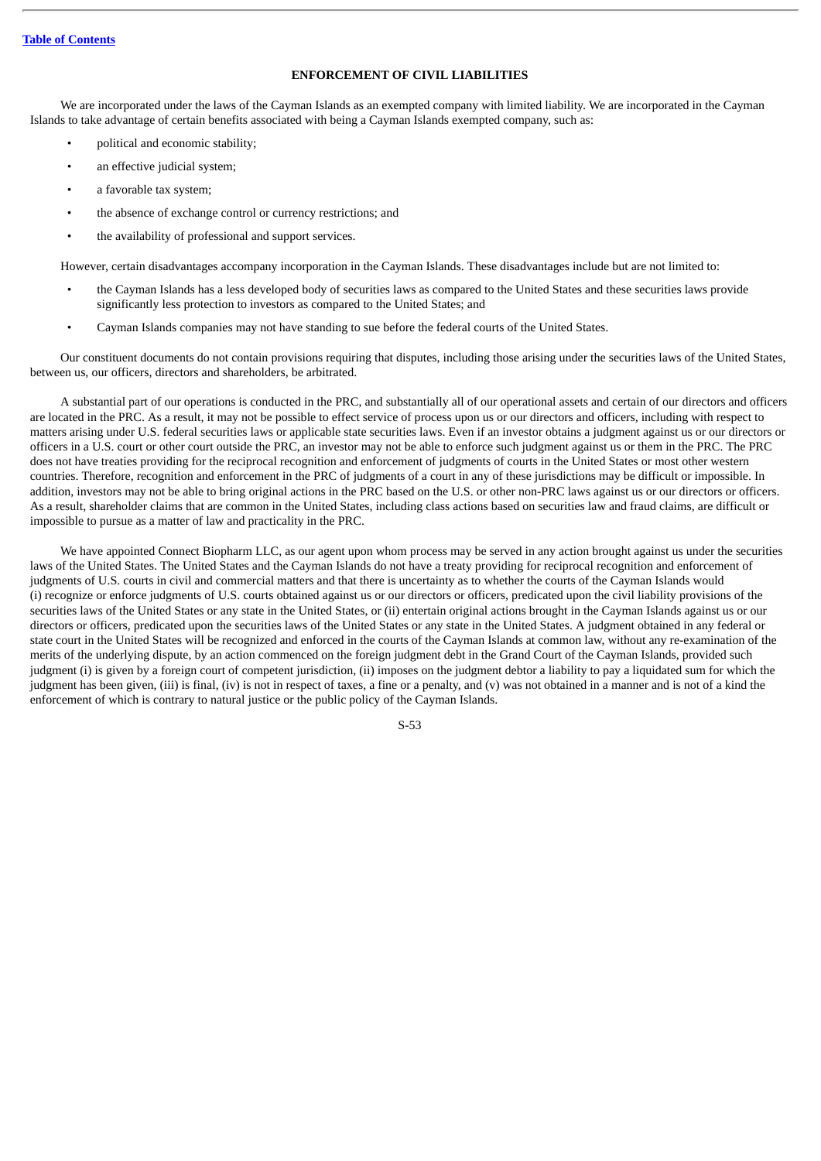# **ENFORCEMENT OF CIVIL LIABILITIES**

We are incorporated under the laws of the Cayman Islands as an exempted company with limited liability. We are incorporated in the Cayman Islands to take advantage of certain benefits associated with being a Cayman Islands exempted company, such as:

- political and economic stability;
- an effective judicial system;
- a favorable tax system;
- the absence of exchange control or currency restrictions; and
- the availability of professional and support services.

However, certain disadvantages accompany incorporation in the Cayman Islands. These disadvantages include but are not limited to:

- the Cayman Islands has a less developed body of securities laws as compared to the United States and these securities laws provide significantly less protection to investors as compared to the United States; and
- Cayman Islands companies may not have standing to sue before the federal courts of the United States.

Our constituent documents do not contain provisions requiring that disputes, including those arising under the securities laws of the United States, between us, our officers, directors and shareholders, be arbitrated.

A substantial part of our operations is conducted in the PRC, and substantially all of our operational assets and certain of our directors and officers are located in the PRC. As a result, it may not be possible to effect service of process upon us or our directors and officers, including with respect to matters arising under U.S. federal securities laws or applicable state securities laws. Even if an investor obtains a judgment against us or our directors or officers in a U.S. court or other court outside the PRC, an investor may not be able to enforce such judgment against us or them in the PRC. The PRC does not have treaties providing for the reciprocal recognition and enforcement of judgments of courts in the United States or most other western countries. Therefore, recognition and enforcement in the PRC of judgments of a court in any of these jurisdictions may be difficult or impossible. In addition, investors may not be able to bring original actions in the PRC based on the U.S. or other non-PRC laws against us or our directors or officers. As a result, shareholder claims that are common in the United States, including class actions based on securities law and fraud claims, are difficult or impossible to pursue as a matter of law and practicality in the PRC.

We have appointed Connect Biopharm LLC, as our agent upon whom process may be served in any action brought against us under the securities laws of the United States. The United States and the Cayman Islands do not have a treaty providing for reciprocal recognition and enforcement of judgments of U.S. courts in civil and commercial matters and that there is uncertainty as to whether the courts of the Cayman Islands would (i) recognize or enforce judgments of U.S. courts obtained against us or our directors or officers, predicated upon the civil liability provisions of the securities laws of the United States or any state in the United States, or (ii) entertain original actions brought in the Cayman Islands against us or our directors or officers, predicated upon the securities laws of the United States or any state in the United States. A judgment obtained in any federal or state court in the United States will be recognized and enforced in the courts of the Cayman Islands at common law, without any re-examination of the merits of the underlying dispute, by an action commenced on the foreign judgment debt in the Grand Court of the Cayman Islands, provided such judgment (i) is given by a foreign court of competent jurisdiction, (ii) imposes on the judgment debtor a liability to pay a liquidated sum for which the judgment has been given, (iii) is final, (iv) is not in respect of taxes, a fine or a penalty, and (v) was not obtained in a manner and is not of a kind the enforcement of which is contrary to natural justice or the public policy of the Cayman Islands.

S-53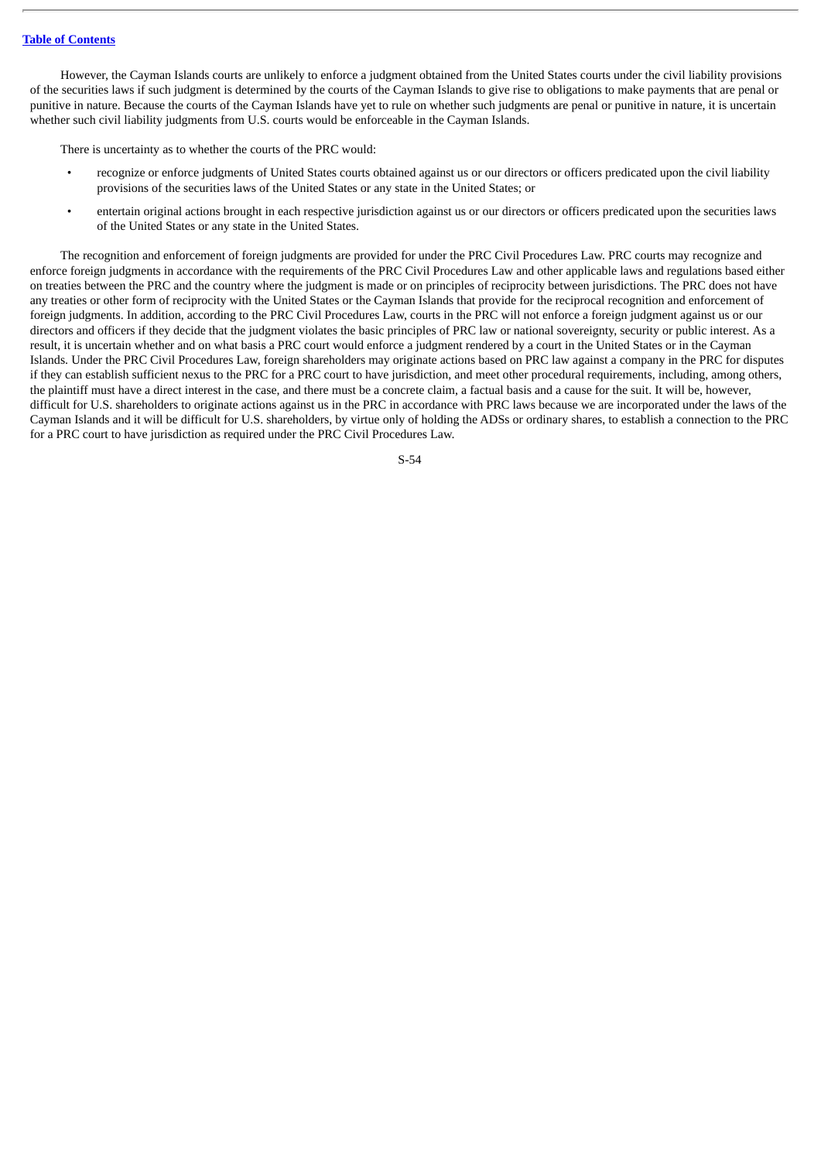#### **Table of [Contents](#page-4-0)**

However, the Cayman Islands courts are unlikely to enforce a judgment obtained from the United States courts under the civil liability provisions of the securities laws if such judgment is determined by the courts of the Cayman Islands to give rise to obligations to make payments that are penal or punitive in nature. Because the courts of the Cayman Islands have yet to rule on whether such judgments are penal or punitive in nature, it is uncertain whether such civil liability judgments from U.S. courts would be enforceable in the Cayman Islands.

There is uncertainty as to whether the courts of the PRC would:

- recognize or enforce judgments of United States courts obtained against us or our directors or officers predicated upon the civil liability provisions of the securities laws of the United States or any state in the United States; or
- entertain original actions brought in each respective jurisdiction against us or our directors or officers predicated upon the securities laws of the United States or any state in the United States.

The recognition and enforcement of foreign judgments are provided for under the PRC Civil Procedures Law. PRC courts may recognize and enforce foreign judgments in accordance with the requirements of the PRC Civil Procedures Law and other applicable laws and regulations based either on treaties between the PRC and the country where the judgment is made or on principles of reciprocity between jurisdictions. The PRC does not have any treaties or other form of reciprocity with the United States or the Cayman Islands that provide for the reciprocal recognition and enforcement of foreign judgments. In addition, according to the PRC Civil Procedures Law, courts in the PRC will not enforce a foreign judgment against us or our directors and officers if they decide that the judgment violates the basic principles of PRC law or national sovereignty, security or public interest. As a result, it is uncertain whether and on what basis a PRC court would enforce a judgment rendered by a court in the United States or in the Cayman Islands. Under the PRC Civil Procedures Law, foreign shareholders may originate actions based on PRC law against a company in the PRC for disputes if they can establish sufficient nexus to the PRC for a PRC court to have jurisdiction, and meet other procedural requirements, including, among others, the plaintiff must have a direct interest in the case, and there must be a concrete claim, a factual basis and a cause for the suit. It will be, however, difficult for U.S. shareholders to originate actions against us in the PRC in accordance with PRC laws because we are incorporated under the laws of the Cayman Islands and it will be difficult for U.S. shareholders, by virtue only of holding the ADSs or ordinary shares, to establish a connection to the PRC for a PRC court to have jurisdiction as required under the PRC Civil Procedures Law.

S-54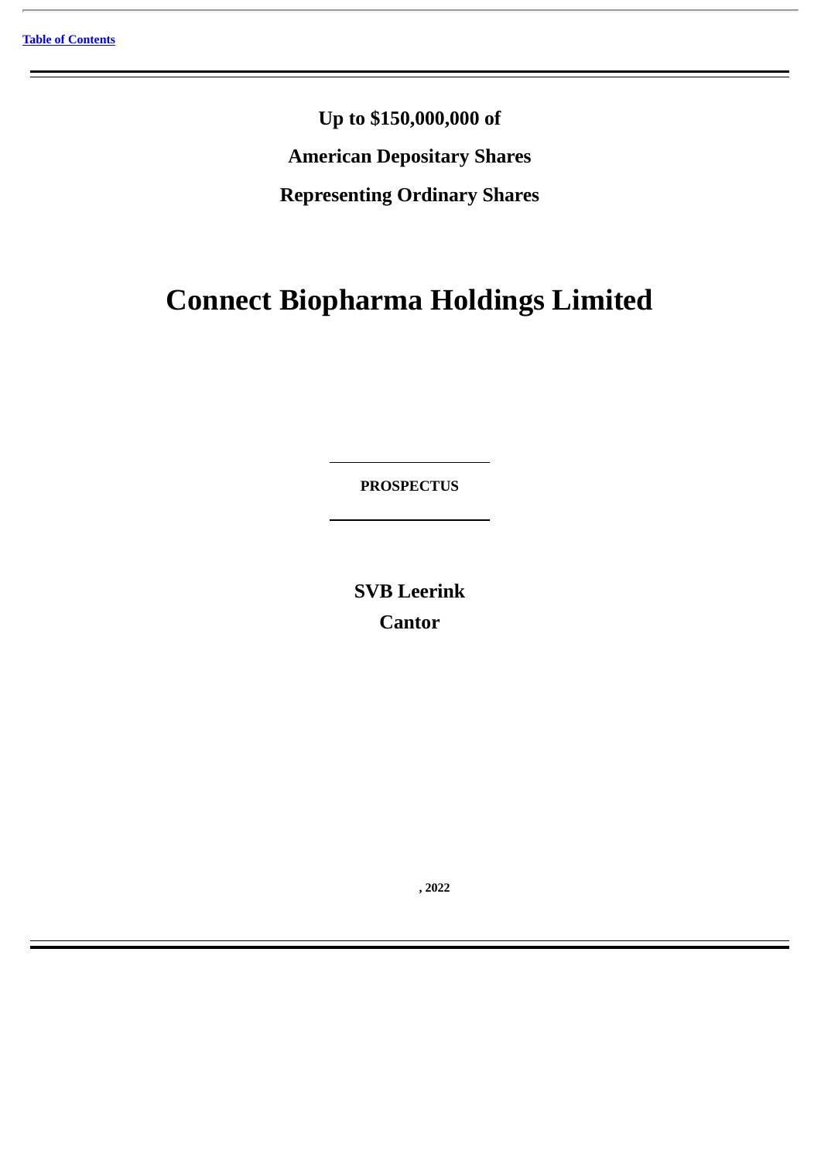**Up to \$150,000,000 of American Depositary Shares Representing Ordinary Shares**

# **Connect Biopharma Holdings Limited**

**PROSPECTUS**

**SVB Leerink Cantor**

**, 2022**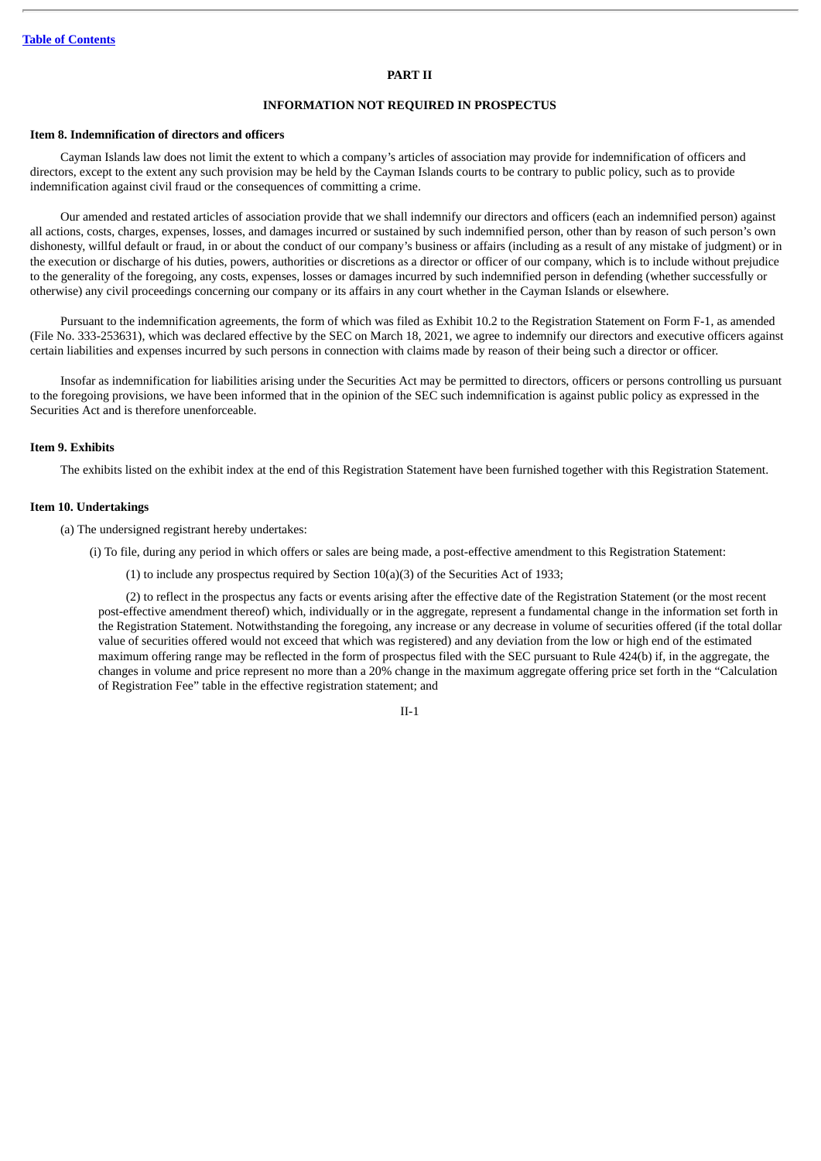#### **PART II**

## **INFORMATION NOT REQUIRED IN PROSPECTUS**

#### **Item 8. Indemnification of directors and officers**

Cayman Islands law does not limit the extent to which a company's articles of association may provide for indemnification of officers and directors, except to the extent any such provision may be held by the Cayman Islands courts to be contrary to public policy, such as to provide indemnification against civil fraud or the consequences of committing a crime.

Our amended and restated articles of association provide that we shall indemnify our directors and officers (each an indemnified person) against all actions, costs, charges, expenses, losses, and damages incurred or sustained by such indemnified person, other than by reason of such person's own dishonesty, willful default or fraud, in or about the conduct of our company's business or affairs (including as a result of any mistake of judgment) or in the execution or discharge of his duties, powers, authorities or discretions as a director or officer of our company, which is to include without prejudice to the generality of the foregoing, any costs, expenses, losses or damages incurred by such indemnified person in defending (whether successfully or otherwise) any civil proceedings concerning our company or its affairs in any court whether in the Cayman Islands or elsewhere.

Pursuant to the indemnification agreements, the form of which was filed as Exhibit 10.2 to the Registration Statement on Form F-1, as amended (File No. 333-253631), which was declared effective by the SEC on March 18, 2021, we agree to indemnify our directors and executive officers against certain liabilities and expenses incurred by such persons in connection with claims made by reason of their being such a director or officer.

Insofar as indemnification for liabilities arising under the Securities Act may be permitted to directors, officers or persons controlling us pursuant to the foregoing provisions, we have been informed that in the opinion of the SEC such indemnification is against public policy as expressed in the Securities Act and is therefore unenforceable.

#### **Item 9. Exhibits**

The exhibits listed on the exhibit index at the end of this Registration Statement have been furnished together with this Registration Statement.

### **Item 10. Undertakings**

(a) The undersigned registrant hereby undertakes:

(i) To file, during any period in which offers or sales are being made, a post-effective amendment to this Registration Statement:

(1) to include any prospectus required by Section 10(a)(3) of the Securities Act of 1933;

(2) to reflect in the prospectus any facts or events arising after the effective date of the Registration Statement (or the most recent post-effective amendment thereof) which, individually or in the aggregate, represent a fundamental change in the information set forth in the Registration Statement. Notwithstanding the foregoing, any increase or any decrease in volume of securities offered (if the total dollar value of securities offered would not exceed that which was registered) and any deviation from the low or high end of the estimated maximum offering range may be reflected in the form of prospectus filed with the SEC pursuant to Rule 424(b) if, in the aggregate, the changes in volume and price represent no more than a 20% change in the maximum aggregate offering price set forth in the "Calculation of Registration Fee" table in the effective registration statement; and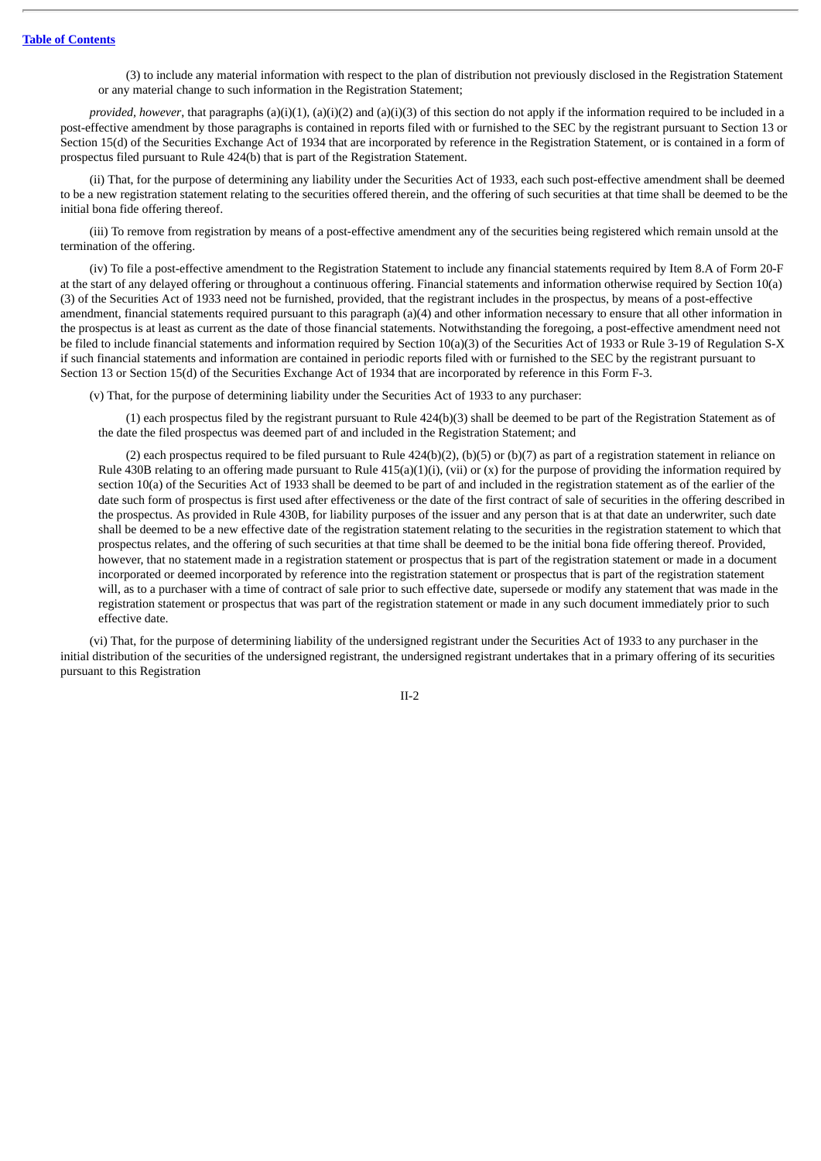(3) to include any material information with respect to the plan of distribution not previously disclosed in the Registration Statement or any material change to such information in the Registration Statement;

*provided, however, that paragraphs* (a)(i)(1), (a)(i)(2) and (a)(i)(3) of this section do not apply if the information required to be included in a post-effective amendment by those paragraphs is contained in reports filed with or furnished to the SEC by the registrant pursuant to Section 13 or Section 15(d) of the Securities Exchange Act of 1934 that are incorporated by reference in the Registration Statement, or is contained in a form of prospectus filed pursuant to Rule 424(b) that is part of the Registration Statement.

(ii) That, for the purpose of determining any liability under the Securities Act of 1933, each such post-effective amendment shall be deemed to be a new registration statement relating to the securities offered therein, and the offering of such securities at that time shall be deemed to be the initial bona fide offering thereof.

(iii) To remove from registration by means of a post-effective amendment any of the securities being registered which remain unsold at the termination of the offering.

(iv) To file a post-effective amendment to the Registration Statement to include any financial statements required by Item 8.A of Form 20-F at the start of any delayed offering or throughout a continuous offering. Financial statements and information otherwise required by Section 10(a) (3) of the Securities Act of 1933 need not be furnished, provided, that the registrant includes in the prospectus, by means of a post-effective amendment, financial statements required pursuant to this paragraph (a)(4) and other information necessary to ensure that all other information in the prospectus is at least as current as the date of those financial statements. Notwithstanding the foregoing, a post-effective amendment need not be filed to include financial statements and information required by Section 10(a)(3) of the Securities Act of 1933 or Rule 3-19 of Regulation S-X if such financial statements and information are contained in periodic reports filed with or furnished to the SEC by the registrant pursuant to Section 13 or Section 15(d) of the Securities Exchange Act of 1934 that are incorporated by reference in this Form F-3.

(v) That, for the purpose of determining liability under the Securities Act of 1933 to any purchaser:

(1) each prospectus filed by the registrant pursuant to Rule 424(b)(3) shall be deemed to be part of the Registration Statement as of the date the filed prospectus was deemed part of and included in the Registration Statement; and

(2) each prospectus required to be filed pursuant to Rule 424(b)(2), (b)(5) or (b)(7) as part of a registration statement in reliance on Rule 430B relating to an offering made pursuant to Rule 415(a)(1)(i), (vii) or (x) for the purpose of providing the information required by section 10(a) of the Securities Act of 1933 shall be deemed to be part of and included in the registration statement as of the earlier of the date such form of prospectus is first used after effectiveness or the date of the first contract of sale of securities in the offering described in the prospectus. As provided in Rule 430B, for liability purposes of the issuer and any person that is at that date an underwriter, such date shall be deemed to be a new effective date of the registration statement relating to the securities in the registration statement to which that prospectus relates, and the offering of such securities at that time shall be deemed to be the initial bona fide offering thereof. Provided, however, that no statement made in a registration statement or prospectus that is part of the registration statement or made in a document incorporated or deemed incorporated by reference into the registration statement or prospectus that is part of the registration statement will, as to a purchaser with a time of contract of sale prior to such effective date, supersede or modify any statement that was made in the registration statement or prospectus that was part of the registration statement or made in any such document immediately prior to such effective date.

(vi) That, for the purpose of determining liability of the undersigned registrant under the Securities Act of 1933 to any purchaser in the initial distribution of the securities of the undersigned registrant, the undersigned registrant undertakes that in a primary offering of its securities pursuant to this Registration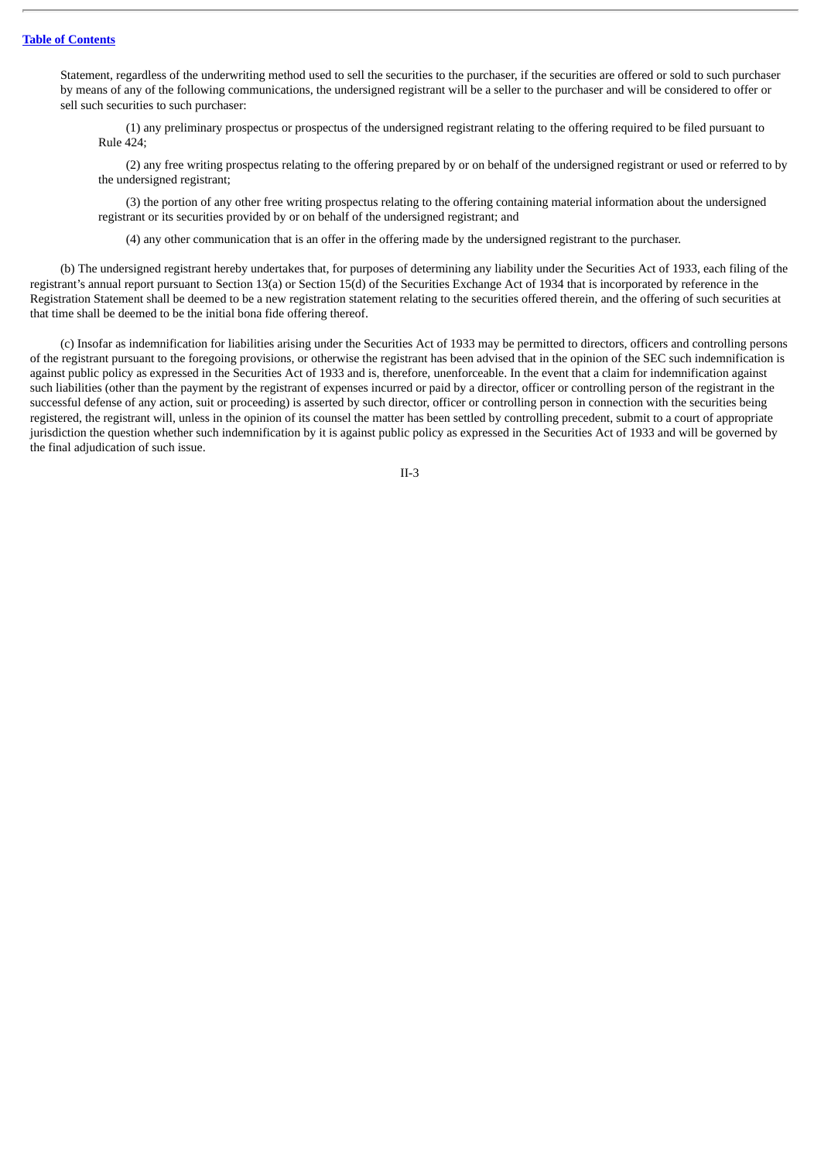Statement, regardless of the underwriting method used to sell the securities to the purchaser, if the securities are offered or sold to such purchaser by means of any of the following communications, the undersigned registrant will be a seller to the purchaser and will be considered to offer or sell such securities to such purchaser:

(1) any preliminary prospectus or prospectus of the undersigned registrant relating to the offering required to be filed pursuant to Rule 424;

(2) any free writing prospectus relating to the offering prepared by or on behalf of the undersigned registrant or used or referred to by the undersigned registrant;

(3) the portion of any other free writing prospectus relating to the offering containing material information about the undersigned registrant or its securities provided by or on behalf of the undersigned registrant; and

(4) any other communication that is an offer in the offering made by the undersigned registrant to the purchaser.

(b) The undersigned registrant hereby undertakes that, for purposes of determining any liability under the Securities Act of 1933, each filing of the registrant's annual report pursuant to Section 13(a) or Section 15(d) of the Securities Exchange Act of 1934 that is incorporated by reference in the Registration Statement shall be deemed to be a new registration statement relating to the securities offered therein, and the offering of such securities at that time shall be deemed to be the initial bona fide offering thereof.

(c) Insofar as indemnification for liabilities arising under the Securities Act of 1933 may be permitted to directors, officers and controlling persons of the registrant pursuant to the foregoing provisions, or otherwise the registrant has been advised that in the opinion of the SEC such indemnification is against public policy as expressed in the Securities Act of 1933 and is, therefore, unenforceable. In the event that a claim for indemnification against such liabilities (other than the payment by the registrant of expenses incurred or paid by a director, officer or controlling person of the registrant in the successful defense of any action, suit or proceeding) is asserted by such director, officer or controlling person in connection with the securities being registered, the registrant will, unless in the opinion of its counsel the matter has been settled by controlling precedent, submit to a court of appropriate jurisdiction the question whether such indemnification by it is against public policy as expressed in the Securities Act of 1933 and will be governed by the final adjudication of such issue.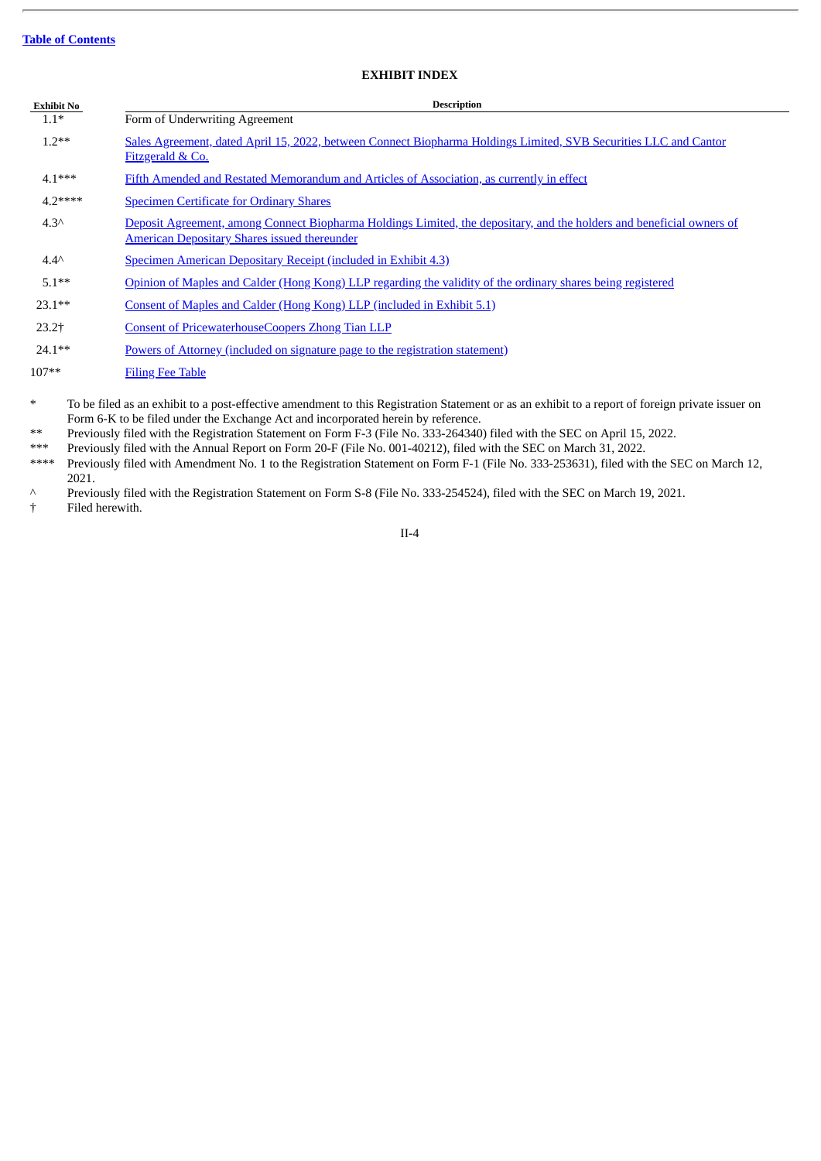# **EXHIBIT INDEX**

| <b>Exhibit No</b> | <b>Description</b>                                                                                                                                                           |
|-------------------|------------------------------------------------------------------------------------------------------------------------------------------------------------------------------|
| $1.1*$            | Form of Underwriting Agreement                                                                                                                                               |
| $1.2**$           | Sales Agreement, dated April 15, 2022, between Connect Biopharma Holdings Limited, SVB Securities LLC and Cantor<br>Fitzgerald & Co.                                         |
| $4.1***$          | Fifth Amended and Restated Memorandum and Articles of Association, as currently in effect                                                                                    |
| $4.2***$          | <b>Specimen Certificate for Ordinary Shares</b>                                                                                                                              |
| $4.3^$            | Deposit Agreement, among Connect Biopharma Holdings Limited, the depositary, and the holders and beneficial owners of<br><b>American Depositary Shares issued thereunder</b> |
| $4.4^{\wedge}$    | Specimen American Depositary Receipt (included in Exhibit 4.3)                                                                                                               |
| $5.1**$           | Opinion of Maples and Calder (Hong Kong) LLP regarding the validity of the ordinary shares being registered                                                                  |
| $23.1**$          | Consent of Maples and Calder (Hong Kong) LLP (included in Exhibit 5.1)                                                                                                       |
| $23.2+$           | <b>Consent of PricewaterhouseCoopers Zhong Tian LLP</b>                                                                                                                      |
| $24.1**$          | <u>Powers of Attorney (included on signature page to the registration statement)</u>                                                                                         |
| $107**$           | <b>Filing Fee Table</b>                                                                                                                                                      |

To be filed as an exhibit to a post-effective amendment to this Registration Statement or as an exhibit to a report of foreign private issuer on Form 6-K to be filed under the Exchange Act and incorporated herein by reference.

\*\* Previously filed with the Registration Statement on Form F-3 (File No. 333-264340) filed with the SEC on April 15, 2022.

\*\*\* Previously filed with the Annual Report on Form 20-F (File No. 001-40212), filed with the SEC on March 31, 2022.<br>\*\*\*\* Previously filed with Amendment No. 1 to the Registration Statement on Form E-1 (File No. 333-25363

Previously filed with Amendment No. 1 to the Registration Statement on Form F-1 (File No. 333-253631), filed with the SEC on March 12, 2021.

^ Previously filed with the Registration Statement on Form S-8 (File No. 333-254524), filed with the SEC on March 19, 2021.

† Filed herewith.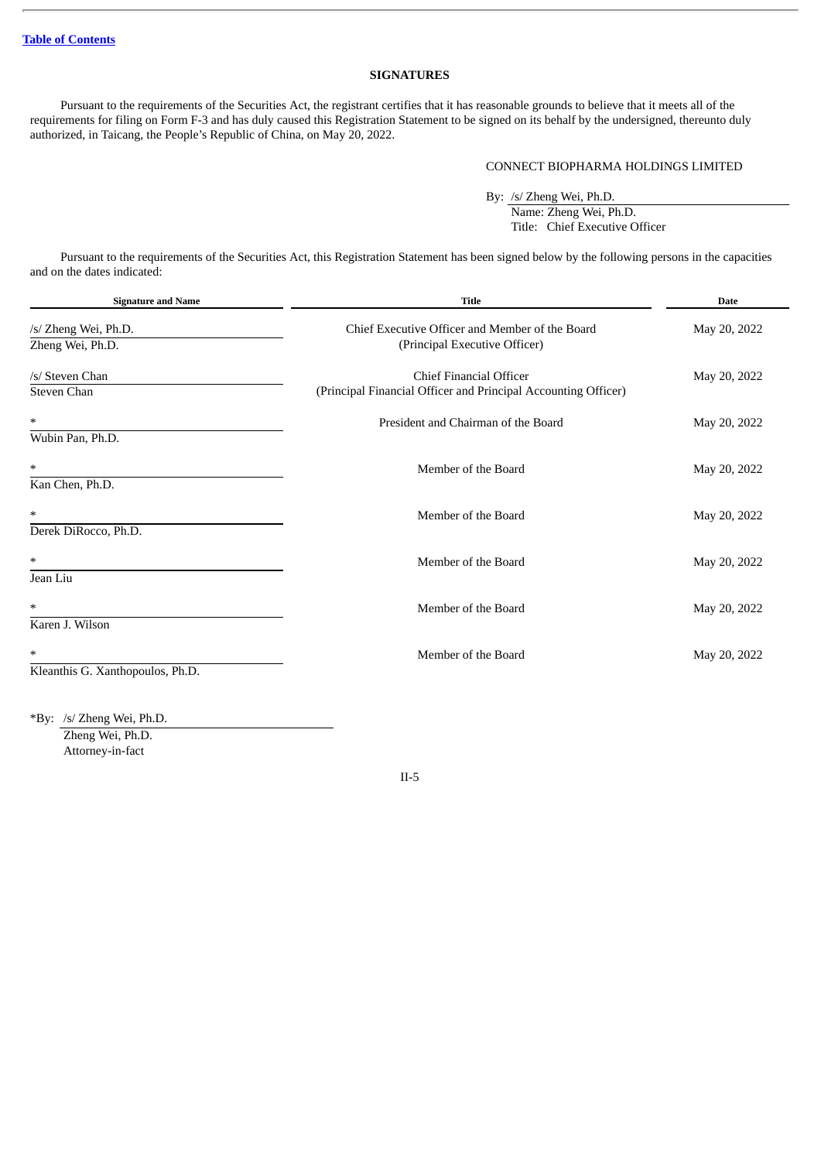# **SIGNATURES**

Pursuant to the requirements of the Securities Act, the registrant certifies that it has reasonable grounds to believe that it meets all of the requirements for filing on Form F-3 and has duly caused this Registration Statement to be signed on its behalf by the undersigned, thereunto duly authorized, in Taicang, the People's Republic of China, on May 20, 2022.

#### CONNECT BIOPHARMA HOLDINGS LIMITED

By: /s/ Zheng Wei, Ph.D. Name: Zheng Wei, Ph.D. Title: Chief Executive Officer

Pursuant to the requirements of the Securities Act, this Registration Statement has been signed below by the following persons in the capacities and on the dates indicated:

| <b>Signature and Name</b>                  | <b>Title</b>                                                                              | <b>Date</b>  |  |
|--------------------------------------------|-------------------------------------------------------------------------------------------|--------------|--|
| /s/ Zheng Wei, Ph.D.<br>Zheng Wei, Ph.D.   | Chief Executive Officer and Member of the Board<br>(Principal Executive Officer)          | May 20, 2022 |  |
| /s/ Steven Chan<br>Steven Chan             | Chief Financial Officer<br>(Principal Financial Officer and Principal Accounting Officer) | May 20, 2022 |  |
| $\ast$<br>Wubin Pan, Ph.D.                 | President and Chairman of the Board                                                       | May 20, 2022 |  |
| $\ast$<br>Kan Chen, Ph.D.                  | Member of the Board                                                                       | May 20, 2022 |  |
| $\ast$<br>Derek DiRocco, Ph.D.             | Member of the Board                                                                       | May 20, 2022 |  |
| $\ast$<br>Jean Liu                         | Member of the Board                                                                       | May 20, 2022 |  |
| $\ast$<br>Karen J. Wilson                  | Member of the Board                                                                       | May 20, 2022 |  |
| $\ast$<br>Kleanthis G. Xanthopoulos, Ph.D. | Member of the Board                                                                       | May 20, 2022 |  |
|                                            |                                                                                           |              |  |

\*By: /s/ Zheng Wei, Ph.D.

Zheng Wei, Ph.D. Attorney-in-fact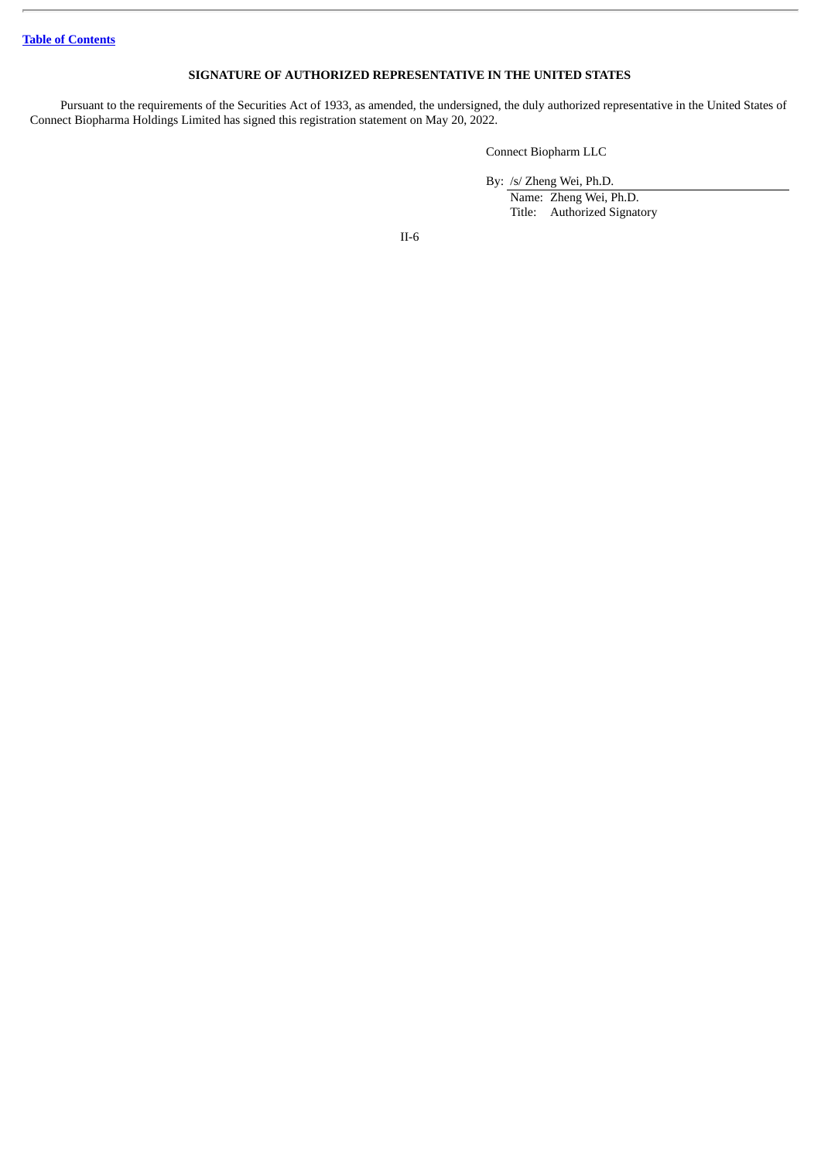**Table of [Contents](#page-4-0)**

# **SIGNATURE OF AUTHORIZED REPRESENTATIVE IN THE UNITED STATES**

Pursuant to the requirements of the Securities Act of 1933, as amended, the undersigned, the duly authorized representative in the United States of Connect Biopharma Holdings Limited has signed this registration statement on May 20, 2022.

Connect Biopharm LLC

By: /s/ Zheng Wei, Ph.D. Name: Zheng Wei, Ph.D. Title: Authorized Signatory